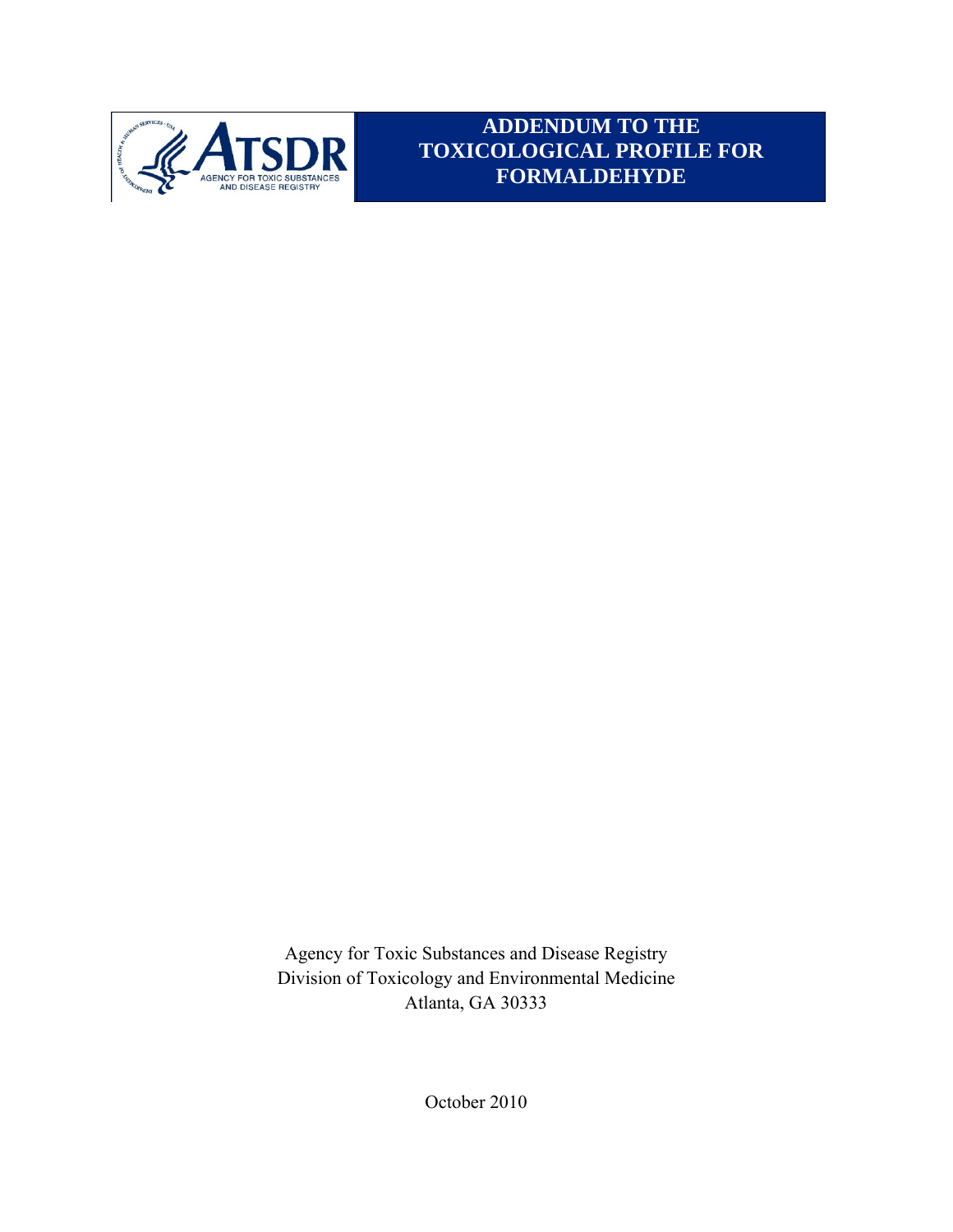

**ADDENDUM TO THE TOXICOLOGICAL PROFILE FOR FORMALDEHYDE** 

Agency for Toxic Substances and Disease Registry Division of Toxicology and Environmental Medicine Atlanta, GA 30333

October 2010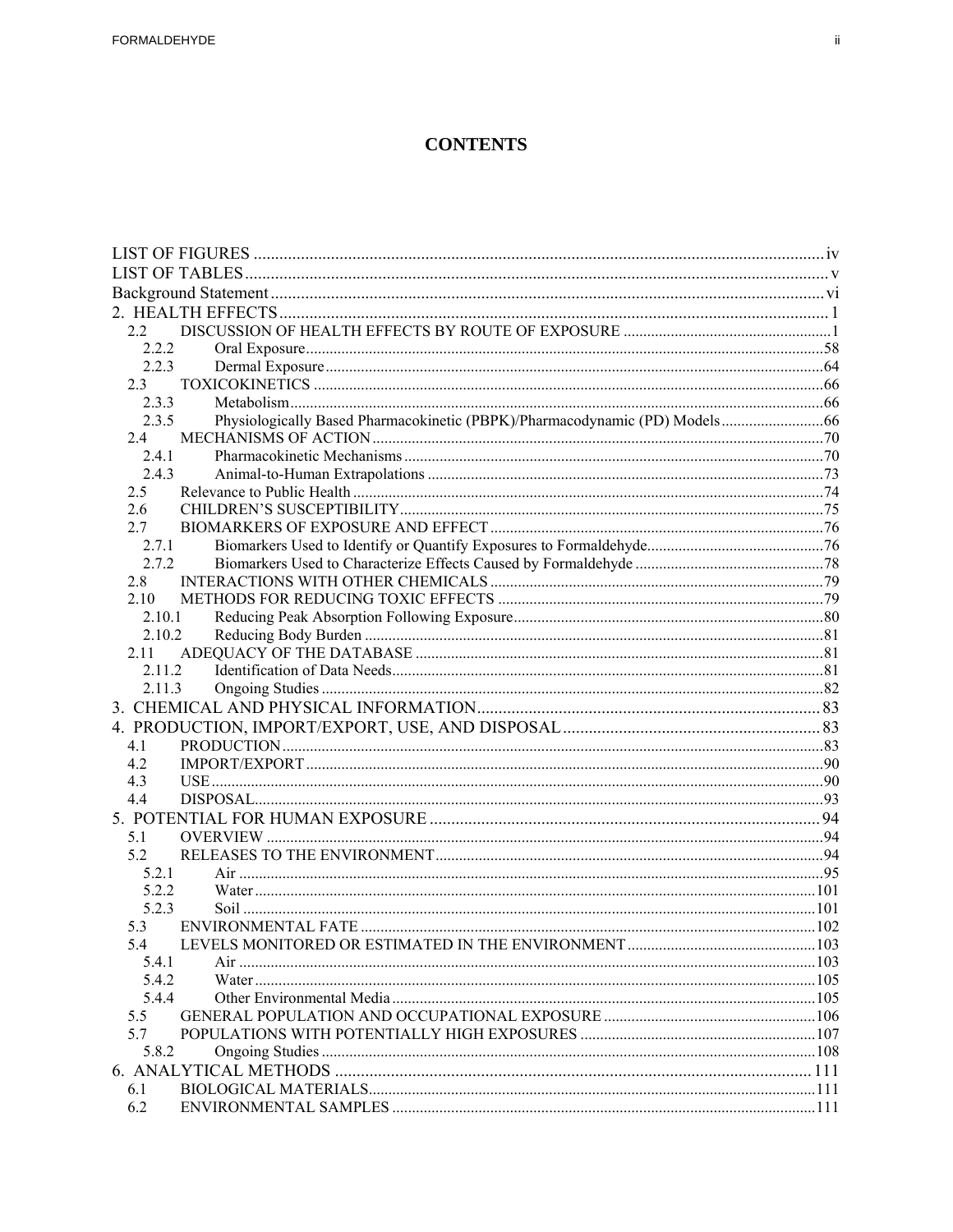## **CONTENTS**

| 22                                                                                  |  |
|-------------------------------------------------------------------------------------|--|
| 2.2.2                                                                               |  |
| 2.2.3                                                                               |  |
|                                                                                     |  |
| 2.3.3                                                                               |  |
| Physiologically Based Pharmacokinetic (PBPK)/Pharmacodynamic (PD) Models66<br>2.3.5 |  |
| 2.4                                                                                 |  |
| 2.4.1                                                                               |  |
| 2.4.3                                                                               |  |
| 2.5                                                                                 |  |
| 2.6                                                                                 |  |
| 2.7                                                                                 |  |
| 2.7.1                                                                               |  |
| 2.7.2                                                                               |  |
| 2.8                                                                                 |  |
| 2.10                                                                                |  |
| 2.10.1                                                                              |  |
| 2.10.2                                                                              |  |
| 2.11                                                                                |  |
| 2.11.2                                                                              |  |
| 2.11.3                                                                              |  |
|                                                                                     |  |
|                                                                                     |  |
| 4.1                                                                                 |  |
| 4.2                                                                                 |  |
| 4.3                                                                                 |  |
| 4.4                                                                                 |  |
|                                                                                     |  |
| 5.1                                                                                 |  |
| 5.2                                                                                 |  |
| 5 2 1                                                                               |  |
| 5.2.2                                                                               |  |
| 5.2.3                                                                               |  |
| 5.3                                                                                 |  |
| 5.4                                                                                 |  |
| 5.4.1                                                                               |  |
| 5.4.2                                                                               |  |
| 5.4.4                                                                               |  |
| 5.5                                                                                 |  |
| 5.7                                                                                 |  |
| 5.8.2                                                                               |  |
|                                                                                     |  |
| 6.1                                                                                 |  |
| 6.2                                                                                 |  |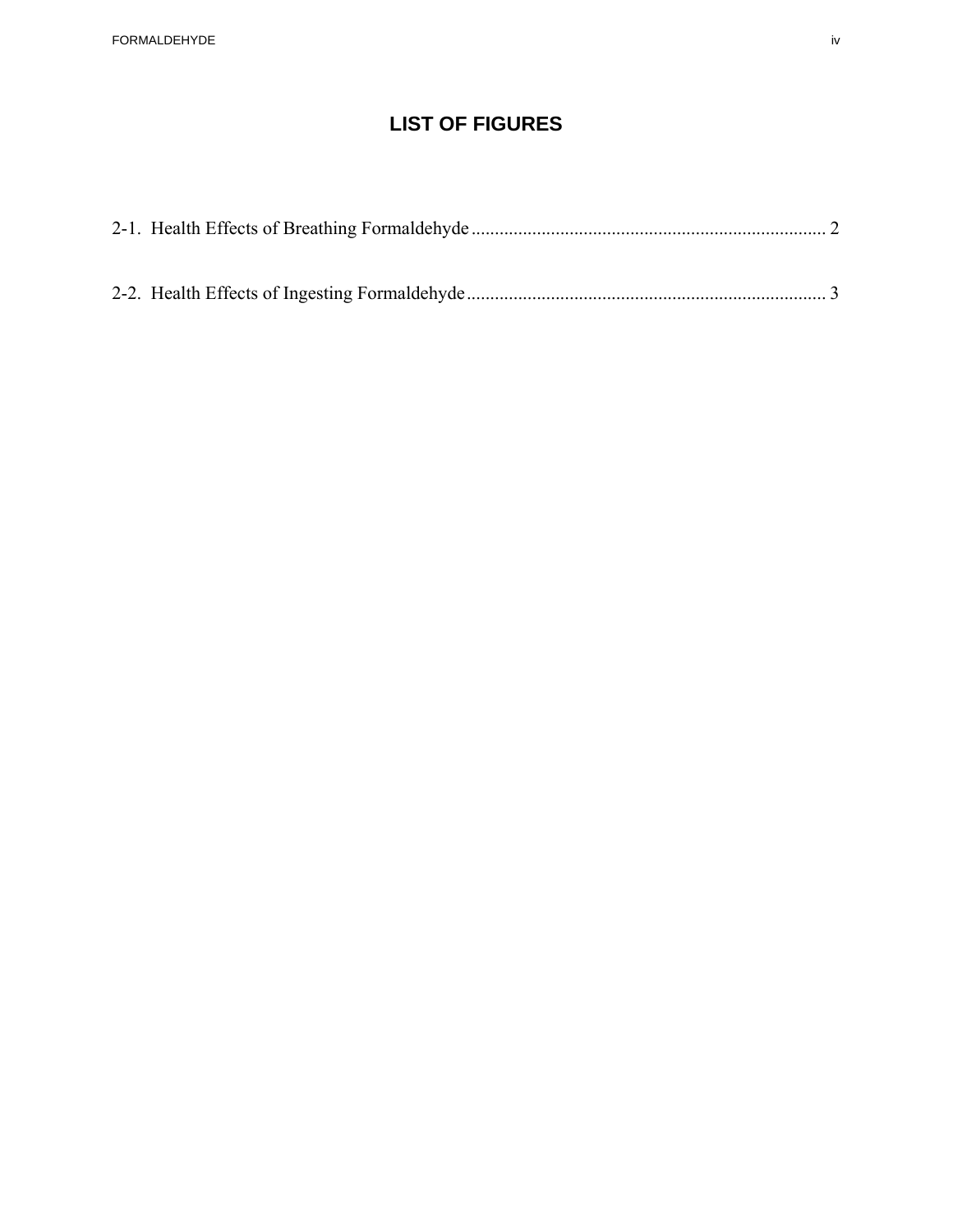# **LIST OF FIGURES**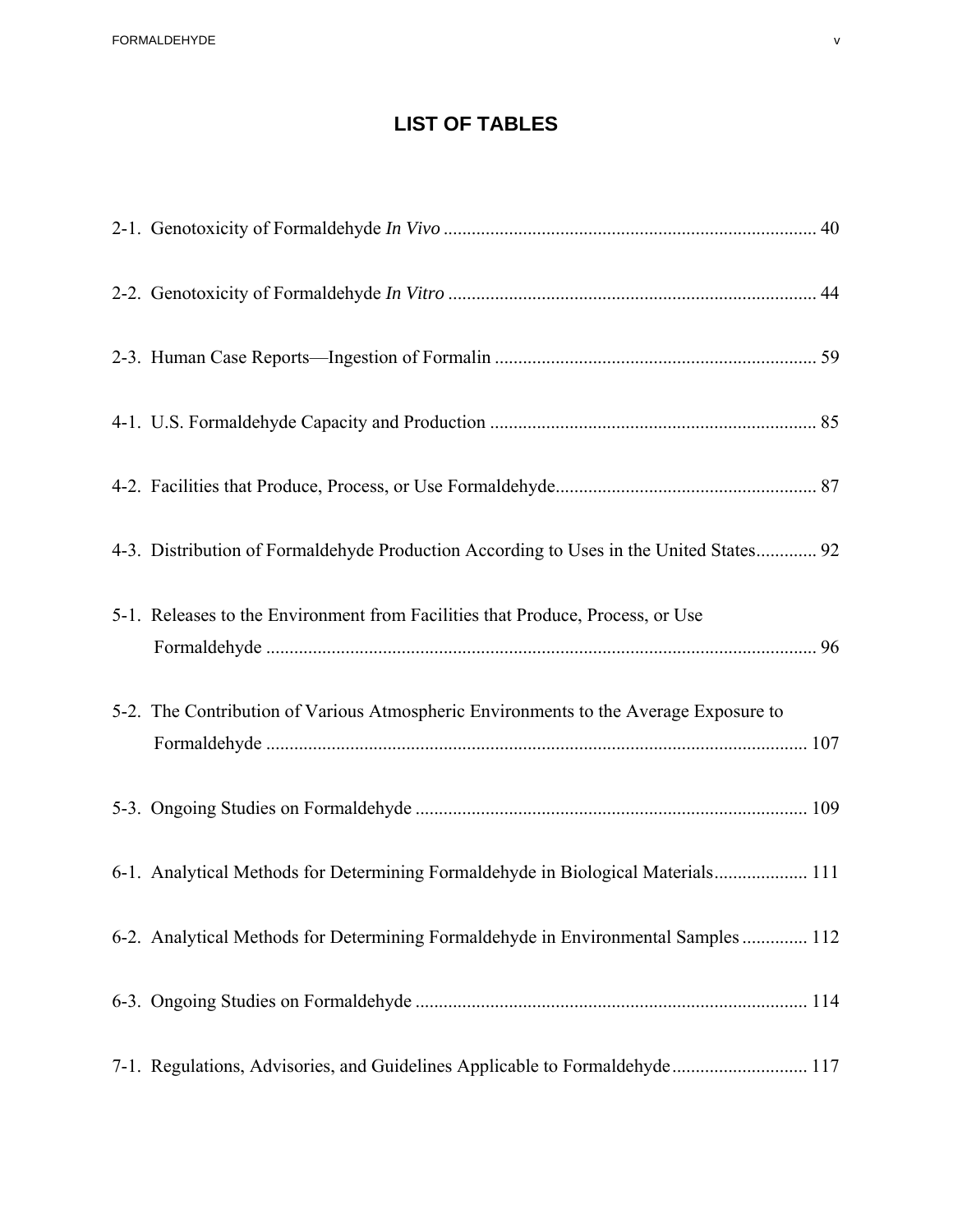# **LIST OF TABLES**

| 4-3. Distribution of Formaldehyde Production According to Uses in the United States 92 |  |
|----------------------------------------------------------------------------------------|--|
| 5-1. Releases to the Environment from Facilities that Produce, Process, or Use         |  |
| 5-2. The Contribution of Various Atmospheric Environments to the Average Exposure to   |  |
|                                                                                        |  |
| 6-1. Analytical Methods for Determining Formaldehyde in Biological Materials 111       |  |
| 6-2. Analytical Methods for Determining Formaldehyde in Environmental Samples  112     |  |
|                                                                                        |  |
| 7-1. Regulations, Advisories, and Guidelines Applicable to Formaldehyde 117            |  |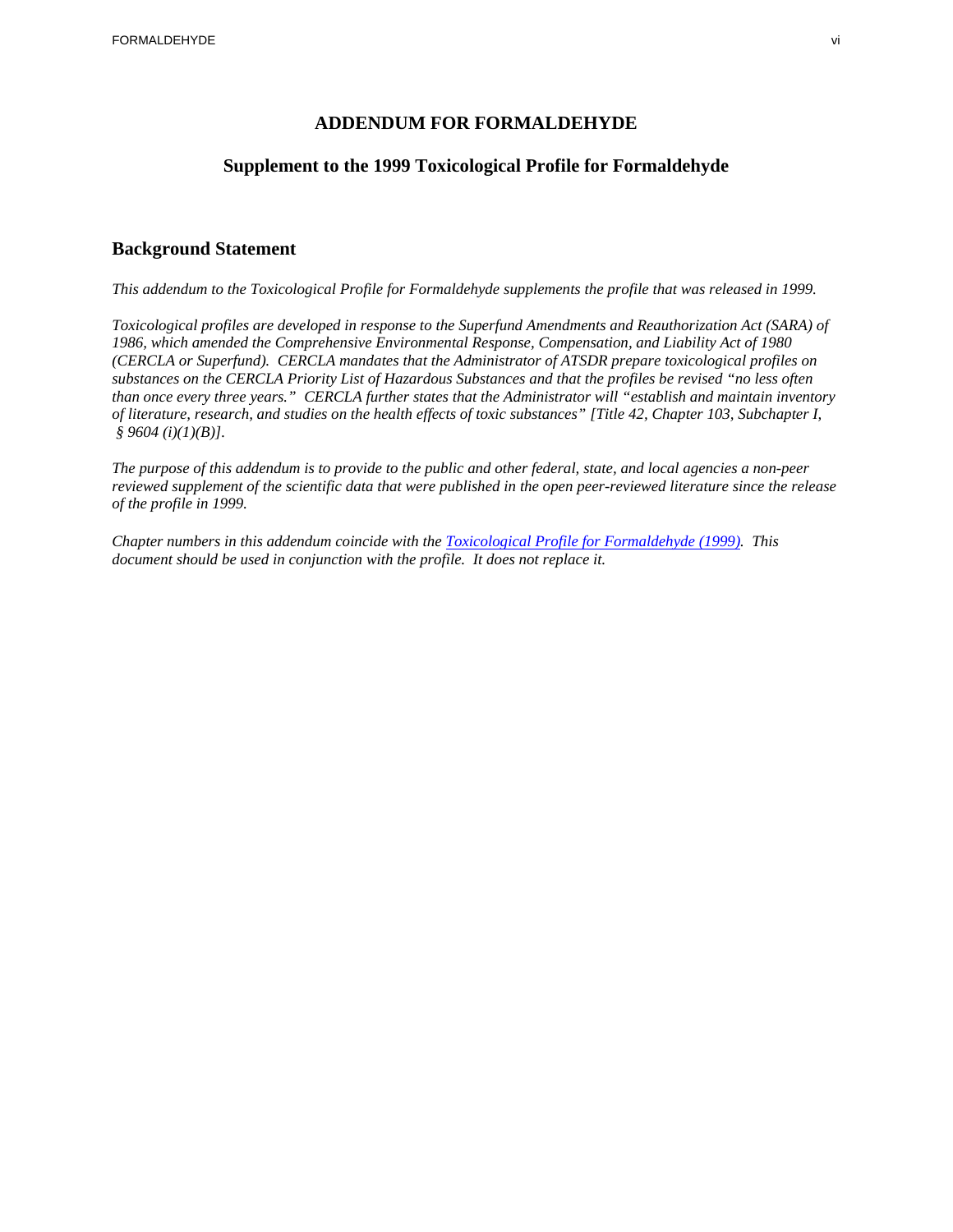### **ADDENDUM FOR FORMALDEHYDE**

### **Supplement to the 1999 Toxicological Profile for Formaldehyde**

### **Background Statement**

*This addendum to the Toxicological Profile for Formaldehyde supplements the profile that was released in 1999.* 

 *substances on the CERCLA Priority List of Hazardous Substances and that the profiles be revised "no less often Toxicological profiles are developed in response to the Superfund Amendments and Reauthorization Act (SARA) of 1986, which amended the Comprehensive Environmental Response, Compensation, and Liability Act of 1980 (CERCLA or Superfund). CERCLA mandates that the Administrator of ATSDR prepare toxicological profiles on than once every three years." CERCLA further states that the Administrator will "establish and maintain inventory of literature, research, and studies on the health effects of toxic substances" [Title 42, Chapter 103, Subchapter I, § 9604 (i)(1)(B)].* 

*The purpose of this addendum is to provide to the public and other federal, state, and local agencies a non-peer reviewed supplement of the scientific data that were published in the open peer-reviewed literature since the release of the profile in 1999.* 

*Chapter numbers in this addendum coincide with the Toxicological Profile for Formaldehyde (1999). This document should be used in conjunction with the profile. It does not replace it.*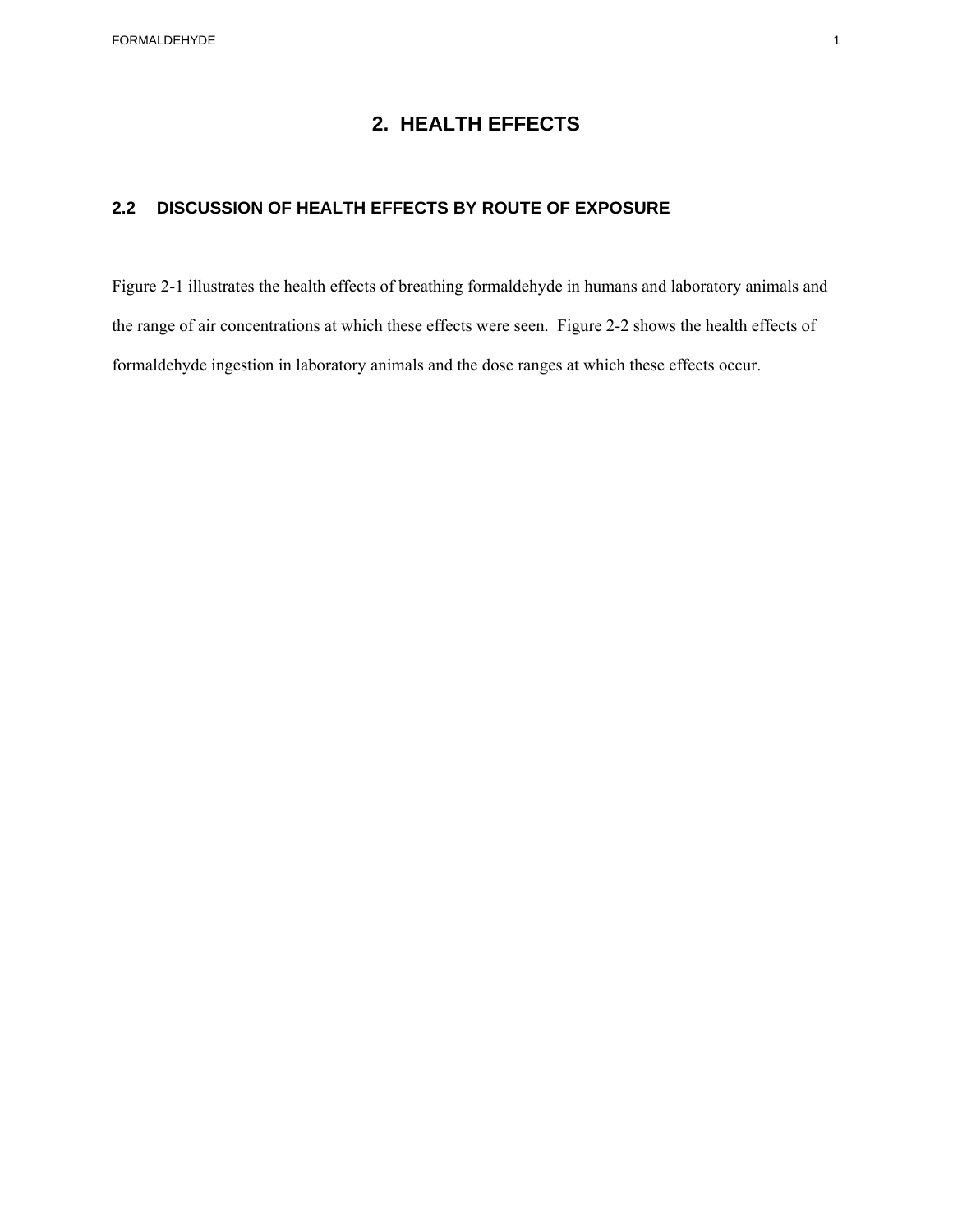# **2. HEALTH EFFECTS**

## **2.2 DISCUSSION OF HEALTH EFFECTS BY ROUTE OF EXPOSURE**

Figure 2-1 illustrates the health effects of breathing formaldehyde in humans and laboratory animals and the range of air concentrations at which these effects were seen. Figure 2-2 shows the health effects of formaldehyde ingestion in laboratory animals and the dose ranges at which these effects occur.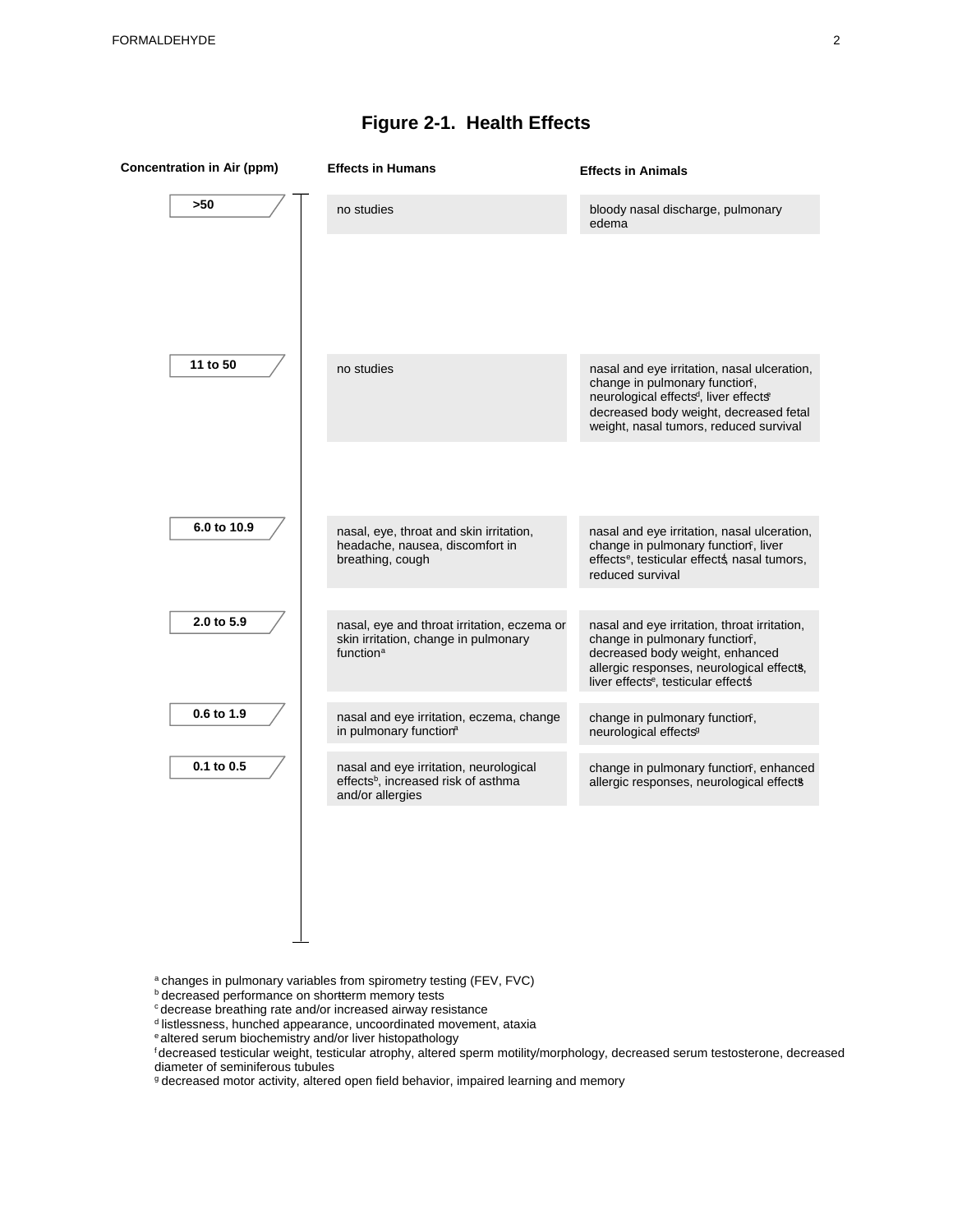| <b>Concentration in Air (ppm)</b> | <b>Effects in Humans</b>                                                                                      | <b>Effects in Animals</b>                                                                                                                                                                                                          |
|-----------------------------------|---------------------------------------------------------------------------------------------------------------|------------------------------------------------------------------------------------------------------------------------------------------------------------------------------------------------------------------------------------|
| >50                               | no studies                                                                                                    | bloody nasal discharge, pulmonary<br>edema                                                                                                                                                                                         |
|                                   |                                                                                                               |                                                                                                                                                                                                                                    |
| 11 to 50                          | no studies                                                                                                    | nasal and eye irritation, nasal ulceration,<br>change in pulmonary function,<br>neurological effects <sup>d</sup> , liver effects <sup>e</sup><br>decreased body weight, decreased fetal<br>weight, nasal tumors, reduced survival |
|                                   |                                                                                                               |                                                                                                                                                                                                                                    |
| 6.0 to 10.9                       | nasal, eye, throat and skin irritation,<br>headache, nausea, discomfort in<br>breathing, cough                | nasal and eye irritation, nasal ulceration,<br>change in pulmonary function, liver<br>effects <sup>e</sup> , testicular effects nasal tumors,<br>reduced survival                                                                  |
| 2.0 to 5.9                        | nasal, eye and throat irritation, eczema or                                                                   | nasal and eye irritation, throat irritation,                                                                                                                                                                                       |
|                                   | skin irritation, change in pulmonary<br>function <sup>a</sup>                                                 | change in pulmonary function,<br>decreased body weight, enhanced<br>allergic responses, neurological effects,<br>liver effects <sup>e</sup> , testicular effects                                                                   |
| 0.6 to 1.9                        | nasal and eye irritation, eczema, change<br>in pulmonary function <sup>a</sup>                                | change in pulmonary function,<br>neurological effects <sup>9</sup>                                                                                                                                                                 |
| 0.1 to 0.5                        | nasal and eye irritation, neurological<br>effects <sup>b</sup> , increased risk of asthma<br>and/or allergies | change in pulmonary functiorf, enhanced<br>allergic responses, neurological effects                                                                                                                                                |
|                                   |                                                                                                               |                                                                                                                                                                                                                                    |

# **Figure 2-1. Health Effects**

 $a$  changes in pulmonary variables from spirometry testing (FEV, FVC)  $b$  decreased performance on shortterm memory tests

- 
- <sup>c</sup> decrease breathing rate and/or increased airway resistance
- d listlessness, hunched appearance, uncoordinated movement, ataxia
- e altered serum biochemistry and/or liver histopathology

f decreased testicular weight, testicular atrophy, altered sperm motility/morphology, decreased serum testosterone, decreased diameter of seminiferous tubules

g decreased motor activity, altered open field behavior, impaired learning and memory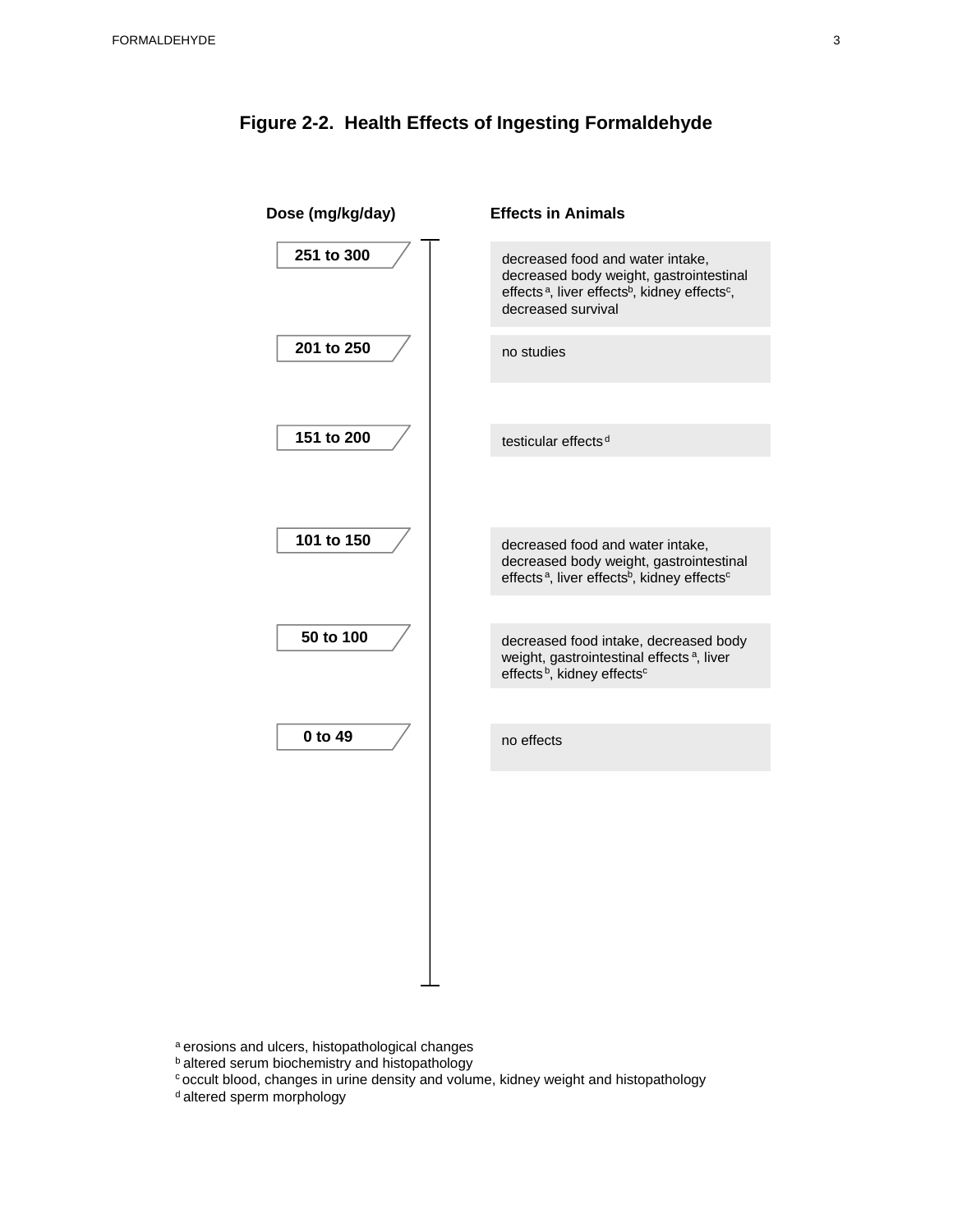

## **Figure 2-2. Health Effects of Ingesting Formaldehyde**

a erosions and ulcers, histopathological changes

**b** altered serum biochemistry and histopathology

 $\circ$  occult blood, changes in urine density and volume, kidney weight and histopathology  $\sigma$  altered sperm morphology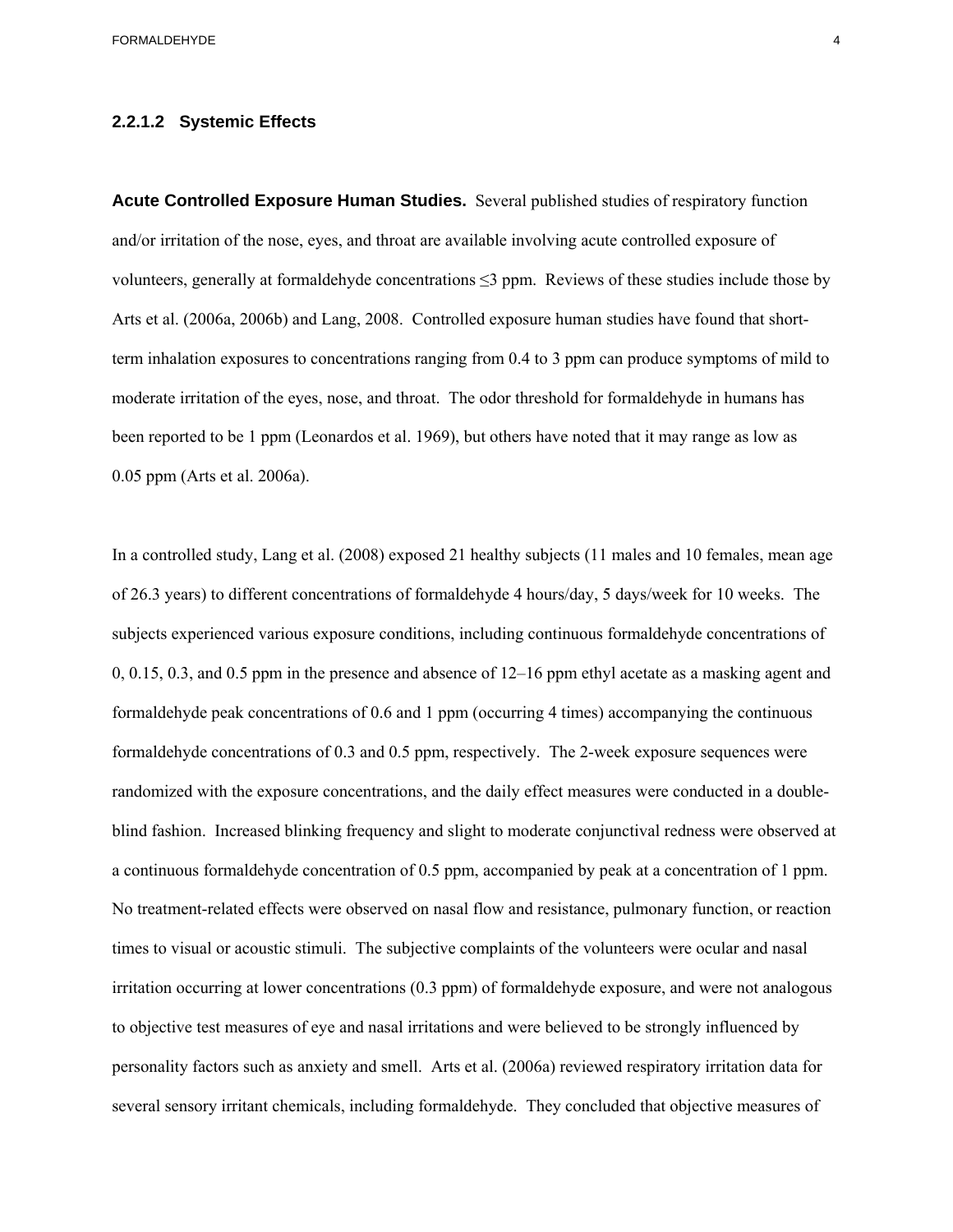#### <span id="page-9-0"></span>**2.2.1.2 Systemic Effects**

**Acute Controlled Exposure Human Studies.** Several published studies of respiratory function and/or irritation of the nose, eyes, and throat are available involving acute controlled exposure of volunteers, generally at formaldehyde concentrations ≤3 ppm. Reviews of these studies include those by Arts et al. (2006a, 2006b) and Lang, 2008. Controlled exposure human studies have found that shortterm inhalation exposures to concentrations ranging from 0.4 to 3 ppm can produce symptoms of mild to moderate irritation of the eyes, nose, and throat. The odor threshold for formaldehyde in humans has been reported to be 1 ppm (Leonardos et al. 1969), but others have noted that it may range as low as 0.05 ppm (Arts et al. 2006a).

a continuous formal dehyde concentration of 0.5 ppm, accompanied by peak at a concentration of 1 ppm. In a controlled study, Lang et al. (2008) exposed 21 healthy subjects (11 males and 10 females, mean age of 26.3 years) to different concentrations of formaldehyde 4 hours/day, 5 days/week for 10 weeks. The subjects experienced various exposure conditions, including continuous formaldehyde concentrations of 0, 0.15, 0.3, and 0.5 ppm in the presence and absence of 12–16 ppm ethyl acetate as a masking agent and formaldehyde peak concentrations of 0.6 and 1 ppm (occurring 4 times) accompanying the continuous formaldehyde concentrations of 0.3 and 0.5 ppm, respectively. The 2-week exposure sequences were randomized with the exposure concentrations, and the daily effect measures were conducted in a doubleblind fashion. Increased blinking frequency and slight to moderate conjunctival redness were observed at No treatment-related effects were observed on nasal flow and resistance, pulmonary function, or reaction times to visual or acoustic stimuli. The subjective complaints of the volunteers were ocular and nasal irritation occurring at lower concentrations (0.3 ppm) of formaldehyde exposure, and were not analogous to objective test measures of eye and nasal irritations and were believed to be strongly influenced by personality factors such as anxiety and smell. Arts et al. (2006a) reviewed respiratory irritation data for several sensory irritant chemicals, including formaldehyde. They concluded that objective measures of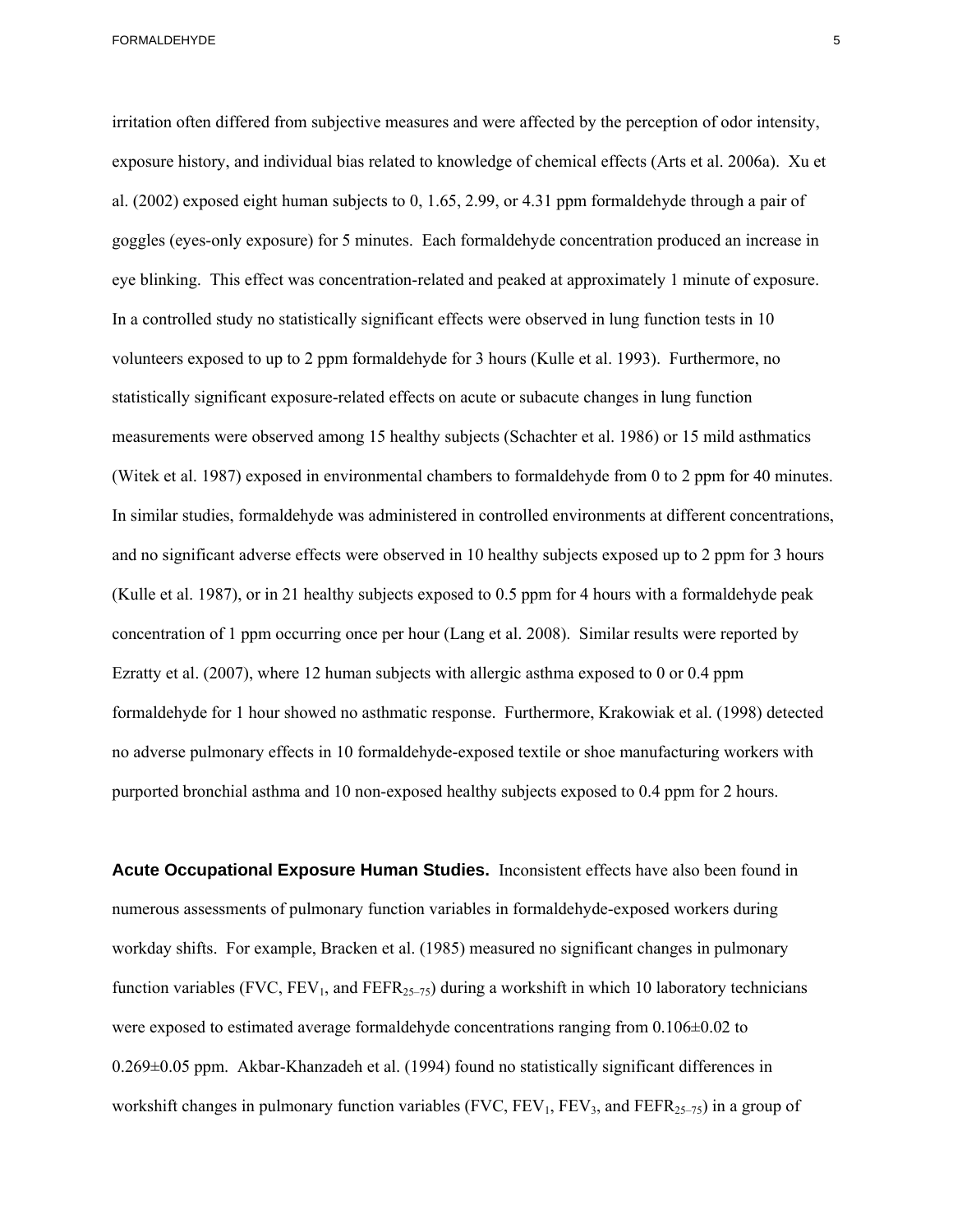<span id="page-10-0"></span>irritation often differed from subjective measures and were affected by the perception of odor intensity, exposure history, and individual bias related to knowledge of chemical effects (Arts et al. 2006a). Xu et al. (2002) exposed eight human subjects to 0, 1.65, 2.99, or 4.31 ppm formaldehyde through a pair of goggles (eyes-only exposure) for 5 minutes. Each formaldehyde concentration produced an increase in eye blinking. This effect was concentration-related and peaked at approximately 1 minute of exposure. In a controlled study no statistically significant effects were observed in lung function tests in 10 volunteers exposed to up to 2 ppm formaldehyde for 3 hours (Kulle et al. 1993). Furthermore, no statistically significant exposure-related effects on acute or subacute changes in lung function measurements were observed among 15 healthy subjects (Schachter et al. 1986) or 15 mild asthmatics (Witek et al. 1987) exposed in environmental chambers to formaldehyde from 0 to 2 ppm for 40 minutes. In similar studies, formaldehyde was administered in controlled environments at different concentrations, and no significant adverse effects were observed in 10 healthy subjects exposed up to 2 ppm for 3 hours (Kulle et al. 1987), or in 21 healthy subjects exposed to 0.5 ppm for 4 hours with a formaldehyde peak concentration of 1 ppm occurring once per hour (Lang et al. 2008). Similar results were reported by Ezratty et al. (2007), where 12 human subjects with allergic asthma exposed to 0 or 0.4 ppm formaldehyde for 1 hour showed no asthmatic response. Furthermore, Krakowiak et al. (1998) detected no adverse pulmonary effects in 10 formaldehyde-exposed textile or shoe manufacturing workers with purported bronchial asthma and 10 non-exposed healthy subjects exposed to 0.4 ppm for 2 hours.

**Acute Occupational Exposure Human Studies.** Inconsistent effects have also been found in numerous assessments of pulmonary function variables in formaldehyde-exposed workers during workday shifts. For example, Bracken et al. (1985) measured no significant changes in pulmonary function variables (FVC,  $FEV_1$ , and  $FEFR_{25-75}$ ) during a workshift in which 10 laboratory technicians were exposed to estimated average formaldehyde concentrations ranging from 0.106±0.02 to 0.269±0.05 ppm. Akbar-Khanzadeh et al. (1994) found no statistically significant differences in workshift changes in pulmonary function variables (FVC,  $FEV_1$ ,  $FEV_3$ , and  $FEFR_{25-75}$ ) in a group of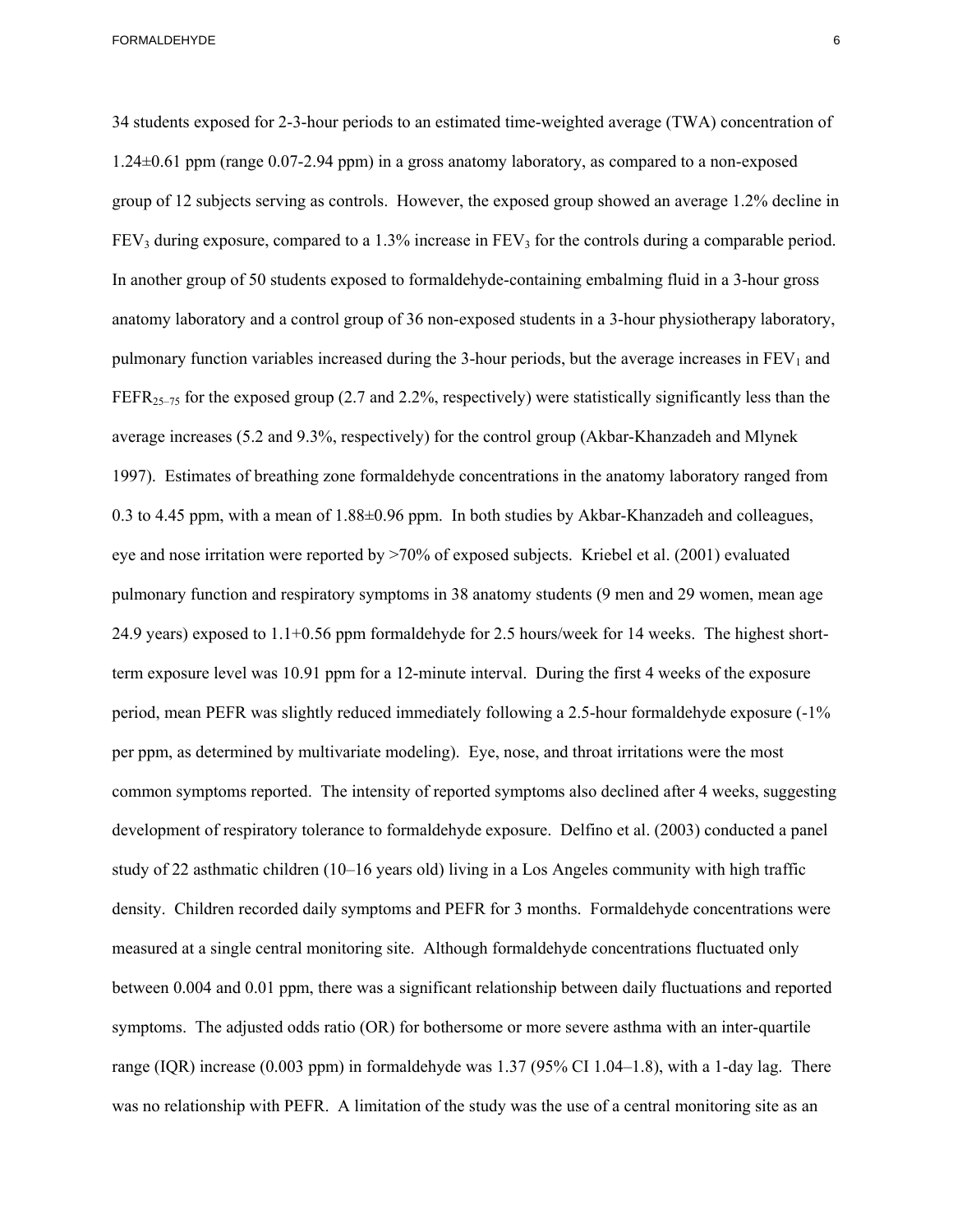<span id="page-11-0"></span> per ppm, as determined by multivariate modeling). Eye, nose, and throat irritations were the most 34 students exposed for 2-3-hour periods to an estimated time-weighted average (TWA) concentration of 1.24±0.61 ppm (range 0.07-2.94 ppm) in a gross anatomy laboratory, as compared to a non-exposed group of 12 subjects serving as controls. However, the exposed group showed an average 1.2% decline in  $FEV<sub>3</sub>$  during exposure, compared to a 1.3% increase in  $FEV<sub>3</sub>$  for the controls during a comparable period. In another group of 50 students exposed to formaldehyde-containing embalming fluid in a 3-hour gross anatomy laboratory and a control group of 36 non-exposed students in a 3-hour physiotherapy laboratory, pulmonary function variables increased during the 3-hour periods, but the average increases in  $FEV<sub>1</sub>$  and FEFR<sub>25–75</sub> for the exposed group (2.7 and 2.2%, respectively) were statistically significantly less than the average increases (5.2 and 9.3%, respectively) for the control group (Akbar-Khanzadeh and Mlynek 1997). Estimates of breathing zone formaldehyde concentrations in the anatomy laboratory ranged from 0.3 to 4.45 ppm, with a mean of  $1.88 \pm 0.96$  ppm. In both studies by Akbar-Khanzadeh and colleagues, eye and nose irritation were reported by >70% of exposed subjects. Kriebel et al. (2001) evaluated pulmonary function and respiratory symptoms in 38 anatomy students (9 men and 29 women, mean age 24.9 years) exposed to 1.1+0.56 ppm formaldehyde for 2.5 hours/week for 14 weeks. The highest shortterm exposure level was 10.91 ppm for a 12-minute interval. During the first 4 weeks of the exposure period, mean PEFR was slightly reduced immediately following a 2.5-hour formaldehyde exposure (-1% common symptoms reported. The intensity of reported symptoms also declined after 4 weeks, suggesting development of respiratory tolerance to formaldehyde exposure. Delfino et al. (2003) conducted a panel study of 22 asthmatic children (10–16 years old) living in a Los Angeles community with high traffic density. Children recorded daily symptoms and PEFR for 3 months. Formaldehyde concentrations were measured at a single central monitoring site. Although formaldehyde concentrations fluctuated only between 0.004 and 0.01 ppm, there was a significant relationship between daily fluctuations and reported symptoms. The adjusted odds ratio (OR) for bothersome or more severe asthma with an inter-quartile range (IQR) increase (0.003 ppm) in formaldehyde was 1.37 (95% CI 1.04–1.8), with a 1-day lag. There was no relationship with PEFR. A limitation of the study was the use of a central monitoring site as an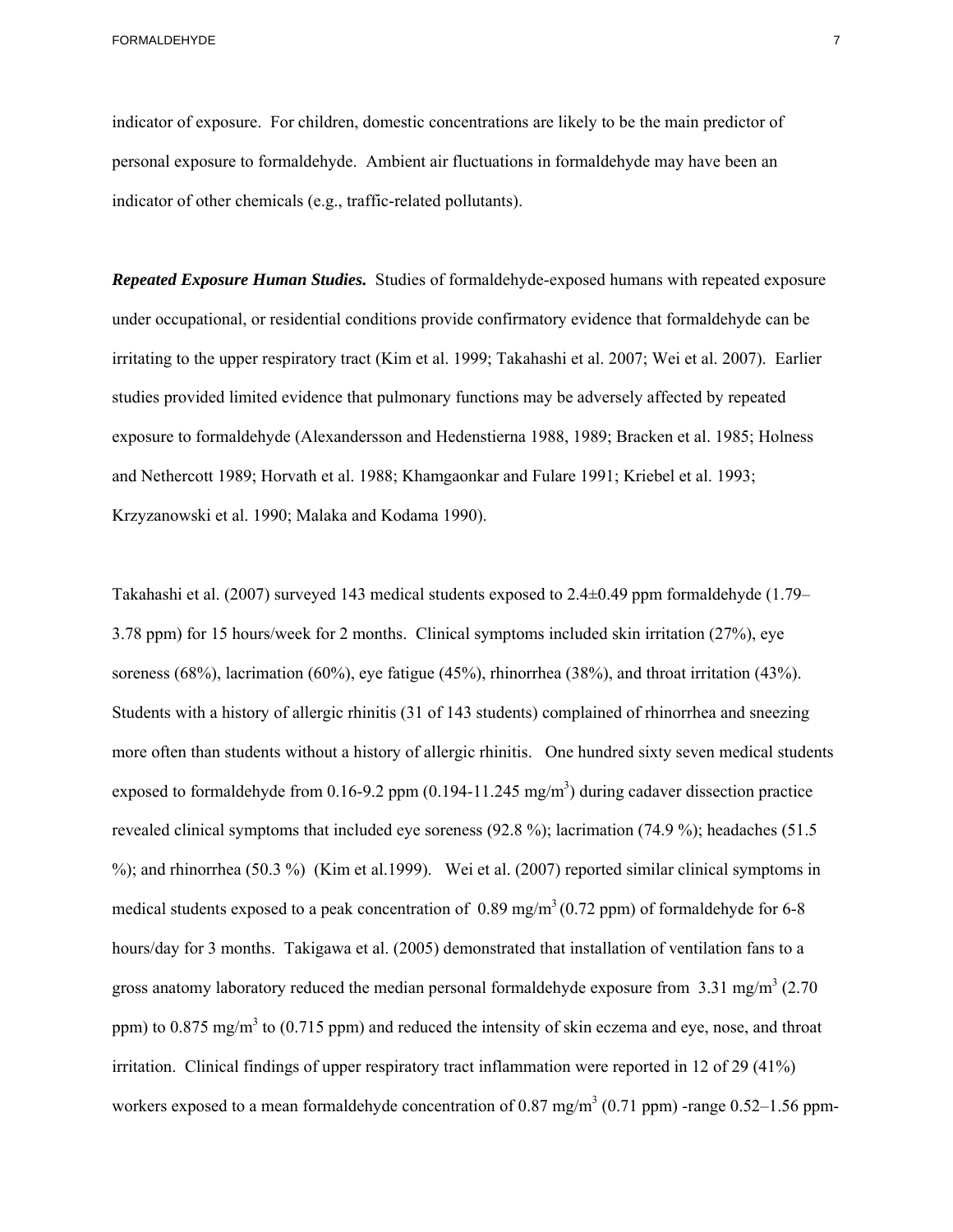indicator of exposure. For children, domestic concentrations are likely to be the main predictor of personal exposure to formaldehyde. Ambient air fluctuations in formaldehyde may have been an indicator of other chemicals (e.g., traffic-related pollutants).

 *Repeated Exposure Human Studies.* Studies of formaldehyde-exposed humans with repeated exposure under occupational, or residential conditions provide confirmatory evidence that formaldehyde can be irritating to the upper respiratory tract (Kim et al. 1999; Takahashi et al. 2007; Wei et al. 2007). Earlier studies provided limited evidence that pulmonary functions may be adversely affected by repeated exposure to formaldehyde (Alexandersson and Hedenstierna 1988, 1989; Bracken et al. 1985; Holness and Nethercott 1989; Horvath et al. 1988; Khamgaonkar and Fulare 1991; Kriebel et al. 1993; Krzyzanowski et al. 1990; Malaka and Kodama 1990).

Takahashi et al. (2007) surveyed 143 medical students exposed to 2.4±0.49 ppm formaldehyde (1.79– 3.78 ppm) for 15 hours/week for 2 months. Clinical symptoms included skin irritation (27%), eye soreness (68%), lacrimation (60%), eye fatigue (45%), rhinorrhea (38%), and throat irritation (43%). Students with a history of allergic rhinitis (31 of 143 students) complained of rhinorrhea and sneezing more often than students without a history of allergic rhinitis. One hundred sixty seven medical students exposed to formaldehyde from 0.16-9.2 ppm  $(0.194-11.245 \text{ mg/m}^3)$  during cadaver dissection practice revealed clinical symptoms that included eye soreness (92.8 %); lacrimation (74.9 %); headaches (51.5 %); and rhinorrhea (50.3 %) (Kim et al.1999). Wei et al. (2007) reported similar clinical symptoms in medical students exposed to a peak concentration of  $0.89 \text{ mg/m}^3 (0.72 \text{ ppm})$  of formaldehyde for 6-8 hours/day for 3 months. Takigawa et al. (2005) demonstrated that installation of ventilation fans to a gross anatomy laboratory reduced the median personal formaldehyde exposure from  $3.31 \text{ mg/m}^3$  (2.70) ppm) to 0.875 mg/m<sup>3</sup> to (0.715 ppm) and reduced the intensity of skin eczema and eye, nose, and throat irritation. Clinical findings of upper respiratory tract inflammation were reported in 12 of 29 (41%) workers exposed to a mean formaldehyde concentration of 0.87 mg/m<sup>3</sup> (0.71 ppm) -range 0.52–1.56 ppm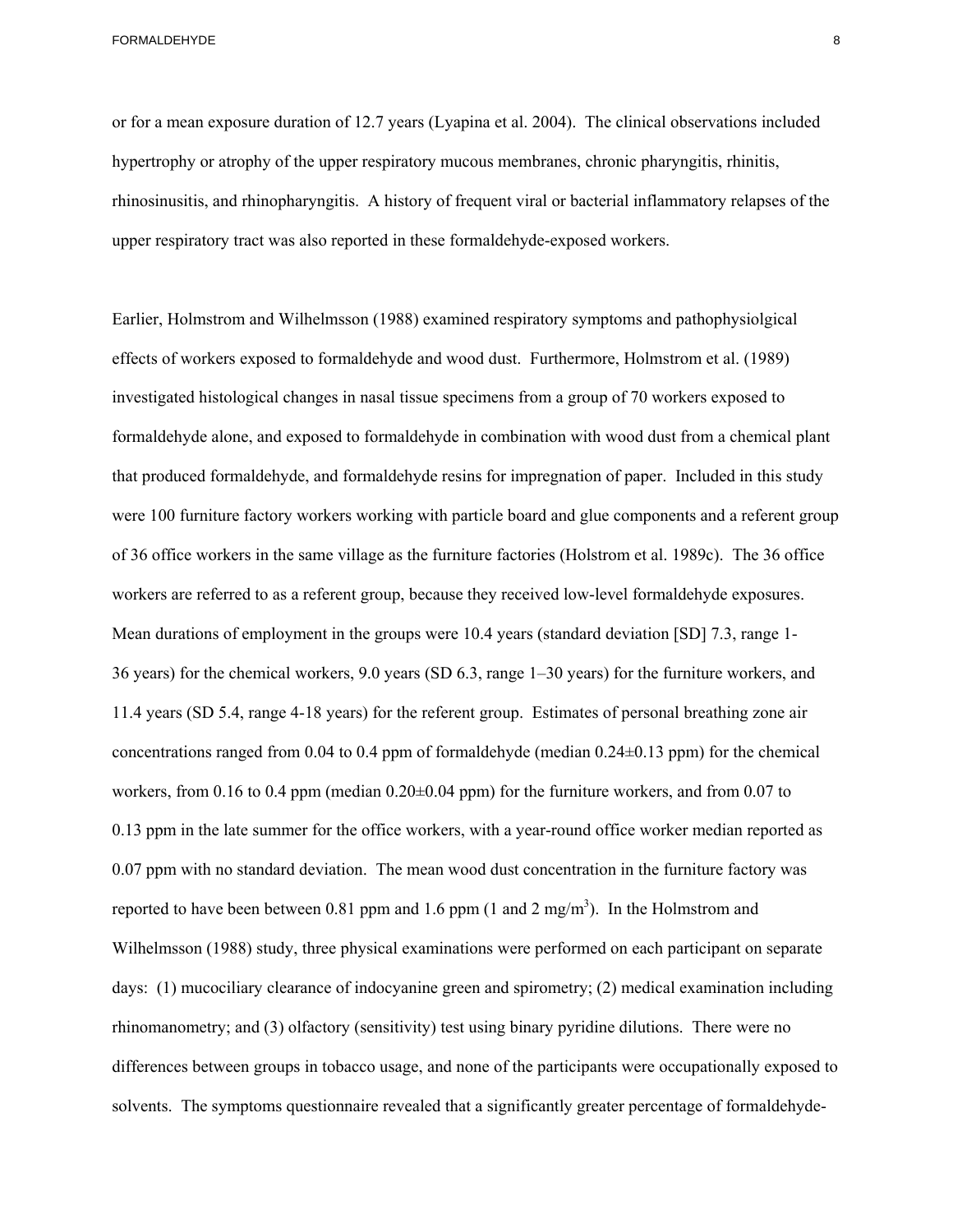or for a mean exposure duration of 12.7 years (Lyapina et al. 2004). The clinical observations included hypertrophy or atrophy of the upper respiratory mucous membranes, chronic pharyngitis, rhinitis, rhinosinusitis, and rhinopharyngitis. A history of frequent viral or bacterial inflammatory relapses of the upper respiratory tract was also reported in these formaldehyde-exposed workers.

Earlier, Holmstrom and Wilhelmsson (1988) examined respiratory symptoms and pathophysiolgical effects of workers exposed to formaldehyde and wood dust. Furthermore, Holmstrom et al. (1989) investigated histological changes in nasal tissue specimens from a group of 70 workers exposed to formaldehyde alone, and exposed to formaldehyde in combination with wood dust from a chemical plant that produced formaldehyde, and formaldehyde resins for impregnation of paper. Included in this study were 100 furniture factory workers working with particle board and glue components and a referent group of 36 office workers in the same village as the furniture factories (Holstrom et al. 1989c). The 36 office workers are referred to as a referent group, because they received low-level formaldehyde exposures. Mean durations of employment in the groups were 10.4 years (standard deviation [SD] 7.3, range 1-36 years) for the chemical workers, 9.0 years (SD 6.3, range 1–30 years) for the furniture workers, and 11.4 years (SD 5.4, range 4-18 years) for the referent group. Estimates of personal breathing zone air concentrations ranged from 0.04 to 0.4 ppm of formaldehyde (median 0.24±0.13 ppm) for the chemical workers, from 0.16 to 0.4 ppm (median 0.20 $\pm$ 0.04 ppm) for the furniture workers, and from 0.07 to 0.13 ppm in the late summer for the office workers, with a year-round office worker median reported as 0.07 ppm with no standard deviation. The mean wood dust concentration in the furniture factory was reported to have been between 0.81 ppm and 1.6 ppm  $(1 \text{ and } 2 \text{ mg/m}^3)$ . In the Holmstrom and Wilhelmsson (1988) study, three physical examinations were performed on each participant on separate days: (1) mucociliary clearance of indocyanine green and spirometry; (2) medical examination including rhinomanometry; and (3) olfactory (sensitivity) test using binary pyridine dilutions. There were no differences between groups in tobacco usage, and none of the participants were occupationally exposed to solvents. The symptoms questionnaire revealed that a significantly greater percentage of formaldehyde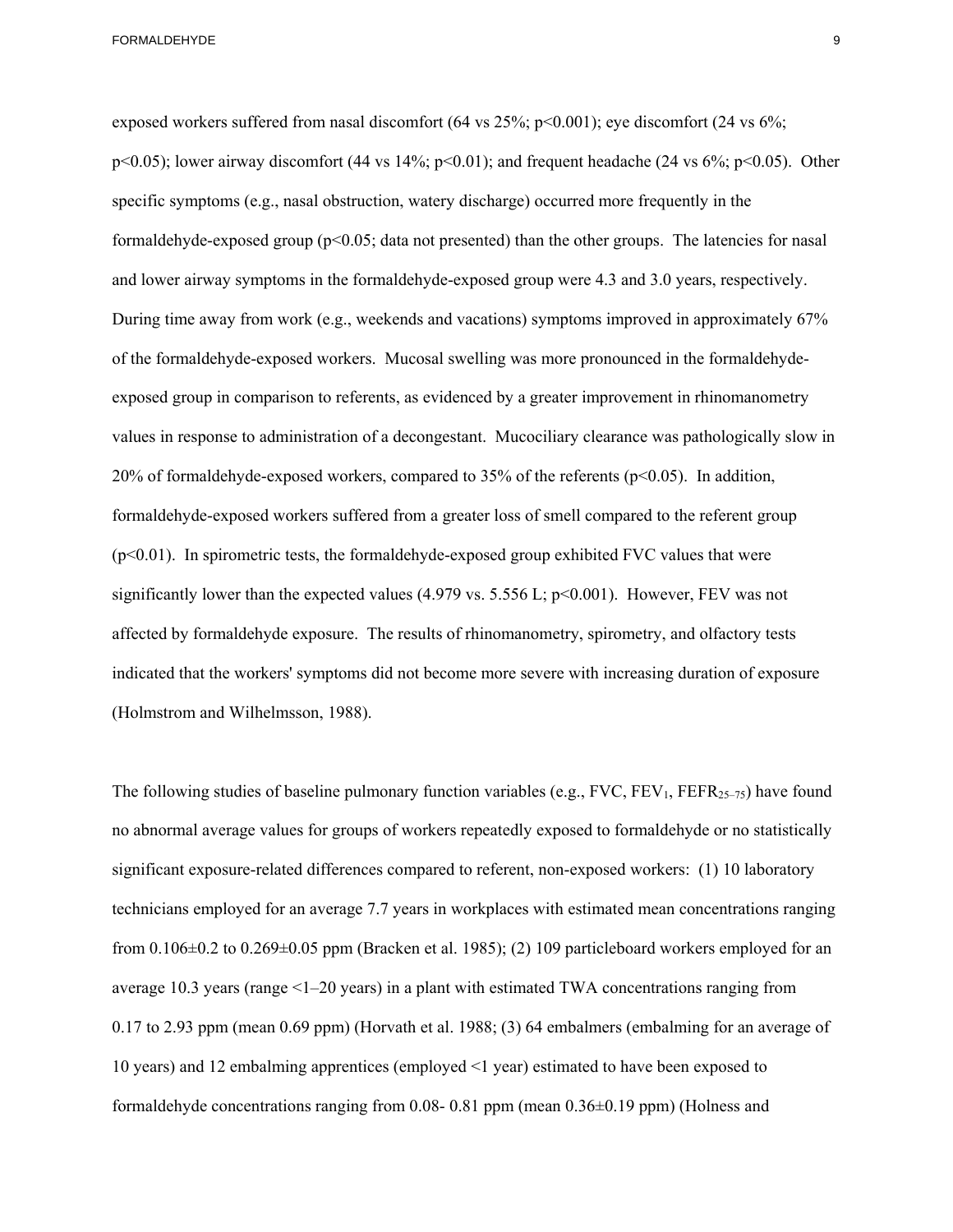and lower airway symptoms in the formaldehyde-exposed group were 4.3 and 3.0 years, respectively. exposed workers suffered from nasal discomfort (64 vs  $25\%$ ; p<0.001); eye discomfort (24 vs  $6\%$ ; p<0.05); lower airway discomfort (44 vs 14%; p<0.01); and frequent headache (24 vs 6%; p<0.05). Other specific symptoms (e.g., nasal obstruction, watery discharge) occurred more frequently in the formaldehyde-exposed group  $(p<0.05$ ; data not presented) than the other groups. The latencies for nasal During time away from work (e.g., weekends and vacations) symptoms improved in approximately 67% of the formaldehyde-exposed workers. Mucosal swelling was more pronounced in the formaldehydeexposed group in comparison to referents, as evidenced by a greater improvement in rhinomanometry values in response to administration of a decongestant. Mucociliary clearance was pathologically slow in 20% of formaldehyde-exposed workers, compared to  $35%$  of the referents ( $p<0.05$ ). In addition, formaldehyde-exposed workers suffered from a greater loss of smell compared to the referent group  $(p<0.01)$ . In spirometric tests, the formaldehyde-exposed group exhibited FVC values that were significantly lower than the expected values (4.979 vs. 5.556 L;  $p<0.001$ ). However, FEV was not affected by formaldehyde exposure. The results of rhinomanometry, spirometry, and olfactory tests indicated that the workers' symptoms did not become more severe with increasing duration of exposure (Holmstrom and Wilhelmsson, 1988).

The following studies of baseline pulmonary function variables (e.g.,  $FVC$ ,  $FEV_1$ ,  $FEFR_{25-75}$ ) have found no abnormal average values for groups of workers repeatedly exposed to formaldehyde or no statistically significant exposure-related differences compared to referent, non-exposed workers: (1) 10 laboratory technicians employed for an average 7.7 years in workplaces with estimated mean concentrations ranging from  $0.106\pm0.2$  to  $0.269\pm0.05$  ppm (Bracken et al. 1985); (2) 109 particleboard workers employed for an average 10.3 years (range <1–20 years) in a plant with estimated TWA concentrations ranging from 0.17 to 2.93 ppm (mean 0.69 ppm) (Horvath et al. 1988; (3) 64 embalmers (embalming for an average of 10 years) and 12 embalming apprentices (employed <1 year) estimated to have been exposed to formaldehyde concentrations ranging from 0.08- 0.81 ppm (mean  $0.36\pm0.19$  ppm) (Holness and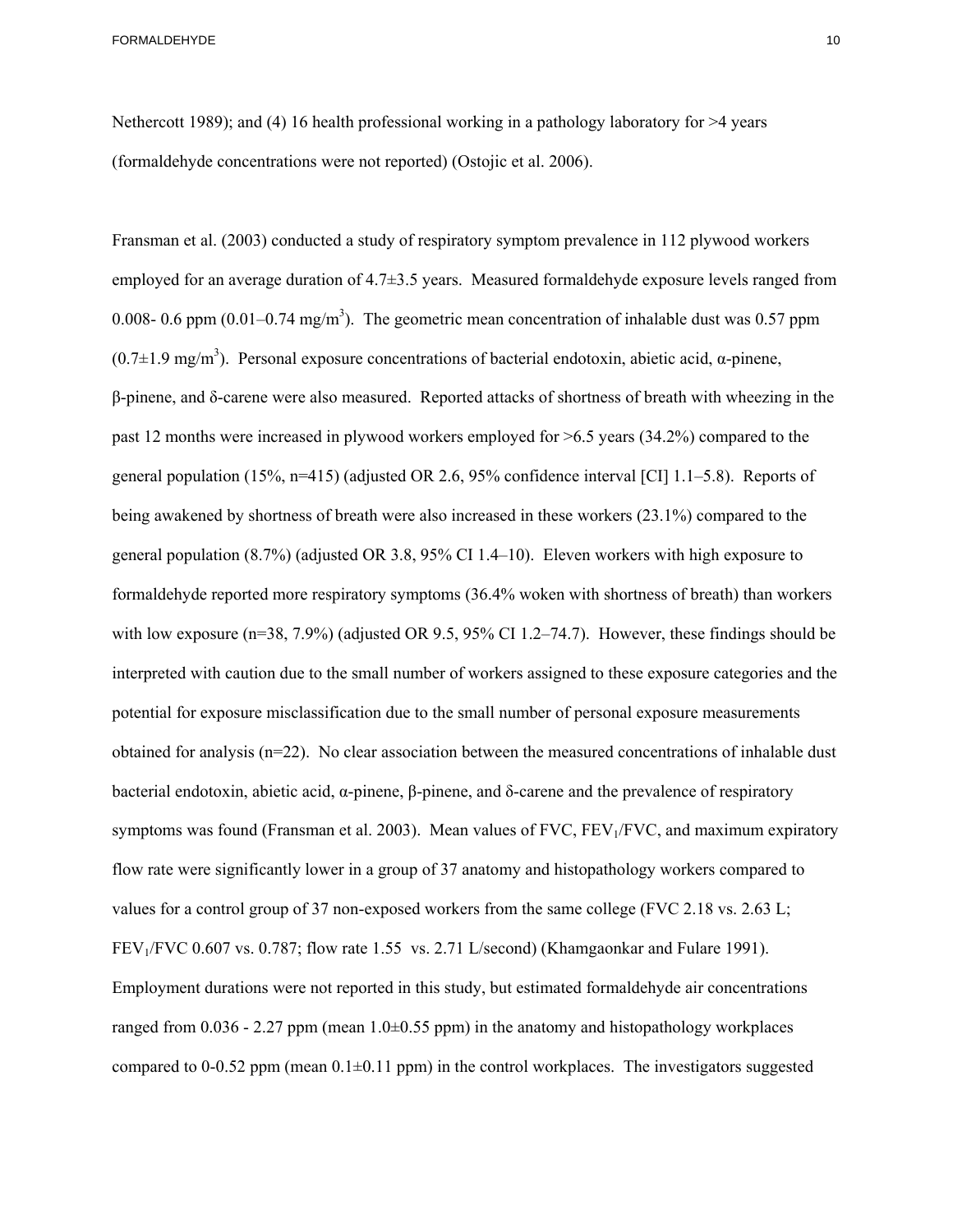Nethercott 1989); and (4) 16 health professional working in a pathology laboratory for  $>4$  years (formaldehyde concentrations were not reported) (Ostojic et al. 2006).

symptoms was found (Fransman et al. 2003). Mean values of FVC, FEV<sub>1</sub>/FVC, and maximum expiratory Fransman et al. (2003) conducted a study of respiratory symptom prevalence in 112 plywood workers employed for an average duration of 4.7±3.5 years. Measured formaldehyde exposure levels ranged from 0.008- 0.6 ppm  $(0.01-0.74 \text{ mg/m}^3)$ . The geometric mean concentration of inhalable dust was 0.57 ppm  $(0.7±1.9$  mg/m<sup>3</sup>). Personal exposure concentrations of bacterial endotoxin, abietic acid, α-pinene, β-pinene, and δ-carene were also measured. Reported attacks of shortness of breath with wheezing in the past 12 months were increased in plywood workers employed for >6.5 years (34.2%) compared to the general population (15%, n=415) (adjusted OR 2.6, 95% confidence interval [CI] 1.1–5.8). Reports of being awakened by shortness of breath were also increased in these workers (23.1%) compared to the general population (8.7%) (adjusted OR 3.8, 95% CI 1.4–10). Eleven workers with high exposure to formaldehyde reported more respiratory symptoms (36.4% woken with shortness of breath) than workers with low exposure (n=38, 7.9%) (adjusted OR 9.5, 95% CI 1.2–74.7). However, these findings should be interpreted with caution due to the small number of workers assigned to these exposure categories and the potential for exposure misclassification due to the small number of personal exposure measurements obtained for analysis (n=22). No clear association between the measured concentrations of inhalable dust bacterial endotoxin, abietic acid, α-pinene, β-pinene, and δ-carene and the prevalence of respiratory flow rate were significantly lower in a group of 37 anatomy and histopathology workers compared to values for a control group of 37 non-exposed workers from the same college (FVC 2.18 vs. 2.63 L; FEV1/FVC 0.607 vs. 0.787; flow rate 1.55 vs. 2.71 L/second) (Khamgaonkar and Fulare 1991). Employment durations were not reported in this study, but estimated formaldehyde air concentrations ranged from 0.036 - 2.27 ppm (mean  $1.0\pm 0.55$  ppm) in the anatomy and histopathology workplaces compared to 0-0.52 ppm (mean  $0.1\pm0.11$  ppm) in the control workplaces. The investigators suggested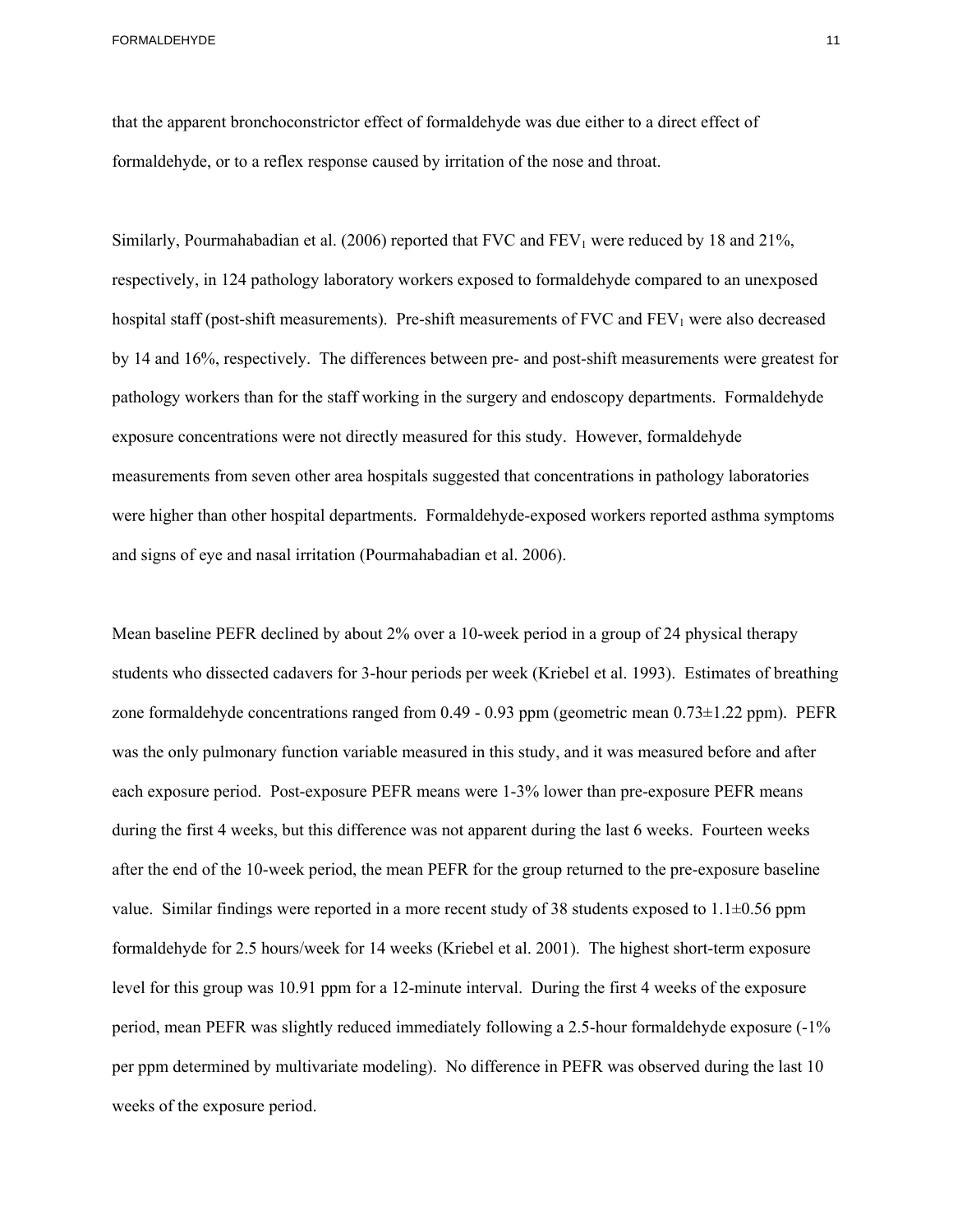that the apparent bronchoconstrictor effect of formaldehyde was due either to a direct effect of formaldehyde, or to a reflex response caused by irritation of the nose and throat.

Similarly, Pourmahabadian et al. (2006) reported that FVC and  $FEV<sub>1</sub>$  were reduced by 18 and 21%, respectively, in 124 pathology laboratory workers exposed to formaldehyde compared to an unexposed hospital staff (post-shift measurements). Pre-shift measurements of FVC and  $FEV<sub>1</sub>$  were also decreased by 14 and 16%, respectively. The differences between pre- and post-shift measurements were greatest for pathology workers than for the staff working in the surgery and endoscopy departments. Formaldehyde exposure concentrations were not directly measured for this study. However, formaldehyde measurements from seven other area hospitals suggested that concentrations in pathology laboratories were higher than other hospital departments. Formaldehyde-exposed workers reported asthma symptoms and signs of eye and nasal irritation (Pourmahabadian et al. 2006).

Mean baseline PEFR declined by about 2% over a 10-week period in a group of 24 physical therapy students who dissected cadavers for 3-hour periods per week (Kriebel et al. 1993). Estimates of breathing zone formaldehyde concentrations ranged from 0.49 - 0.93 ppm (geometric mean 0.73±1.22 ppm). PEFR was the only pulmonary function variable measured in this study, and it was measured before and after each exposure period. Post-exposure PEFR means were 1-3% lower than pre-exposure PEFR means during the first 4 weeks, but this difference was not apparent during the last 6 weeks. Fourteen weeks after the end of the 10-week period, the mean PEFR for the group returned to the pre-exposure baseline value. Similar findings were reported in a more recent study of 38 students exposed to  $1.1\pm0.56$  ppm formaldehyde for 2.5 hours/week for 14 weeks (Kriebel et al. 2001). The highest short-term exposure level for this group was 10.91 ppm for a 12-minute interval. During the first 4 weeks of the exposure period, mean PEFR was slightly reduced immediately following a 2.5-hour formaldehyde exposure (-1% per ppm determined by multivariate modeling). No difference in PEFR was observed during the last 10 weeks of the exposure period.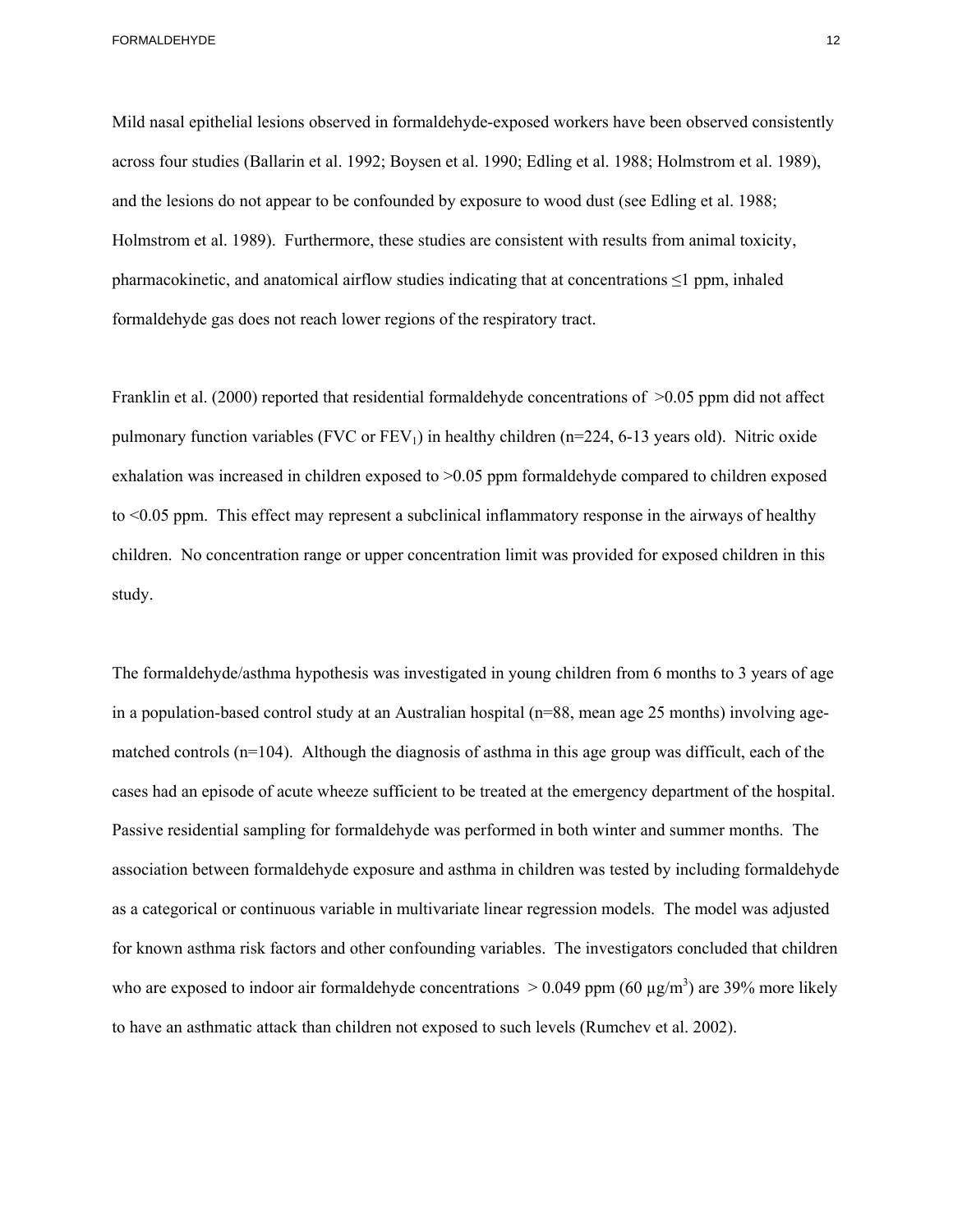Mild nasal epithelial lesions observed in formaldehyde-exposed workers have been observed consistently across four studies (Ballarin et al. 1992; Boysen et al. 1990; Edling et al. 1988; Holmstrom et al. 1989), and the lesions do not appear to be confounded by exposure to wood dust (see Edling et al. 1988; Holmstrom et al. 1989). Furthermore, these studies are consistent with results from animal toxicity, pharmacokinetic, and anatomical airflow studies indicating that at concentrations  $\leq 1$  ppm, inhaled formaldehyde gas does not reach lower regions of the respiratory tract.

Franklin et al. (2000) reported that residential formaldehyde concentrations of >0.05 ppm did not affect pulmonary function variables (FVC or  $FEV_1$ ) in healthy children (n=224, 6-13 years old). Nitric oxide exhalation was increased in children exposed to >0.05 ppm formaldehyde compared to children exposed to <0.05 ppm. This effect may represent a subclinical inflammatory response in the airways of healthy children. No concentration range or upper concentration limit was provided for exposed children in this study.

The formaldehyde/asthma hypothesis was investigated in young children from 6 months to 3 years of age in a population-based control study at an Australian hospital (n=88, mean age 25 months) involving agematched controls (n=104). Although the diagnosis of asthma in this age group was difficult, each of the cases had an episode of acute wheeze sufficient to be treated at the emergency department of the hospital. Passive residential sampling for formaldehyde was performed in both winter and summer months. The association between formaldehyde exposure and asthma in children was tested by including formaldehyde as a categorical or continuous variable in multivariate linear regression models. The model was adjusted for known asthma risk factors and other confounding variables. The investigators concluded that children who are exposed to indoor air formaldehyde concentrations  $> 0.049$  ppm (60  $\mu$ g/m<sup>3</sup>) are 39% more likely to have an asthmatic attack than children not exposed to such levels (Rumchev et al. 2002).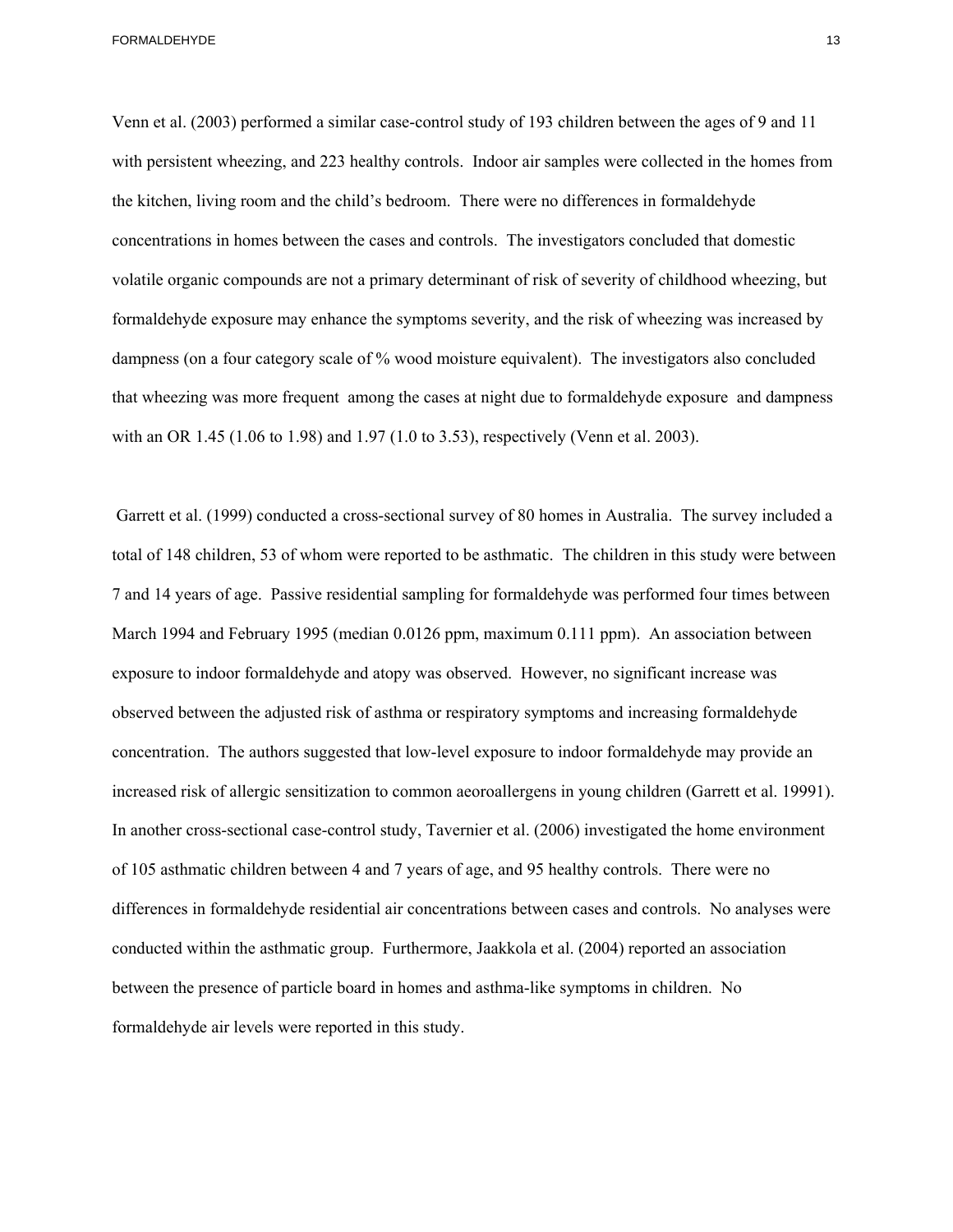Venn et al. (2003) performed a similar case-control study of 193 children between the ages of 9 and 11 with persistent wheezing, and 223 healthy controls. Indoor air samples were collected in the homes from the kitchen, living room and the child's bedroom. There were no differences in formaldehyde concentrations in homes between the cases and controls. The investigators concluded that domestic volatile organic compounds are not a primary determinant of risk of severity of childhood wheezing, but formaldehyde exposure may enhance the symptoms severity, and the risk of wheezing was increased by dampness (on a four category scale of % wood moisture equivalent). The investigators also concluded that wheezing was more frequent among the cases at night due to formaldehyde exposure and dampness with an OR 1.45 (1.06 to 1.98) and 1.97 (1.0 to 3.53), respectively (Venn et al. 2003).

 formaldehyde air levels were reported in this study. Garrett et al. (1999) conducted a cross-sectional survey of 80 homes in Australia. The survey included a total of 148 children, 53 of whom were reported to be asthmatic. The children in this study were between 7 and 14 years of age. Passive residential sampling for formaldehyde was performed four times between March 1994 and February 1995 (median 0.0126 ppm, maximum 0.111 ppm). An association between exposure to indoor formaldehyde and atopy was observed. However, no significant increase was observed between the adjusted risk of asthma or respiratory symptoms and increasing formaldehyde concentration. The authors suggested that low-level exposure to indoor formaldehyde may provide an increased risk of allergic sensitization to common aeoroallergens in young children (Garrett et al. 19991). In another cross-sectional case-control study, Tavernier et al. (2006) investigated the home environment of 105 asthmatic children between 4 and 7 years of age, and 95 healthy controls. There were no differences in formaldehyde residential air concentrations between cases and controls. No analyses were conducted within the asthmatic group. Furthermore, Jaakkola et al. (2004) reported an association between the presence of particle board in homes and asthma-like symptoms in children. No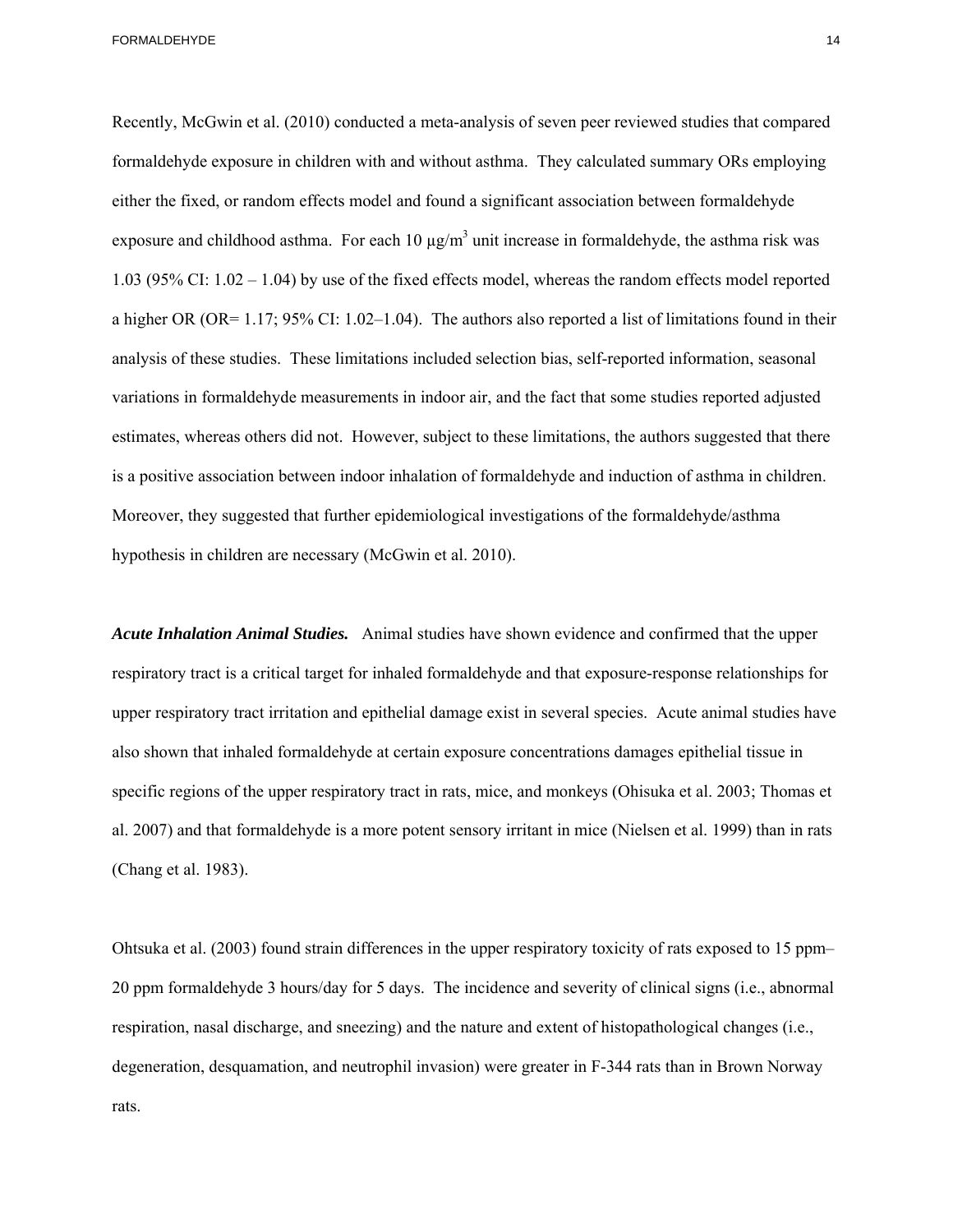Recently, McGwin et al. (2010) conducted a meta-analysis of seven peer reviewed studies that compared formaldehyde exposure in children with and without asthma. They calculated summary ORs employing either the fixed, or random effects model and found a significant association between formaldehyde exposure and childhood asthma. For each  $10 \mu g/m^3$  unit increase in formaldehyde, the asthma risk was 1.03 (95% CI: 1.02 – 1.04) by use of the fixed effects model, whereas the random effects model reported a higher OR (OR= 1.17; 95% CI: 1.02–1.04). The authors also reported a list of limitations found in their analysis of these studies. These limitations included selection bias, self-reported information, seasonal variations in formaldehyde measurements in indoor air, and the fact that some studies reported adjusted estimates, whereas others did not. However, subject to these limitations, the authors suggested that there is a positive association between indoor inhalation of formaldehyde and induction of asthma in children. Moreover, they suggested that further epidemiological investigations of the formaldehyde/asthma hypothesis in children are necessary (McGwin et al. 2010).

*Acute Inhalation Animal Studies.* Animal studies have shown evidence and confirmed that the upper respiratory tract is a critical target for inhaled formaldehyde and that exposure-response relationships for upper respiratory tract irritation and epithelial damage exist in several species. Acute animal studies have also shown that inhaled formaldehyde at certain exposure concentrations damages epithelial tissue in specific regions of the upper respiratory tract in rats, mice, and monkeys (Ohisuka et al. 2003; Thomas et al. 2007) and that formaldehyde is a more potent sensory irritant in mice (Nielsen et al. 1999) than in rats (Chang et al. 1983).

Ohtsuka et al. (2003) found strain differences in the upper respiratory toxicity of rats exposed to 15 ppm– 20 ppm formaldehyde 3 hours/day for 5 days. The incidence and severity of clinical signs (i.e., abnormal respiration, nasal discharge, and sneezing) and the nature and extent of histopathological changes (i.e., degeneration, desquamation, and neutrophil invasion) were greater in F-344 rats than in Brown Norway rats.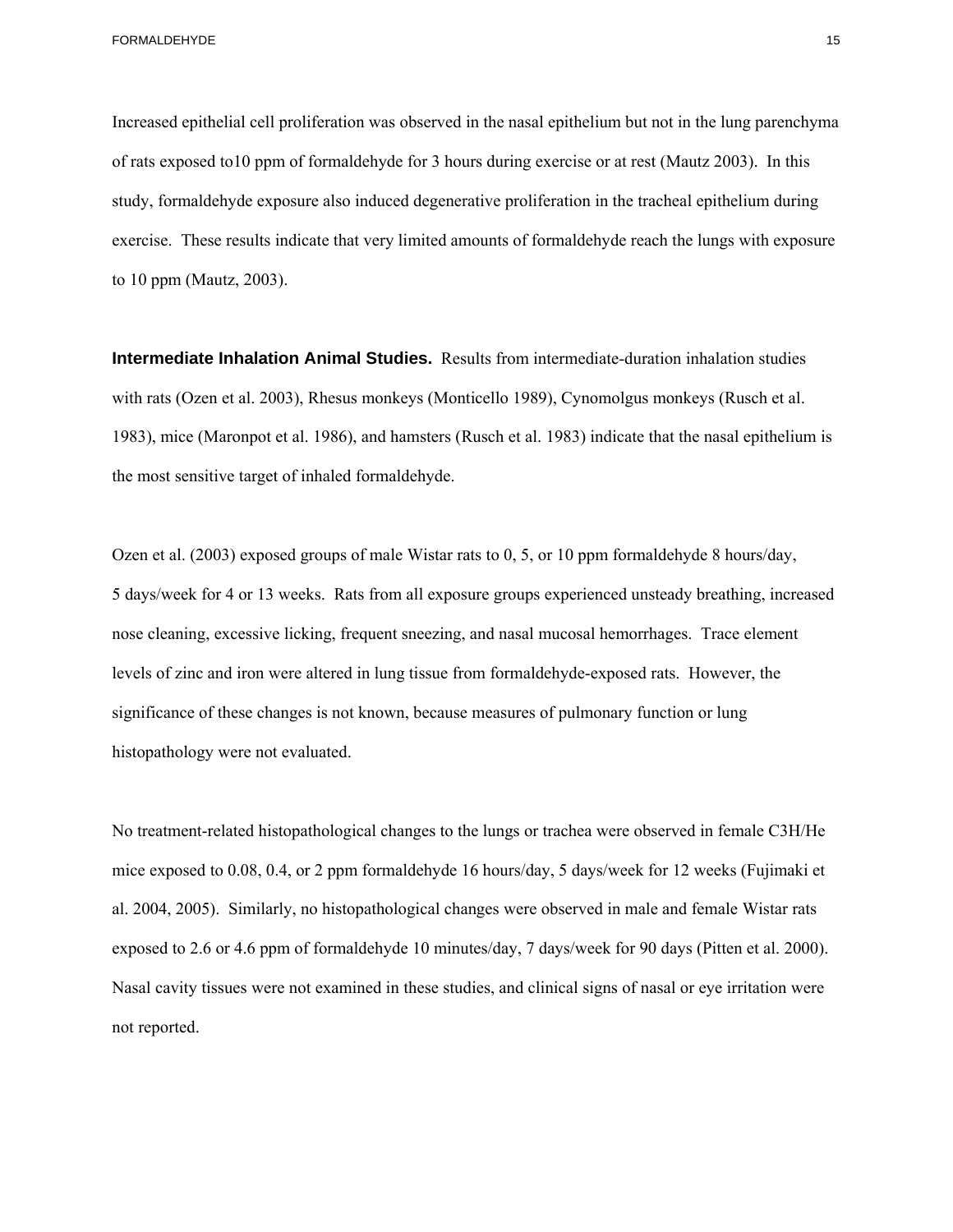to 10 ppm (Mautz, 2003). Increased epithelial cell proliferation was observed in the nasal epithelium but not in the lung parenchyma of rats exposed to10 ppm of formaldehyde for 3 hours during exercise or at rest (Mautz 2003). In this study, formaldehyde exposure also induced degenerative proliferation in the tracheal epithelium during exercise. These results indicate that very limited amounts of formaldehyde reach the lungs with exposure

**Intermediate Inhalation Animal Studies.** Results from intermediate-duration inhalation studies with rats (Ozen et al. 2003), Rhesus monkeys (Monticello 1989), Cynomolgus monkeys (Rusch et al. 1983), mice (Maronpot et al. 1986), and hamsters (Rusch et al. 1983) indicate that the nasal epithelium is the most sensitive target of inhaled formaldehyde.

Ozen et al. (2003) exposed groups of male Wistar rats to 0, 5, or 10 ppm formaldehyde 8 hours/day, 5 days/week for 4 or 13 weeks. Rats from all exposure groups experienced unsteady breathing, increased nose cleaning, excessive licking, frequent sneezing, and nasal mucosal hemorrhages. Trace element levels of zinc and iron were altered in lung tissue from formaldehyde-exposed rats. However, the significance of these changes is not known, because measures of pulmonary function or lung histopathology were not evaluated.

exposed to 2.6 or 4.6 ppm of formaldehyde 10 minutes/day, 7 days/week for 90 days (Pitten et al. 2000). No treatment-related histopathological changes to the lungs or trachea were observed in female C3H/He mice exposed to 0.08, 0.4, or 2 ppm formaldehyde 16 hours/day, 5 days/week for 12 weeks (Fujimaki et al. 2004, 2005). Similarly, no histopathological changes were observed in male and female Wistar rats Nasal cavity tissues were not examined in these studies, and clinical signs of nasal or eye irritation were not reported.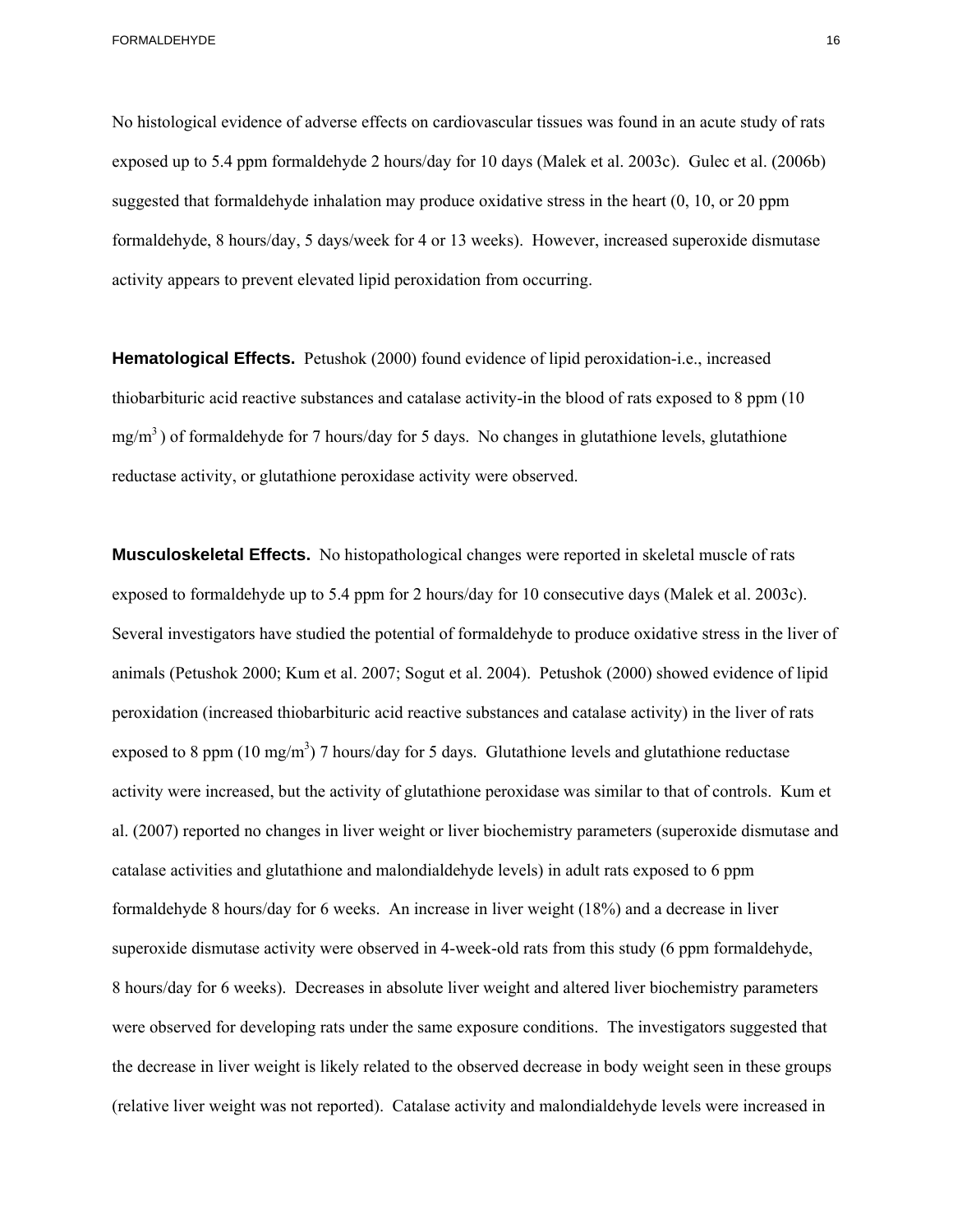No histological evidence of adverse effects on cardiovascular tissues was found in an acute study of rats exposed up to 5.4 ppm formaldehyde 2 hours/day for 10 days (Malek et al. 2003c). Gulec et al. (2006b) suggested that formaldehyde inhalation may produce oxidative stress in the heart (0, 10, or 20 ppm formaldehyde, 8 hours/day, 5 days/week for 4 or 13 weeks). However, increased superoxide dismutase activity appears to prevent elevated lipid peroxidation from occurring.

**Hematological Effects.** Petushok (2000) found evidence of lipid peroxidation-i.e., increased thiobarbituric acid reactive substances and catalase activity-in the blood of rats exposed to 8 ppm (10  $mg/m<sup>3</sup>$ ) of formaldehyde for 7 hours/day for 5 days. No changes in glutathione levels, glutathione reductase activity, or glutathione peroxidase activity were observed.

**Musculoskeletal Effects.** No histopathological changes were reported in skeletal muscle of rats exposed to formaldehyde up to 5.4 ppm for 2 hours/day for 10 consecutive days (Malek et al. 2003c). Several investigators have studied the potential of formaldehyde to produce oxidative stress in the liver of animals (Petushok 2000; Kum et al. 2007; Sogut et al. 2004). Petushok (2000) showed evidence of lipid peroxidation (increased thiobarbituric acid reactive substances and catalase activity) in the liver of rats exposed to 8 ppm (10 mg/m<sup>3</sup>) 7 hours/day for 5 days. Glutathione levels and glutathione reductase activity were increased, but the activity of glutathione peroxidase was similar to that of controls. Kum et al. (2007) reported no changes in liver weight or liver biochemistry parameters (superoxide dismutase and catalase activities and glutathione and malondialdehyde levels) in adult rats exposed to 6 ppm formaldehyde 8 hours/day for 6 weeks. An increase in liver weight (18%) and a decrease in liver superoxide dismutase activity were observed in 4-week-old rats from this study (6 ppm formaldehyde, 8 hours/day for 6 weeks). Decreases in absolute liver weight and altered liver biochemistry parameters were observed for developing rats under the same exposure conditions. The investigators suggested that the decrease in liver weight is likely related to the observed decrease in body weight seen in these groups (relative liver weight was not reported). Catalase activity and malondialdehyde levels were increased in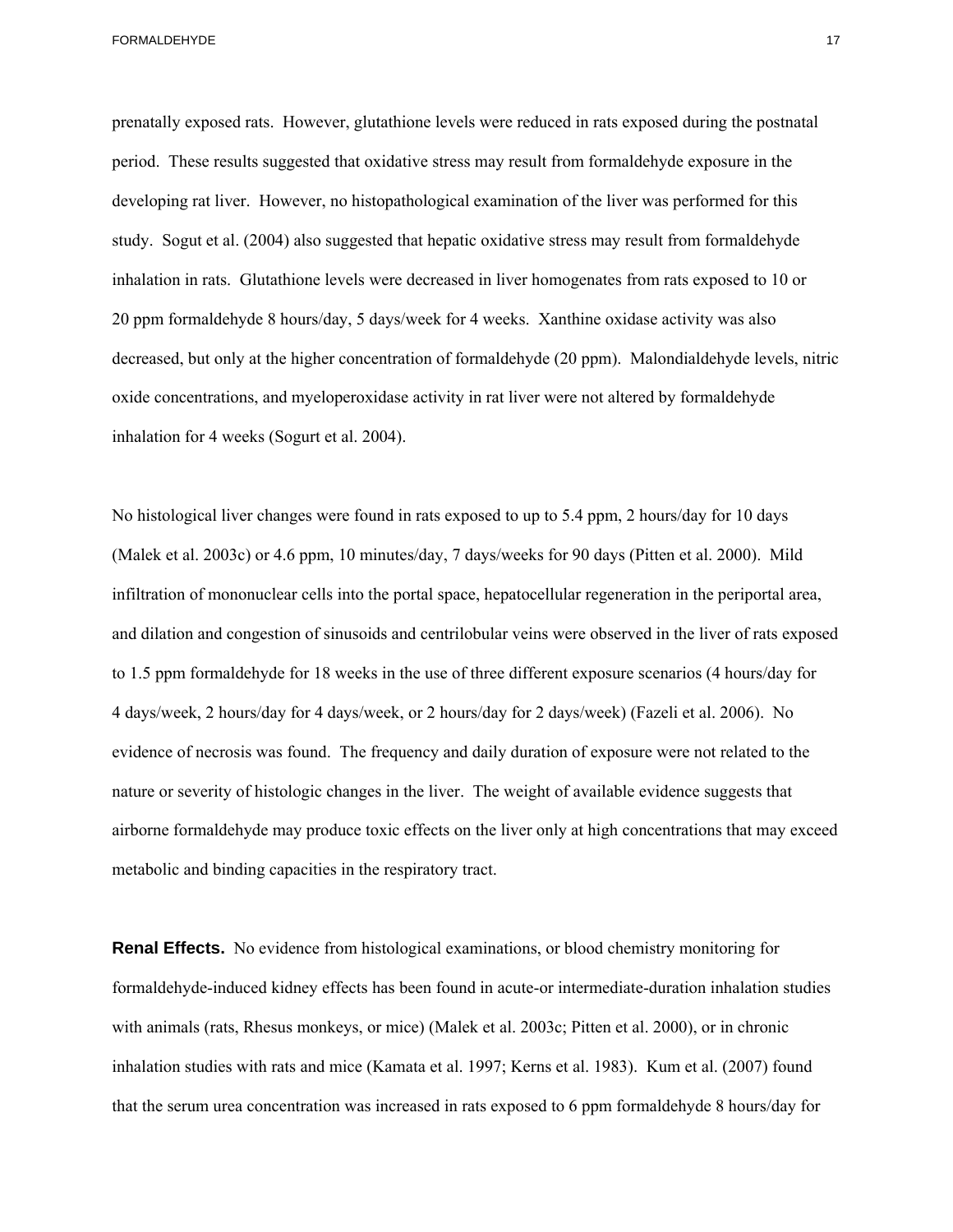prenatally exposed rats. However, glutathione levels were reduced in rats exposed during the postnatal period. These results suggested that oxidative stress may result from formaldehyde exposure in the developing rat liver. However, no histopathological examination of the liver was performed for this study. Sogut et al. (2004) also suggested that hepatic oxidative stress may result from formaldehyde inhalation in rats. Glutathione levels were decreased in liver homogenates from rats exposed to 10 or 20 ppm formaldehyde 8 hours/day, 5 days/week for 4 weeks. Xanthine oxidase activity was also decreased, but only at the higher concentration of formaldehyde (20 ppm). Malondialdehyde levels, nitric oxide concentrations, and myeloperoxidase activity in rat liver were not altered by formaldehyde inhalation for 4 weeks (Sogurt et al. 2004).

No histological liver changes were found in rats exposed to up to 5.4 ppm, 2 hours/day for 10 days (Malek et al. 2003c) or 4.6 ppm, 10 minutes/day, 7 days/weeks for 90 days (Pitten et al. 2000). Mild infiltration of mononuclear cells into the portal space, hepatocellular regeneration in the periportal area, and dilation and congestion of sinusoids and centrilobular veins were observed in the liver of rats exposed to 1.5 ppm formaldehyde for 18 weeks in the use of three different exposure scenarios (4 hours/day for 4 days/week, 2 hours/day for 4 days/week, or 2 hours/day for 2 days/week) (Fazeli et al. 2006). No evidence of necrosis was found. The frequency and daily duration of exposure were not related to the nature or severity of histologic changes in the liver. The weight of available evidence suggests that airborne formaldehyde may produce toxic effects on the liver only at high concentrations that may exceed metabolic and binding capacities in the respiratory tract.

**Renal Effects.** No evidence from histological examinations, or blood chemistry monitoring for formaldehyde-induced kidney effects has been found in acute-or intermediate-duration inhalation studies with animals (rats, Rhesus monkeys, or mice) (Malek et al. 2003c; Pitten et al. 2000), or in chronic inhalation studies with rats and mice (Kamata et al. 1997; Kerns et al. 1983). Kum et al. (2007) found that the serum urea concentration was increased in rats exposed to 6 ppm formaldehyde 8 hours/day for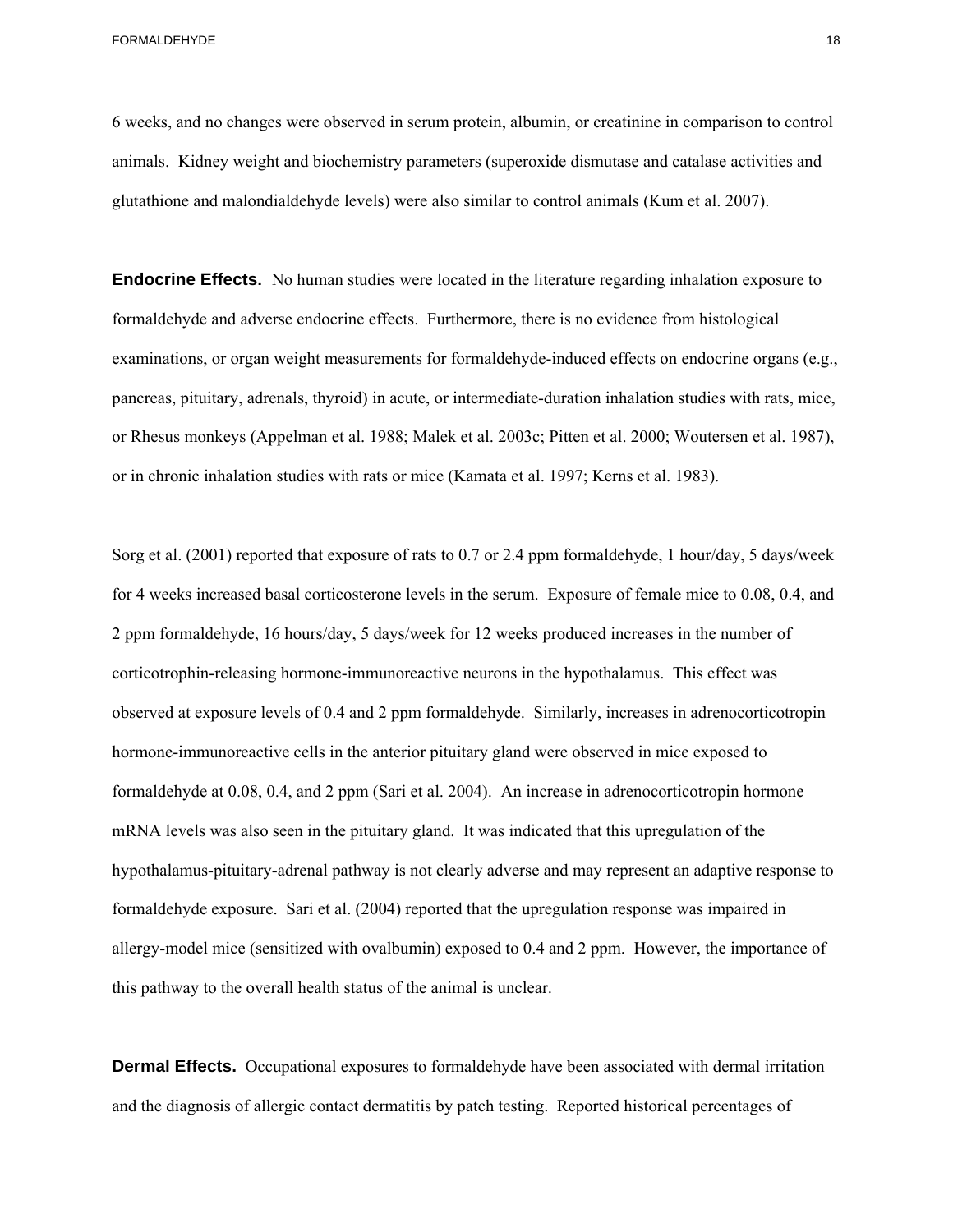6 weeks, and no changes were observed in serum protein, albumin, or creatinine in comparison to control animals. Kidney weight and biochemistry parameters (superoxide dismutase and catalase activities and glutathione and malondialdehyde levels) were also similar to control animals (Kum et al. 2007).

**Endocrine Effects.** No human studies were located in the literature regarding inhalation exposure to formaldehyde and adverse endocrine effects. Furthermore, there is no evidence from histological examinations, or organ weight measurements for formaldehyde-induced effects on endocrine organs (e.g., pancreas, pituitary, adrenals, thyroid) in acute, or intermediate-duration inhalation studies with rats, mice, or Rhesus monkeys (Appelman et al. 1988; Malek et al. 2003c; Pitten et al. 2000; Woutersen et al. 1987), or in chronic inhalation studies with rats or mice (Kamata et al. 1997; Kerns et al. 1983).

Sorg et al. (2001) reported that exposure of rats to 0.7 or 2.4 ppm formaldehyde, 1 hour/day, 5 days/week for 4 weeks increased basal corticosterone levels in the serum. Exposure of female mice to 0.08, 0.4, and 2 ppm formaldehyde, 16 hours/day, 5 days/week for 12 weeks produced increases in the number of corticotrophin-releasing hormone-immunoreactive neurons in the hypothalamus. This effect was observed at exposure levels of 0.4 and 2 ppm formaldehyde. Similarly, increases in adrenocorticotropin hormone-immunoreactive cells in the anterior pituitary gland were observed in mice exposed to formaldehyde at 0.08, 0.4, and 2 ppm (Sari et al. 2004). An increase in adrenocorticotropin hormone mRNA levels was also seen in the pituitary gland. It was indicated that this upregulation of the hypothalamus-pituitary-adrenal pathway is not clearly adverse and may represent an adaptive response to formaldehyde exposure. Sari et al. (2004) reported that the upregulation response was impaired in allergy-model mice (sensitized with ovalbumin) exposed to 0.4 and 2 ppm. However, the importance of this pathway to the overall health status of the animal is unclear.

**Dermal Effects.** Occupational exposures to formaldehyde have been associated with dermal irritation and the diagnosis of allergic contact dermatitis by patch testing. Reported historical percentages of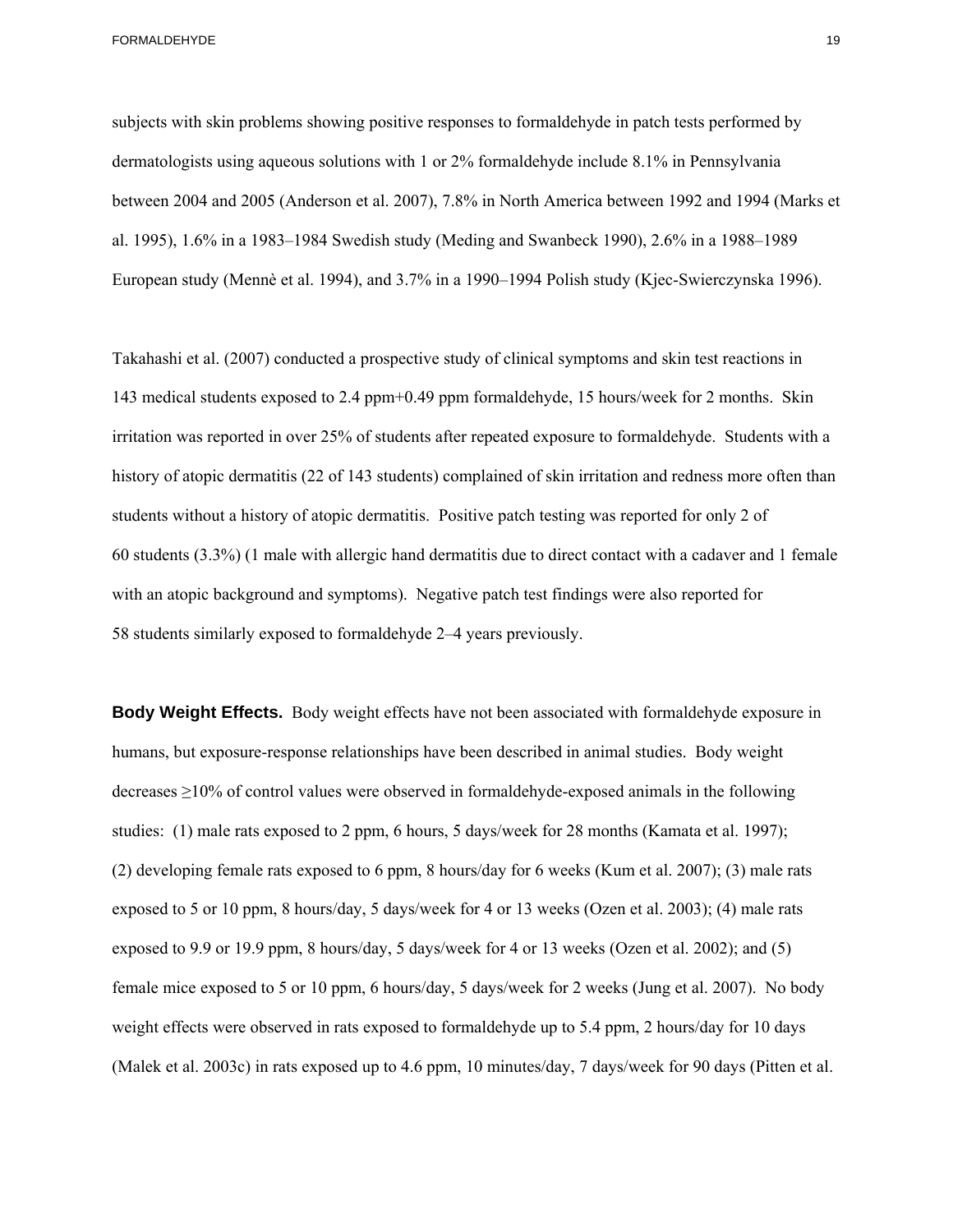subjects with skin problems showing positive responses to formaldehyde in patch tests performed by dermatologists using aqueous solutions with 1 or 2% formaldehyde include 8.1% in Pennsylvania between 2004 and 2005 (Anderson et al. 2007), 7.8% in North America between 1992 and 1994 (Marks et al. 1995), 1.6% in a 1983–1984 Swedish study (Meding and Swanbeck 1990), 2.6% in a 1988–1989 European study (Mennè et al. 1994), and 3.7% in a 1990–1994 Polish study (Kjec-Swierczynska 1996).

Takahashi et al. (2007) conducted a prospective study of clinical symptoms and skin test reactions in 143 medical students exposed to 2.4 ppm+0.49 ppm formaldehyde, 15 hours/week for 2 months. Skin irritation was reported in over 25% of students after repeated exposure to formaldehyde. Students with a history of atopic dermatitis (22 of 143 students) complained of skin irritation and redness more often than students without a history of atopic dermatitis. Positive patch testing was reported for only 2 of 60 students (3.3%) (1 male with allergic hand dermatitis due to direct contact with a cadaver and 1 female with an atopic background and symptoms). Negative patch test findings were also reported for 58 students similarly exposed to formaldehyde 2–4 years previously.

**Body Weight Effects.** Body weight effects have not been associated with formaldehyde exposure in humans, but exposure-response relationships have been described in animal studies. Body weight decreases ≥10% of control values were observed in formaldehyde-exposed animals in the following studies: (1) male rats exposed to 2 ppm, 6 hours, 5 days/week for 28 months (Kamata et al. 1997); (2) developing female rats exposed to 6 ppm, 8 hours/day for 6 weeks (Kum et al. 2007); (3) male rats exposed to 5 or 10 ppm, 8 hours/day, 5 days/week for 4 or 13 weeks (Ozen et al. 2003); (4) male rats exposed to 9.9 or 19.9 ppm, 8 hours/day, 5 days/week for 4 or 13 weeks (Ozen et al. 2002); and (5) female mice exposed to 5 or 10 ppm, 6 hours/day, 5 days/week for 2 weeks (Jung et al. 2007). No body weight effects were observed in rats exposed to formaldehyde up to 5.4 ppm, 2 hours/day for 10 days (Malek et al. 2003c) in rats exposed up to 4.6 ppm, 10 minutes/day, 7 days/week for 90 days (Pitten et al.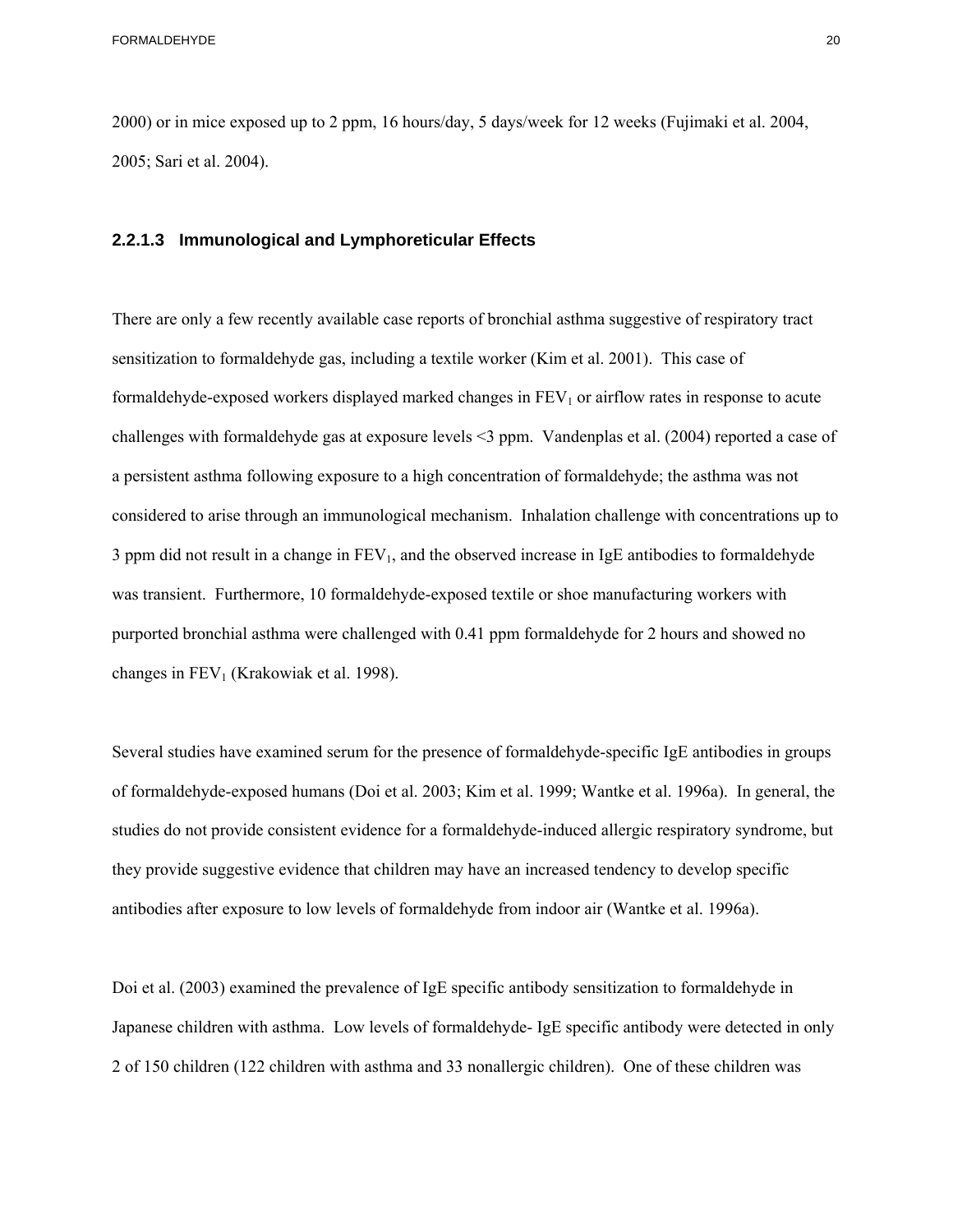2000) or in mice exposed up to 2 ppm, 16 hours/day, 5 days/week for 12 weeks (Fujimaki et al. 2004, 2005; Sari et al. 2004).

### **2.2.1.3 Immunological and Lymphoreticular Effects**

There are only a few recently available case reports of bronchial asthma suggestive of respiratory tract sensitization to formaldehyde gas, including a textile worker (Kim et al. 2001). This case of formaldehyde-exposed workers displayed marked changes in  $FEV<sub>1</sub>$  or airflow rates in response to acute challenges with formaldehyde gas at exposure levels <3 ppm. Vandenplas et al. (2004) reported a case of a persistent asthma following exposure to a high concentration of formaldehyde; the asthma was not considered to arise through an immunological mechanism. Inhalation challenge with concentrations up to 3 ppm did not result in a change in  $FEV<sub>1</sub>$ , and the observed increase in IgE antibodies to formaldehyde was transient. Furthermore, 10 formaldehyde-exposed textile or shoe manufacturing workers with purported bronchial asthma were challenged with 0.41 ppm formaldehyde for 2 hours and showed no changes in  $FEV<sub>1</sub>$  (Krakowiak et al. 1998).

Several studies have examined serum for the presence of formaldehyde-specific IgE antibodies in groups of formaldehyde-exposed humans (Doi et al. 2003; Kim et al. 1999; Wantke et al. 1996a). In general, the studies do not provide consistent evidence for a formaldehyde-induced allergic respiratory syndrome, but they provide suggestive evidence that children may have an increased tendency to develop specific antibodies after exposure to low levels of formaldehyde from indoor air (Wantke et al. 1996a).

Doi et al. (2003) examined the prevalence of IgE specific antibody sensitization to formaldehyde in Japanese children with asthma. Low levels of formaldehyde- IgE specific antibody were detected in only 2 of 150 children (122 children with asthma and 33 nonallergic children). One of these children was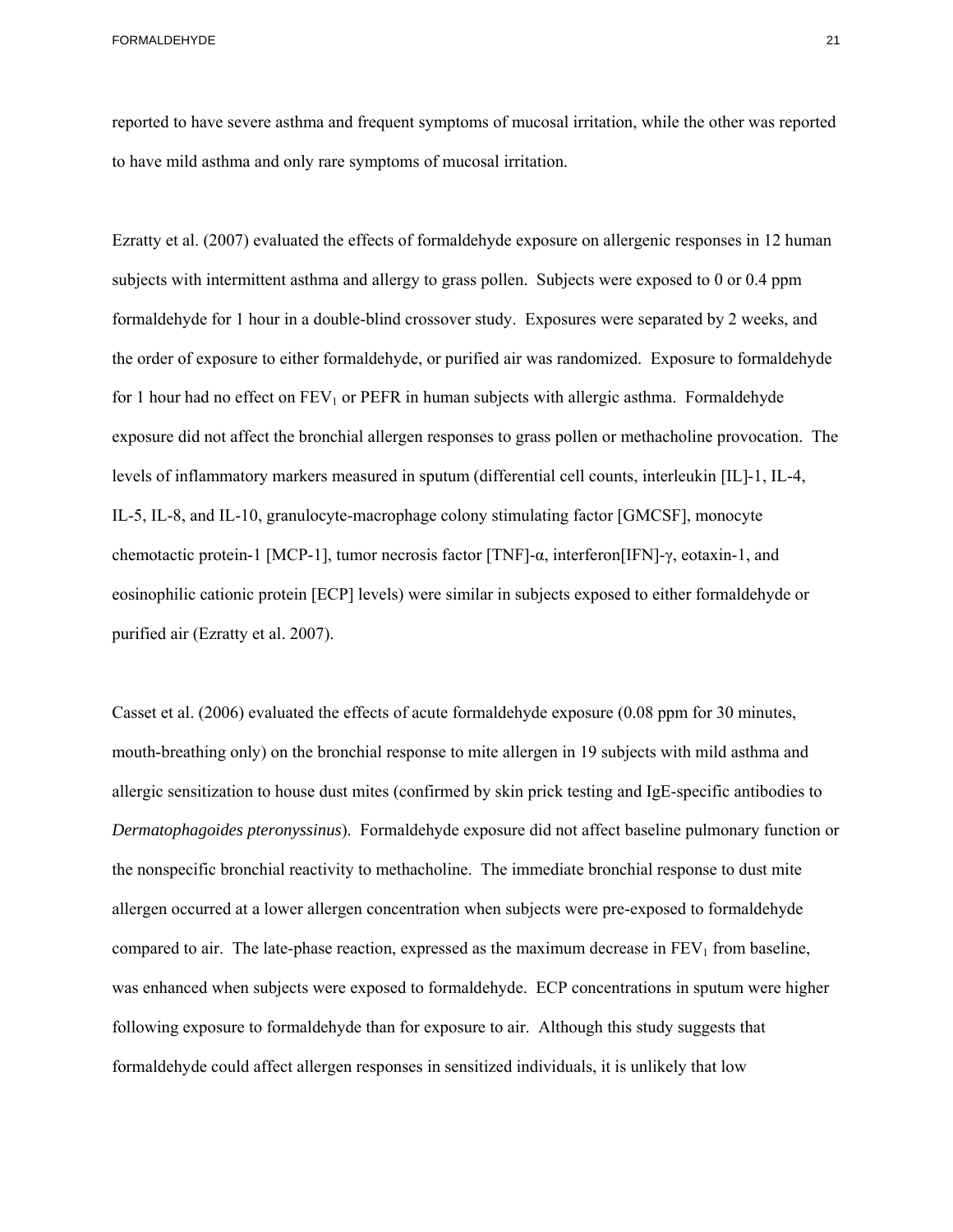reported to have severe asthma and frequent symptoms of mucosal irritation, while the other was reported to have mild asthma and only rare symptoms of mucosal irritation.

Ezratty et al. (2007) evaluated the effects of formaldehyde exposure on allergenic responses in 12 human subjects with intermittent asthma and allergy to grass pollen. Subjects were exposed to 0 or 0.4 ppm formaldehyde for 1 hour in a double-blind crossover study. Exposures were separated by 2 weeks, and the order of exposure to either formaldehyde, or purified air was randomized. Exposure to formaldehyde for 1 hour had no effect on  $FEV_1$  or PEFR in human subjects with allergic asthma. Formaldehyde exposure did not affect the bronchial allergen responses to grass pollen or methacholine provocation. The levels of inflammatory markers measured in sputum (differential cell counts, interleukin [IL]-1, IL-4, IL-5, IL-8, and IL-10, granulocyte-macrophage colony stimulating factor [GMCSF], monocyte chemotactic protein-1 [MCP-1], tumor necrosis factor [TNF]-α, interferon[IFN]-γ, eotaxin-1, and eosinophilic cationic protein [ECP] levels) were similar in subjects exposed to either formaldehyde or purified air (Ezratty et al. 2007).

 the nonspecific bronchial reactivity to methacholine. The immediate bronchial response to dust mite Casset et al. (2006) evaluated the effects of acute formaldehyde exposure (0.08 ppm for 30 minutes, mouth-breathing only) on the bronchial response to mite allergen in 19 subjects with mild asthma and allergic sensitization to house dust mites (confirmed by skin prick testing and IgE-specific antibodies to *Dermatophagoides pteronyssinus*). Formaldehyde exposure did not affect baseline pulmonary function or allergen occurred at a lower allergen concentration when subjects were pre-exposed to formaldehyde compared to air. The late-phase reaction, expressed as the maximum decrease in  $FEV<sub>1</sub>$  from baseline, was enhanced when subjects were exposed to formaldehyde. ECP concentrations in sputum were higher following exposure to formaldehyde than for exposure to air. Although this study suggests that formaldehyde could affect allergen responses in sensitized individuals, it is unlikely that low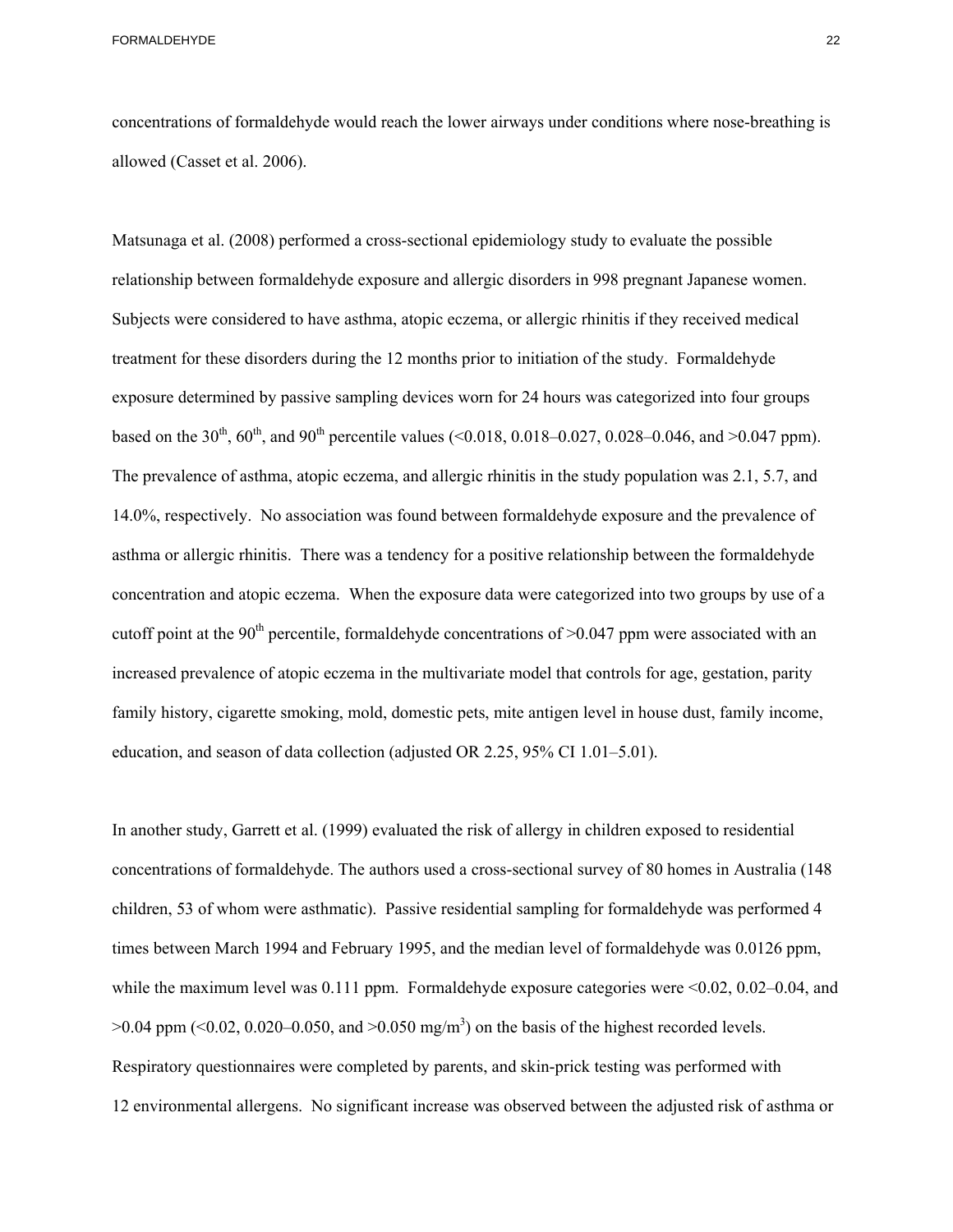concentrations of formaldehyde would reach the lower airways under conditions where nose-breathing is allowed (Casset et al. 2006).

Matsunaga et al. (2008) performed a cross-sectional epidemiology study to evaluate the possible relationship between formaldehyde exposure and allergic disorders in 998 pregnant Japanese women. Subjects were considered to have asthma, atopic eczema, or allergic rhinitis if they received medical treatment for these disorders during the 12 months prior to initiation of the study. Formaldehyde exposure determined by passive sampling devices worn for 24 hours was categorized into four groups based on the 30<sup>th</sup>, 60<sup>th</sup>, and 90<sup>th</sup> percentile values (<0.018, 0.018–0.027, 0.028–0.046, and >0.047 ppm). The prevalence of asthma, atopic eczema, and allergic rhinitis in the study population was 2.1, 5.7, and 14.0%, respectively. No association was found between formaldehyde exposure and the prevalence of asthma or allergic rhinitis. There was a tendency for a positive relationship between the formaldehyde concentration and atopic eczema. When the exposure data were categorized into two groups by use of a cutoff point at the 90<sup>th</sup> percentile, formaldehyde concentrations of  $>0.047$  ppm were associated with an increased prevalence of atopic eczema in the multivariate model that controls for age, gestation, parity family history, cigarette smoking, mold, domestic pets, mite antigen level in house dust, family income, education, and season of data collection (adjusted OR 2.25, 95% CI 1.01–5.01).

 concentrations of formaldehyde. The authors used a cross-sectional survey of 80 homes in Australia (148 In another study, Garrett et al. (1999) evaluated the risk of allergy in children exposed to residential children, 53 of whom were asthmatic). Passive residential sampling for formaldehyde was performed 4 times between March 1994 and February 1995, and the median level of formaldehyde was 0.0126 ppm, while the maximum level was 0.111 ppm. Formaldehyde exposure categories were  $\leq 0.02$ , 0.02–0.04, and  $>0.04$  ppm ( $< 0.02$ , 0.020–0.050, and  $> 0.050$  mg/m<sup>3</sup>) on the basis of the highest recorded levels. Respiratory questionnaires were completed by parents, and skin-prick testing was performed with 12 environmental allergens. No significant increase was observed between the adjusted risk of asthma or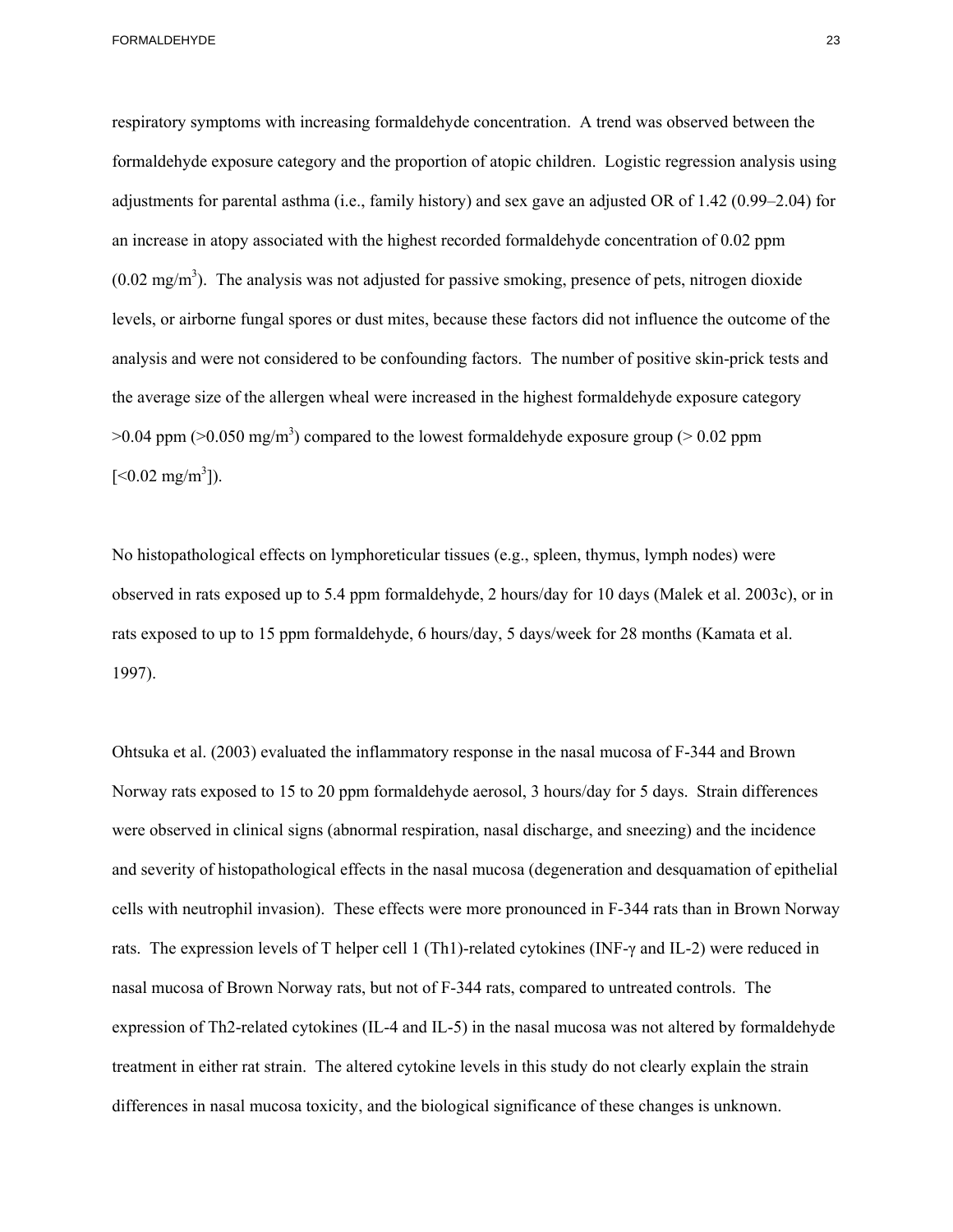respiratory symptoms with increasing formaldehyde concentration. A trend was observed between the formaldehyde exposure category and the proportion of atopic children. Logistic regression analysis using adjustments for parental asthma (i.e., family history) and sex gave an adjusted OR of 1.42 (0.99–2.04) for an increase in atopy associated with the highest recorded formaldehyde concentration of 0.02 ppm  $(0.02 \text{ mg/m}^3)$ . The analysis was not adjusted for passive smoking, presence of pets, nitrogen dioxide levels, or airborne fungal spores or dust mites, because these factors did not influence the outcome of the analysis and were not considered to be confounding factors. The number of positive skin-prick tests and the average size of the allergen wheal were increased in the highest formaldehyde exposure category  $>0.04$  ppm ( $>0.050$  mg/m<sup>3</sup>) compared to the lowest formaldehyde exposure group ( $>0.02$  ppm  $[<0.02 \text{ mg/m}^3]$ ).

No histopathological effects on lymphoreticular tissues (e.g., spleen, thymus, lymph nodes) were observed in rats exposed up to 5.4 ppm formaldehyde, 2 hours/day for 10 days (Malek et al. 2003c), or in rats exposed to up to 15 ppm formaldehyde, 6 hours/day, 5 days/week for 28 months (Kamata et al. 1997).

Ohtsuka et al. (2003) evaluated the inflammatory response in the nasal mucosa of F-344 and Brown Norway rats exposed to 15 to 20 ppm formaldehyde aerosol, 3 hours/day for 5 days. Strain differences were observed in clinical signs (abnormal respiration, nasal discharge, and sneezing) and the incidence and severity of histopathological effects in the nasal mucosa (degeneration and desquamation of epithelial cells with neutrophil invasion). These effects were more pronounced in F-344 rats than in Brown Norway rats. The expression levels of T helper cell 1 (Th1)-related cytokines (INF-γ and IL-2) were reduced in nasal mucosa of Brown Norway rats, but not of F-344 rats, compared to untreated controls. The expression of Th2-related cytokines (IL-4 and IL-5) in the nasal mucosa was not altered by formaldehyde treatment in either rat strain. The altered cytokine levels in this study do not clearly explain the strain differences in nasal mucosa toxicity, and the biological significance of these changes is unknown.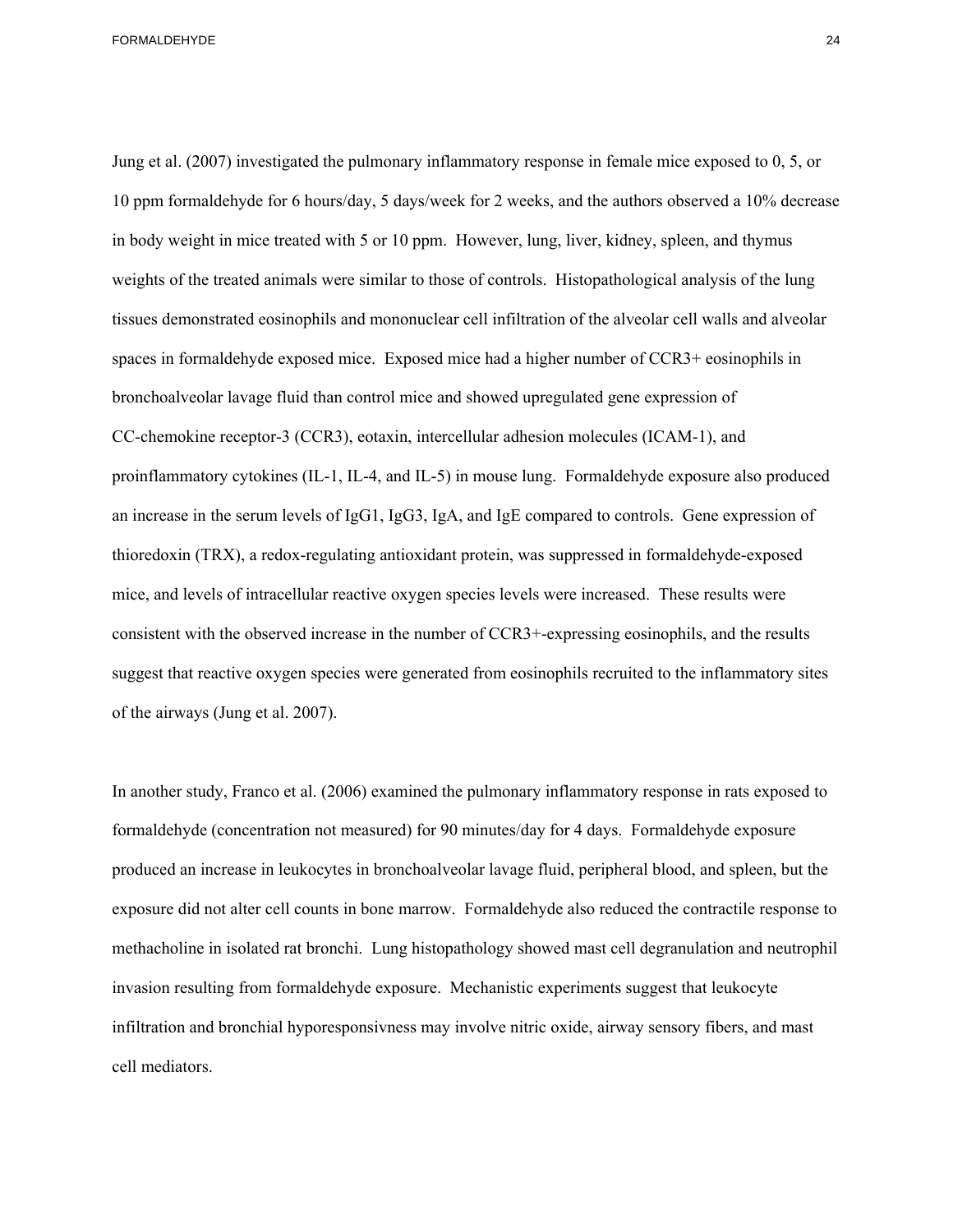Jung et al. (2007) investigated the pulmonary inflammatory response in female mice exposed to 0, 5, or 10 ppm formaldehyde for 6 hours/day, 5 days/week for 2 weeks, and the authors observed a 10% decrease in body weight in mice treated with 5 or 10 ppm. However, lung, liver, kidney, spleen, and thymus weights of the treated animals were similar to those of controls. Histopathological analysis of the lung tissues demonstrated eosinophils and mononuclear cell infiltration of the alveolar cell walls and alveolar spaces in formaldehyde exposed mice. Exposed mice had a higher number of CCR3+ eosinophils in bronchoalveolar lavage fluid than control mice and showed upregulated gene expression of CC-chemokine receptor-3 (CCR3), eotaxin, intercellular adhesion molecules (ICAM-1), and proinflammatory cytokines (IL-1, IL-4, and IL-5) in mouse lung. Formaldehyde exposure also produced an increase in the serum levels of IgG1, IgG3, IgA, and IgE compared to controls. Gene expression of thioredoxin (TRX), a redox-regulating antioxidant protein, was suppressed in formaldehyde-exposed mice, and levels of intracellular reactive oxygen species levels were increased. These results were consistent with the observed increase in the number of CCR3+-expressing eosinophils, and the results suggest that reactive oxygen species were generated from eosinophils recruited to the inflammatory sites of the airways (Jung et al. 2007).

In another study, Franco et al. (2006) examined the pulmonary inflammatory response in rats exposed to formaldehyde (concentration not measured) for 90 minutes/day for 4 days. Formaldehyde exposure produced an increase in leukocytes in bronchoalveolar lavage fluid, peripheral blood, and spleen, but the exposure did not alter cell counts in bone marrow. Formaldehyde also reduced the contractile response to methacholine in isolated rat bronchi. Lung histopathology showed mast cell degranulation and neutrophil invasion resulting from formaldehyde exposure. Mechanistic experiments suggest that leukocyte infiltration and bronchial hyporesponsivness may involve nitric oxide, airway sensory fibers, and mast cell mediators.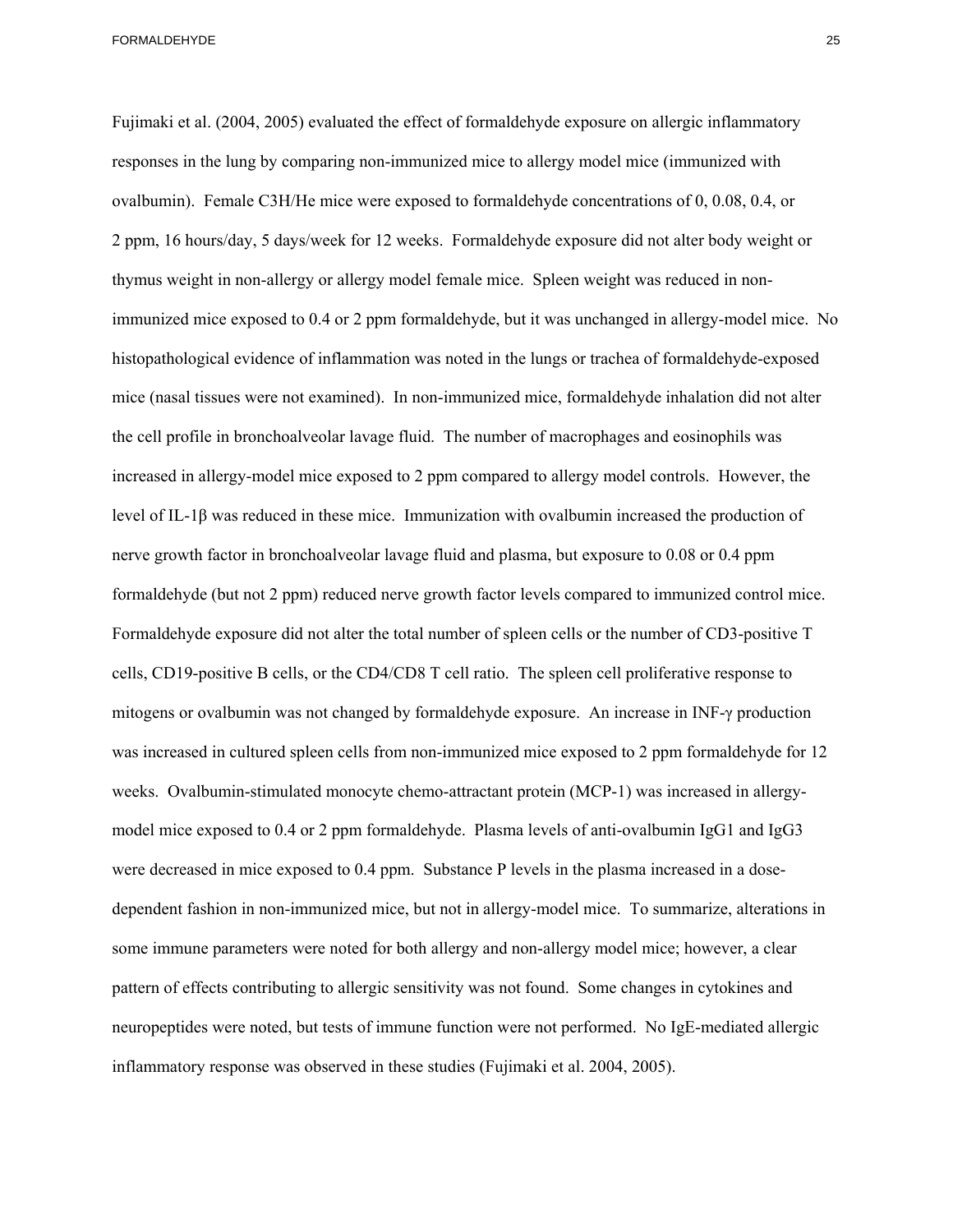Fujimaki et al. (2004, 2005) evaluated the effect of formaldehyde exposure on allergic inflammatory responses in the lung by comparing non-immunized mice to allergy model mice (immunized with ovalbumin). Female C3H/He mice were exposed to formaldehyde concentrations of 0, 0.08, 0.4, or 2 ppm, 16 hours/day, 5 days/week for 12 weeks. Formaldehyde exposure did not alter body weight or thymus weight in non-allergy or allergy model female mice. Spleen weight was reduced in nonimmunized mice exposed to 0.4 or 2 ppm formaldehyde, but it was unchanged in allergy-model mice. No histopathological evidence of inflammation was noted in the lungs or trachea of formaldehyde-exposed mice (nasal tissues were not examined). In non-immunized mice, formaldehyde inhalation did not alter the cell profile in bronchoalveolar lavage fluid. The number of macrophages and eosinophils was increased in allergy-model mice exposed to 2 ppm compared to allergy model controls. However, the level of IL-1β was reduced in these mice. Immunization with ovalbumin increased the production of nerve growth factor in bronchoalveolar lavage fluid and plasma, but exposure to 0.08 or 0.4 ppm formaldehyde (but not 2 ppm) reduced nerve growth factor levels compared to immunized control mice. Formaldehyde exposure did not alter the total number of spleen cells or the number of CD3-positive T cells, CD19-positive B cells, or the CD4/CD8 T cell ratio. The spleen cell proliferative response to mitogens or ovalbumin was not changed by formaldehyde exposure. An increase in INF-γ production was increased in cultured spleen cells from non-immunized mice exposed to 2 ppm formaldehyde for 12 weeks. Ovalbumin-stimulated monocyte chemo-attractant protein (MCP-1) was increased in allergymodel mice exposed to 0.4 or 2 ppm formaldehyde. Plasma levels of anti-ovalbumin IgG1 and IgG3 were decreased in mice exposed to 0.4 ppm. Substance P levels in the plasma increased in a dosedependent fashion in non-immunized mice, but not in allergy-model mice. To summarize, alterations in some immune parameters were noted for both allergy and non-allergy model mice; however, a clear pattern of effects contributing to allergic sensitivity was not found. Some changes in cytokines and neuropeptides were noted, but tests of immune function were not performed. No IgE-mediated allergic

inflammatory response was observed in these studies (Fujimaki et al. 2004, 2005).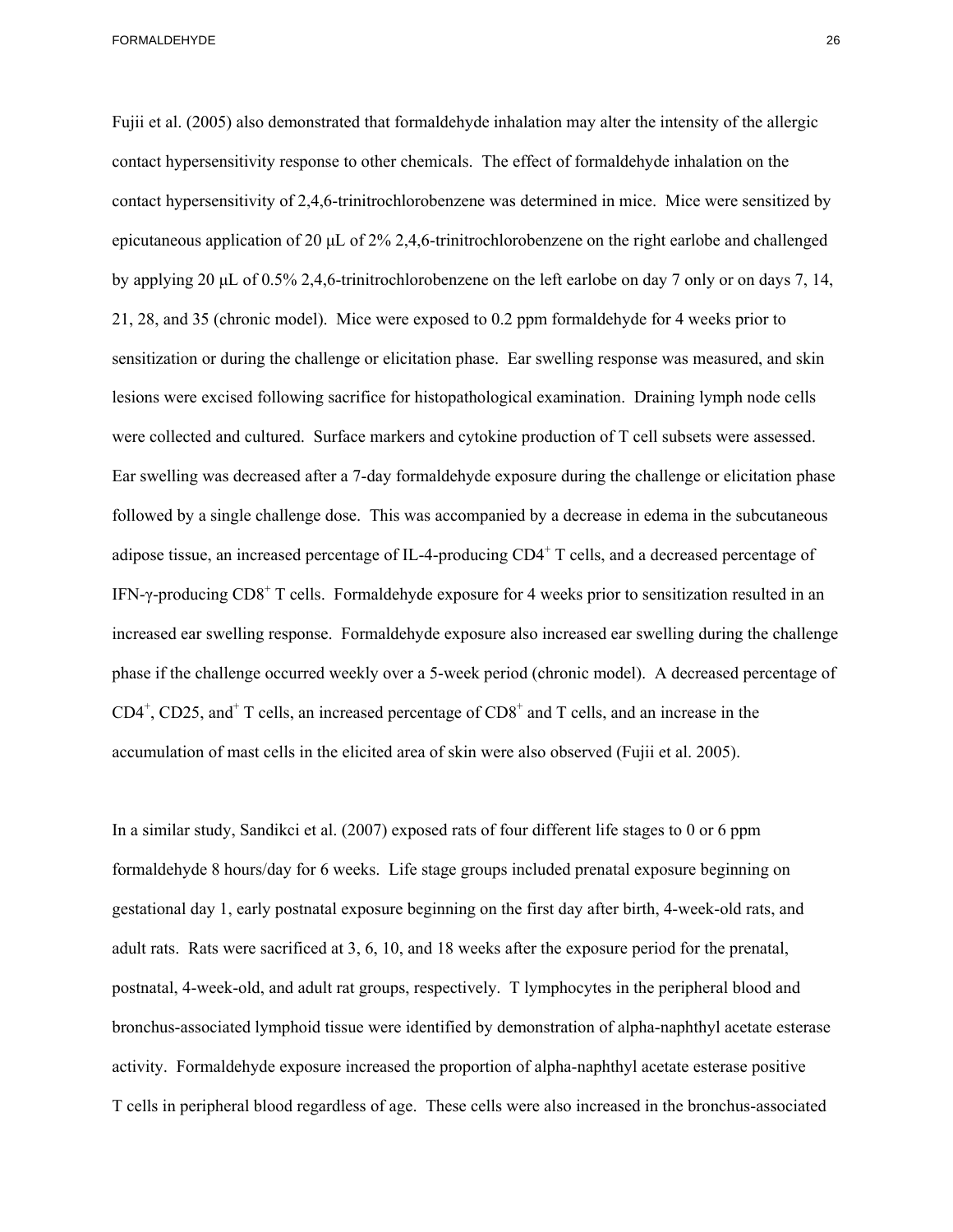Fujii et al. (2005) also demonstrated that formaldehyde inhalation may alter the intensity of the allergic contact hypersensitivity response to other chemicals. The effect of formaldehyde inhalation on the contact hypersensitivity of 2,4,6-trinitrochlorobenzene was determined in mice. Mice were sensitized by epicutaneous application of 20 μL of 2% 2,4,6-trinitrochlorobenzene on the right earlobe and challenged by applying 20 μL of 0.5% 2,4,6-trinitrochlorobenzene on the left earlobe on day 7 only or on days 7, 14, 21, 28, and 35 (chronic model). Mice were exposed to 0.2 ppm formaldehyde for 4 weeks prior to sensitization or during the challenge or elicitation phase. Ear swelling response was measured, and skin lesions were excised following sacrifice for histopathological examination. Draining lymph node cells were collected and cultured. Surface markers and cytokine production of T cell subsets were assessed. Ear swelling was decreased after a 7-day formaldehyde exposure during the challenge or elicitation phase followed by a single challenge dose. This was accompanied by a decrease in edema in the subcutaneous adipose tissue, an increased percentage of IL-4-producing  $CD4^+$  T cells, and a decreased percentage of IFN- $\gamma$ -producing CD8<sup>+</sup> T cells. Formaldehyde exposure for 4 weeks prior to sensitization resulted in an increased ear swelling response. Formaldehyde exposure also increased ear swelling during the challenge phase if the challenge occurred weekly over a 5-week period (chronic model). A decreased percentage of  $CD4^+$ ,  $CD25$ , and<sup>+</sup> T cells, an increased percentage of  $CD8^+$  and T cells, and an increase in the accumulation of mast cells in the elicited area of skin were also observed (Fujii et al. 2005).

In a similar study, Sandikci et al. (2007) exposed rats of four different life stages to 0 or 6 ppm formaldehyde 8 hours/day for 6 weeks. Life stage groups included prenatal exposure beginning on gestational day 1, early postnatal exposure beginning on the first day after birth, 4-week-old rats, and adult rats. Rats were sacrificed at 3, 6, 10, and 18 weeks after the exposure period for the prenatal, postnatal, 4-week-old, and adult rat groups, respectively. T lymphocytes in the peripheral blood and bronchus-associated lymphoid tissue were identified by demonstration of alpha-naphthyl acetate esterase activity. Formaldehyde exposure increased the proportion of alpha-naphthyl acetate esterase positive T cells in peripheral blood regardless of age. These cells were also increased in the bronchus-associated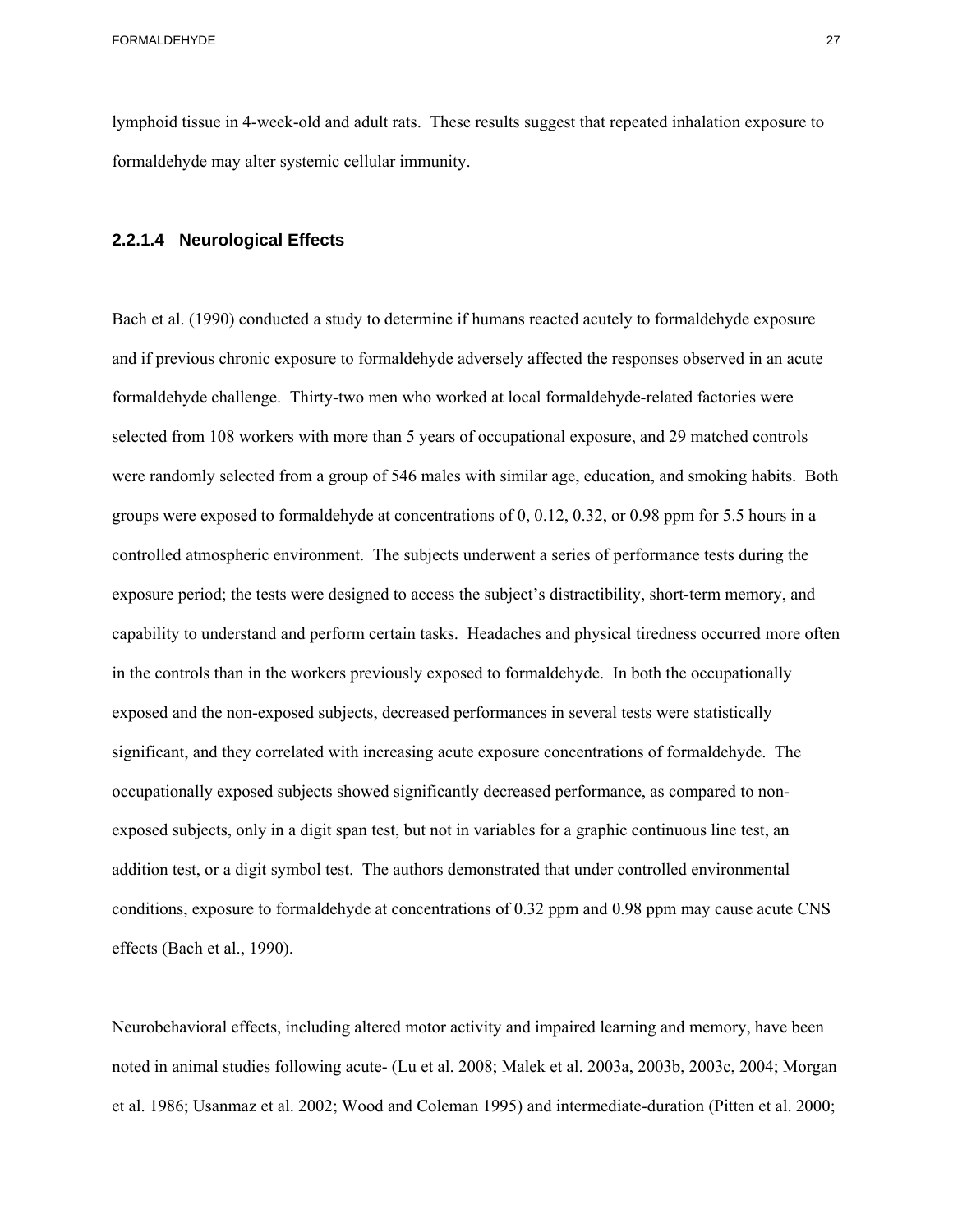lymphoid tissue in 4-week-old and adult rats. These results suggest that repeated inhalation exposure to formaldehyde may alter systemic cellular immunity.

#### **2.2.1.4 Neurological Effects**

Bach et al. (1990) conducted a study to determine if humans reacted acutely to formaldehyde exposure and if previous chronic exposure to formaldehyde adversely affected the responses observed in an acute formaldehyde challenge. Thirty-two men who worked at local formaldehyde-related factories were selected from 108 workers with more than 5 years of occupational exposure, and 29 matched controls were randomly selected from a group of 546 males with similar age, education, and smoking habits. Both groups were exposed to formaldehyde at concentrations of 0, 0.12, 0.32, or 0.98 ppm for 5.5 hours in a controlled atmospheric environment. The subjects underwent a series of performance tests during the exposure period; the tests were designed to access the subject's distractibility, short-term memory, and capability to understand and perform certain tasks. Headaches and physical tiredness occurred more often in the controls than in the workers previously exposed to formaldehyde. In both the occupationally exposed and the non-exposed subjects, decreased performances in several tests were statistically significant, and they correlated with increasing acute exposure concentrations of formaldehyde. The occupationally exposed subjects showed significantly decreased performance, as compared to nonexposed subjects, only in a digit span test, but not in variables for a graphic continuous line test, an addition test, or a digit symbol test. The authors demonstrated that under controlled environmental conditions, exposure to formaldehyde at concentrations of 0.32 ppm and 0.98 ppm may cause acute CNS effects (Bach et al., 1990).

Neurobehavioral effects, including altered motor activity and impaired learning and memory, have been noted in animal studies following acute- (Lu et al. 2008; Malek et al. 2003a, 2003b, 2003c, 2004; Morgan et al. 1986; Usanmaz et al. 2002; Wood and Coleman 1995) and intermediate-duration (Pitten et al. 2000;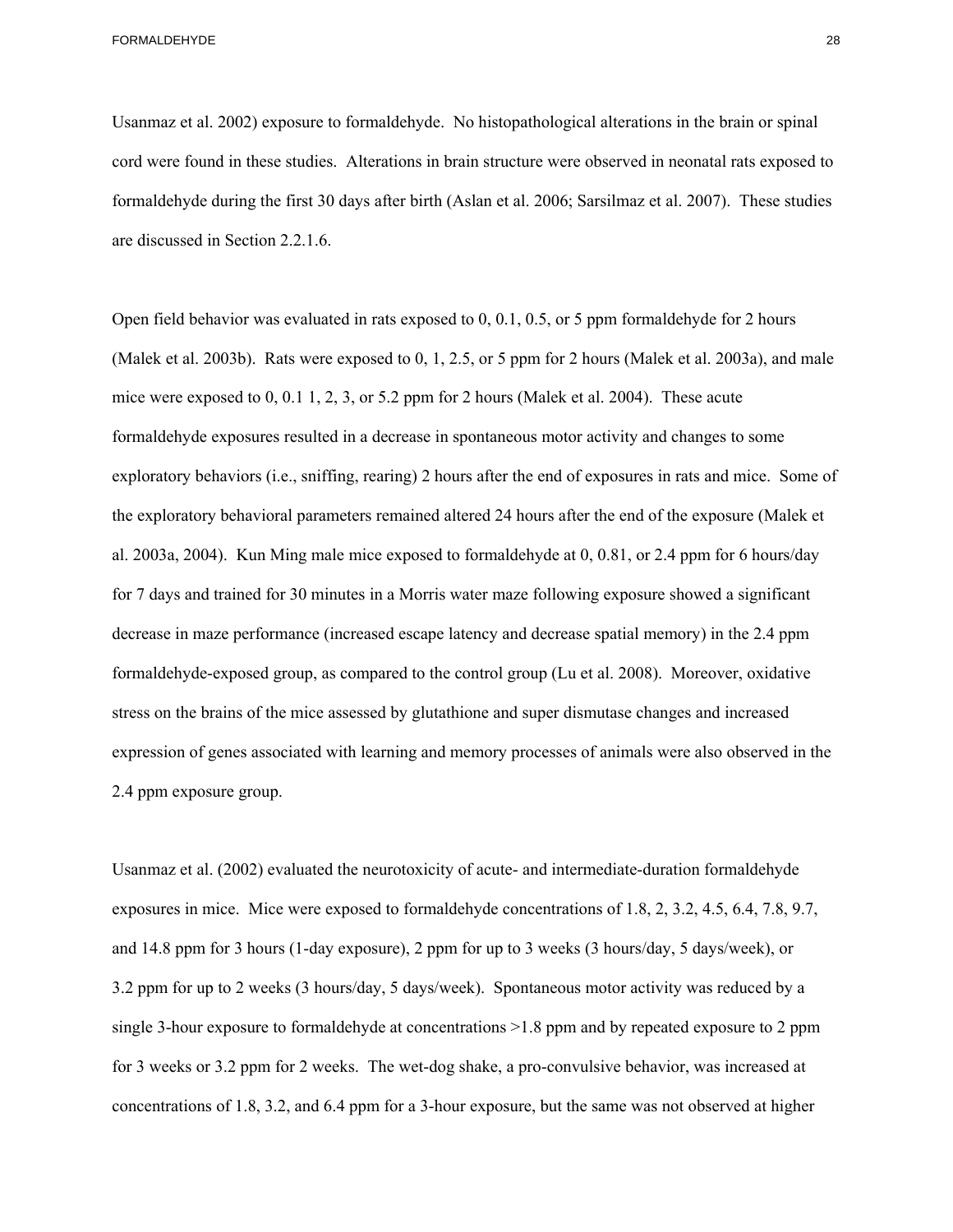Usanmaz et al. 2002) exposure to formaldehyde. No histopathological alterations in the brain or spinal cord were found in these studies. Alterations in brain structure were observed in neonatal rats exposed to formaldehyde during the first 30 days after birth (Aslan et al. 2006; Sarsilmaz et al. 2007). These studies are discussed in Section 2.2.1.6.

Open field behavior was evaluated in rats exposed to 0, 0.1, 0.5, or 5 ppm formaldehyde for 2 hours (Malek et al. 2003b). Rats were exposed to 0, 1, 2.5, or 5 ppm for 2 hours (Malek et al. 2003a), and male mice were exposed to 0, 0.1 1, 2, 3, or 5.2 ppm for 2 hours (Malek et al. 2004). These acute formaldehyde exposures resulted in a decrease in spontaneous motor activity and changes to some exploratory behaviors (i.e., sniffing, rearing) 2 hours after the end of exposures in rats and mice. Some of the exploratory behavioral parameters remained altered 24 hours after the end of the exposure (Malek et al. 2003a, 2004). Kun Ming male mice exposed to formaldehyde at 0, 0.81, or 2.4 ppm for 6 hours/day for 7 days and trained for 30 minutes in a Morris water maze following exposure showed a significant decrease in maze performance (increased escape latency and decrease spatial memory) in the 2.4 ppm formaldehyde-exposed group, as compared to the control group (Lu et al. 2008). Moreover, oxidative stress on the brains of the mice assessed by glutathione and super dismutase changes and increased expression of genes associated with learning and memory processes of animals were also observed in the 2.4 ppm exposure group.

Usanmaz et al. (2002) evaluated the neurotoxicity of acute- and intermediate-duration formaldehyde exposures in mice. Mice were exposed to formaldehyde concentrations of 1.8, 2, 3.2, 4.5, 6.4, 7.8, 9.7, and 14.8 ppm for 3 hours (1-day exposure), 2 ppm for up to 3 weeks (3 hours/day, 5 days/week), or 3.2 ppm for up to 2 weeks (3 hours/day, 5 days/week). Spontaneous motor activity was reduced by a single 3-hour exposure to formaldehyde at concentrations >1.8 ppm and by repeated exposure to 2 ppm for 3 weeks or 3.2 ppm for 2 weeks. The wet-dog shake, a pro-convulsive behavior, was increased at concentrations of 1.8, 3.2, and 6.4 ppm for a 3-hour exposure, but the same was not observed at higher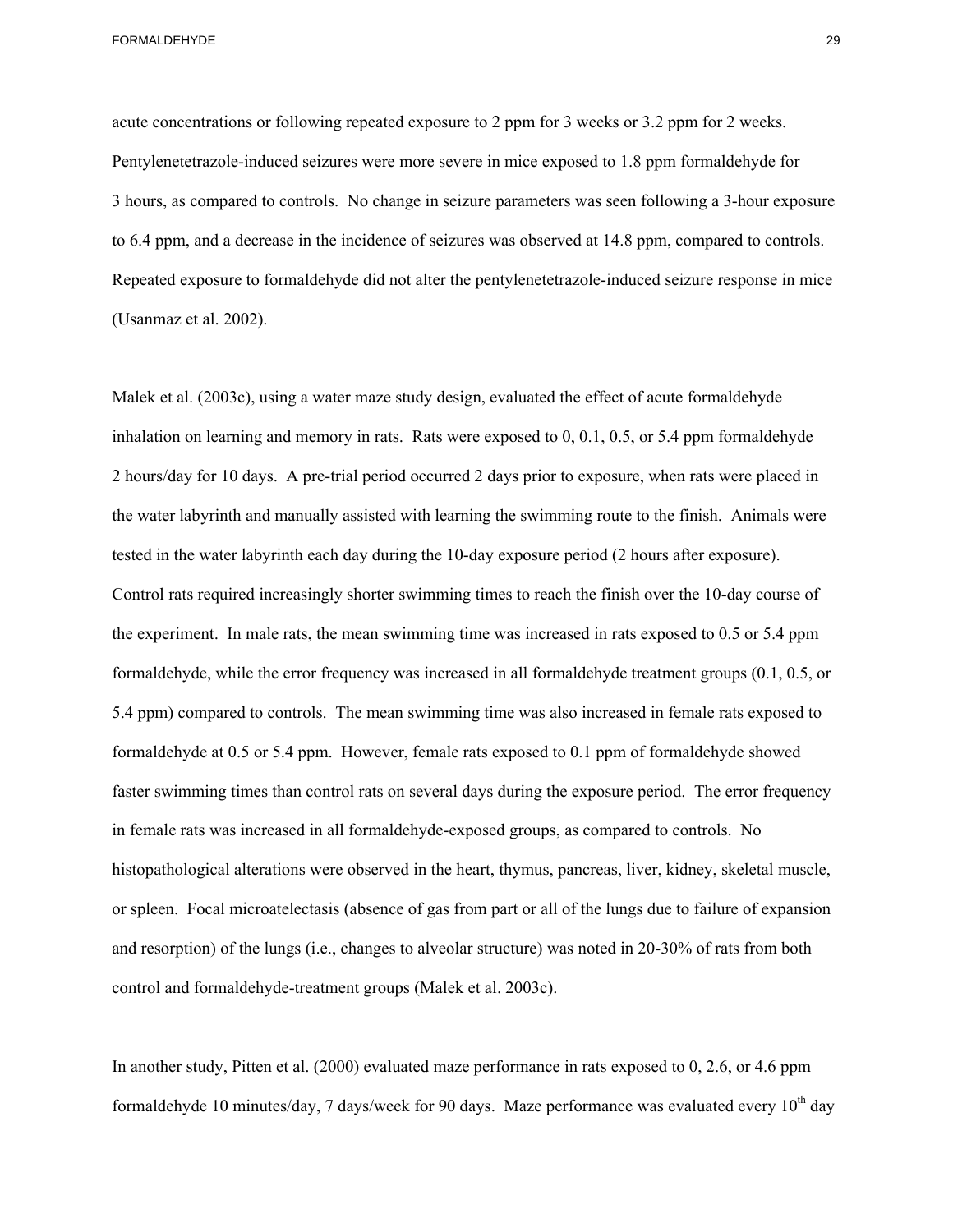acute concentrations or following repeated exposure to 2 ppm for 3 weeks or 3.2 ppm for 2 weeks. Pentylenetetrazole-induced seizures were more severe in mice exposed to 1.8 ppm formaldehyde for 3 hours, as compared to controls. No change in seizure parameters was seen following a 3-hour exposure to 6.4 ppm, and a decrease in the incidence of seizures was observed at 14.8 ppm, compared to controls. Repeated exposure to formaldehyde did not alter the pentylenetetrazole-induced seizure response in mice (Usanmaz et al. 2002).

Malek et al. (2003c), using a water maze study design, evaluated the effect of acute formaldehyde inhalation on learning and memory in rats. Rats were exposed to 0, 0.1, 0.5, or 5.4 ppm formaldehyde 2 hours/day for 10 days. A pre-trial period occurred 2 days prior to exposure, when rats were placed in the water labyrinth and manually assisted with learning the swimming route to the finish. Animals were tested in the water labyrinth each day during the 10-day exposure period (2 hours after exposure). Control rats required increasingly shorter swimming times to reach the finish over the 10-day course of the experiment. In male rats, the mean swimming time was increased in rats exposed to 0.5 or 5.4 ppm formaldehyde, while the error frequency was increased in all formaldehyde treatment groups (0.1, 0.5, or 5.4 ppm) compared to controls. The mean swimming time was also increased in female rats exposed to formaldehyde at 0.5 or 5.4 ppm. However, female rats exposed to 0.1 ppm of formaldehyde showed faster swimming times than control rats on several days during the exposure period. The error frequency in female rats was increased in all formaldehyde-exposed groups, as compared to controls. No histopathological alterations were observed in the heart, thymus, pancreas, liver, kidney, skeletal muscle, or spleen. Focal microatelectasis (absence of gas from part or all of the lungs due to failure of expansion and resorption) of the lungs (i.e., changes to alveolar structure) was noted in 20-30% of rats from both control and formaldehyde-treatment groups (Malek et al. 2003c).

In another study, Pitten et al. (2000) evaluated maze performance in rats exposed to 0, 2.6, or 4.6 ppm formaldehyde 10 minutes/day, 7 days/week for 90 days. Maze performance was evaluated every  $10^{th}$  day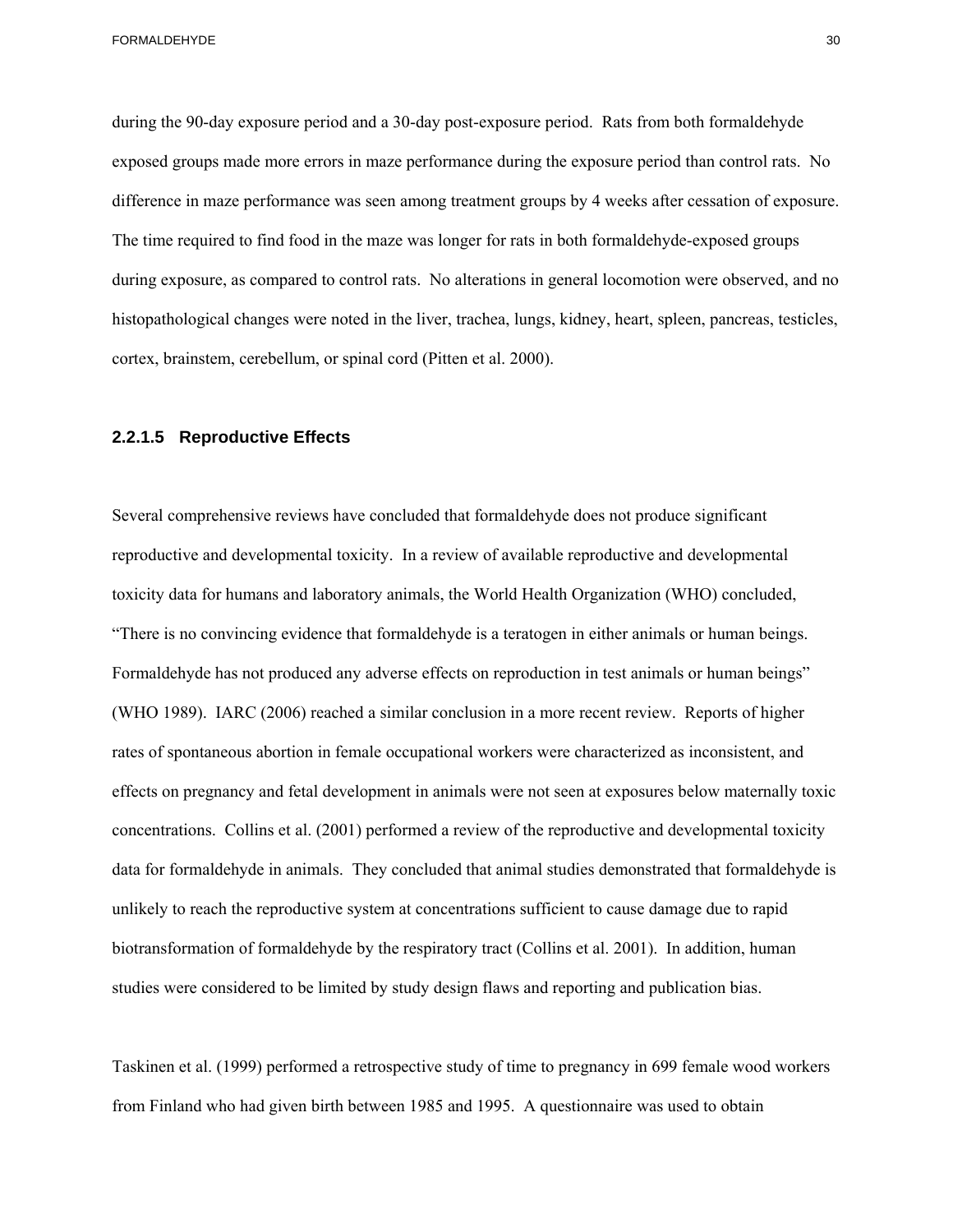during the 90-day exposure period and a 30-day post-exposure period. Rats from both formaldehyde exposed groups made more errors in maze performance during the exposure period than control rats. No difference in maze performance was seen among treatment groups by 4 weeks after cessation of exposure. The time required to find food in the maze was longer for rats in both formaldehyde-exposed groups during exposure, as compared to control rats. No alterations in general locomotion were observed, and no histopathological changes were noted in the liver, trachea, lungs, kidney, heart, spleen, pancreas, testicles, cortex, brainstem, cerebellum, or spinal cord (Pitten et al. 2000).

#### **2.2.1.5 Reproductive Effects**

Several comprehensive reviews have concluded that formaldehyde does not produce significant reproductive and developmental toxicity. In a review of available reproductive and developmental toxicity data for humans and laboratory animals, the World Health Organization (WHO) concluded, "There is no convincing evidence that formaldehyde is a teratogen in either animals or human beings. Formaldehyde has not produced any adverse effects on reproduction in test animals or human beings" (WHO 1989). IARC (2006) reached a similar conclusion in a more recent review. Reports of higher rates of spontaneous abortion in female occupational workers were characterized as inconsistent, and effects on pregnancy and fetal development in animals were not seen at exposures below maternally toxic concentrations. Collins et al. (2001) performed a review of the reproductive and developmental toxicity data for formaldehyde in animals. They concluded that animal studies demonstrated that formaldehyde is unlikely to reach the reproductive system at concentrations sufficient to cause damage due to rapid biotransformation of formaldehyde by the respiratory tract (Collins et al. 2001). In addition, human studies were considered to be limited by study design flaws and reporting and publication bias.

Taskinen et al. (1999) performed a retrospective study of time to pregnancy in 699 female wood workers from Finland who had given birth between 1985 and 1995. A questionnaire was used to obtain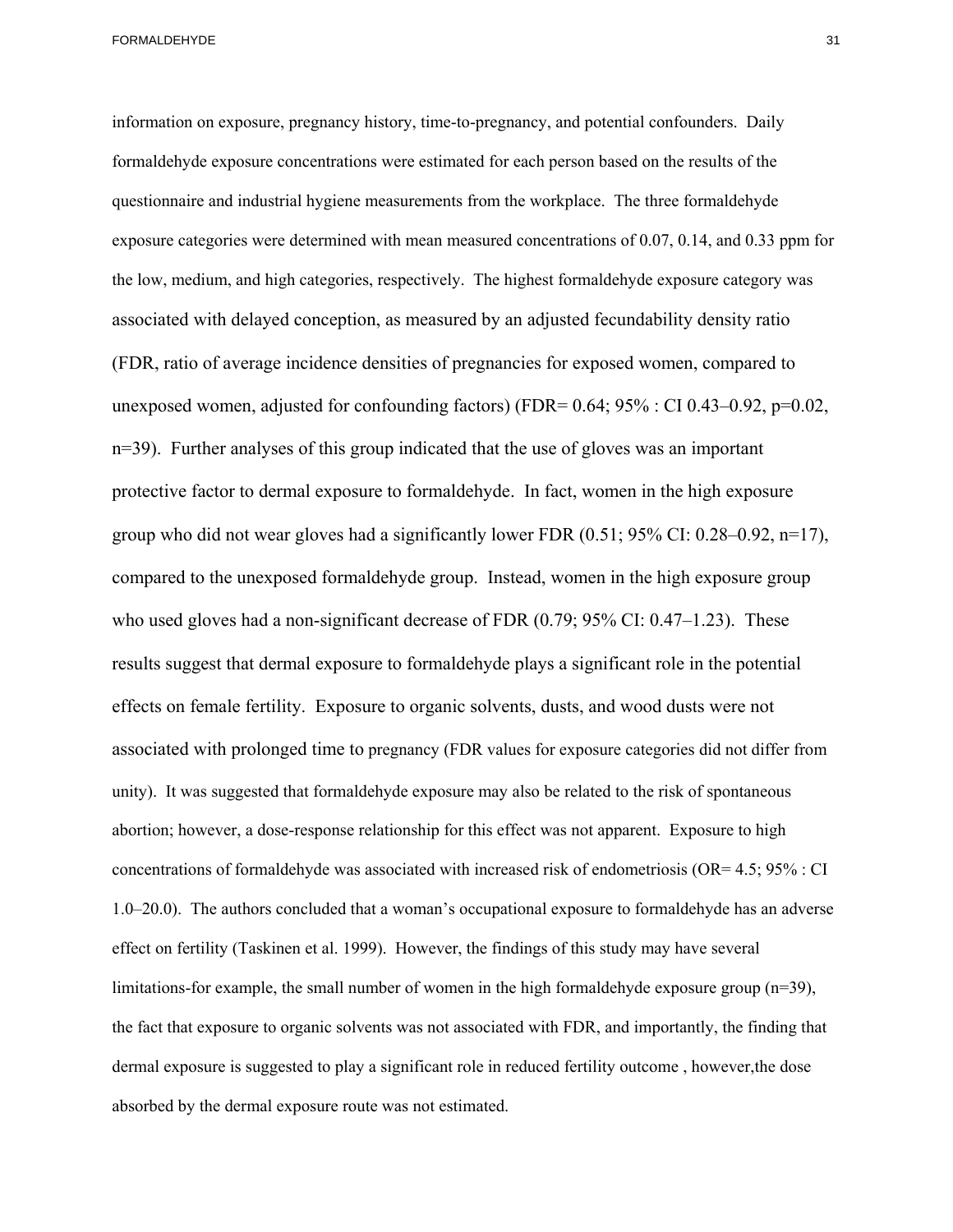information on exposure, pregnancy history, time-to-pregnancy, and potential confounders. Daily formaldehyde exposure concentrations were estimated for each person based on the results of the questionnaire and industrial hygiene measurements from the workplace. The three formaldehyde exposure categories were determined with mean measured concentrations of 0.07, 0.14, and 0.33 ppm for the low, medium, and high categories, respectively. The highest formaldehyde exposure category was associated with delayed conception, as measured by an adjusted fecundability density ratio (FDR, ratio of average incidence densities of pregnancies for exposed women, compared to unexposed women, adjusted for confounding factors) (FDR=  $0.64$ ;  $95\%$  : CI  $0.43-0.92$ , p= $0.02$ , n=39). Further analyses of this group indicated that the use of gloves was an important protective factor to dermal exposure to formaldehyde. In fact, women in the high exposure group who did not wear gloves had a significantly lower FDR  $(0.51; 95\% \text{ CI: } 0.28-0.92, n=17)$ , compared to the unexposed formaldehyde group. Instead, women in the high exposure group who used gloves had a non-significant decrease of FDR  $(0.79; 95\% \text{ CI: } 0.47-1.23)$ . These results suggest that dermal exposure to formaldehyde plays a significant role in the potential effects on female fertility. Exposure to organic solvents, dusts, and wood dusts were not associated with prolonged time to pregnancy (FDR values for exposure categories did not differ from unity). It was suggested that formaldehyde exposure may also be related to the risk of spontaneous abortion; however, a dose-response relationship for this effect was not apparent. Exposure to high concentrations of formaldehyde was associated with increased risk of endometriosis (OR= 4.5; 95% : CI 1.0–20.0). The authors concluded that a woman's occupational exposure to formaldehyde has an adverse effect on fertility (Taskinen et al. 1999). However, the findings of this study may have several limitations-for example, the small number of women in the high formaldehyde exposure group  $(n=39)$ , the fact that exposure to organic solvents was not associated with FDR, and importantly, the finding that

dermal exposure is suggested to play a significant role in reduced fertility outcome , however,the dose absorbed by the dermal exposure route was not estimated.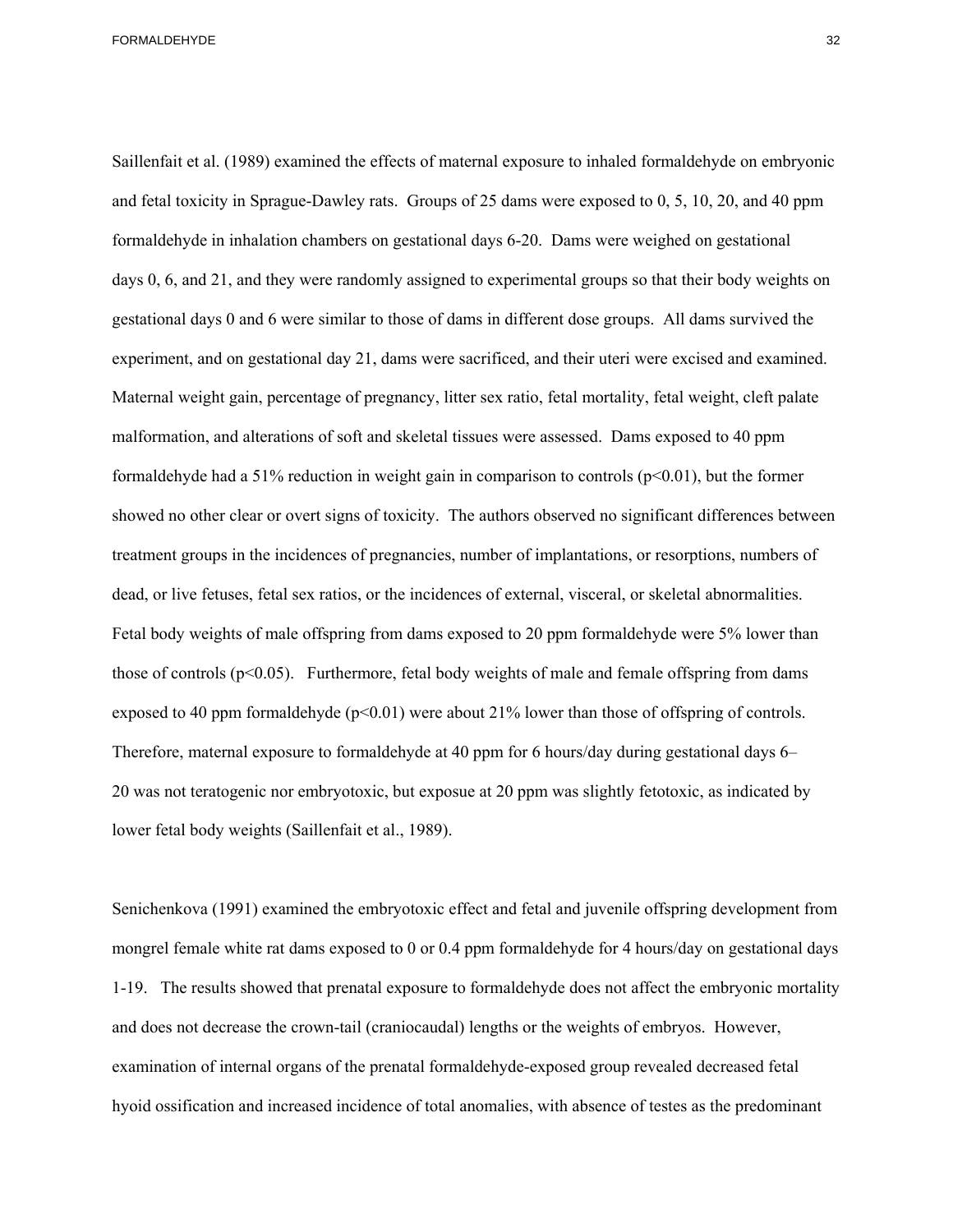Saillenfait et al. (1989) examined the effects of maternal exposure to inhaled formaldehyde on embryonic and fetal toxicity in Sprague-Dawley rats. Groups of 25 dams were exposed to 0, 5, 10, 20, and 40 ppm formaldehyde in inhalation chambers on gestational days 6-20. Dams were weighed on gestational days 0, 6, and 21, and they were randomly assigned to experimental groups so that their body weights on gestational days 0 and 6 were similar to those of dams in different dose groups. All dams survived the experiment, and on gestational day 21, dams were sacrificed, and their uteri were excised and examined. Maternal weight gain, percentage of pregnancy, litter sex ratio, fetal mortality, fetal weight, cleft palate malformation, and alterations of soft and skeletal tissues were assessed. Dams exposed to 40 ppm formaldehyde had a 51% reduction in weight gain in comparison to controls  $(p<0.01)$ , but the former showed no other clear or overt signs of toxicity. The authors observed no significant differences between treatment groups in the incidences of pregnancies, number of implantations, or resorptions, numbers of dead, or live fetuses, fetal sex ratios, or the incidences of external, visceral, or skeletal abnormalities. Fetal body weights of male offspring from dams exposed to 20 ppm formaldehyde were 5% lower than those of controls  $(p<0.05)$ . Furthermore, fetal body weights of male and female offspring from dams exposed to 40 ppm formaldehyde  $(p<0.01)$  were about 21% lower than those of offspring of controls. Therefore, maternal exposure to formaldehyde at 40 ppm for 6 hours/day during gestational days 6– 20 was not teratogenic nor embryotoxic, but exposue at 20 ppm was slightly fetotoxic, as indicated by lower fetal body weights (Saillenfait et al., 1989).

Senichenkova (1991) examined the embryotoxic effect and fetal and juvenile offspring development from mongrel female white rat dams exposed to 0 or 0.4 ppm formaldehyde for 4 hours/day on gestational days 1-19. The results showed that prenatal exposure to formaldehyde does not affect the embryonic mortality and does not decrease the crown-tail (craniocaudal) lengths or the weights of embryos. However, examination of internal organs of the prenatal formaldehyde-exposed group revealed decreased fetal hyoid ossification and increased incidence of total anomalies, with absence of testes as the predominant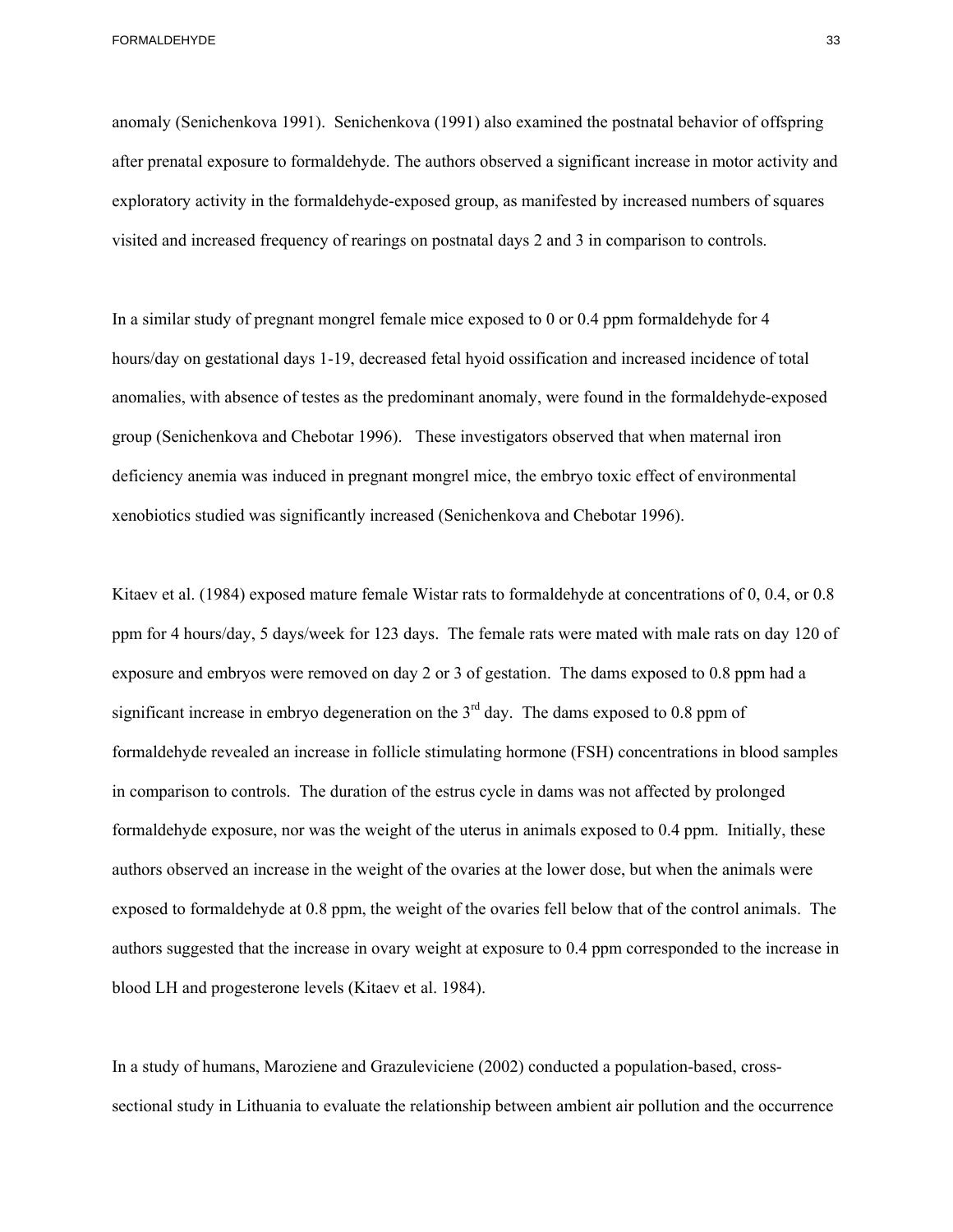anomaly (Senichenkova 1991). Senichenkova (1991) also examined the postnatal behavior of offspring after prenatal exposure to formaldehyde. The authors observed a significant increase in motor activity and exploratory activity in the formaldehyde-exposed group, as manifested by increased numbers of squares visited and increased frequency of rearings on postnatal days 2 and 3 in comparison to controls.

In a similar study of pregnant mongrel female mice exposed to 0 or 0.4 ppm formaldehyde for 4 hours/day on gestational days 1-19, decreased fetal hyoid ossification and increased incidence of total anomalies, with absence of testes as the predominant anomaly, were found in the formaldehyde-exposed group (Senichenkova and Chebotar 1996). These investigators observed that when maternal iron deficiency anemia was induced in pregnant mongrel mice, the embryo toxic effect of environmental xenobiotics studied was significantly increased (Senichenkova and Chebotar 1996).

Kitaev et al. (1984) exposed mature female Wistar rats to formaldehyde at concentrations of 0, 0.4, or 0.8 ppm for 4 hours/day, 5 days/week for 123 days. The female rats were mated with male rats on day 120 of exposure and embryos were removed on day 2 or 3 of gestation. The dams exposed to 0.8 ppm had a significant increase in embryo degeneration on the  $3<sup>rd</sup>$  day. The dams exposed to 0.8 ppm of formaldehyde revealed an increase in follicle stimulating hormone (FSH) concentrations in blood samples in comparison to controls. The duration of the estrus cycle in dams was not affected by prolonged formaldehyde exposure, nor was the weight of the uterus in animals exposed to 0.4 ppm. Initially, these authors observed an increase in the weight of the ovaries at the lower dose, but when the animals were exposed to formaldehyde at 0.8 ppm, the weight of the ovaries fell below that of the control animals. The authors suggested that the increase in ovary weight at exposure to 0.4 ppm corresponded to the increase in blood LH and progesterone levels (Kitaev et al. 1984).

In a study of humans, Maroziene and Grazuleviciene (2002) conducted a population-based, crosssectional study in Lithuania to evaluate the relationship between ambient air pollution and the occurrence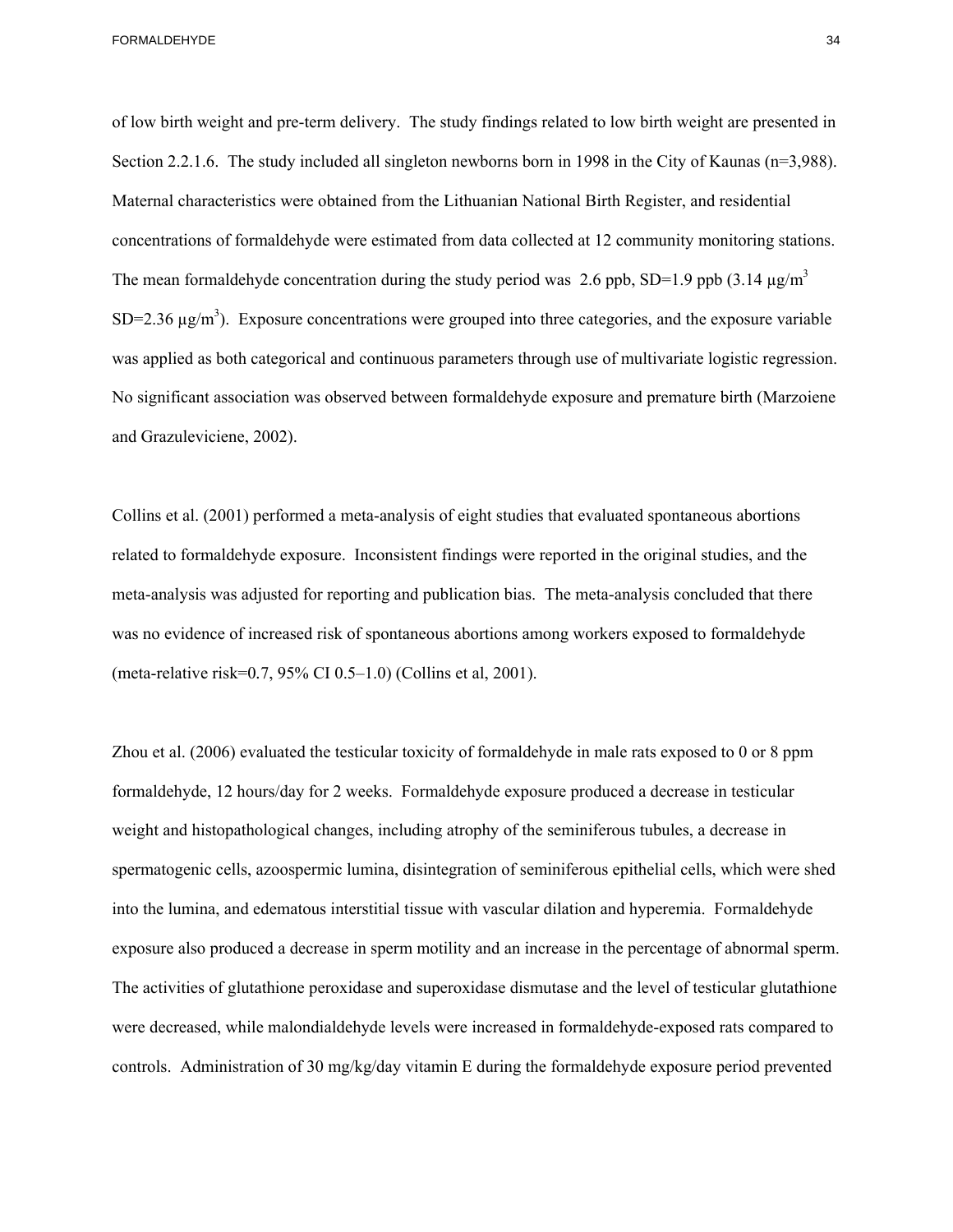of low birth weight and pre-term delivery. The study findings related to low birth weight are presented in Section 2.2.1.6. The study included all singleton newborns born in 1998 in the City of Kaunas (n=3,988). Maternal characteristics were obtained from the Lithuanian National Birth Register, and residential concentrations of formaldehyde were estimated from data collected at 12 community monitoring stations. The mean formaldehyde concentration during the study period was 2.6 ppb, SD=1.9 ppb (3.14  $\mu$ g/m<sup>3</sup>  $SD=2.36 \mu g/m^3$ ). Exposure concentrations were grouped into three categories, and the exposure variable was applied as both categorical and continuous parameters through use of multivariate logistic regression. No significant association was observed between formaldehyde exposure and premature birth (Marzoiene and Grazuleviciene, 2002).

Collins et al. (2001) performed a meta-analysis of eight studies that evaluated spontaneous abortions related to formaldehyde exposure. Inconsistent findings were reported in the original studies, and the meta-analysis was adjusted for reporting and publication bias. The meta-analysis concluded that there was no evidence of increased risk of spontaneous abortions among workers exposed to formaldehyde (meta-relative risk=0*.*7, 95% CI 0.5–1.0) (Collins et al, 2001).

Zhou et al. (2006) evaluated the testicular toxicity of formaldehyde in male rats exposed to 0 or 8 ppm formaldehyde, 12 hours/day for 2 weeks. Formaldehyde exposure produced a decrease in testicular weight and histopathological changes, including atrophy of the seminiferous tubules, a decrease in spermatogenic cells, azoospermic lumina, disintegration of seminiferous epithelial cells, which were shed into the lumina, and edematous interstitial tissue with vascular dilation and hyperemia. Formaldehyde exposure also produced a decrease in sperm motility and an increase in the percentage of abnormal sperm. The activities of glutathione peroxidase and superoxidase dismutase and the level of testicular glutathione were decreased, while malondialdehyde levels were increased in formaldehyde-exposed rats compared to controls. Administration of 30 mg/kg/day vitamin E during the formaldehyde exposure period prevented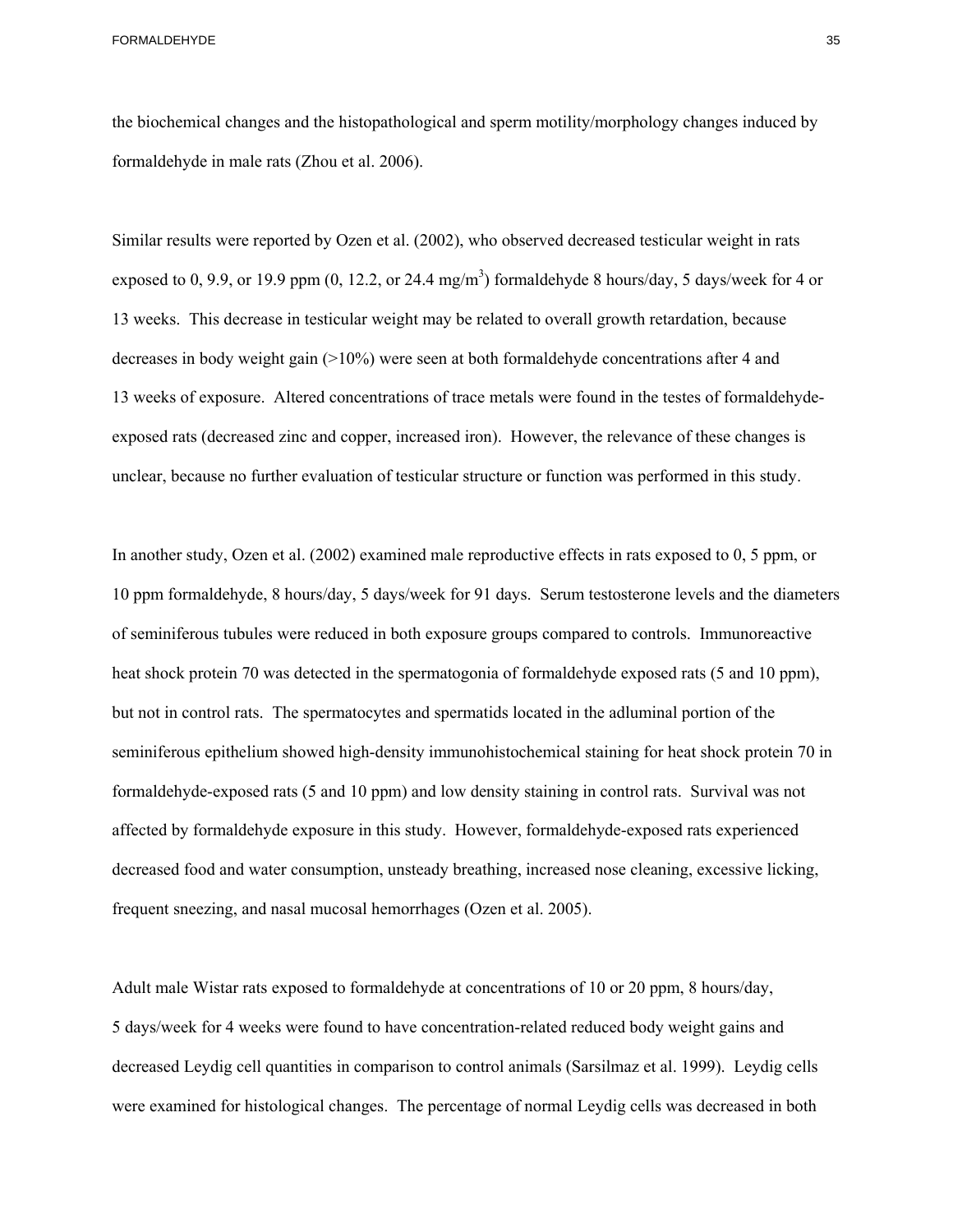the biochemical changes and the histopathological and sperm motility/morphology changes induced by formaldehyde in male rats (Zhou et al. 2006).

Similar results were reported by Ozen et al. (2002), who observed decreased testicular weight in rats exposed to 0, 9.9, or 19.9 ppm  $(0, 12.2, \text{ or } 24.4 \text{ mg/m}^3)$  formaldehyde 8 hours/day, 5 days/week for 4 or 13 weeks. This decrease in testicular weight may be related to overall growth retardation, because decreases in body weight gain (>10%) were seen at both formaldehyde concentrations after 4 and 13 weeks of exposure. Altered concentrations of trace metals were found in the testes of formaldehydeexposed rats (decreased zinc and copper, increased iron). However, the relevance of these changes is unclear, because no further evaluation of testicular structure or function was performed in this study.

In another study, Ozen et al. (2002) examined male reproductive effects in rats exposed to 0, 5 ppm, or 10 ppm formaldehyde, 8 hours/day, 5 days/week for 91 days. Serum testosterone levels and the diameters of seminiferous tubules were reduced in both exposure groups compared to controls. Immunoreactive heat shock protein 70 was detected in the spermatogonia of formaldehyde exposed rats (5 and 10 ppm), but not in control rats. The spermatocytes and spermatids located in the adluminal portion of the seminiferous epithelium showed high-density immunohistochemical staining for heat shock protein 70 in formaldehyde-exposed rats (5 and 10 ppm) and low density staining in control rats. Survival was not affected by formaldehyde exposure in this study. However, formaldehyde-exposed rats experienced decreased food and water consumption, unsteady breathing, increased nose cleaning, excessive licking, frequent sneezing, and nasal mucosal hemorrhages (Ozen et al. 2005).

Adult male Wistar rats exposed to formaldehyde at concentrations of 10 or 20 ppm, 8 hours/day, 5 days/week for 4 weeks were found to have concentration-related reduced body weight gains and decreased Leydig cell quantities in comparison to control animals (Sarsilmaz et al. 1999). Leydig cells were examined for histological changes. The percentage of normal Leydig cells was decreased in both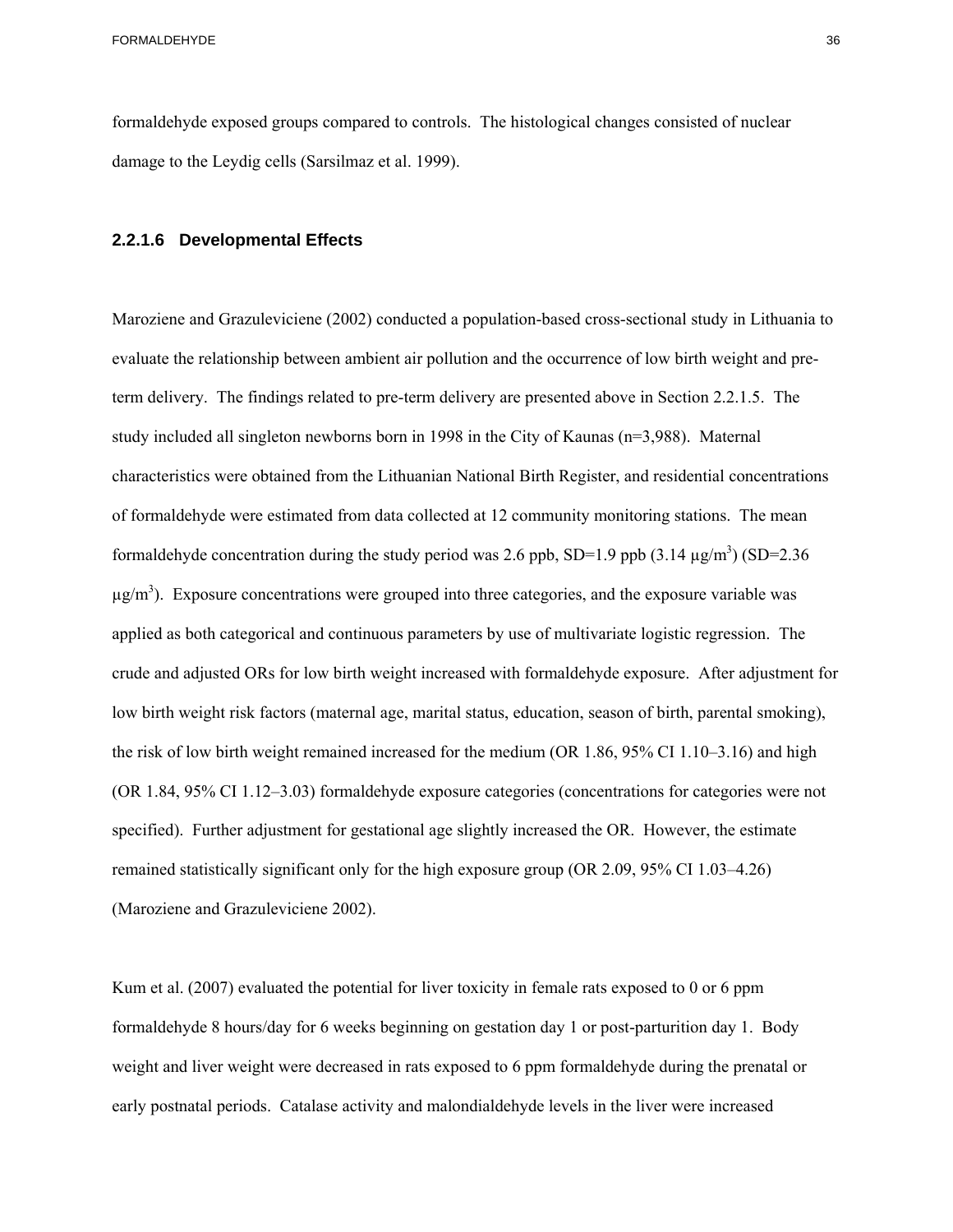formaldehyde exposed groups compared to controls. The histological changes consisted of nuclear damage to the Leydig cells (Sarsilmaz et al. 1999).

#### **2.2.1.6 Developmental Effects**

Maroziene and Grazuleviciene (2002) conducted a population-based cross-sectional study in Lithuania to evaluate the relationship between ambient air pollution and the occurrence of low birth weight and preterm delivery. The findings related to pre-term delivery are presented above in Section 2.2.1.5. The study included all singleton newborns born in 1998 in the City of Kaunas (n=3,988). Maternal characteristics were obtained from the Lithuanian National Birth Register, and residential concentrations of formaldehyde were estimated from data collected at 12 community monitoring stations. The mean formaldehyde concentration during the study period was 2.6 ppb, SD=1.9 ppb  $(3.14 \text{ µg/m}^3)(SD=2.36$  $\mu$ g/m<sup>3</sup>). Exposure concentrations were grouped into three categories, and the exposure variable was applied as both categorical and continuous parameters by use of multivariate logistic regression. The crude and adjusted ORs for low birth weight increased with formaldehyde exposure. After adjustment for low birth weight risk factors (maternal age, marital status, education, season of birth, parental smoking), the risk of low birth weight remained increased for the medium (OR 1.86, 95% CI 1.10–3.16) and high (OR 1.84, 95% CI 1.12–3.03) formaldehyde exposure categories (concentrations for categories were not specified). Further adjustment for gestational age slightly increased the OR. However, the estimate remained statistically significant only for the high exposure group (OR 2.09, 95% CI 1.03–4.26) (Maroziene and Grazuleviciene 2002).

Kum et al. (2007) evaluated the potential for liver toxicity in female rats exposed to 0 or 6 ppm formaldehyde 8 hours/day for 6 weeks beginning on gestation day 1 or post-parturition day 1. Body weight and liver weight were decreased in rats exposed to 6 ppm formaldehyde during the prenatal or early postnatal periods. Catalase activity and malondialdehyde levels in the liver were increased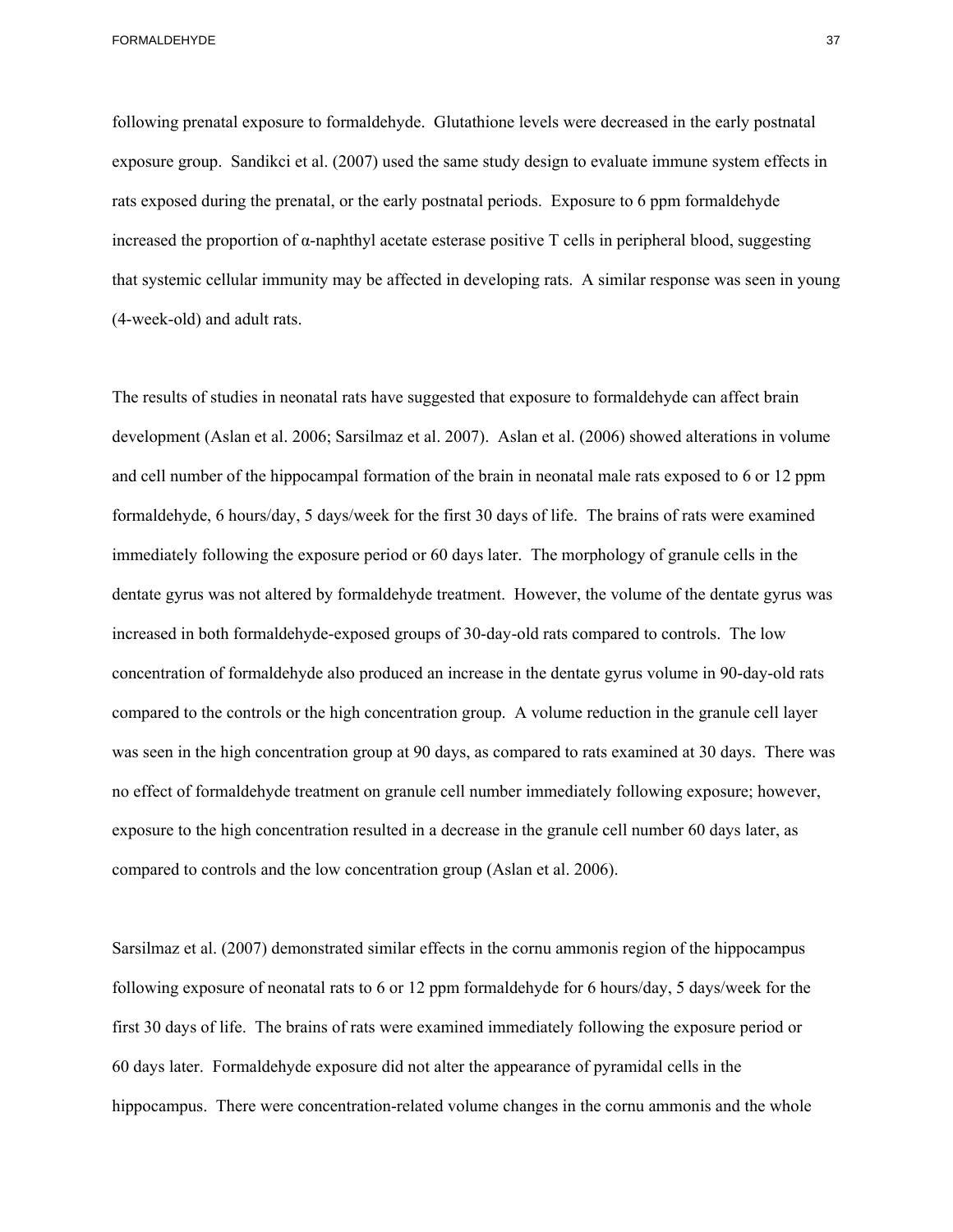following prenatal exposure to formaldehyde. Glutathione levels were decreased in the early postnatal exposure group. Sandikci et al. (2007) used the same study design to evaluate immune system effects in rats exposed during the prenatal, or the early postnatal periods. Exposure to 6 ppm formaldehyde increased the proportion of α-naphthyl acetate esterase positive T cells in peripheral blood, suggesting that systemic cellular immunity may be affected in developing rats. A similar response was seen in young (4-week-old) and adult rats.

 and cell number of the hippocampal formation of the brain in neonatal male rats exposed to 6 or 12 ppm The results of studies in neonatal rats have suggested that exposure to formaldehyde can affect brain development (Aslan et al. 2006; Sarsilmaz et al. 2007). Aslan et al. (2006) showed alterations in volume formaldehyde, 6 hours/day, 5 days/week for the first 30 days of life. The brains of rats were examined immediately following the exposure period or 60 days later. The morphology of granule cells in the dentate gyrus was not altered by formaldehyde treatment. However, the volume of the dentate gyrus was increased in both formaldehyde-exposed groups of 30-day-old rats compared to controls. The low concentration of formaldehyde also produced an increase in the dentate gyrus volume in 90-day-old rats compared to the controls or the high concentration group. A volume reduction in the granule cell layer was seen in the high concentration group at 90 days, as compared to rats examined at 30 days. There was no effect of formaldehyde treatment on granule cell number immediately following exposure; however, exposure to the high concentration resulted in a decrease in the granule cell number 60 days later, as compared to controls and the low concentration group (Aslan et al. 2006).

Sarsilmaz et al. (2007) demonstrated similar effects in the cornu ammonis region of the hippocampus following exposure of neonatal rats to 6 or 12 ppm formaldehyde for 6 hours/day, 5 days/week for the first 30 days of life. The brains of rats were examined immediately following the exposure period or 60 days later. Formaldehyde exposure did not alter the appearance of pyramidal cells in the hippocampus. There were concentration-related volume changes in the cornu ammonis and the whole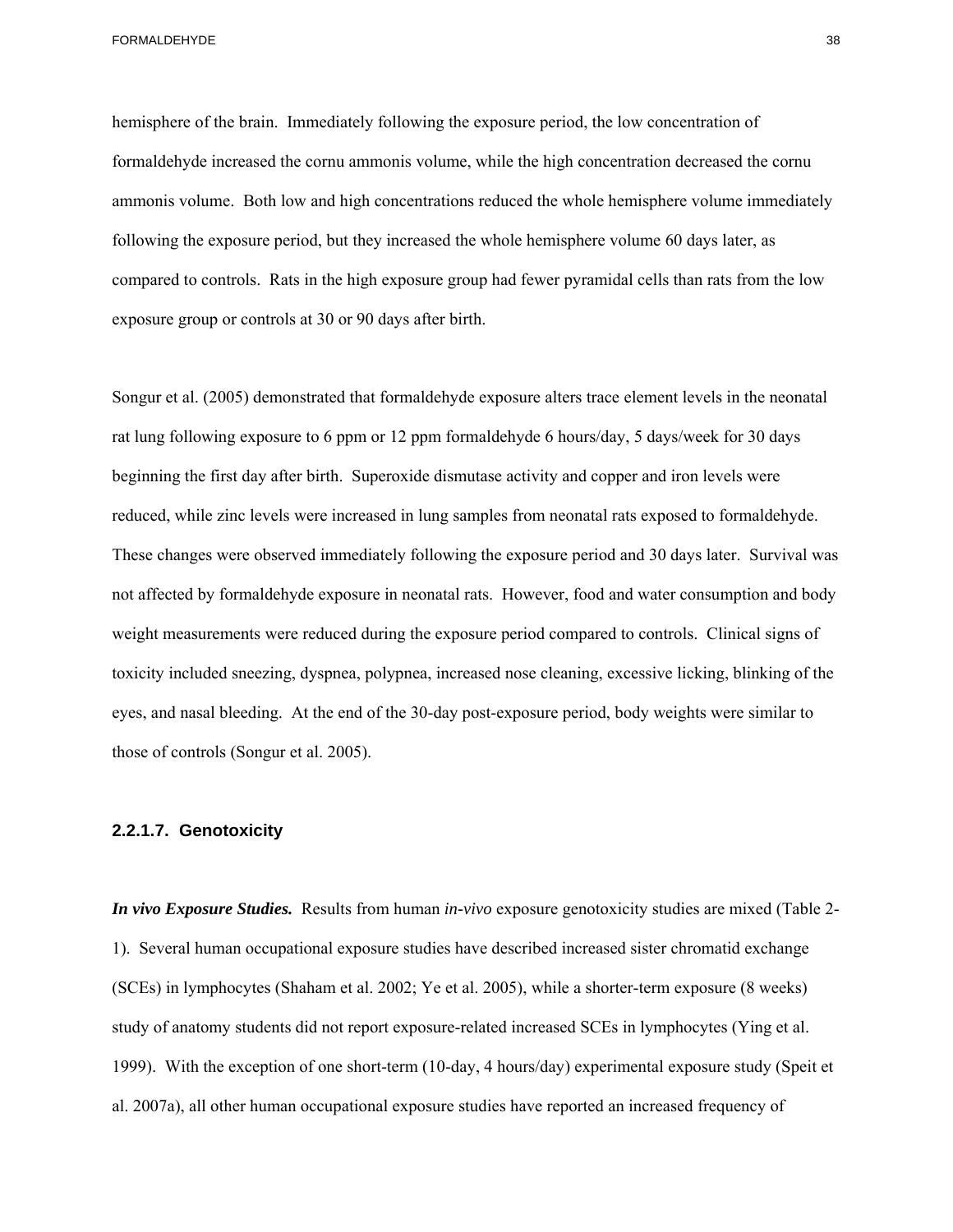hemisphere of the brain. Immediately following the exposure period, the low concentration of formaldehyde increased the cornu ammonis volume, while the high concentration decreased the cornu ammonis volume. Both low and high concentrations reduced the whole hemisphere volume immediately following the exposure period, but they increased the whole hemisphere volume 60 days later, as compared to controls. Rats in the high exposure group had fewer pyramidal cells than rats from the low exposure group or controls at 30 or 90 days after birth.

Songur et al. (2005) demonstrated that formaldehyde exposure alters trace element levels in the neonatal rat lung following exposure to 6 ppm or 12 ppm formaldehyde 6 hours/day, 5 days/week for 30 days beginning the first day after birth. Superoxide dismutase activity and copper and iron levels were reduced, while zinc levels were increased in lung samples from neonatal rats exposed to formaldehyde. These changes were observed immediately following the exposure period and 30 days later. Survival was not affected by formaldehyde exposure in neonatal rats. However, food and water consumption and body weight measurements were reduced during the exposure period compared to controls. Clinical signs of toxicity included sneezing, dyspnea, polypnea, increased nose cleaning, excessive licking, blinking of the eyes, and nasal bleeding. At the end of the 30-day post-exposure period, body weights were similar to those of controls (Songur et al. 2005).

### **2.2.1.7. Genotoxicity**

*In vivo Exposure Studies.* Results from human *in-vivo* exposure genotoxicity studies are mixed (Table 2 1). Several human occupational exposure studies have described increased sister chromatid exchange (SCEs) in lymphocytes (Shaham et al. 2002; Ye et al. 2005), while a shorter-term exposure (8 weeks) study of anatomy students did not report exposure-related increased SCEs in lymphocytes (Ying et al. 1999). With the exception of one short-term (10-day, 4 hours/day) experimental exposure study (Speit et al. 2007a), all other human occupational exposure studies have reported an increased frequency of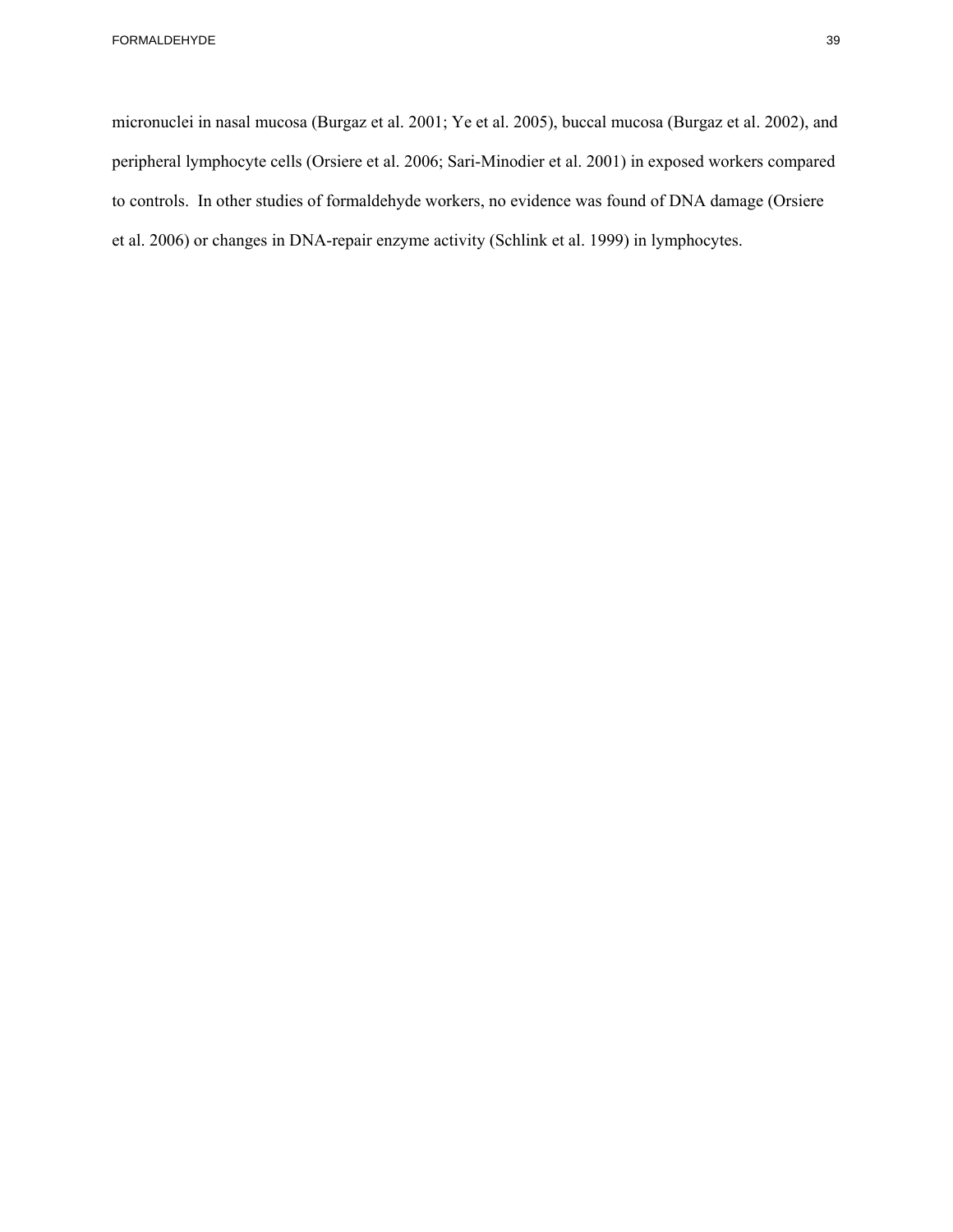micronuclei in nasal mucosa (Burgaz et al. 2001; Ye et al. 2005), buccal mucosa (Burgaz et al. 2002), and peripheral lymphocyte cells (Orsiere et al. 2006; Sari-Minodier et al. 2001) in exposed workers compared to controls. In other studies of formaldehyde workers, no evidence was found of DNA damage (Orsiere et al. 2006) or changes in DNA-repair enzyme activity (Schlink et al. 1999) in lymphocytes.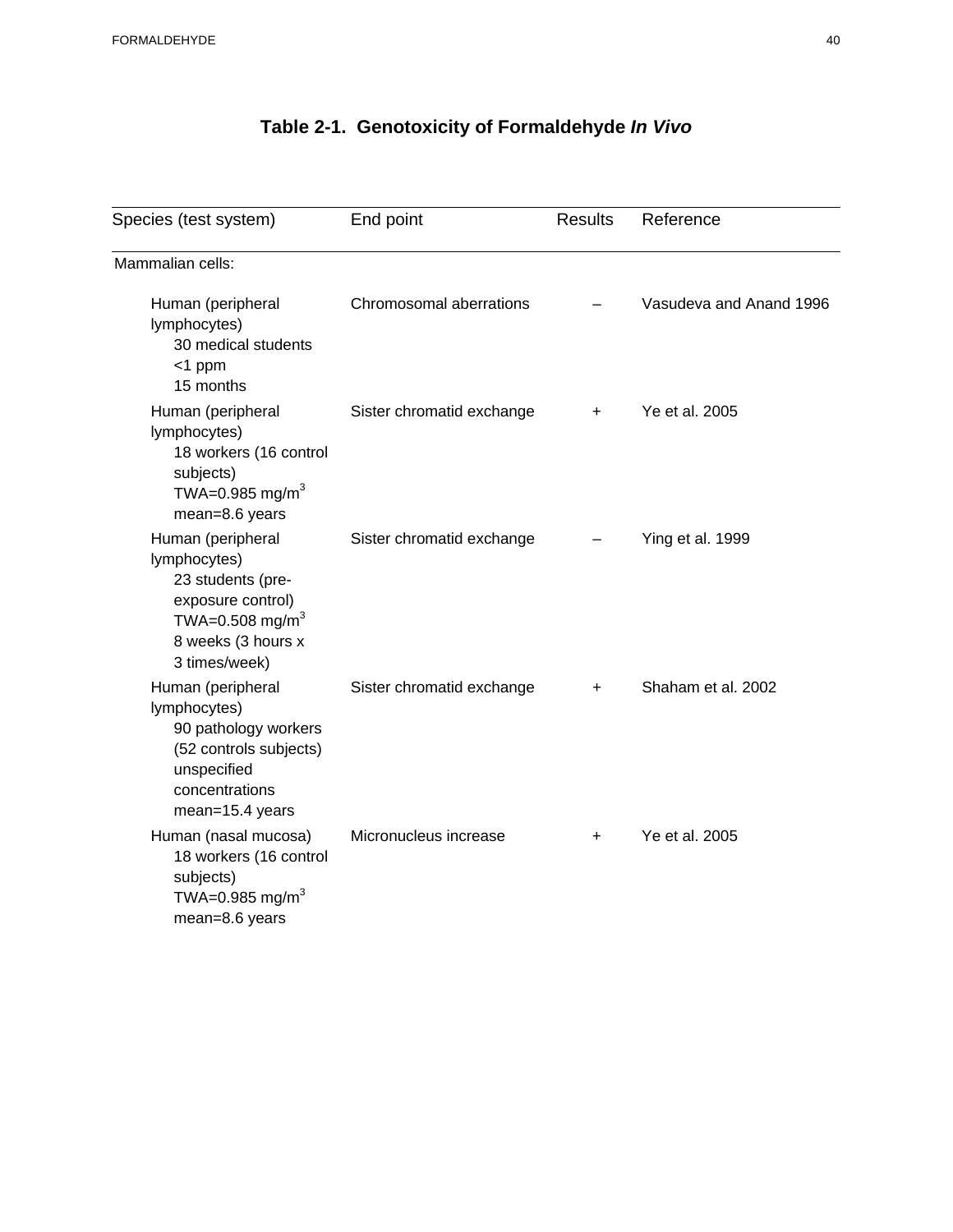# **Table 2-1. Genotoxicity of Formaldehyde** *In Vivo*

| Species (test system)                                                                                                                             | End point<br><b>Results</b> |           | Reference               |  |
|---------------------------------------------------------------------------------------------------------------------------------------------------|-----------------------------|-----------|-------------------------|--|
| Mammalian cells:                                                                                                                                  |                             |           |                         |  |
| Human (peripheral<br>lymphocytes)<br>30 medical students<br>$<$ 1 ppm<br>15 months                                                                | Chromosomal aberrations     |           | Vasudeva and Anand 1996 |  |
| Human (peripheral<br>lymphocytes)<br>18 workers (16 control<br>subjects)<br>TWA=0.985 mg/m <sup>3</sup><br>mean=8.6 years                         | Sister chromatid exchange   | $\ddot{}$ | Ye et al. 2005          |  |
| Human (peripheral<br>lymphocytes)<br>23 students (pre-<br>exposure control)<br>TWA=0.508 mg/m <sup>3</sup><br>8 weeks (3 hours x<br>3 times/week) | Sister chromatid exchange   |           | Ying et al. 1999        |  |
| Human (peripheral<br>lymphocytes)<br>90 pathology workers<br>(52 controls subjects)<br>unspecified<br>concentrations<br>mean=15.4 years           | Sister chromatid exchange   | $\ddot{}$ | Shaham et al. 2002      |  |
| Human (nasal mucosa)<br>18 workers (16 control<br>subjects)<br>TWA=0.985 mg/m <sup>3</sup><br>mean=8.6 years                                      | Micronucleus increase       | $\ddot{}$ | Ye et al. 2005          |  |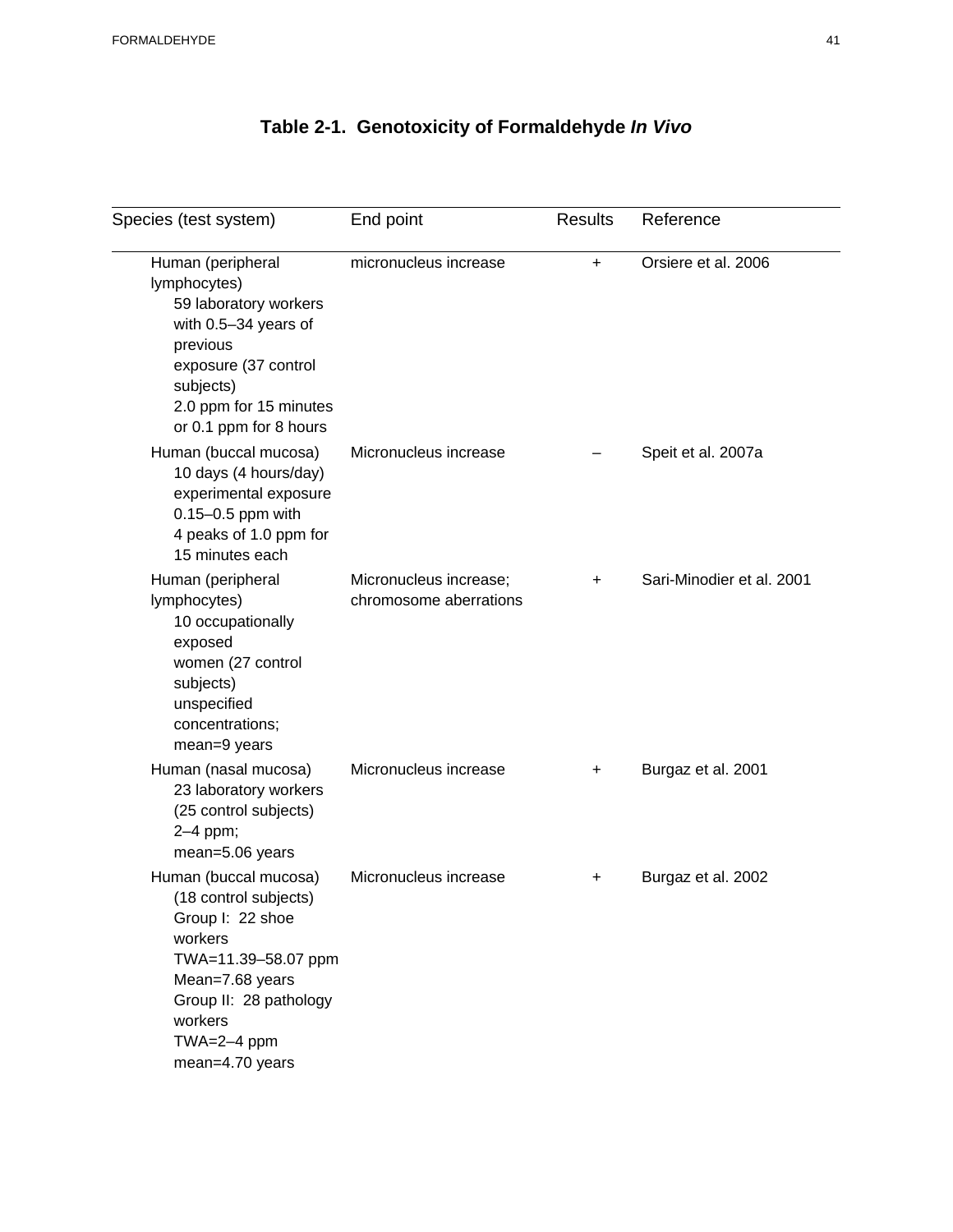# **Table 2-1. Genotoxicity of Formaldehyde** *In Vivo*

| Species (test system)                                                                                                                                                                              | End point                                        | <b>Results</b> | Reference                 |  |
|----------------------------------------------------------------------------------------------------------------------------------------------------------------------------------------------------|--------------------------------------------------|----------------|---------------------------|--|
| Human (peripheral<br>lymphocytes)<br>59 laboratory workers<br>with 0.5-34 years of<br>previous<br>exposure (37 control<br>subjects)<br>2.0 ppm for 15 minutes<br>or 0.1 ppm for 8 hours            | micronucleus increase                            | $\ddot{}$      | Orsiere et al. 2006       |  |
| Human (buccal mucosa)<br>10 days (4 hours/day)<br>experimental exposure<br>0.15-0.5 ppm with<br>4 peaks of 1.0 ppm for<br>15 minutes each                                                          | Micronucleus increase                            |                | Speit et al. 2007a        |  |
| Human (peripheral<br>lymphocytes)<br>10 occupationally<br>exposed<br>women (27 control<br>subjects)<br>unspecified<br>concentrations;<br>mean=9 years                                              | Micronucleus increase;<br>chromosome aberrations | +              | Sari-Minodier et al. 2001 |  |
| Human (nasal mucosa)<br>23 laboratory workers<br>(25 control subjects)<br>2-4 ppm;<br>mean=5.06 years                                                                                              | Micronucleus increase                            | +              | Burgaz et al. 2001        |  |
| Human (buccal mucosa)<br>(18 control subjects)<br>Group I: 22 shoe<br>workers<br>TWA=11.39-58.07 ppm<br>Mean=7.68 years<br>Group II: 28 pathology<br>workers<br>$TWA = 2-4$ ppm<br>mean=4.70 years | Micronucleus increase                            | +              | Burgaz et al. 2002        |  |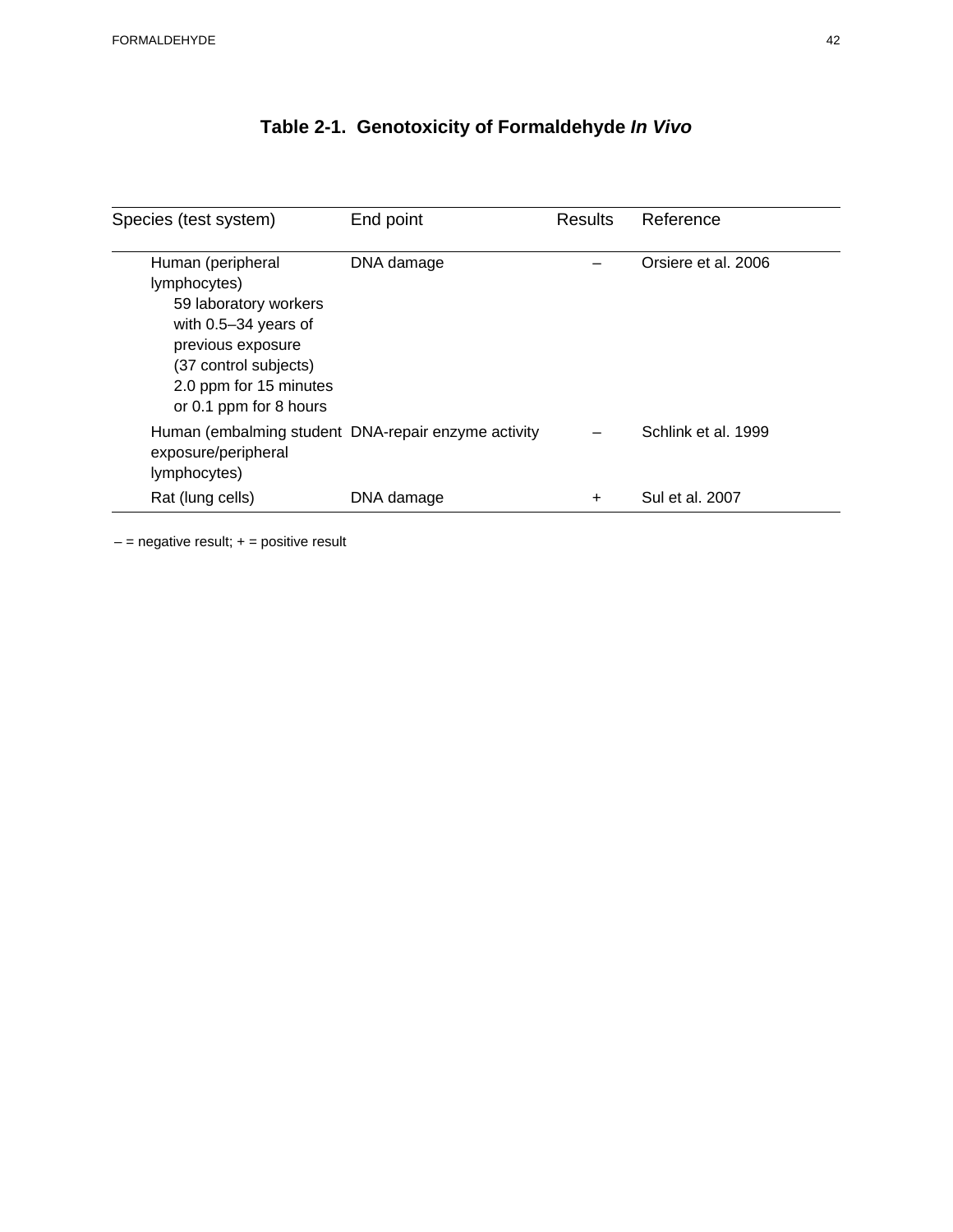| Species (test system)                                                                                                                                                                    | End point                                           | <b>Results</b> | Reference           |
|------------------------------------------------------------------------------------------------------------------------------------------------------------------------------------------|-----------------------------------------------------|----------------|---------------------|
| Human (peripheral<br>lymphocytes)<br>59 laboratory workers<br>with $0.5 - 34$ years of<br>previous exposure<br>(37 control subjects)<br>2.0 ppm for 15 minutes<br>or 0.1 ppm for 8 hours | DNA damage                                          |                | Orsiere et al. 2006 |
| exposure/peripheral<br>lymphocytes)                                                                                                                                                      | Human (embalming student DNA-repair enzyme activity |                | Schlink et al. 1999 |
| Rat (lung cells)                                                                                                                                                                         | DNA damage                                          | +              | Sul et al. 2007     |

# **Table 2-1. Genotoxicity of Formaldehyde** *In Vivo*

 $-$  = negative result;  $+$  = positive result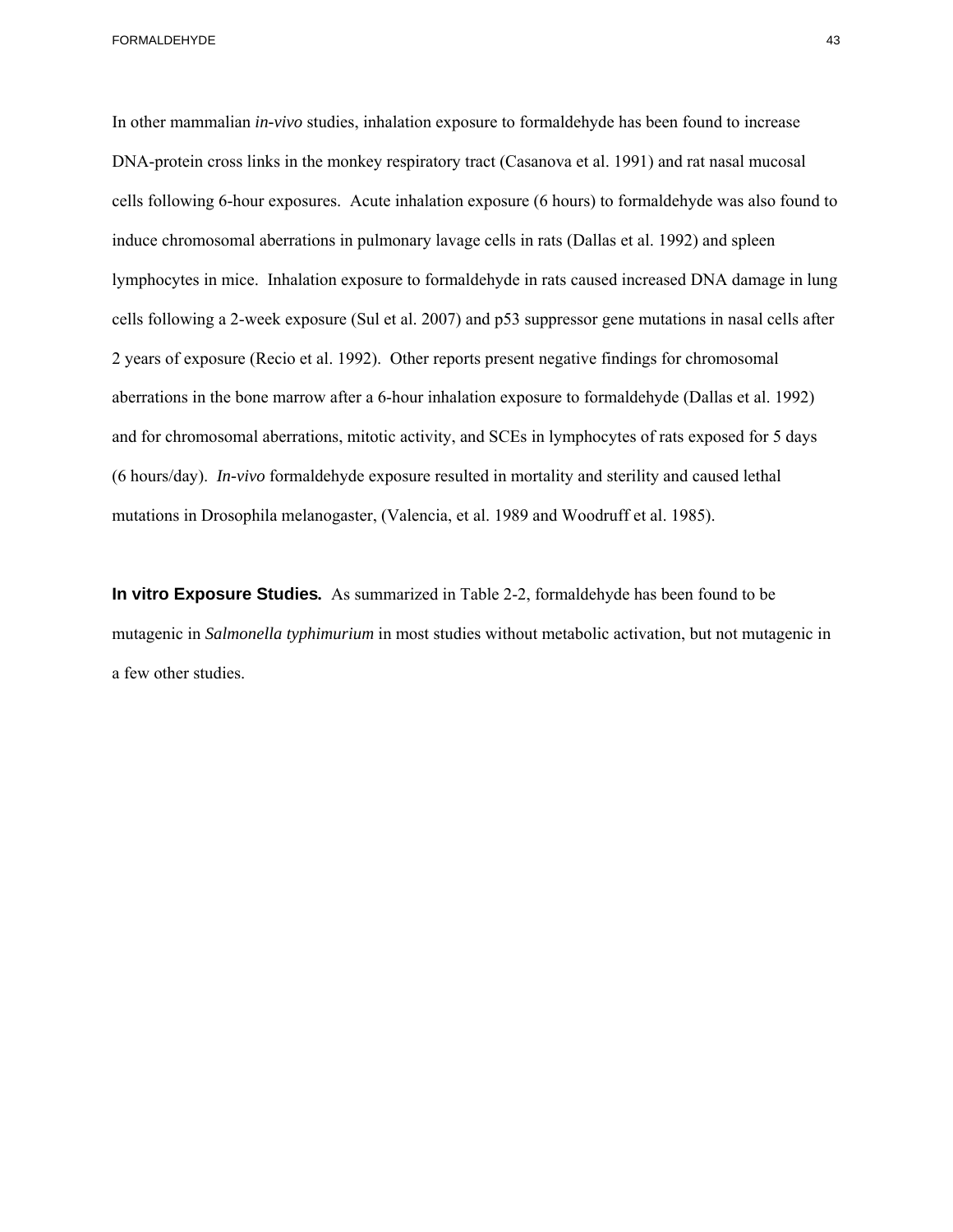FORMALDEHYDE ASSOCIATED AND THE SERVICE OF THE SERVICE OF THE SERVICE OF THE SERVICE OF THE SERVICE OF THE SERVICE OF THE SERVICE OF THE SERVICE OF THE SERVICE OF THE SERVICE OF THE SERVICE OF THE SERVICE OF THE SERVICE OF

In other mammalian *in-vivo* studies, inhalation exposure to formaldehyde has been found to increase DNA-protein cross links in the monkey respiratory tract (Casanova et al. 1991) and rat nasal mucosal cells following 6-hour exposures. Acute inhalation exposure (6 hours) to formaldehyde was also found to induce chromosomal aberrations in pulmonary lavage cells in rats (Dallas et al. 1992) and spleen lymphocytes in mice. Inhalation exposure to formaldehyde in rats caused increased DNA damage in lung cells following a 2-week exposure (Sul et al. 2007) and p53 suppressor gene mutations in nasal cells after 2 years of exposure (Recio et al. 1992). Other reports present negative findings for chromosomal aberrations in the bone marrow after a 6-hour inhalation exposure to formaldehyde (Dallas et al. 1992) and for chromosomal aberrations, mitotic activity, and SCEs in lymphocytes of rats exposed for 5 days (6 hours/day). *In-vivo* formaldehyde exposure resulted in mortality and sterility and caused lethal mutations in Drosophila melanogaster, (Valencia, et al. 1989 and Woodruff et al. 1985).

**In vitro Exposure Studies***.* As summarized in Table 2-2, formaldehyde has been found to be mutagenic in *Salmonella typhimurium* in most studies without metabolic activation, but not mutagenic in a few other studies.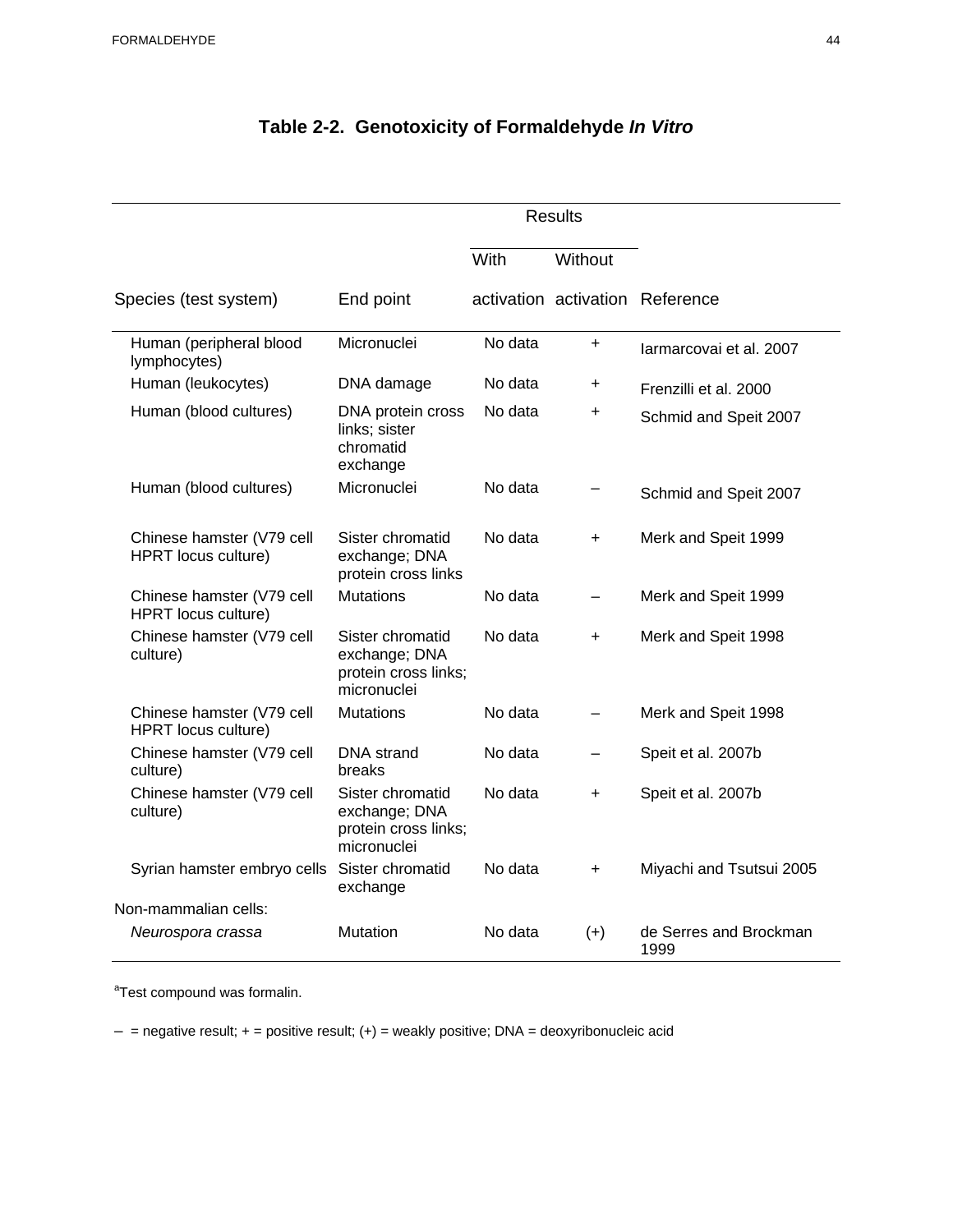|                                                  |                                                                          | <b>Results</b> |                          |                                 |
|--------------------------------------------------|--------------------------------------------------------------------------|----------------|--------------------------|---------------------------------|
|                                                  |                                                                          | With           | Without                  |                                 |
| Species (test system)                            | End point                                                                |                |                          | activation activation Reference |
| Human (peripheral blood<br>lymphocytes)          | Micronuclei                                                              | No data        | $\ddot{}$                | larmarcovai et al. 2007         |
| Human (leukocytes)                               | DNA damage                                                               | No data        | +                        | Frenzilli et al. 2000           |
| Human (blood cultures)                           | DNA protein cross<br>links; sister<br>chromatid<br>exchange              | No data        | +                        | Schmid and Speit 2007           |
| Human (blood cultures)                           | Micronuclei                                                              | No data        |                          | Schmid and Speit 2007           |
| Chinese hamster (V79 cell<br>HPRT locus culture) | Sister chromatid<br>exchange; DNA<br>protein cross links                 | No data        | $+$                      | Merk and Speit 1999             |
| Chinese hamster (V79 cell<br>HPRT locus culture) | <b>Mutations</b>                                                         | No data        |                          | Merk and Speit 1999             |
| Chinese hamster (V79 cell<br>culture)            | Sister chromatid<br>exchange; DNA<br>protein cross links;<br>micronuclei | No data        | $\ddot{}$                | Merk and Speit 1998             |
| Chinese hamster (V79 cell<br>HPRT locus culture) | <b>Mutations</b>                                                         | No data        | -                        | Merk and Speit 1998             |
| Chinese hamster (V79 cell<br>culture)            | <b>DNA</b> strand<br>breaks                                              | No data        | $\overline{\phantom{0}}$ | Speit et al. 2007b              |
| Chinese hamster (V79 cell<br>culture)            | Sister chromatid<br>exchange; DNA<br>protein cross links;<br>micronuclei | No data        | $\ddot{}$                | Speit et al. 2007b              |
| Syrian hamster embryo cells                      | Sister chromatid<br>exchange                                             | No data        | $\ddot{}$                | Miyachi and Tsutsui 2005        |
| Non-mammalian cells:                             |                                                                          |                |                          |                                 |
| Neurospora crassa                                | <b>Mutation</b>                                                          | No data        | $(+)$                    | de Serres and Brockman<br>1999  |

# **Table 2-2. Genotoxicity of Formaldehyde** *In Vitro*

<sup>a</sup>Test compound was formalin.

 $-$  = negative result;  $+$  = positive result;  $(+)$  = weakly positive; DNA = deoxyribonucleic acid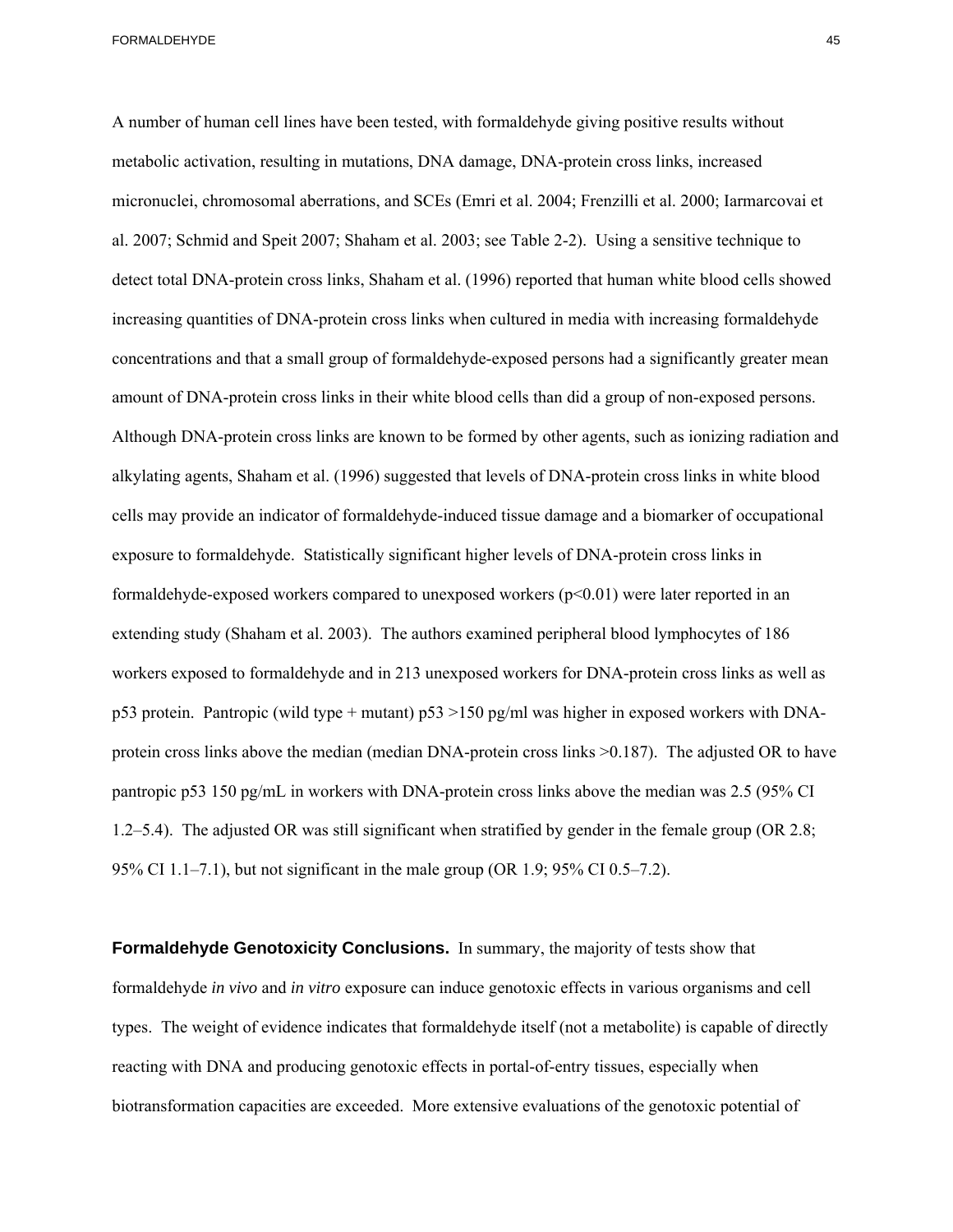A number of human cell lines have been tested, with formaldehyde giving positive results without metabolic activation, resulting in mutations, DNA damage, DNA-protein cross links, increased micronuclei, chromosomal aberrations, and SCEs (Emri et al. 2004; Frenzilli et al. 2000; Iarmarcovai et al. 2007; Schmid and Speit 2007; Shaham et al. 2003; see Table 2-2). Using a sensitive technique to detect total DNA-protein cross links, Shaham et al. (1996) reported that human white blood cells showed increasing quantities of DNA-protein cross links when cultured in media with increasing formaldehyde concentrations and that a small group of formaldehyde-exposed persons had a significantly greater mean amount of DNA-protein cross links in their white blood cells than did a group of non-exposed persons. Although DNA-protein cross links are known to be formed by other agents, such as ionizing radiation and alkylating agents, Shaham et al. (1996) suggested that levels of DNA-protein cross links in white blood cells may provide an indicator of formaldehyde-induced tissue damage and a biomarker of occupational exposure to formaldehyde. Statistically significant higher levels of DNA-protein cross links in formaldehyde-exposed workers compared to unexposed workers (p<0.01) were later reported in an extending study (Shaham et al. 2003). The authors examined peripheral blood lymphocytes of 186 workers exposed to formaldehyde and in 213 unexposed workers for DNA-protein cross links as well as p53 protein. Pantropic (wild type + mutant) p53 >150 pg/ml was higher in exposed workers with DNAprotein cross links above the median (median DNA-protein cross links >0.187). The adjusted OR to have pantropic p53 150 pg/mL in workers with DNA-protein cross links above the median was 2.5 (95% CI 1.2–5.4). The adjusted OR was still significant when stratified by gender in the female group (OR 2.8; 95% CI 1.1–7.1), but not significant in the male group (OR 1.9; 95% CI 0.5–7.2).

**Formaldehyde Genotoxicity Conclusions.** In summary, the majority of tests show that formaldehyde *in vivo* and *in vitro* exposure can induce genotoxic effects in various organisms and cell types. The weight of evidence indicates that formaldehyde itself (not a metabolite) is capable of directly reacting with DNA and producing genotoxic effects in portal-of-entry tissues, especially when biotransformation capacities are exceeded. More extensive evaluations of the genotoxic potential of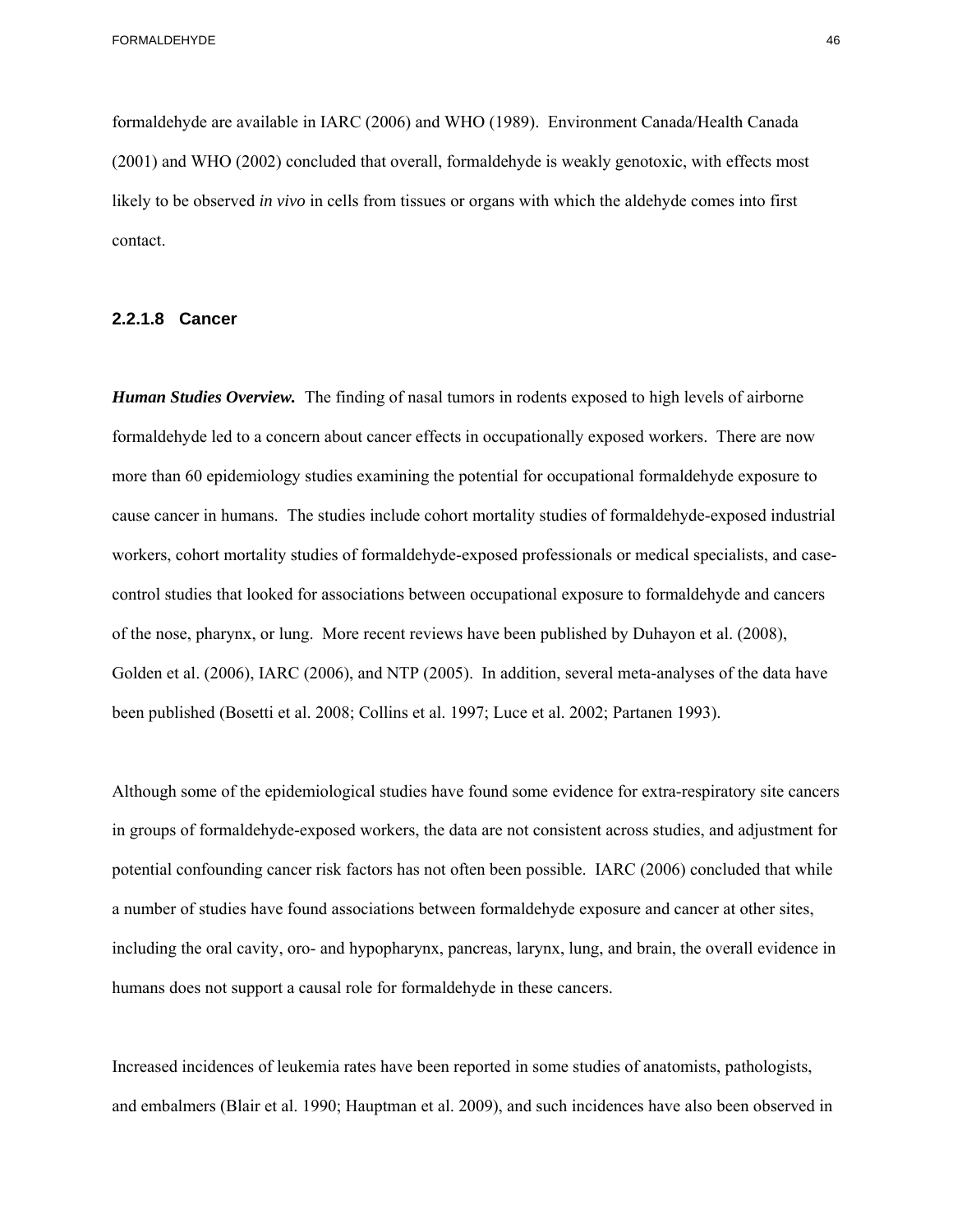formaldehyde are available in IARC (2006) and WHO (1989). Environment Canada/Health Canada (2001) and WHO (2002) concluded that overall, formaldehyde is weakly genotoxic, with effects most likely to be observed *in vivo* in cells from tissues or organs with which the aldehyde comes into first contact.

#### **2.2.1.8 Cancer**

*Human Studies Overview.* The finding of nasal tumors in rodents exposed to high levels of airborne formaldehyde led to a concern about cancer effects in occupationally exposed workers. There are now more than 60 epidemiology studies examining the potential for occupational formaldehyde exposure to cause cancer in humans. The studies include cohort mortality studies of formaldehyde-exposed industrial workers, cohort mortality studies of formaldehyde-exposed professionals or medical specialists, and casecontrol studies that looked for associations between occupational exposure to formaldehyde and cancers of the nose, pharynx, or lung. More recent reviews have been published by Duhayon et al. (2008), Golden et al. (2006), IARC (2006), and NTP (2005). In addition, several meta-analyses of the data have been published (Bosetti et al. 2008; Collins et al. 1997; Luce et al. 2002; Partanen 1993).

Although some of the epidemiological studies have found some evidence for extra-respiratory site cancers in groups of formaldehyde-exposed workers, the data are not consistent across studies, and adjustment for potential confounding cancer risk factors has not often been possible. IARC (2006) concluded that while a number of studies have found associations between formaldehyde exposure and cancer at other sites, including the oral cavity, oro- and hypopharynx, pancreas, larynx, lung, and brain, the overall evidence in humans does not support a causal role for formaldehyde in these cancers.

Increased incidences of leukemia rates have been reported in some studies of anatomists, pathologists, and embalmers (Blair et al. 1990; Hauptman et al. 2009), and such incidences have also been observed in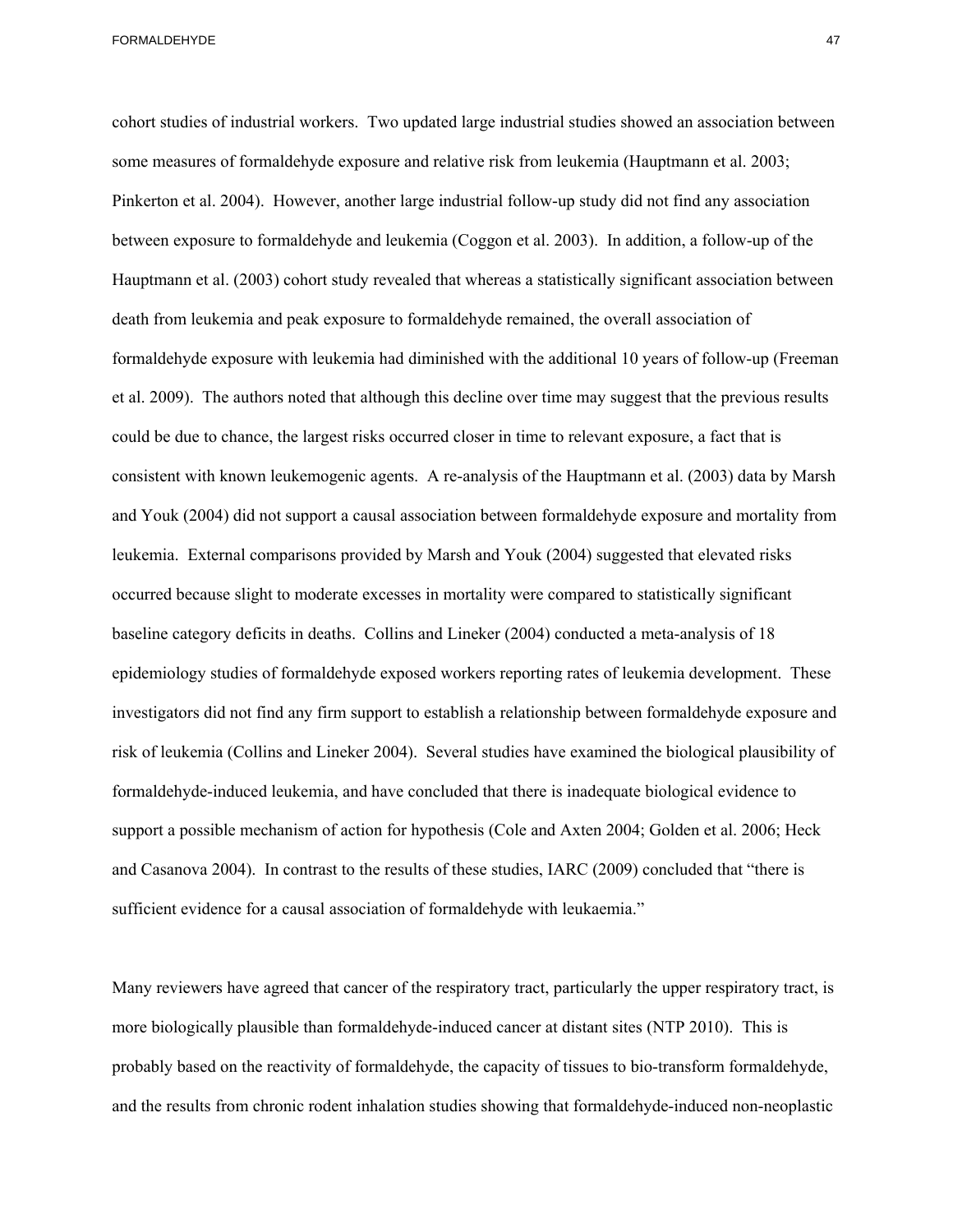et al. 2009). The authors noted that although this decline over time may suggest that the previous results cohort studies of industrial workers. Two updated large industrial studies showed an association between some measures of formaldehyde exposure and relative risk from leukemia (Hauptmann et al. 2003; Pinkerton et al. 2004). However, another large industrial follow-up study did not find any association between exposure to formaldehyde and leukemia (Coggon et al. 2003). In addition, a follow-up of the Hauptmann et al. (2003) cohort study revealed that whereas a statistically significant association between death from leukemia and peak exposure to formaldehyde remained, the overall association of formaldehyde exposure with leukemia had diminished with the additional 10 years of follow-up (Freeman could be due to chance, the largest risks occurred closer in time to relevant exposure, a fact that is consistent with known leukemogenic agents. A re-analysis of the Hauptmann et al. (2003) data by Marsh and Youk (2004) did not support a causal association between formaldehyde exposure and mortality from leukemia. External comparisons provided by Marsh and Youk (2004) suggested that elevated risks occurred because slight to moderate excesses in mortality were compared to statistically significant baseline category deficits in deaths. Collins and Lineker (2004) conducted a meta-analysis of 18 epidemiology studies of formaldehyde exposed workers reporting rates of leukemia development. These investigators did not find any firm support to establish a relationship between formaldehyde exposure and risk of leukemia (Collins and Lineker 2004). Several studies have examined the biological plausibility of formaldehyde-induced leukemia, and have concluded that there is inadequate biological evidence to support a possible mechanism of action for hypothesis (Cole and Axten 2004; Golden et al. 2006; Heck and Casanova 2004). In contrast to the results of these studies, IARC (2009) concluded that "there is sufficient evidence for a causal association of formaldehyde with leukaemia."

Many reviewers have agreed that cancer of the respiratory tract, particularly the upper respiratory tract, is more biologically plausible than formaldehyde-induced cancer at distant sites (NTP 2010). This is probably based on the reactivity of formaldehyde, the capacity of tissues to bio-transform formaldehyde, and the results from chronic rodent inhalation studies showing that formaldehyde-induced non-neoplastic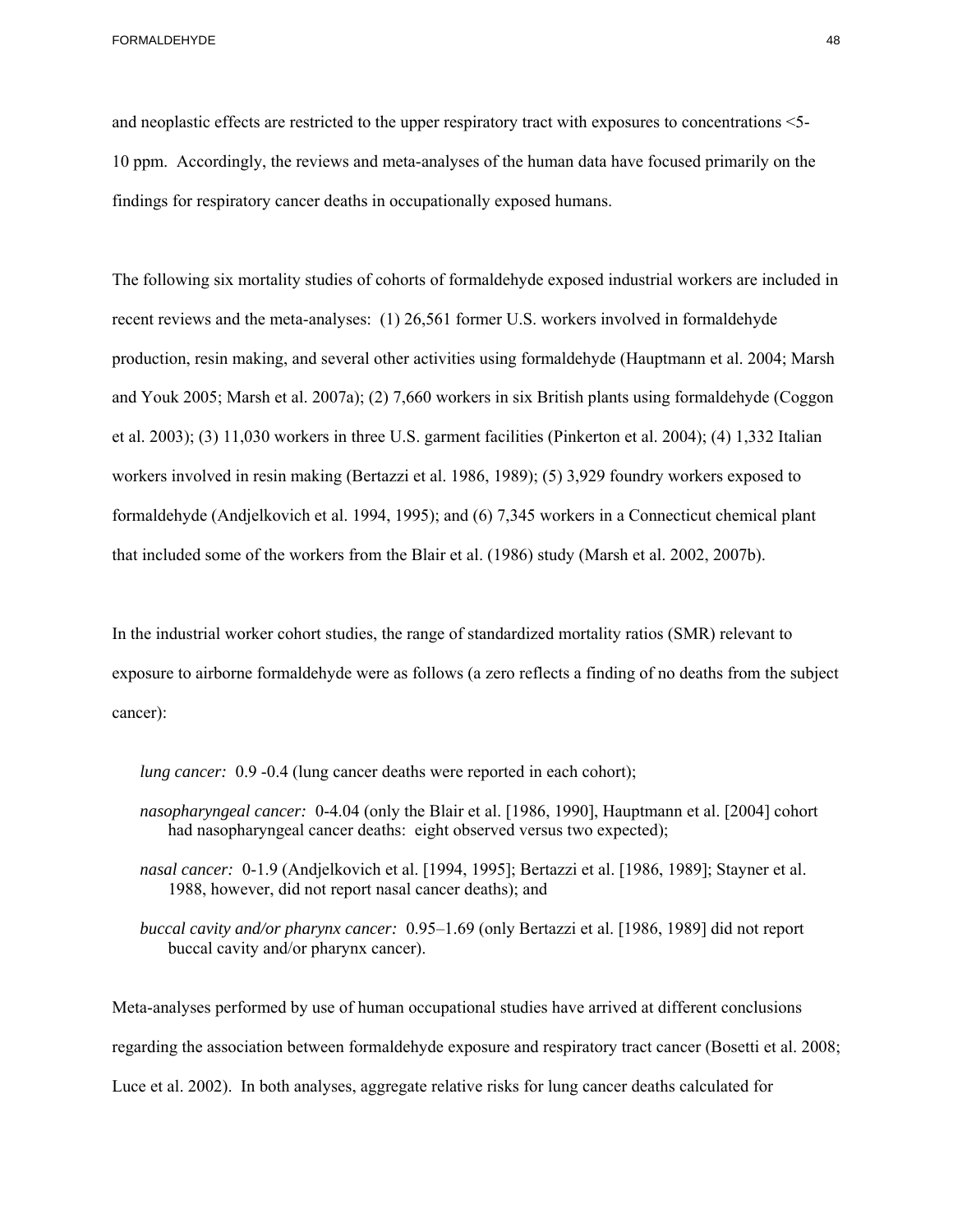and neoplastic effects are restricted to the upper respiratory tract with exposures to concentrations <5 10 ppm. Accordingly, the reviews and meta-analyses of the human data have focused primarily on the findings for respiratory cancer deaths in occupationally exposed humans.

The following six mortality studies of cohorts of formaldehyde exposed industrial workers are included in recent reviews and the meta-analyses: (1) 26,561 former U.S. workers involved in formaldehyde production, resin making, and several other activities using formaldehyde (Hauptmann et al. 2004; Marsh and Youk 2005; Marsh et al. 2007a); (2) 7,660 workers in six British plants using formaldehyde (Coggon et al. 2003); (3) 11,030 workers in three U.S. garment facilities (Pinkerton et al. 2004); (4) 1,332 Italian workers involved in resin making (Bertazzi et al. 1986, 1989); (5) 3,929 foundry workers exposed to formaldehyde (Andjelkovich et al. 1994, 1995); and (6) 7,345 workers in a Connecticut chemical plant that included some of the workers from the Blair et al. (1986) study (Marsh et al. 2002, 2007b).

In the industrial worker cohort studies, the range of standardized mortality ratios (SMR) relevant to exposure to airborne formaldehyde were as follows (a zero reflects a finding of no deaths from the subject cancer):

*lung cancer*: 0.9 -0.4 (lung cancer deaths were reported in each cohort);

- *nasopharyngeal cancer:* 0-4.04 (only the Blair et al. [1986, 1990], Hauptmann et al. [2004] cohort had nasopharyngeal cancer deaths: eight observed versus two expected);
- *nasal cancer:* 0-1.9 (Andjelkovich et al. [1994, 1995]; Bertazzi et al. [1986, 1989]; Stayner et al. 1988, however, did not report nasal cancer deaths); and
- *buccal cavity and/or pharynx cancer:* 0.95–1.69 (only Bertazzi et al. [1986, 1989] did not report buccal cavity and/or pharynx cancer).

Meta-analyses performed by use of human occupational studies have arrived at different conclusions regarding the association between formaldehyde exposure and respiratory tract cancer (Bosetti et al. 2008; Luce et al. 2002). In both analyses, aggregate relative risks for lung cancer deaths calculated for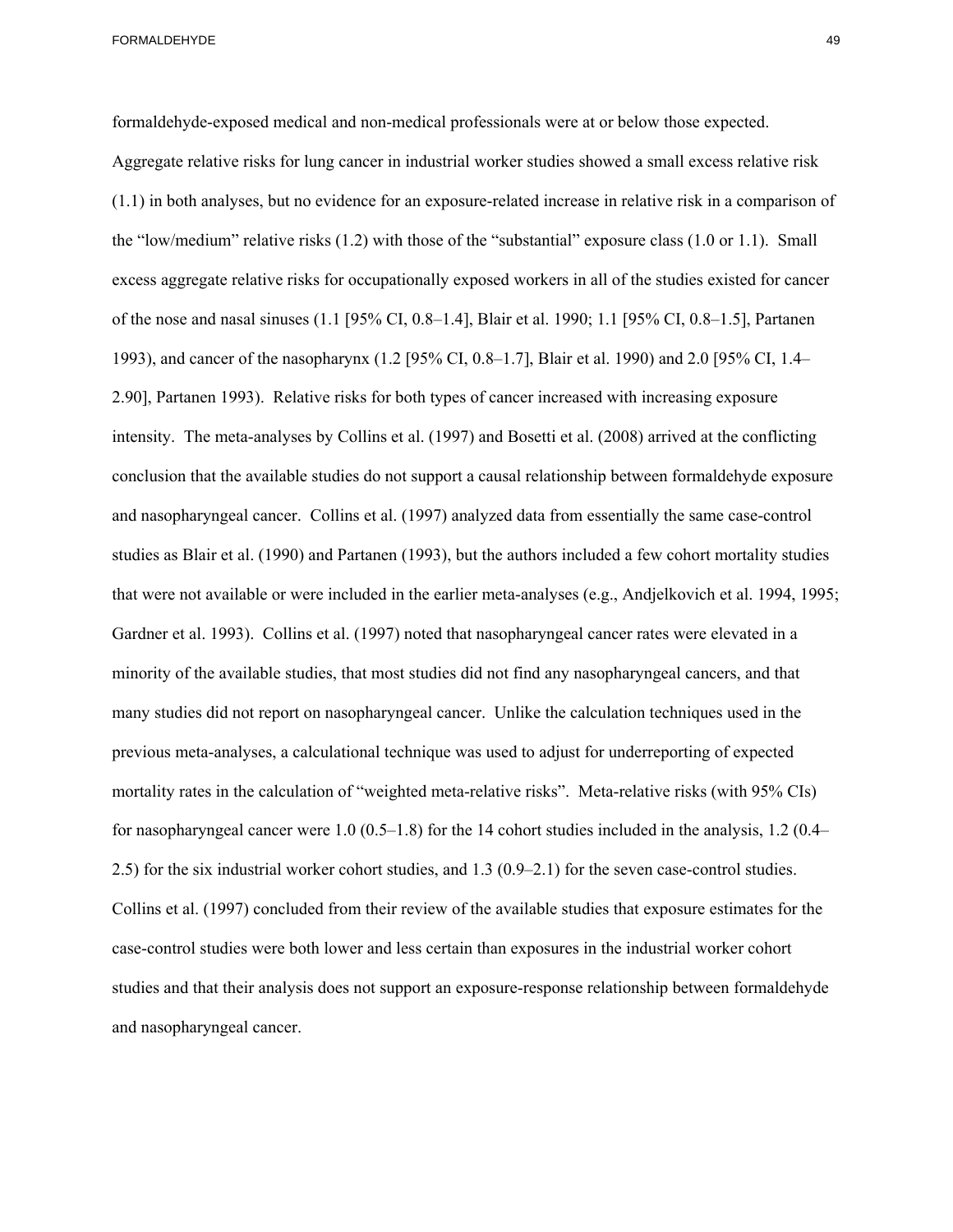and nasopharyngeal cancer. Collins et al. (1997) analyzed data from essentially the same case-control formaldehyde-exposed medical and non-medical professionals were at or below those expected. Aggregate relative risks for lung cancer in industrial worker studies showed a small excess relative risk (1.1) in both analyses, but no evidence for an exposure-related increase in relative risk in a comparison of the "low/medium" relative risks (1.2) with those of the "substantial" exposure class (1.0 or 1.1). Small excess aggregate relative risks for occupationally exposed workers in all of the studies existed for cancer of the nose and nasal sinuses (1.1 [95% CI, 0.8–1.4], Blair et al. 1990; 1.1 [95% CI, 0.8–1.5], Partanen 1993), and cancer of the nasopharynx (1.2 [95% CI, 0.8–1.7], Blair et al. 1990) and 2.0 [95% CI, 1.4– 2.90], Partanen 1993). Relative risks for both types of cancer increased with increasing exposure intensity. The meta-analyses by Collins et al. (1997) and Bosetti et al. (2008) arrived at the conflicting conclusion that the available studies do not support a causal relationship between formaldehyde exposure studies as Blair et al. (1990) and Partanen (1993), but the authors included a few cohort mortality studies that were not available or were included in the earlier meta-analyses (e.g., Andjelkovich et al. 1994, 1995; Gardner et al. 1993). Collins et al. (1997) noted that nasopharyngeal cancer rates were elevated in a minority of the available studies, that most studies did not find any nasopharyngeal cancers, and that many studies did not report on nasopharyngeal cancer. Unlike the calculation techniques used in the previous meta-analyses, a calculational technique was used to adjust for underreporting of expected mortality rates in the calculation of "weighted meta-relative risks". Meta-relative risks (with 95% CIs) for nasopharyngeal cancer were 1.0 (0.5–1.8) for the 14 cohort studies included in the analysis, 1.2 (0.4– 2.5) for the six industrial worker cohort studies, and 1.3 (0.9–2.1) for the seven case-control studies. Collins et al. (1997) concluded from their review of the available studies that exposure estimates for the case-control studies were both lower and less certain than exposures in the industrial worker cohort studies and that their analysis does not support an exposure-response relationship between formaldehyde and nasopharyngeal cancer.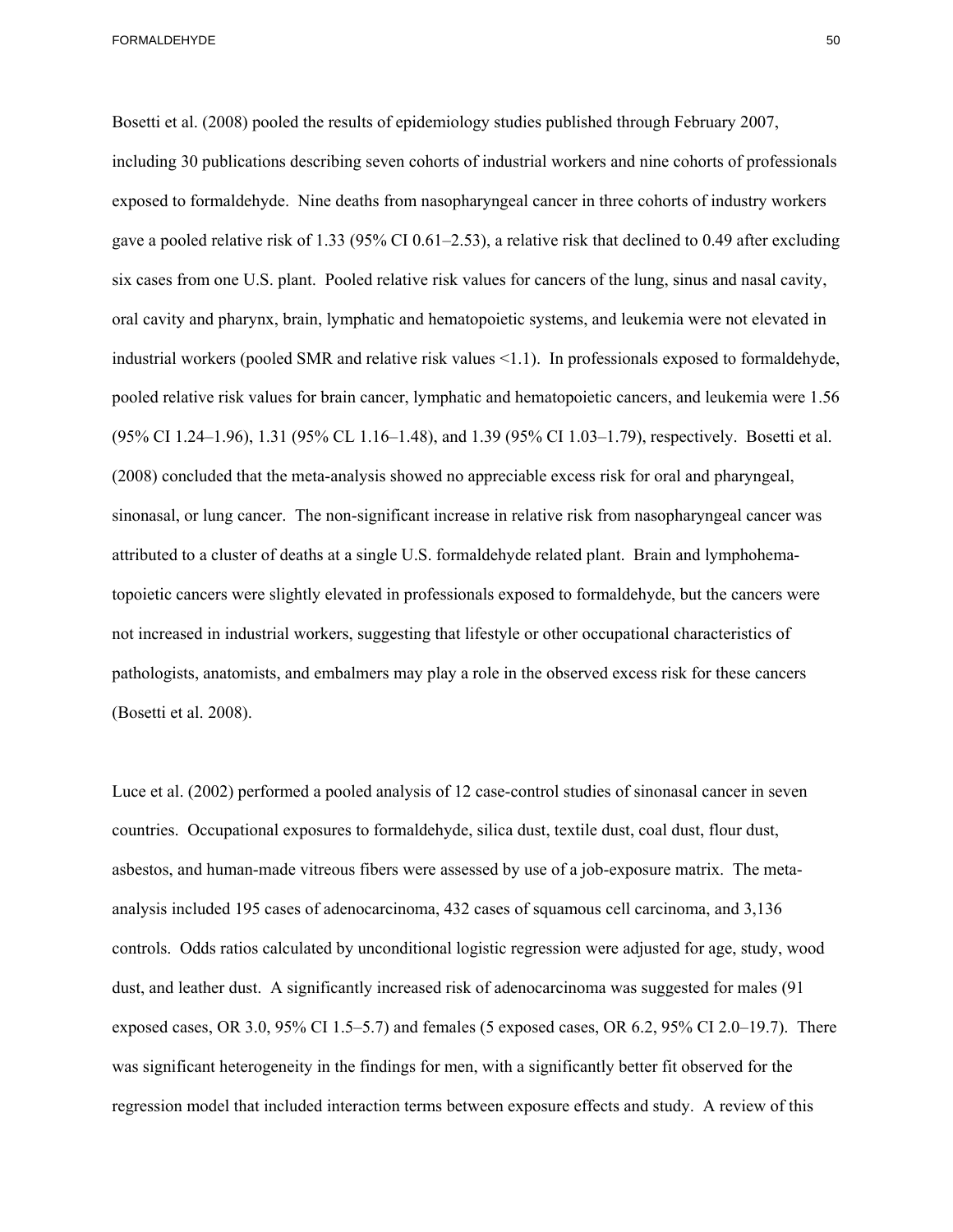Bosetti et al. (2008) pooled the results of epidemiology studies published through February 2007, including 30 publications describing seven cohorts of industrial workers and nine cohorts of professionals exposed to formaldehyde. Nine deaths from nasopharyngeal cancer in three cohorts of industry workers gave a pooled relative risk of 1.33 (95% CI 0.61–2.53), a relative risk that declined to 0.49 after excluding six cases from one U.S. plant. Pooled relative risk values for cancers of the lung, sinus and nasal cavity, oral cavity and pharynx, brain, lymphatic and hematopoietic systems, and leukemia were not elevated in industrial workers (pooled SMR and relative risk values <1.1). In professionals exposed to formaldehyde, pooled relative risk values for brain cancer, lymphatic and hematopoietic cancers, and leukemia were 1.56 (95% CI 1.24–1.96), 1.31 (95% CL 1.16–1.48), and 1.39 (95% CI 1.03–1.79), respectively. Bosetti et al. (2008) concluded that the meta-analysis showed no appreciable excess risk for oral and pharyngeal, sinonasal, or lung cancer. The non-significant increase in relative risk from nasopharyngeal cancer was attributed to a cluster of deaths at a single U.S. formaldehyde related plant. Brain and lymphohematopoietic cancers were slightly elevated in professionals exposed to formaldehyde, but the cancers were not increased in industrial workers, suggesting that lifestyle or other occupational characteristics of pathologists, anatomists, and embalmers may play a role in the observed excess risk for these cancers (Bosetti et al. 2008).

Luce et al. (2002) performed a pooled analysis of 12 case-control studies of sinonasal cancer in seven countries. Occupational exposures to formaldehyde, silica dust, textile dust, coal dust, flour dust, asbestos, and human-made vitreous fibers were assessed by use of a job-exposure matrix. The metaanalysis included 195 cases of adenocarcinoma, 432 cases of squamous cell carcinoma, and 3,136 controls. Odds ratios calculated by unconditional logistic regression were adjusted for age, study, wood dust, and leather dust. A significantly increased risk of adenocarcinoma was suggested for males (91 exposed cases, OR 3.0, 95% CI 1.5–5.7) and females (5 exposed cases, OR 6.2, 95% CI 2.0–19.7). There was significant heterogeneity in the findings for men, with a significantly better fit observed for the regression model that included interaction terms between exposure effects and study. A review of this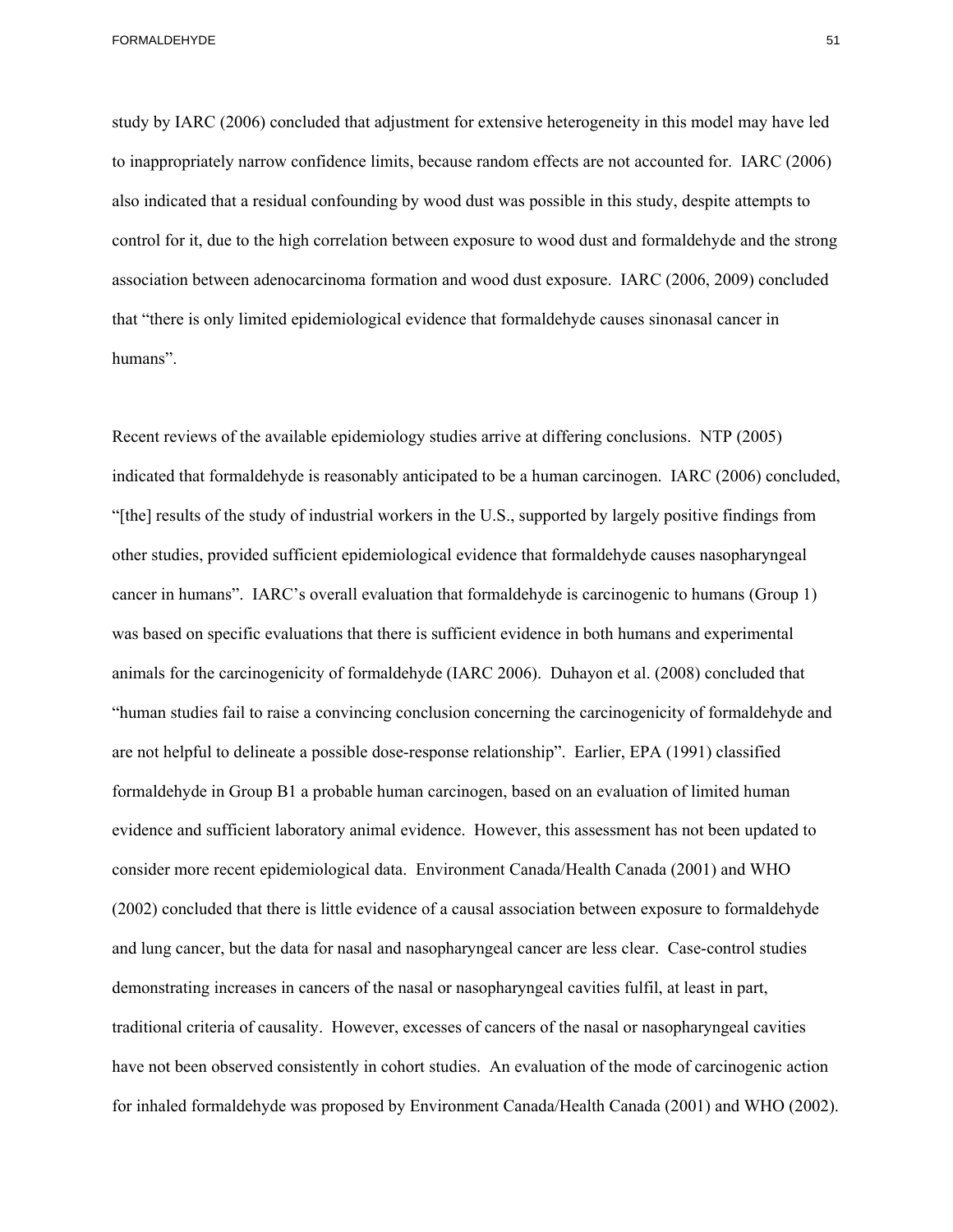study by IARC (2006) concluded that adjustment for extensive heterogeneity in this model may have led to inappropriately narrow confidence limits, because random effects are not accounted for. IARC (2006) also indicated that a residual confounding by wood dust was possible in this study, despite attempts to control for it, due to the high correlation between exposure to wood dust and formaldehyde and the strong association between adenocarcinoma formation and wood dust exposure. IARC (2006, 2009) concluded that "there is only limited epidemiological evidence that formaldehyde causes sinonasal cancer in humans".

 have not been observed consistently in cohort studies. An evaluation of the mode of carcinogenic action Recent reviews of the available epidemiology studies arrive at differing conclusions. NTP (2005) indicated that formaldehyde is reasonably anticipated to be a human carcinogen. IARC (2006) concluded, "[the] results of the study of industrial workers in the U.S., supported by largely positive findings from other studies, provided sufficient epidemiological evidence that formaldehyde causes nasopharyngeal cancer in humans". IARC's overall evaluation that formaldehyde is carcinogenic to humans (Group 1) was based on specific evaluations that there is sufficient evidence in both humans and experimental animals for the carcinogenicity of formaldehyde (IARC 2006). Duhayon et al. (2008) concluded that "human studies fail to raise a convincing conclusion concerning the carcinogenicity of formaldehyde and are not helpful to delineate a possible dose-response relationship". Earlier, EPA (1991) classified formaldehyde in Group B1 a probable human carcinogen, based on an evaluation of limited human evidence and sufficient laboratory animal evidence. However, this assessment has not been updated to consider more recent epidemiological data. Environment Canada/Health Canada (2001) and WHO (2002) concluded that there is little evidence of a causal association between exposure to formaldehyde and lung cancer, but the data for nasal and nasopharyngeal cancer are less clear. Case-control studies demonstrating increases in cancers of the nasal or nasopharyngeal cavities fulfil, at least in part, traditional criteria of causality. However, excesses of cancers of the nasal or nasopharyngeal cavities for inhaled formaldehyde was proposed by Environment Canada/Health Canada (2001) and WHO (2002).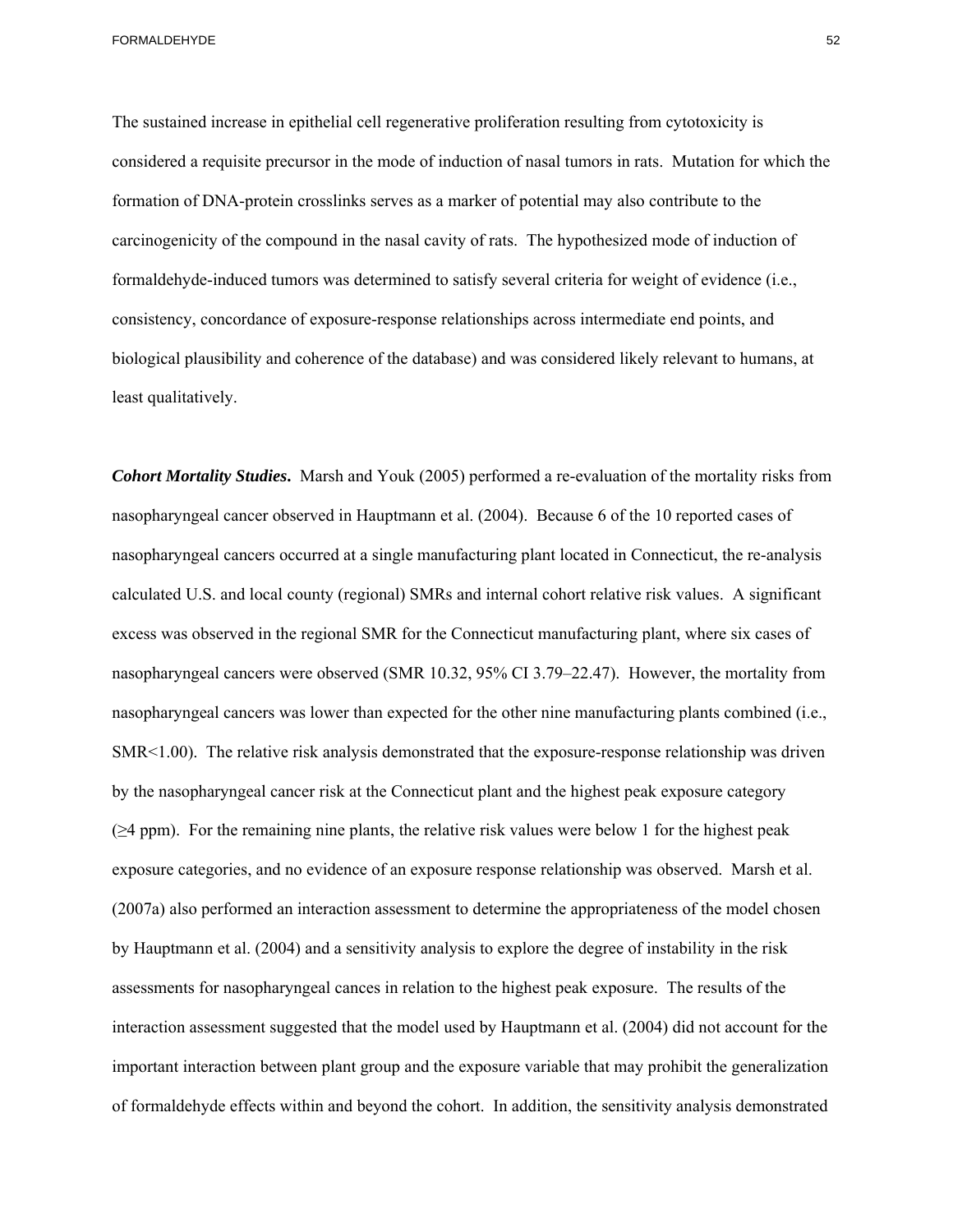The sustained increase in epithelial cell regenerative proliferation resulting from cytotoxicity is considered a requisite precursor in the mode of induction of nasal tumors in rats. Mutation for which the formation of DNA-protein crosslinks serves as a marker of potential may also contribute to the carcinogenicity of the compound in the nasal cavity of rats. The hypothesized mode of induction of formaldehyde-induced tumors was determined to satisfy several criteria for weight of evidence (i.e., consistency, concordance of exposure-response relationships across intermediate end points, and biological plausibility and coherence of the database) and was considered likely relevant to humans, at least qualitatively.

*Cohort Mortality Studies***.** Marsh and Youk (2005) performed a re-evaluation of the mortality risks from nasopharyngeal cancer observed in Hauptmann et al. (2004). Because 6 of the 10 reported cases of nasopharyngeal cancers occurred at a single manufacturing plant located in Connecticut, the re-analysis calculated U.S. and local county (regional) SMRs and internal cohort relative risk values. A significant excess was observed in the regional SMR for the Connecticut manufacturing plant, where six cases of nasopharyngeal cancers were observed (SMR 10.32, 95% CI 3.79–22.47). However, the mortality from nasopharyngeal cancers was lower than expected for the other nine manufacturing plants combined (i.e., SMR<1.00). The relative risk analysis demonstrated that the exposure-response relationship was driven by the nasopharyngeal cancer risk at the Connecticut plant and the highest peak exposure category  $(\geq 4$  ppm). For the remaining nine plants, the relative risk values were below 1 for the highest peak exposure categories, and no evidence of an exposure response relationship was observed. Marsh et al. (2007a) also performed an interaction assessment to determine the appropriateness of the model chosen by Hauptmann et al. (2004) and a sensitivity analysis to explore the degree of instability in the risk assessments for nasopharyngeal cances in relation to the highest peak exposure. The results of the interaction assessment suggested that the model used by Hauptmann et al. (2004) did not account for the important interaction between plant group and the exposure variable that may prohibit the generalization of formaldehyde effects within and beyond the cohort. In addition, the sensitivity analysis demonstrated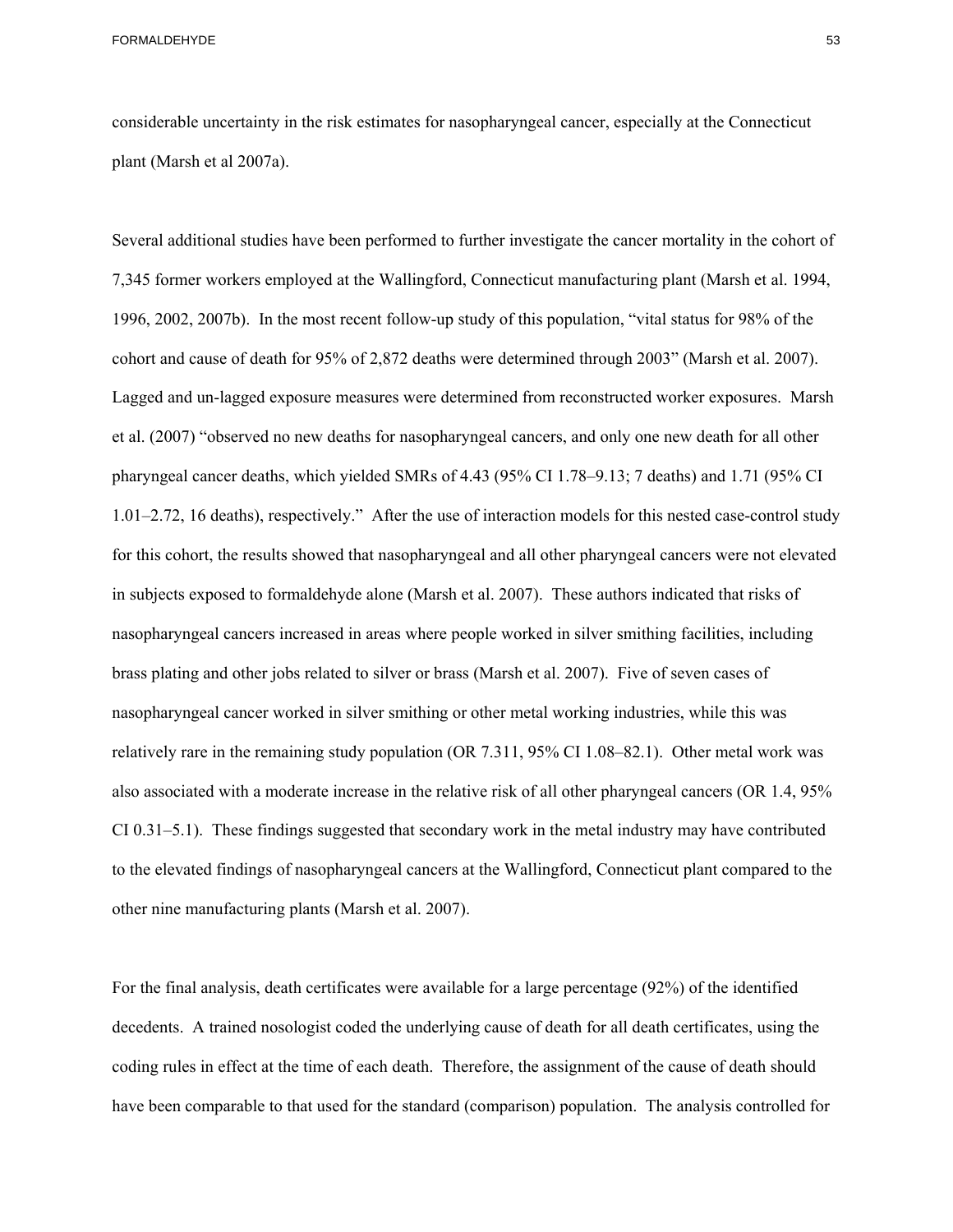considerable uncertainty in the risk estimates for nasopharyngeal cancer, especially at the Connecticut plant (Marsh et al 2007a).

Several additional studies have been performed to further investigate the cancer mortality in the cohort of 7,345 former workers employed at the Wallingford, Connecticut manufacturing plant (Marsh et al. 1994, 1996, 2002, 2007b). In the most recent follow-up study of this population, "vital status for 98% of the cohort and cause of death for 95% of 2,872 deaths were determined through 2003" (Marsh et al. 2007). Lagged and un-lagged exposure measures were determined from reconstructed worker exposures. Marsh et al. (2007) "observed no new deaths for nasopharyngeal cancers, and only one new death for all other pharyngeal cancer deaths, which yielded SMRs of 4.43 (95% CI 1.78–9.13; 7 deaths) and 1.71 (95% CI 1.01–2.72, 16 deaths), respectively." After the use of interaction models for this nested case-control study for this cohort, the results showed that nasopharyngeal and all other pharyngeal cancers were not elevated in subjects exposed to formaldehyde alone (Marsh et al. 2007). These authors indicated that risks of nasopharyngeal cancers increased in areas where people worked in silver smithing facilities, including brass plating and other jobs related to silver or brass (Marsh et al. 2007). Five of seven cases of nasopharyngeal cancer worked in silver smithing or other metal working industries, while this was relatively rare in the remaining study population (OR 7.311, 95% CI 1.08–82.1). Other metal work was also associated with a moderate increase in the relative risk of all other pharyngeal cancers (OR 1.4, 95% CI 0.31–5.1). These findings suggested that secondary work in the metal industry may have contributed to the elevated findings of nasopharyngeal cancers at the Wallingford, Connecticut plant compared to the other nine manufacturing plants (Marsh et al. 2007).

For the final analysis, death certificates were available for a large percentage (92%) of the identified decedents. A trained nosologist coded the underlying cause of death for all death certificates, using the coding rules in effect at the time of each death. Therefore, the assignment of the cause of death should have been comparable to that used for the standard (comparison) population. The analysis controlled for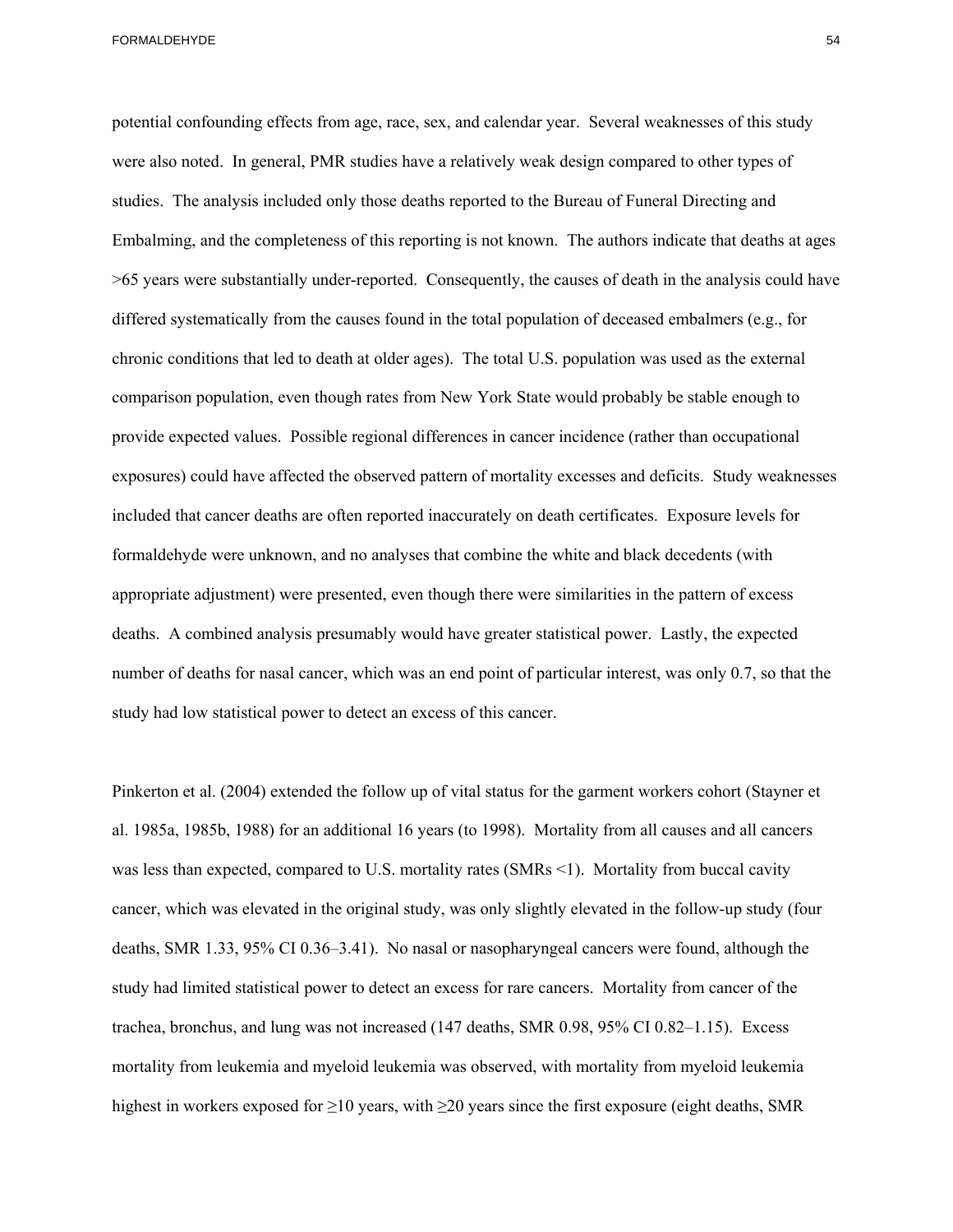potential confounding effects from age, race, sex, and calendar year. Several weaknesses of this study were also noted. In general, PMR studies have a relatively weak design compared to other types of studies. The analysis included only those deaths reported to the Bureau of Funeral Directing and Embalming, and the completeness of this reporting is not known. The authors indicate that deaths at ages >65 years were substantially under-reported. Consequently, the causes of death in the analysis could have differed systematically from the causes found in the total population of deceased embalmers (e.g., for chronic conditions that led to death at older ages). The total U.S. population was used as the external comparison population, even though rates from New York State would probably be stable enough to provide expected values. Possible regional differences in cancer incidence (rather than occupational exposures) could have affected the observed pattern of mortality excesses and deficits. Study weaknesses included that cancer deaths are often reported inaccurately on death certificates. Exposure levels for formaldehyde were unknown, and no analyses that combine the white and black decedents (with appropriate adjustment) were presented, even though there were similarities in the pattern of excess deaths. A combined analysis presumably would have greater statistical power. Lastly, the expected number of deaths for nasal cancer, which was an end point of particular interest, was only 0.7, so that the study had low statistical power to detect an excess of this cancer.

 study had limited statistical power to detect an excess for rare cancers. Mortality from cancer of the Pinkerton et al. (2004) extended the follow up of vital status for the garment workers cohort (Stayner et al. 1985a, 1985b, 1988) for an additional 16 years (to 1998). Mortality from all causes and all cancers was less than expected, compared to U.S. mortality rates (SMRs <1). Mortality from buccal cavity cancer, which was elevated in the original study, was only slightly elevated in the follow-up study (four deaths, SMR 1.33, 95% CI 0.36–3.41). No nasal or nasopharyngeal cancers were found, although the trachea, bronchus, and lung was not increased (147 deaths, SMR 0.98, 95% CI 0.82–1.15). Excess mortality from leukemia and myeloid leukemia was observed, with mortality from myeloid leukemia highest in workers exposed for  $\geq$ 10 years, with  $\geq$ 20 years since the first exposure (eight deaths, SMR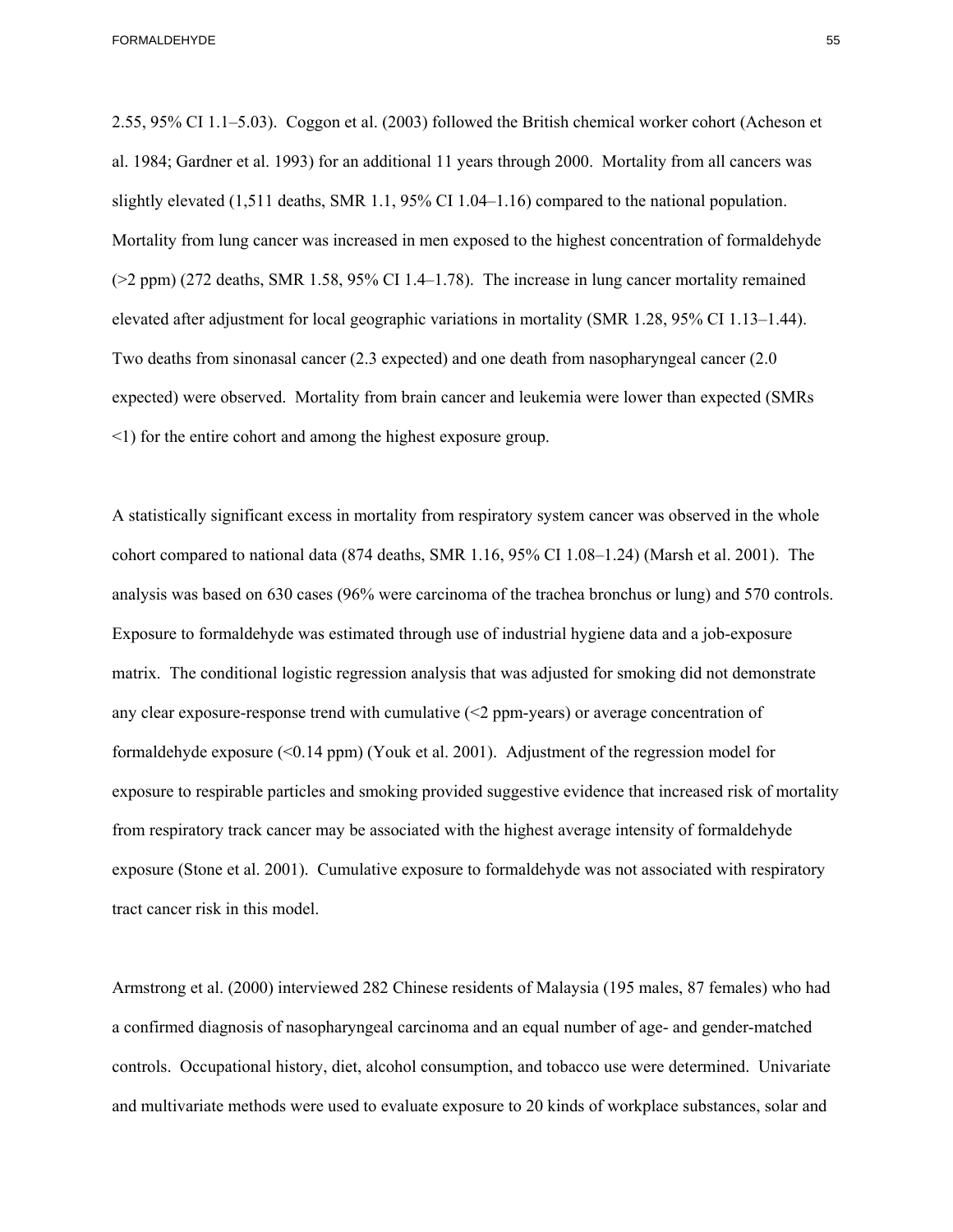2.55, 95% CI 1.1–5.03). Coggon et al. (2003) followed the British chemical worker cohort (Acheson et al. 1984; Gardner et al. 1993) for an additional 11 years through 2000. Mortality from all cancers was slightly elevated (1,511 deaths, SMR 1.1, 95% CI 1.04–1.16) compared to the national population. Mortality from lung cancer was increased in men exposed to the highest concentration of formaldehyde (>2 ppm) (272 deaths, SMR 1.58, 95% CI 1.4–1.78). The increase in lung cancer mortality remained elevated after adjustment for local geographic variations in mortality (SMR 1.28, 95% CI 1.13–1.44). Two deaths from sinonasal cancer (2.3 expected) and one death from nasopharyngeal cancer (2.0 expected) were observed. Mortality from brain cancer and leukemia were lower than expected (SMRs <1) for the entire cohort and among the highest exposure group.

A statistically significant excess in mortality from respiratory system cancer was observed in the whole cohort compared to national data (874 deaths, SMR 1.16, 95% CI 1.08–1.24) (Marsh et al. 2001). The analysis was based on 630 cases (96% were carcinoma of the trachea bronchus or lung) and 570 controls. Exposure to formaldehyde was estimated through use of industrial hygiene data and a job-exposure matrix. The conditional logistic regression analysis that was adjusted for smoking did not demonstrate any clear exposure-response trend with cumulative  $\leq$  ppm-years) or average concentration of formaldehyde exposure (<0.14 ppm) (Youk et al. 2001). Adjustment of the regression model for exposure to respirable particles and smoking provided suggestive evidence that increased risk of mortality from respiratory track cancer may be associated with the highest average intensity of formaldehyde exposure (Stone et al. 2001). Cumulative exposure to formaldehyde was not associated with respiratory tract cancer risk in this model.

Armstrong et al. (2000) interviewed 282 Chinese residents of Malaysia (195 males, 87 females) who had a confirmed diagnosis of nasopharyngeal carcinoma and an equal number of age- and gender-matched controls. Occupational history, diet, alcohol consumption, and tobacco use were determined. Univariate and multivariate methods were used to evaluate exposure to 20 kinds of workplace substances, solar and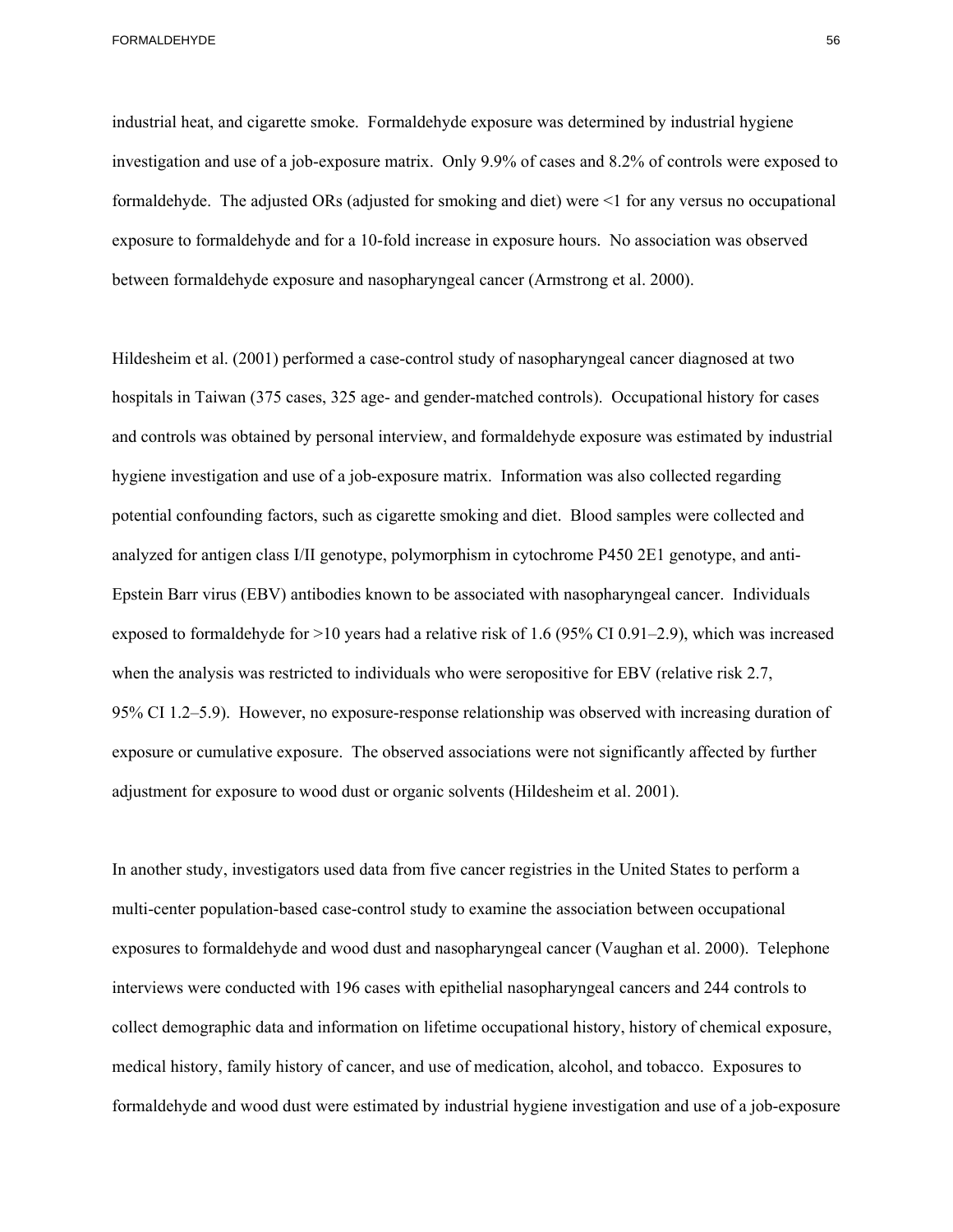industrial heat, and cigarette smoke. Formaldehyde exposure was determined by industrial hygiene investigation and use of a job-exposure matrix. Only 9.9% of cases and 8.2% of controls were exposed to formaldehyde. The adjusted ORs (adjusted for smoking and diet) were <1 for any versus no occupational exposure to formaldehyde and for a 10-fold increase in exposure hours. No association was observed between formaldehyde exposure and nasopharyngeal cancer (Armstrong et al. 2000).

Hildesheim et al. (2001) performed a case-control study of nasopharyngeal cancer diagnosed at two hospitals in Taiwan (375 cases, 325 age- and gender-matched controls). Occupational history for cases and controls was obtained by personal interview, and formaldehyde exposure was estimated by industrial hygiene investigation and use of a job-exposure matrix. Information was also collected regarding potential confounding factors, such as cigarette smoking and diet. Blood samples were collected and analyzed for antigen class I/II genotype, polymorphism in cytochrome P450 2E1 genotype, and anti-Epstein Barr virus (EBV) antibodies known to be associated with nasopharyngeal cancer. Individuals exposed to formaldehyde for >10 years had a relative risk of 1.6 (95% CI 0.91–2.9), which was increased when the analysis was restricted to individuals who were seropositive for EBV (relative risk 2.7, 95% CI 1.2–5.9). However, no exposure-response relationship was observed with increasing duration of exposure or cumulative exposure. The observed associations were not significantly affected by further adjustment for exposure to wood dust or organic solvents (Hildesheim et al. 2001).

 exposures to formaldehyde and wood dust and nasopharyngeal cancer (Vaughan et al. 2000). Telephone In another study, investigators used data from five cancer registries in the United States to perform a multi-center population-based case-control study to examine the association between occupational interviews were conducted with 196 cases with epithelial nasopharyngeal cancers and 244 controls to collect demographic data and information on lifetime occupational history, history of chemical exposure, medical history, family history of cancer, and use of medication, alcohol, and tobacco. Exposures to formaldehyde and wood dust were estimated by industrial hygiene investigation and use of a job-exposure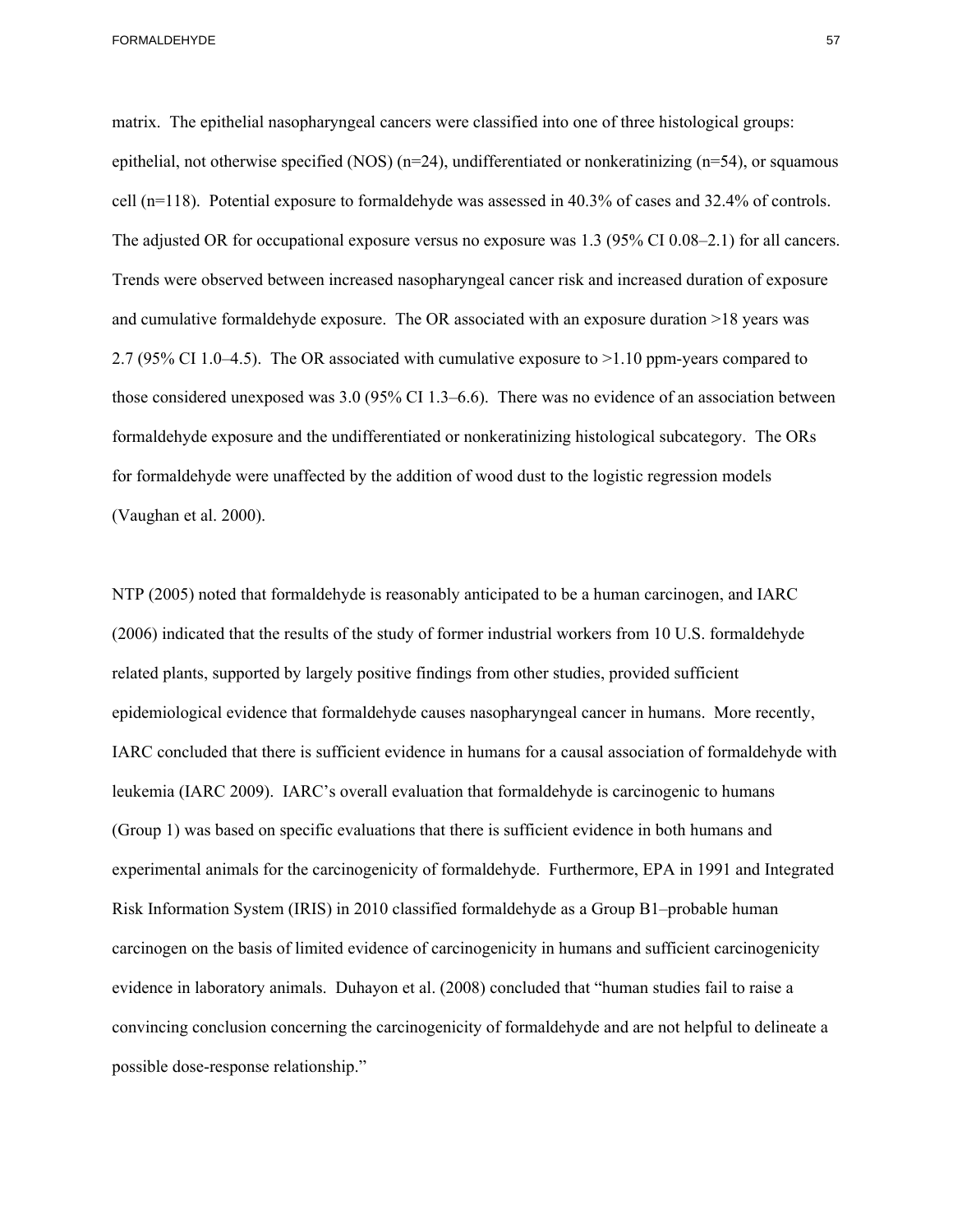matrix. The epithelial nasopharyngeal cancers were classified into one of three histological groups: epithelial, not otherwise specified (NOS)  $(n=24)$ , undifferentiated or nonkeratinizing  $(n=54)$ , or squamous cell (n=118). Potential exposure to formaldehyde was assessed in 40.3% of cases and 32.4% of controls. The adjusted OR for occupational exposure versus no exposure was 1.3 (95% CI 0.08–2.1) for all cancers. Trends were observed between increased nasopharyngeal cancer risk and increased duration of exposure and cumulative formaldehyde exposure. The OR associated with an exposure duration >18 years was 2.7 (95% CI 1.0–4.5). The OR associated with cumulative exposure to >1.10 ppm-years compared to those considered unexposed was 3.0 (95% CI 1.3–6.6). There was no evidence of an association between formaldehyde exposure and the undifferentiated or nonkeratinizing histological subcategory. The ORs for formaldehyde were unaffected by the addition of wood dust to the logistic regression models (Vaughan et al. 2000).

NTP (2005) noted that formaldehyde is reasonably anticipated to be a human carcinogen, and IARC (2006) indicated that the results of the study of former industrial workers from 10 U.S. formaldehyde related plants, supported by largely positive findings from other studies, provided sufficient epidemiological evidence that formaldehyde causes nasopharyngeal cancer in humans. More recently, IARC concluded that there is sufficient evidence in humans for a causal association of formaldehyde with leukemia (IARC 2009). IARC's overall evaluation that formaldehyde is carcinogenic to humans (Group 1) was based on specific evaluations that there is sufficient evidence in both humans and experimental animals for the carcinogenicity of formaldehyde. Furthermore, EPA in 1991 and Integrated Risk Information System (IRIS) in 2010 classified formaldehyde as a Group B1–probable human carcinogen on the basis of limited evidence of carcinogenicity in humans and sufficient carcinogenicity evidence in laboratory animals. Duhayon et al. (2008) concluded that "human studies fail to raise a convincing conclusion concerning the carcinogenicity of formaldehyde and are not helpful to delineate a possible dose-response relationship."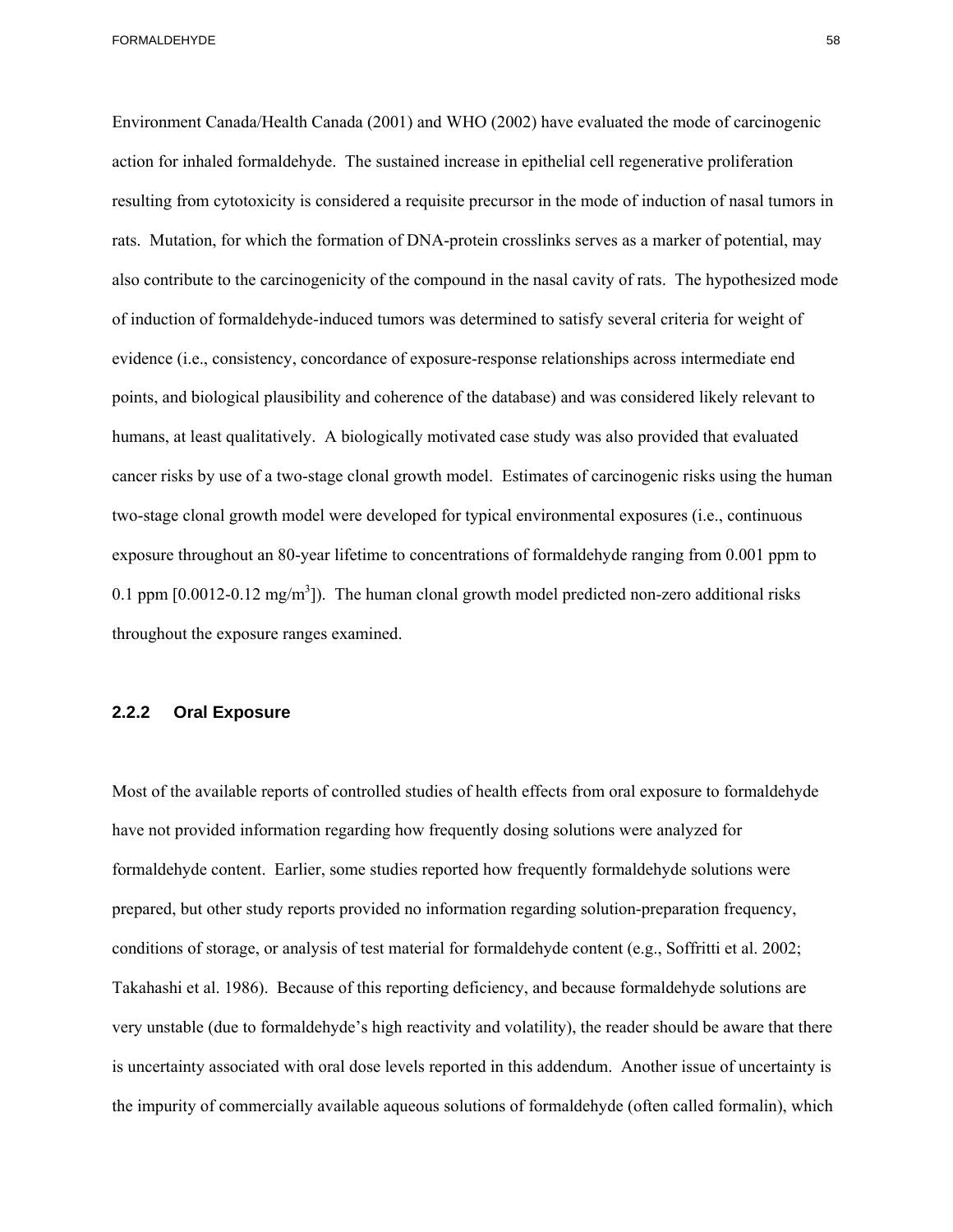Environment Canada/Health Canada (2001) and WHO (2002) have evaluated the mode of carcinogenic action for inhaled formaldehyde. The sustained increase in epithelial cell regenerative proliferation resulting from cytotoxicity is considered a requisite precursor in the mode of induction of nasal tumors in rats. Mutation, for which the formation of DNA-protein crosslinks serves as a marker of potential, may also contribute to the carcinogenicity of the compound in the nasal cavity of rats. The hypothesized mode of induction of formaldehyde-induced tumors was determined to satisfy several criteria for weight of evidence (i.e., consistency, concordance of exposure-response relationships across intermediate end points, and biological plausibility and coherence of the database) and was considered likely relevant to humans, at least qualitatively. A biologically motivated case study was also provided that evaluated cancer risks by use of a two-stage clonal growth model. Estimates of carcinogenic risks using the human two-stage clonal growth model were developed for typical environmental exposures (i.e., continuous exposure throughout an 80-year lifetime to concentrations of formaldehyde ranging from 0.001 ppm to 0.1 ppm  $[0.0012-0.12 \text{ mg/m}^3]$ . The human clonal growth model predicted non-zero additional risks throughout the exposure ranges examined.

#### **2.2.2 Oral Exposure**

Most of the available reports of controlled studies of health effects from oral exposure to formaldehyde have not provided information regarding how frequently dosing solutions were analyzed for formaldehyde content. Earlier, some studies reported how frequently formaldehyde solutions were prepared, but other study reports provided no information regarding solution-preparation frequency, conditions of storage, or analysis of test material for formaldehyde content (e.g., Soffritti et al. 2002; Takahashi et al. 1986). Because of this reporting deficiency, and because formaldehyde solutions are very unstable (due to formaldehyde's high reactivity and volatility), the reader should be aware that there is uncertainty associated with oral dose levels reported in this addendum. Another issue of uncertainty is the impurity of commercially available aqueous solutions of formaldehyde (often called formalin), which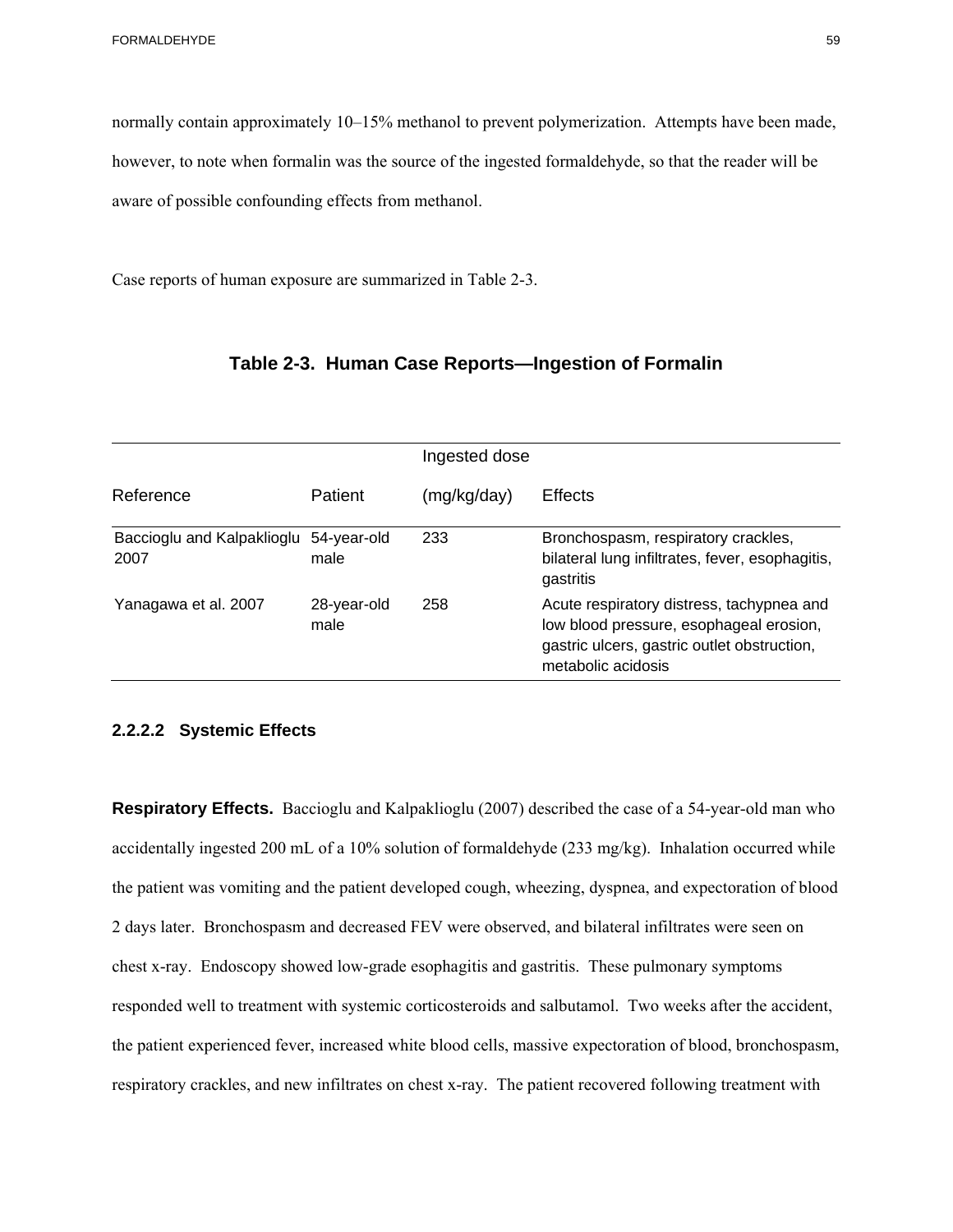normally contain approximately 10–15% methanol to prevent polymerization. Attempts have been made, however, to note when formalin was the source of the ingested formaldehyde, so that the reader will be aware of possible confounding effects from methanol.

Case reports of human exposure are summarized in Table 2-3.

|                                    |                     | Ingested dose |                                                                                                                                                           |
|------------------------------------|---------------------|---------------|-----------------------------------------------------------------------------------------------------------------------------------------------------------|
| Reference                          | Patient             | (mg/kg/day)   | <b>Effects</b>                                                                                                                                            |
| Baccioglu and Kalpaklioglu<br>2007 | 54-year-old<br>male | 233           | Bronchospasm, respiratory crackles,<br>bilateral lung infiltrates, fever, esophagitis,<br>gastritis                                                       |
| Yanagawa et al. 2007               | 28-year-old<br>male | 258           | Acute respiratory distress, tachypnea and<br>low blood pressure, esophageal erosion,<br>gastric ulcers, gastric outlet obstruction,<br>metabolic acidosis |

## **Table 2-3. Human Case Reports—Ingestion of Formalin**

### **2.2.2.2 Systemic Effects**

 chest x-ray. Endoscopy showed low-grade esophagitis and gastritis. These pulmonary symptoms **Respiratory Effects.** Baccioglu and Kalpaklioglu (2007) described the case of a 54-year-old man who accidentally ingested 200 mL of a 10% solution of formaldehyde (233 mg/kg). Inhalation occurred while the patient was vomiting and the patient developed cough, wheezing, dyspnea, and expectoration of blood 2 days later. Bronchospasm and decreased FEV were observed, and bilateral infiltrates were seen on responded well to treatment with systemic corticosteroids and salbutamol. Two weeks after the accident, the patient experienced fever, increased white blood cells, massive expectoration of blood, bronchospasm, respiratory crackles, and new infiltrates on chest x-ray. The patient recovered following treatment with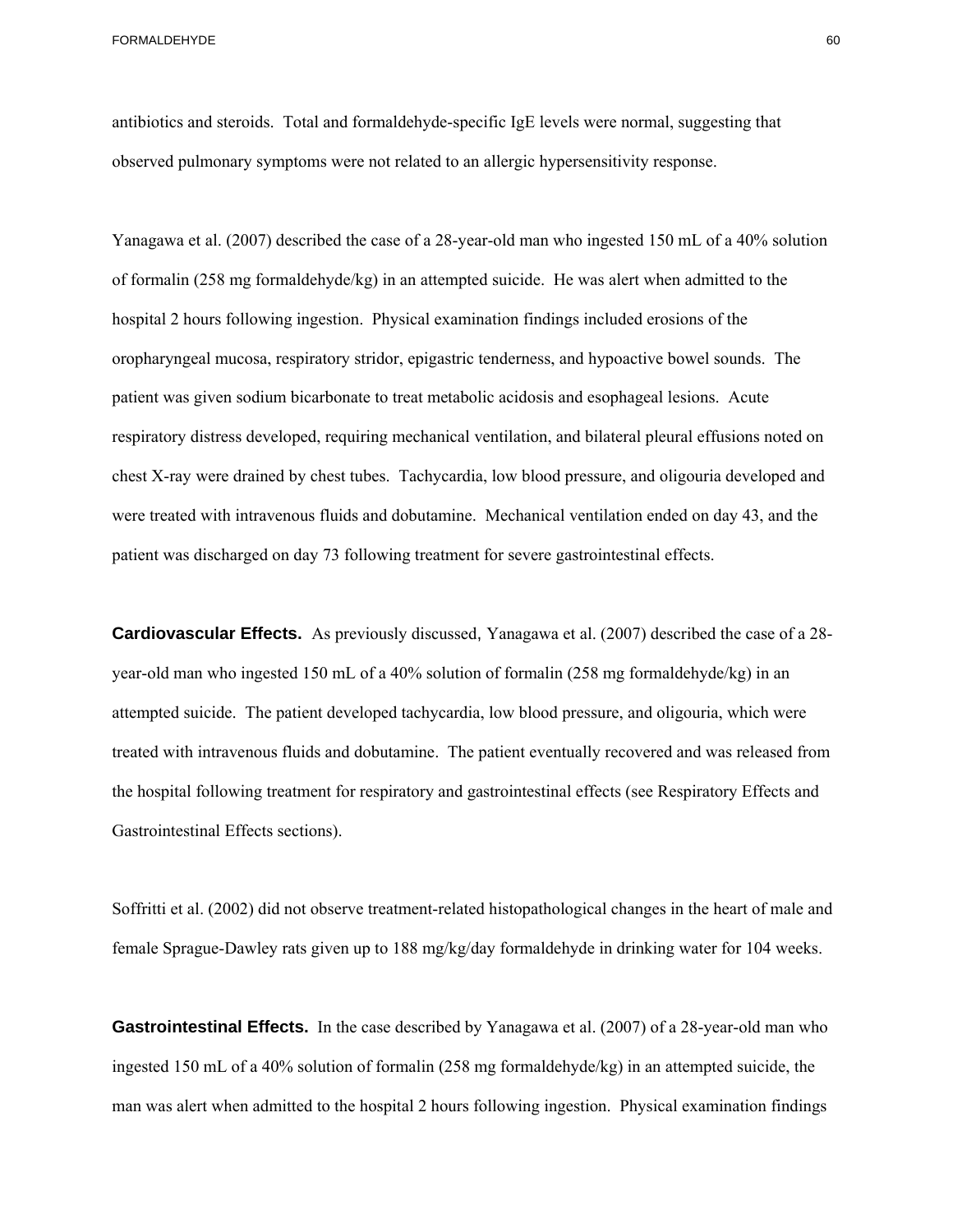antibiotics and steroids. Total and formaldehyde-specific IgE levels were normal, suggesting that observed pulmonary symptoms were not related to an allergic hypersensitivity response.

Yanagawa et al. (2007) described the case of a 28-year-old man who ingested 150 mL of a 40% solution of formalin (258 mg formaldehyde/kg) in an attempted suicide. He was alert when admitted to the hospital 2 hours following ingestion. Physical examination findings included erosions of the oropharyngeal mucosa, respiratory stridor, epigastric tenderness, and hypoactive bowel sounds. The patient was given sodium bicarbonate to treat metabolic acidosis and esophageal lesions. Acute respiratory distress developed, requiring mechanical ventilation, and bilateral pleural effusions noted on chest X-ray were drained by chest tubes. Tachycardia, low blood pressure, and oligouria developed and were treated with intravenous fluids and dobutamine. Mechanical ventilation ended on day 43, and the patient was discharged on day 73 following treatment for severe gastrointestinal effects.

**Cardiovascular Effects.** As previously discussed, Yanagawa et al. (2007) described the case of a 28year-old man who ingested 150 mL of a 40% solution of formalin (258 mg formaldehyde/kg) in an attempted suicide. The patient developed tachycardia, low blood pressure, and oligouria, which were treated with intravenous fluids and dobutamine. The patient eventually recovered and was released from the hospital following treatment for respiratory and gastrointestinal effects (see Respiratory Effects and Gastrointestinal Effects sections).

Soffritti et al. (2002) did not observe treatment-related histopathological changes in the heart of male and female Sprague-Dawley rats given up to 188 mg/kg/day formaldehyde in drinking water for 104 weeks.

**Gastrointestinal Effects.** In the case described by Yanagawa et al. (2007) of a 28-year-old man who ingested 150 mL of a 40% solution of formalin (258 mg formaldehyde/kg) in an attempted suicide, the man was alert when admitted to the hospital 2 hours following ingestion. Physical examination findings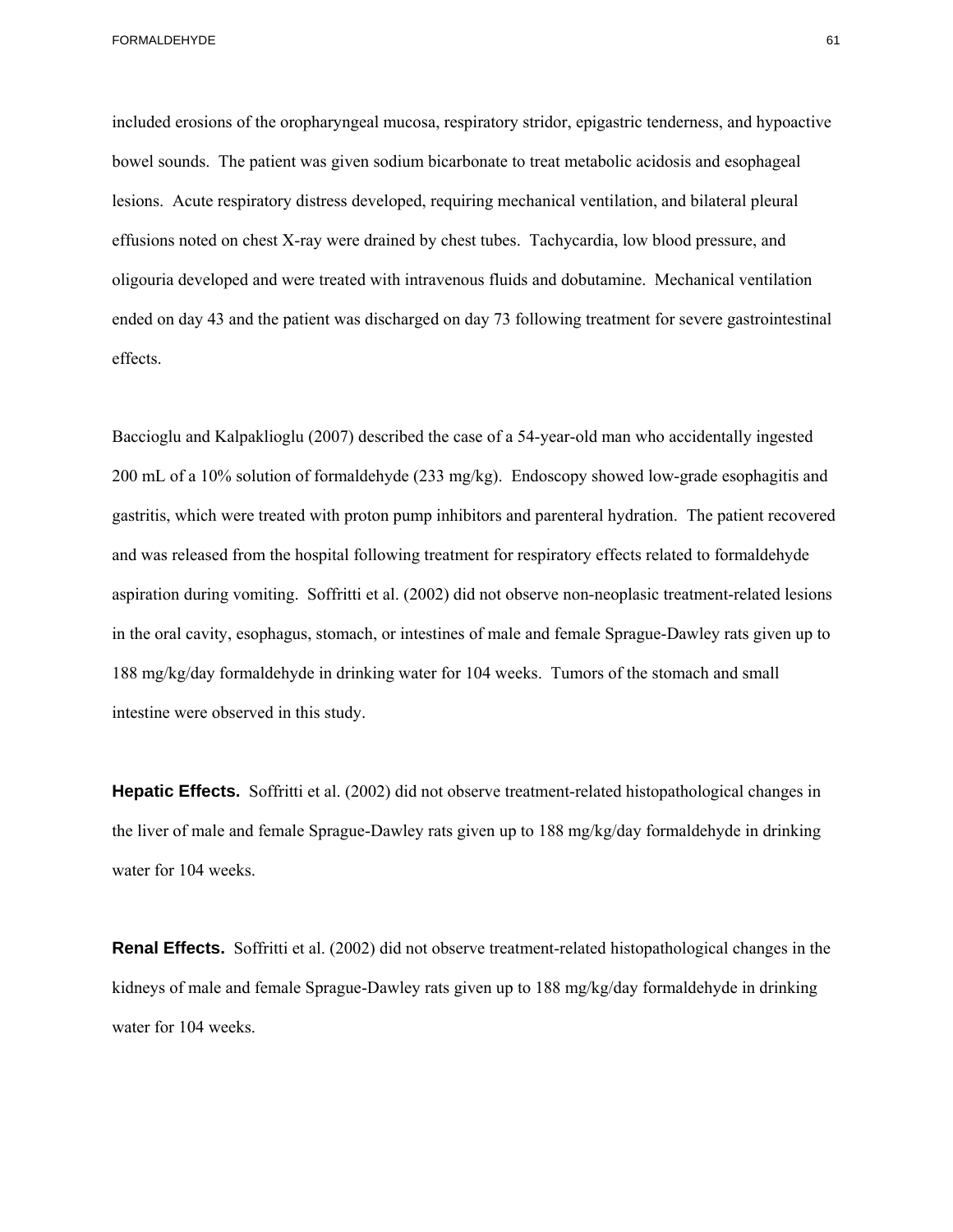included erosions of the oropharyngeal mucosa, respiratory stridor, epigastric tenderness, and hypoactive bowel sounds. The patient was given sodium bicarbonate to treat metabolic acidosis and esophageal lesions. Acute respiratory distress developed, requiring mechanical ventilation, and bilateral pleural effusions noted on chest X-ray were drained by chest tubes. Tachycardia, low blood pressure, and oligouria developed and were treated with intravenous fluids and dobutamine. Mechanical ventilation ended on day 43 and the patient was discharged on day 73 following treatment for severe gastrointestinal effects.

 intestine were observed in this study. Baccioglu and Kalpaklioglu (2007) described the case of a 54-year-old man who accidentally ingested 200 mL of a 10% solution of formaldehyde (233 mg/kg). Endoscopy showed low-grade esophagitis and gastritis, which were treated with proton pump inhibitors and parenteral hydration. The patient recovered and was released from the hospital following treatment for respiratory effects related to formaldehyde aspiration during vomiting. Soffritti et al. (2002) did not observe non-neoplasic treatment-related lesions in the oral cavity, esophagus, stomach, or intestines of male and female Sprague-Dawley rats given up to 188 mg/kg/day formaldehyde in drinking water for 104 weeks. Tumors of the stomach and small

**Hepatic Effects.** Soffritti et al. (2002) did not observe treatment-related histopathological changes in the liver of male and female Sprague-Dawley rats given up to 188 mg/kg/day formaldehyde in drinking water for 104 weeks.

**Renal Effects.** Soffritti et al. (2002) did not observe treatment-related histopathological changes in the kidneys of male and female Sprague-Dawley rats given up to 188 mg/kg/day formaldehyde in drinking water for 104 weeks.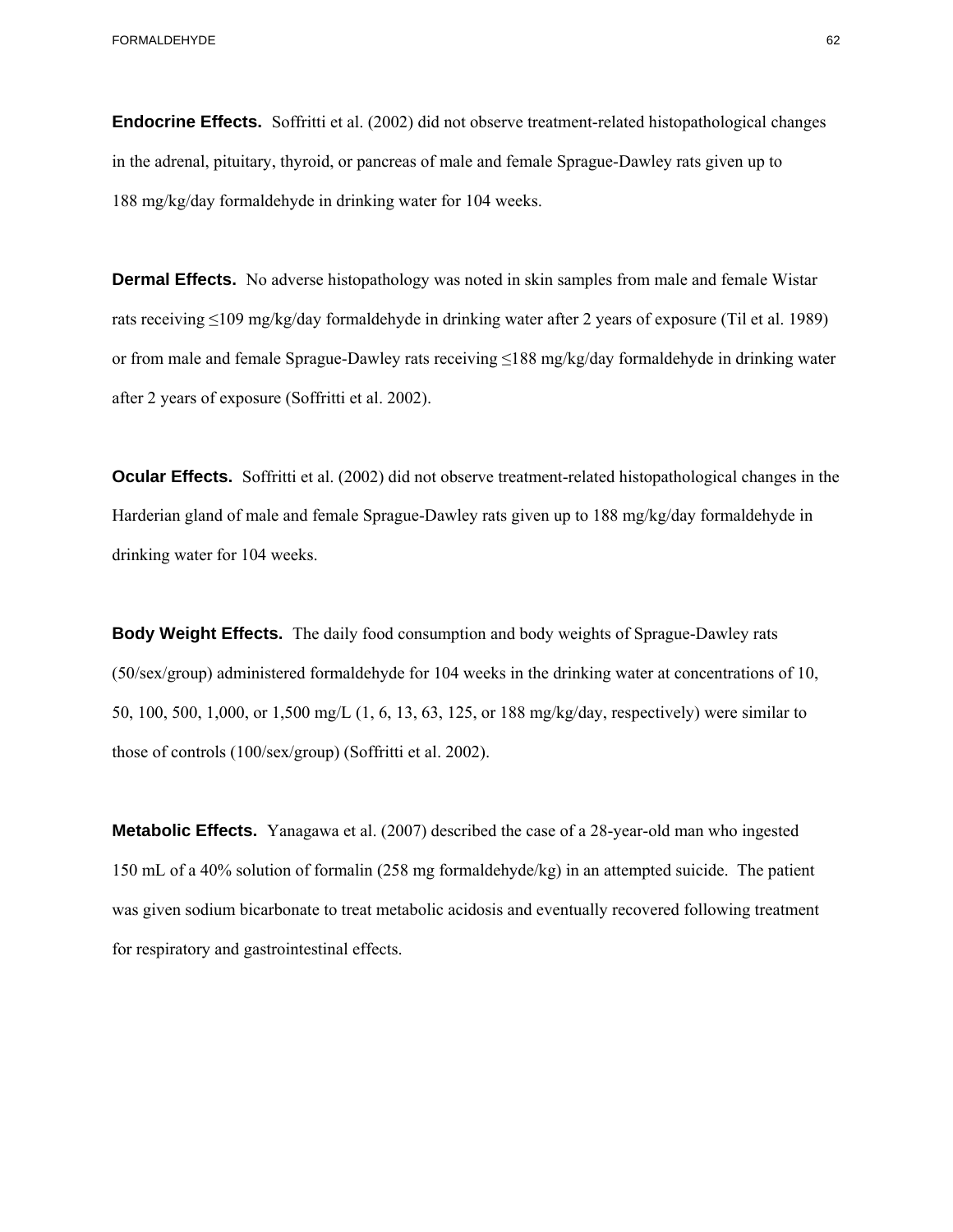**Endocrine Effects.** Soffritti et al. (2002) did not observe treatment-related histopathological changes in the adrenal, pituitary, thyroid, or pancreas of male and female Sprague-Dawley rats given up to 188 mg/kg/day formaldehyde in drinking water for 104 weeks.

**Dermal Effects.** No adverse histopathology was noted in skin samples from male and female Wistar rats receiving ≤109 mg/kg/day formaldehyde in drinking water after 2 years of exposure (Til et al. 1989) or from male and female Sprague-Dawley rats receiving ≤188 mg/kg/day formaldehyde in drinking water after 2 years of exposure (Soffritti et al. 2002).

**Ocular Effects.** Soffritti et al. (2002) did not observe treatment-related histopathological changes in the Harderian gland of male and female Sprague-Dawley rats given up to 188 mg/kg/day formaldehyde in drinking water for 104 weeks.

**Body Weight Effects.** The daily food consumption and body weights of Sprague-Dawley rats (50/sex/group) administered formaldehyde for 104 weeks in the drinking water at concentrations of 10, 50, 100, 500, 1,000, or 1,500 mg/L (1, 6, 13, 63, 125, or 188 mg/kg/day, respectively) were similar to those of controls (100/sex/group) (Soffritti et al. 2002).

**Metabolic Effects.** Yanagawa et al. (2007) described the case of a 28-year-old man who ingested 150 mL of a 40% solution of formalin (258 mg formaldehyde/kg) in an attempted suicide. The patient was given sodium bicarbonate to treat metabolic acidosis and eventually recovered following treatment for respiratory and gastrointestinal effects.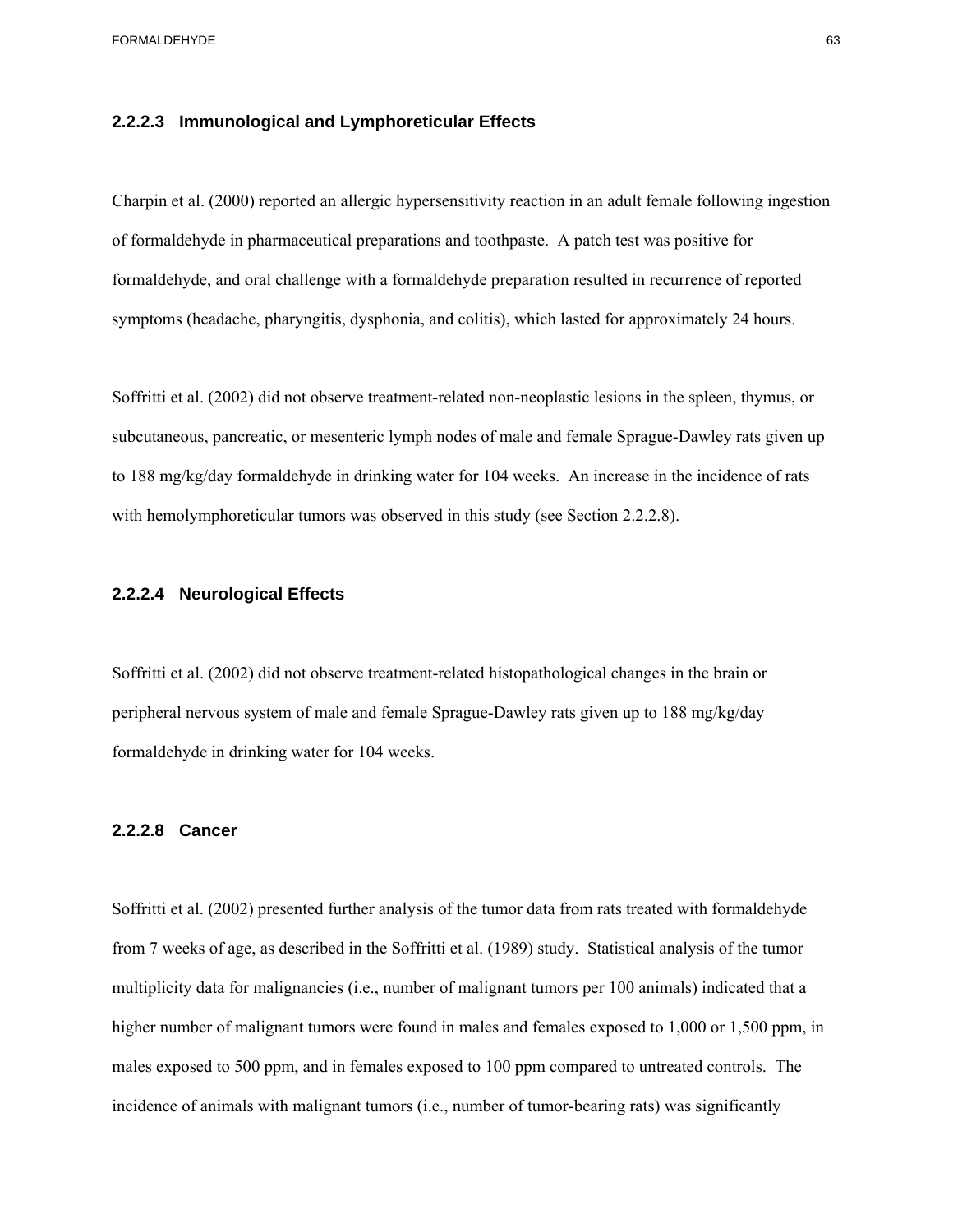#### **2.2.2.3 Immunological and Lymphoreticular Effects**

Charpin et al. (2000) reported an allergic hypersensitivity reaction in an adult female following ingestion of formaldehyde in pharmaceutical preparations and toothpaste. A patch test was positive for formaldehyde, and oral challenge with a formaldehyde preparation resulted in recurrence of reported symptoms (headache, pharyngitis, dysphonia, and colitis), which lasted for approximately 24 hours.

Soffritti et al. (2002) did not observe treatment-related non-neoplastic lesions in the spleen, thymus, or subcutaneous, pancreatic, or mesenteric lymph nodes of male and female Sprague-Dawley rats given up to 188 mg/kg/day formaldehyde in drinking water for 104 weeks. An increase in the incidence of rats with hemolymphoreticular tumors was observed in this study (see Section 2.2.2.8).

#### **2.2.2.4 Neurological Effects**

Soffritti et al. (2002) did not observe treatment-related histopathological changes in the brain or peripheral nervous system of male and female Sprague-Dawley rats given up to 188 mg/kg/day formaldehyde in drinking water for 104 weeks.

#### **2.2.2.8 Cancer**

Soffritti et al. (2002) presented further analysis of the tumor data from rats treated with formaldehyde from 7 weeks of age, as described in the Soffritti et al. (1989) study. Statistical analysis of the tumor multiplicity data for malignancies (i.e., number of malignant tumors per 100 animals) indicated that a higher number of malignant tumors were found in males and females exposed to 1,000 or 1,500 ppm, in males exposed to 500 ppm, and in females exposed to 100 ppm compared to untreated controls. The incidence of animals with malignant tumors (i.e., number of tumor-bearing rats) was significantly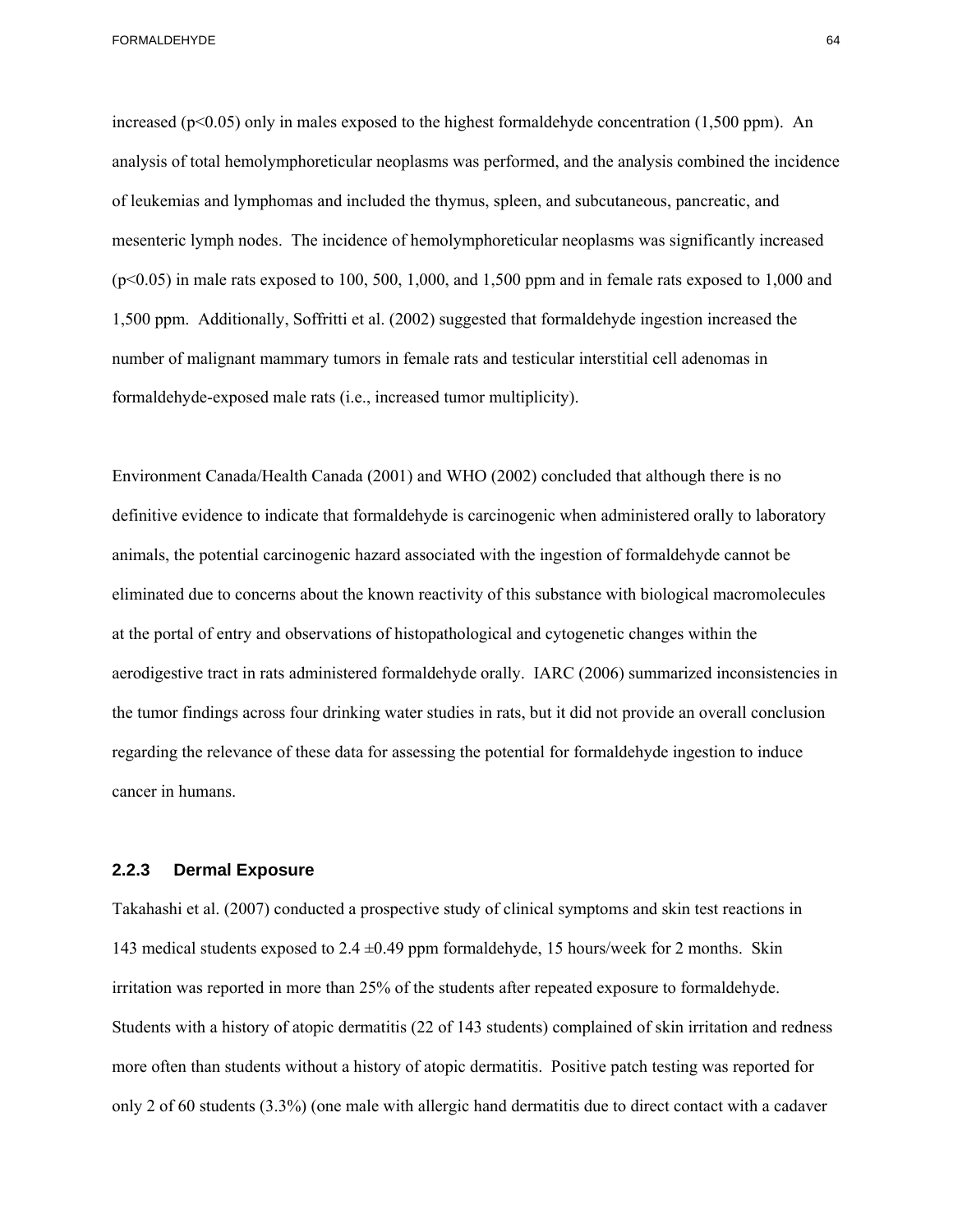increased ( $p<0.05$ ) only in males exposed to the highest formaldehyde concentration (1,500 ppm). An analysis of total hemolymphoreticular neoplasms was performed, and the analysis combined the incidence of leukemias and lymphomas and included the thymus, spleen, and subcutaneous, pancreatic, and mesenteric lymph nodes. The incidence of hemolymphoreticular neoplasms was significantly increased  $(p<0.05)$  in male rats exposed to 100, 500, 1,000, and 1,500 ppm and in female rats exposed to 1,000 and 1,500 ppm. Additionally, Soffritti et al. (2002) suggested that formaldehyde ingestion increased the number of malignant mammary tumors in female rats and testicular interstitial cell adenomas in formaldehyde-exposed male rats (i.e., increased tumor multiplicity).

Environment Canada/Health Canada (2001) and WHO (2002) concluded that although there is no definitive evidence to indicate that formaldehyde is carcinogenic when administered orally to laboratory animals, the potential carcinogenic hazard associated with the ingestion of formaldehyde cannot be eliminated due to concerns about the known reactivity of this substance with biological macromolecules at the portal of entry and observations of histopathological and cytogenetic changes within the aerodigestive tract in rats administered formaldehyde orally. IARC (2006) summarized inconsistencies in the tumor findings across four drinking water studies in rats, but it did not provide an overall conclusion regarding the relevance of these data for assessing the potential for formaldehyde ingestion to induce cancer in humans.

### **2.2.3 Dermal Exposure**

Takahashi et al. (2007) conducted a prospective study of clinical symptoms and skin test reactions in 143 medical students exposed to  $2.4 \pm 0.49$  ppm formaldehyde, 15 hours/week for 2 months. Skin irritation was reported in more than 25% of the students after repeated exposure to formaldehyde. Students with a history of atopic dermatitis (22 of 143 students) complained of skin irritation and redness more often than students without a history of atopic dermatitis. Positive patch testing was reported for only 2 of 60 students (3.3%) (one male with allergic hand dermatitis due to direct contact with a cadaver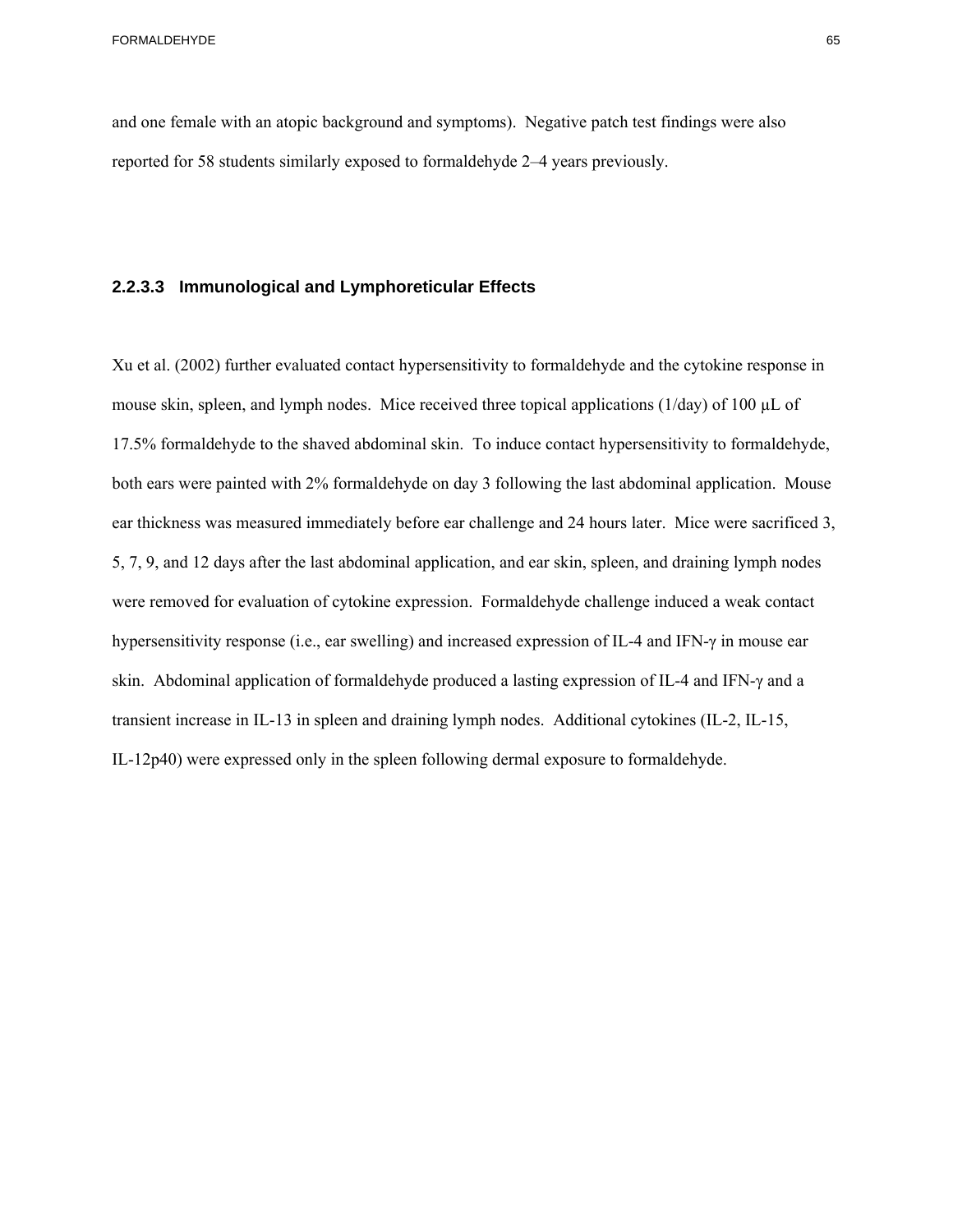and one female with an atopic background and symptoms). Negative patch test findings were also reported for 58 students similarly exposed to formaldehyde 2–4 years previously.

#### **2.2.3.3 Immunological and Lymphoreticular Effects**

Xu et al. (2002) further evaluated contact hypersensitivity to formaldehyde and the cytokine response in mouse skin, spleen, and lymph nodes. Mice received three topical applications ( $1/day$ ) of  $100 \mu L$  of 17.5% formaldehyde to the shaved abdominal skin. To induce contact hypersensitivity to formaldehyde, both ears were painted with 2% formaldehyde on day 3 following the last abdominal application. Mouse ear thickness was measured immediately before ear challenge and 24 hours later. Mice were sacrificed 3, 5, 7, 9, and 12 days after the last abdominal application, and ear skin, spleen, and draining lymph nodes were removed for evaluation of cytokine expression. Formaldehyde challenge induced a weak contact hypersensitivity response (i.e., ear swelling) and increased expression of IL-4 and IFN-γ in mouse ear skin. Abdominal application of formaldehyde produced a lasting expression of IL-4 and IFN-γ and a transient increase in IL-13 in spleen and draining lymph nodes. Additional cytokines (IL-2, IL-15, IL-12p40) were expressed only in the spleen following dermal exposure to formaldehyde.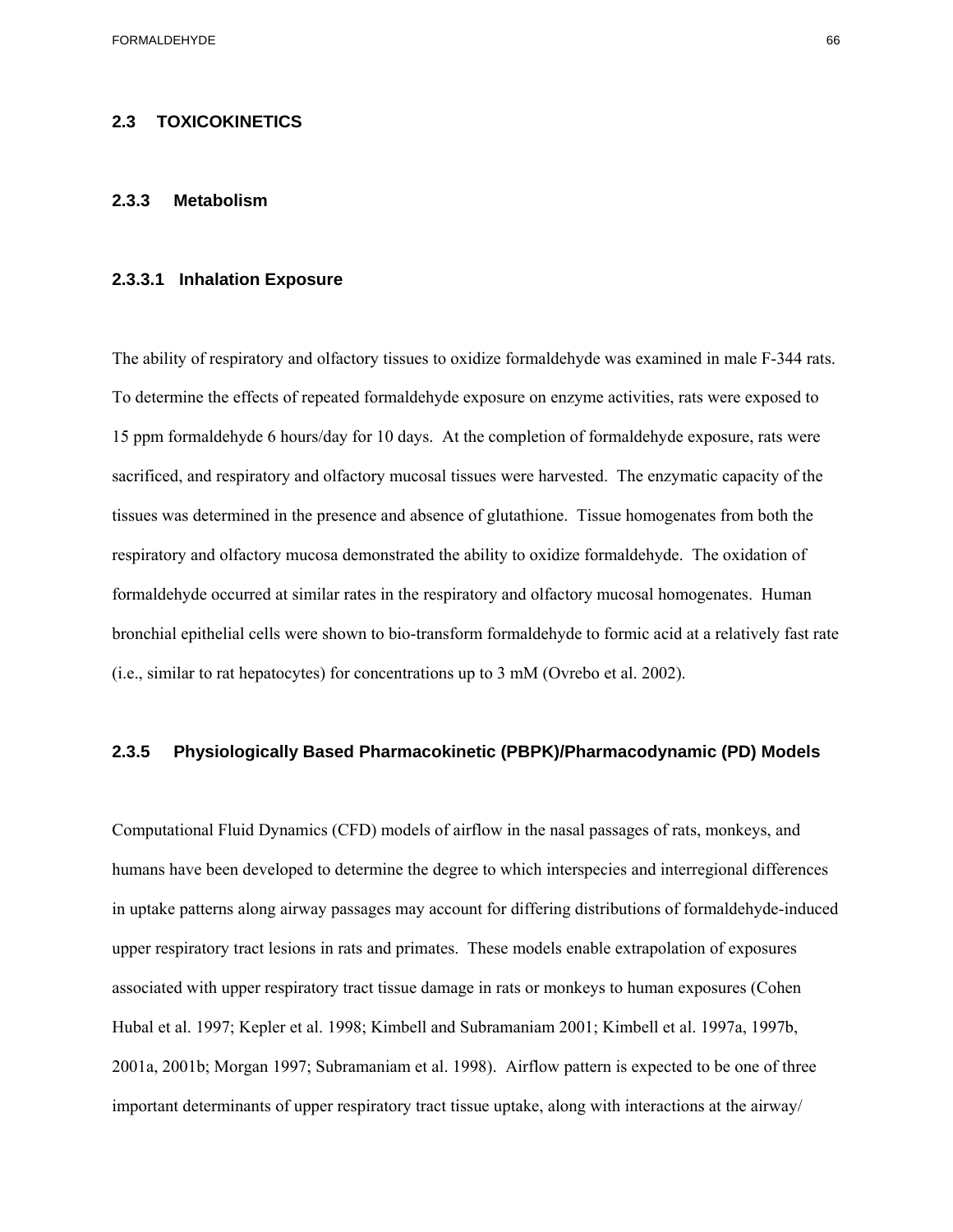#### **2.3 TOXICOKINETICS**

#### **2.3.3 Metabolism**

#### **2.3.3.1 Inhalation Exposure**

The ability of respiratory and olfactory tissues to oxidize formaldehyde was examined in male F-344 rats. To determine the effects of repeated formaldehyde exposure on enzyme activities, rats were exposed to 15 ppm formaldehyde 6 hours/day for 10 days. At the completion of formaldehyde exposure, rats were sacrificed, and respiratory and olfactory mucosal tissues were harvested. The enzymatic capacity of the tissues was determined in the presence and absence of glutathione. Tissue homogenates from both the respiratory and olfactory mucosa demonstrated the ability to oxidize formaldehyde. The oxidation of formaldehyde occurred at similar rates in the respiratory and olfactory mucosal homogenates. Human bronchial epithelial cells were shown to bio-transform formaldehyde to formic acid at a relatively fast rate (i.e., similar to rat hepatocytes) for concentrations up to 3 mM (Ovrebo et al. 2002).

### **2.3.5 Physiologically Based Pharmacokinetic (PBPK)/Pharmacodynamic (PD) Models**

Computational Fluid Dynamics (CFD) models of airflow in the nasal passages of rats, monkeys, and humans have been developed to determine the degree to which interspecies and interregional differences in uptake patterns along airway passages may account for differing distributions of formaldehyde-induced upper respiratory tract lesions in rats and primates. These models enable extrapolation of exposures associated with upper respiratory tract tissue damage in rats or monkeys to human exposures (Cohen Hubal et al. 1997; Kepler et al. 1998; Kimbell and Subramaniam 2001; Kimbell et al. 1997a, 1997b, 2001a, 2001b; Morgan 1997; Subramaniam et al. 1998). Airflow pattern is expected to be one of three important determinants of upper respiratory tract tissue uptake, along with interactions at the airway/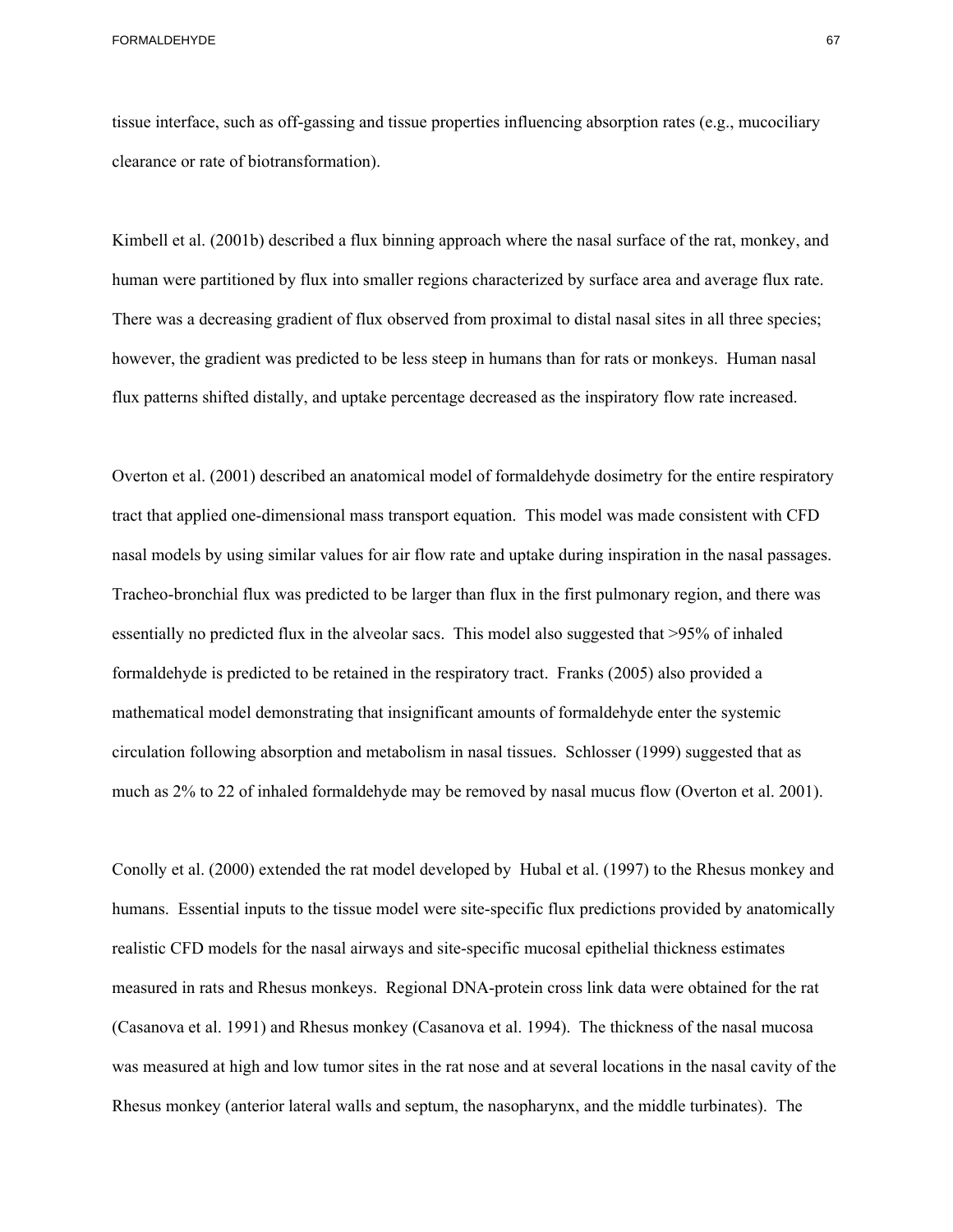tissue interface, such as off-gassing and tissue properties influencing absorption rates (e.g., mucociliary clearance or rate of biotransformation).

Kimbell et al. (2001b) described a flux binning approach where the nasal surface of the rat, monkey, and human were partitioned by flux into smaller regions characterized by surface area and average flux rate. There was a decreasing gradient of flux observed from proximal to distal nasal sites in all three species; however, the gradient was predicted to be less steep in humans than for rats or monkeys. Human nasal flux patterns shifted distally, and uptake percentage decreased as the inspiratory flow rate increased.

Overton et al. (2001) described an anatomical model of formaldehyde dosimetry for the entire respiratory tract that applied one-dimensional mass transport equation. This model was made consistent with CFD nasal models by using similar values for air flow rate and uptake during inspiration in the nasal passages. Tracheo-bronchial flux was predicted to be larger than flux in the first pulmonary region, and there was essentially no predicted flux in the alveolar sacs. This model also suggested that >95% of inhaled formaldehyde is predicted to be retained in the respiratory tract. Franks (2005) also provided a mathematical model demonstrating that insignificant amounts of formaldehyde enter the systemic circulation following absorption and metabolism in nasal tissues. Schlosser (1999) suggested that as much as 2% to 22 of inhaled formaldehyde may be removed by nasal mucus flow (Overton et al. 2001).

Conolly et al. (2000) extended the rat model developed by Hubal et al. (1997) to the Rhesus monkey and humans. Essential inputs to the tissue model were site-specific flux predictions provided by anatomically realistic CFD models for the nasal airways and site-specific mucosal epithelial thickness estimates measured in rats and Rhesus monkeys. Regional DNA-protein cross link data were obtained for the rat (Casanova et al. 1991) and Rhesus monkey (Casanova et al. 1994). The thickness of the nasal mucosa was measured at high and low tumor sites in the rat nose and at several locations in the nasal cavity of the Rhesus monkey (anterior lateral walls and septum, the nasopharynx, and the middle turbinates). The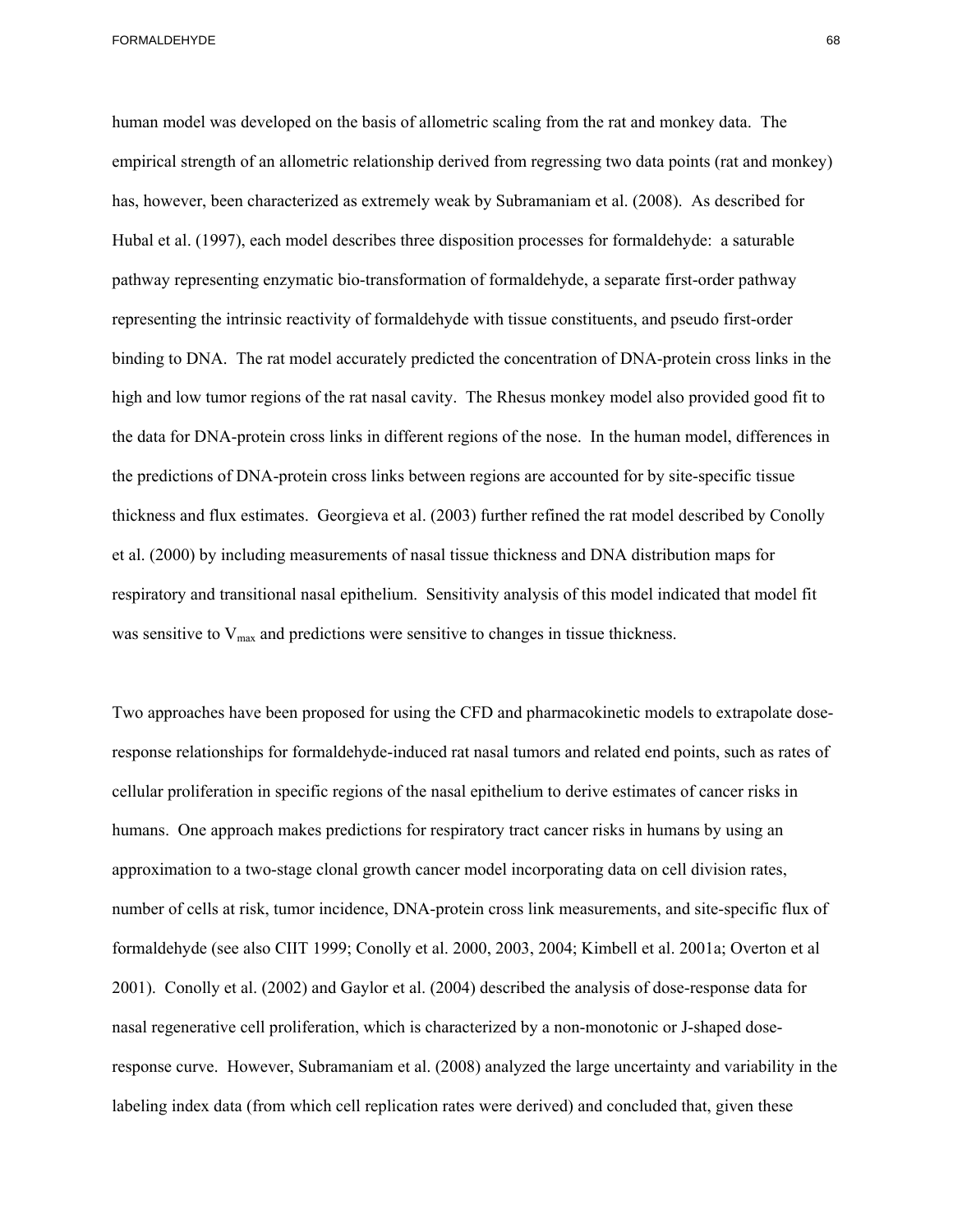thickness and flux estimates. Georgieva et al. (2003) further refined the rat model described by Conolly human model was developed on the basis of allometric scaling from the rat and monkey data. The empirical strength of an allometric relationship derived from regressing two data points (rat and monkey) has, however, been characterized as extremely weak by Subramaniam et al. (2008). As described for Hubal et al. (1997), each model describes three disposition processes for formaldehyde: a saturable pathway representing enzymatic bio-transformation of formaldehyde, a separate first-order pathway representing the intrinsic reactivity of formaldehyde with tissue constituents, and pseudo first-order binding to DNA. The rat model accurately predicted the concentration of DNA-protein cross links in the high and low tumor regions of the rat nasal cavity. The Rhesus monkey model also provided good fit to the data for DNA-protein cross links in different regions of the nose. In the human model, differences in the predictions of DNA-protein cross links between regions are accounted for by site-specific tissue et al. (2000) by including measurements of nasal tissue thickness and DNA distribution maps for respiratory and transitional nasal epithelium. Sensitivity analysis of this model indicated that model fit was sensitive to  $V_{\text{max}}$  and predictions were sensitive to changes in tissue thickness.

Two approaches have been proposed for using the CFD and pharmacokinetic models to extrapolate doseresponse relationships for formaldehyde-induced rat nasal tumors and related end points, such as rates of cellular proliferation in specific regions of the nasal epithelium to derive estimates of cancer risks in humans. One approach makes predictions for respiratory tract cancer risks in humans by using an approximation to a two-stage clonal growth cancer model incorporating data on cell division rates, number of cells at risk, tumor incidence, DNA-protein cross link measurements, and site-specific flux of formaldehyde (see also CIIT 1999; Conolly et al. 2000, 2003, 2004; Kimbell et al. 2001a; Overton et al 2001). Conolly et al. (2002) and Gaylor et al. (2004) described the analysis of dose-response data for nasal regenerative cell proliferation, which is characterized by a non-monotonic or J-shaped doseresponse curve. However, Subramaniam et al. (2008) analyzed the large uncertainty and variability in the labeling index data (from which cell replication rates were derived) and concluded that, given these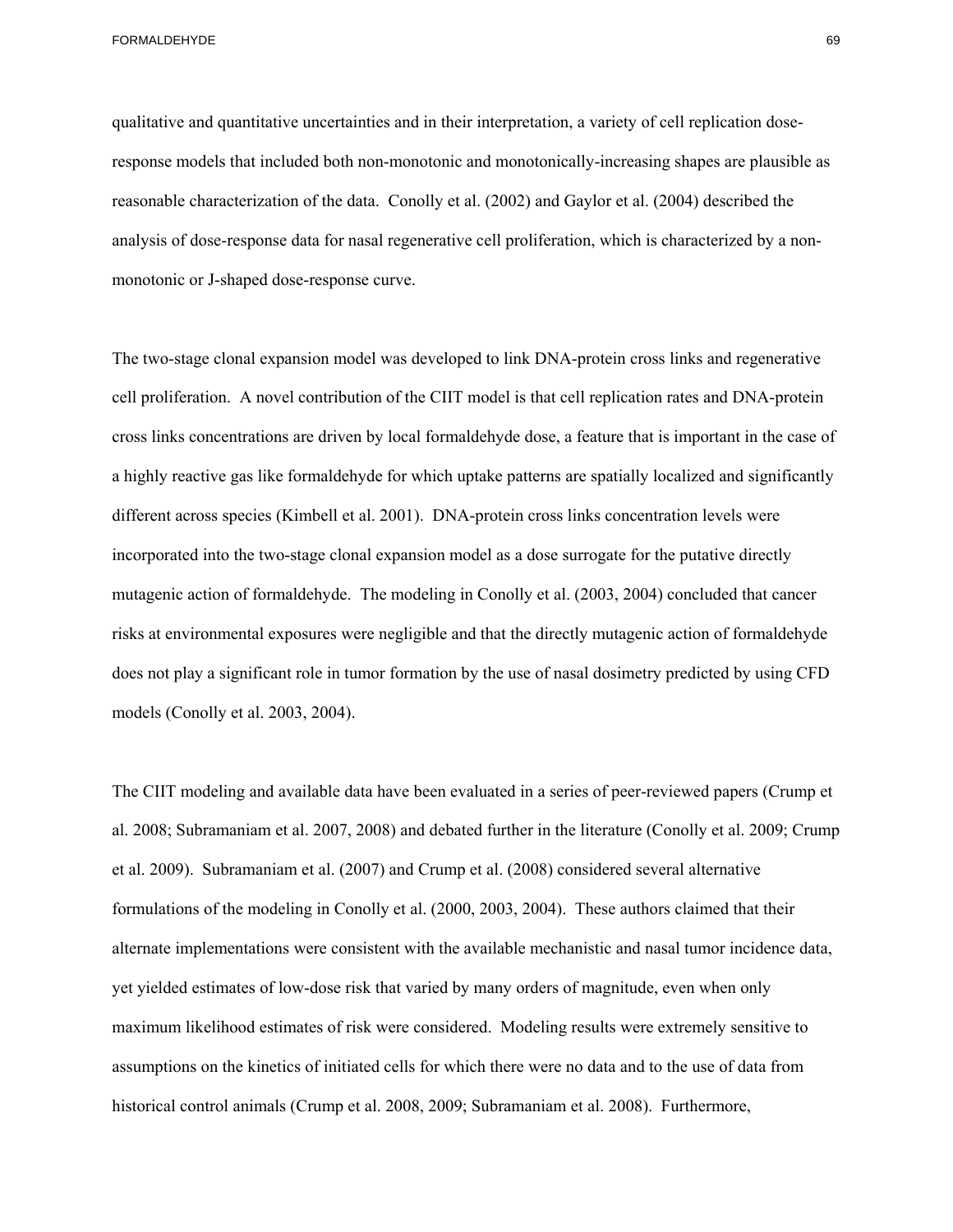qualitative and quantitative uncertainties and in their interpretation, a variety of cell replication doseresponse models that included both non-monotonic and monotonically-increasing shapes are plausible as reasonable characterization of the data. Conolly et al. (2002) and Gaylor et al. (2004) described the analysis of dose-response data for nasal regenerative cell proliferation, which is characterized by a nonmonotonic or J-shaped dose-response curve.

 does not play a significant role in tumor formation by the use of nasal dosimetry predicted by using CFD The two-stage clonal expansion model was developed to link DNA-protein cross links and regenerative cell proliferation. A novel contribution of the CIIT model is that cell replication rates and DNA-protein cross links concentrations are driven by local formaldehyde dose, a feature that is important in the case of a highly reactive gas like formaldehyde for which uptake patterns are spatially localized and significantly different across species (Kimbell et al. 2001). DNA-protein cross links concentration levels were incorporated into the two-stage clonal expansion model as a dose surrogate for the putative directly mutagenic action of formaldehyde. The modeling in Conolly et al. (2003, 2004) concluded that cancer risks at environmental exposures were negligible and that the directly mutagenic action of formaldehyde models (Conolly et al. 2003, 2004).

 et al. 2009). Subramaniam et al. (2007) and Crump et al. (2008) considered several alternative The CIIT modeling and available data have been evaluated in a series of peer-reviewed papers (Crump et al. 2008; Subramaniam et al. 2007, 2008) and debated further in the literature (Conolly et al. 2009; Crump formulations of the modeling in Conolly et al. (2000, 2003, 2004). These authors claimed that their alternate implementations were consistent with the available mechanistic and nasal tumor incidence data, yet yielded estimates of low-dose risk that varied by many orders of magnitude, even when only maximum likelihood estimates of risk were considered. Modeling results were extremely sensitive to assumptions on the kinetics of initiated cells for which there were no data and to the use of data from historical control animals (Crump et al. 2008, 2009; Subramaniam et al. 2008). Furthermore,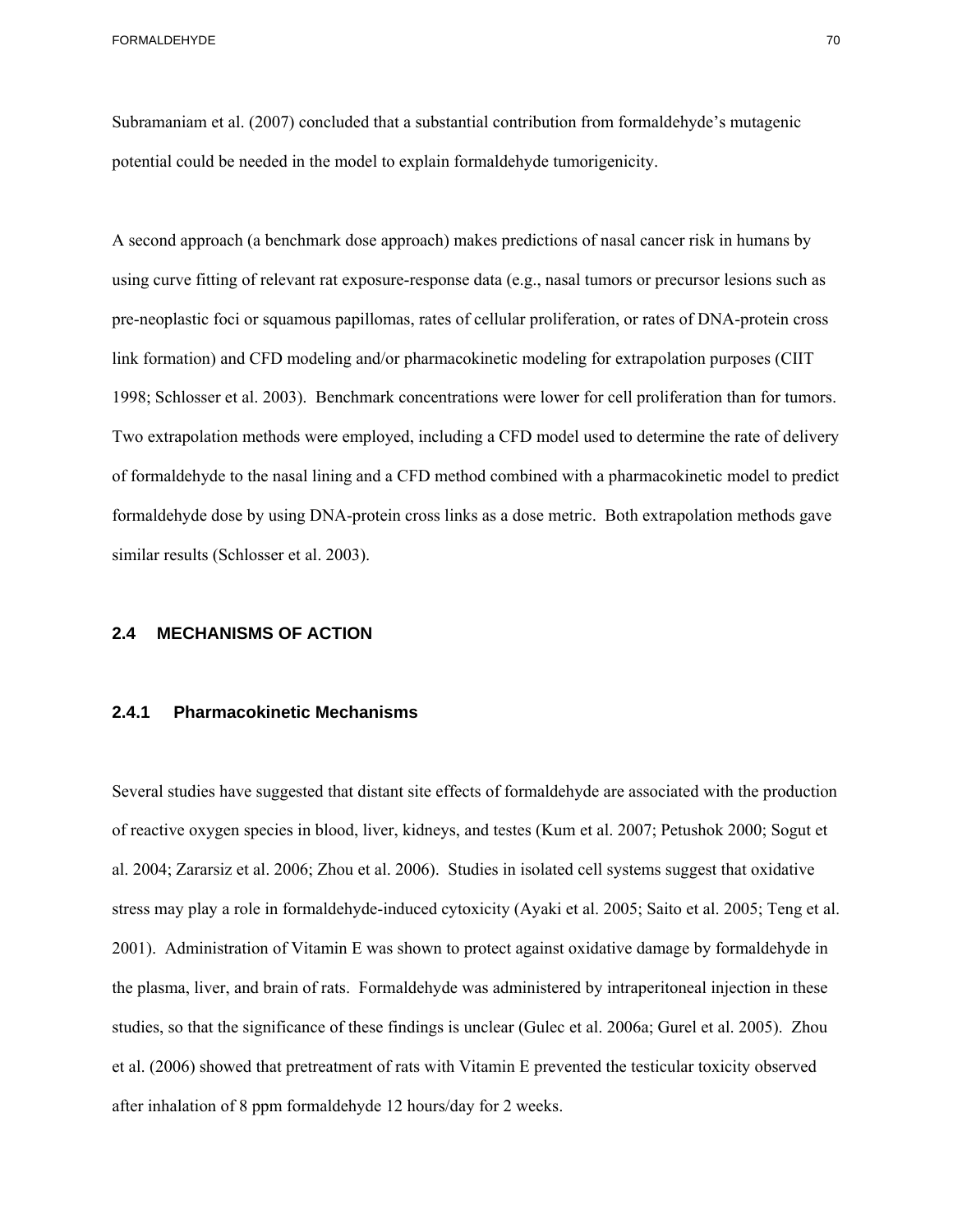Subramaniam et al. (2007) concluded that a substantial contribution from formaldehyde's mutagenic potential could be needed in the model to explain formaldehyde tumorigenicity.

A second approach (a benchmark dose approach) makes predictions of nasal cancer risk in humans by using curve fitting of relevant rat exposure-response data (e.g., nasal tumors or precursor lesions such as pre-neoplastic foci or squamous papillomas, rates of cellular proliferation, or rates of DNA-protein cross link formation) and CFD modeling and/or pharmacokinetic modeling for extrapolation purposes (CIIT 1998; Schlosser et al. 2003). Benchmark concentrations were lower for cell proliferation than for tumors. Two extrapolation methods were employed, including a CFD model used to determine the rate of delivery of formaldehyde to the nasal lining and a CFD method combined with a pharmacokinetic model to predict formaldehyde dose by using DNA-protein cross links as a dose metric. Both extrapolation methods gave similar results (Schlosser et al. 2003).

## **2.4 MECHANISMS OF ACTION**

## **2.4.1 Pharmacokinetic Mechanisms**

Several studies have suggested that distant site effects of formaldehyde are associated with the production of reactive oxygen species in blood, liver, kidneys, and testes (Kum et al. 2007; Petushok 2000; Sogut et al. 2004; Zararsiz et al. 2006; Zhou et al. 2006). Studies in isolated cell systems suggest that oxidative stress may play a role in formaldehyde-induced cytoxicity (Ayaki et al. 2005; Saito et al. 2005; Teng et al. 2001). Administration of Vitamin E was shown to protect against oxidative damage by formaldehyde in the plasma, liver, and brain of rats. Formaldehyde was administered by intraperitoneal injection in these studies, so that the significance of these findings is unclear (Gulec et al. 2006a; Gurel et al. 2005). Zhou et al. (2006) showed that pretreatment of rats with Vitamin E prevented the testicular toxicity observed after inhalation of 8 ppm formaldehyde 12 hours/day for 2 weeks.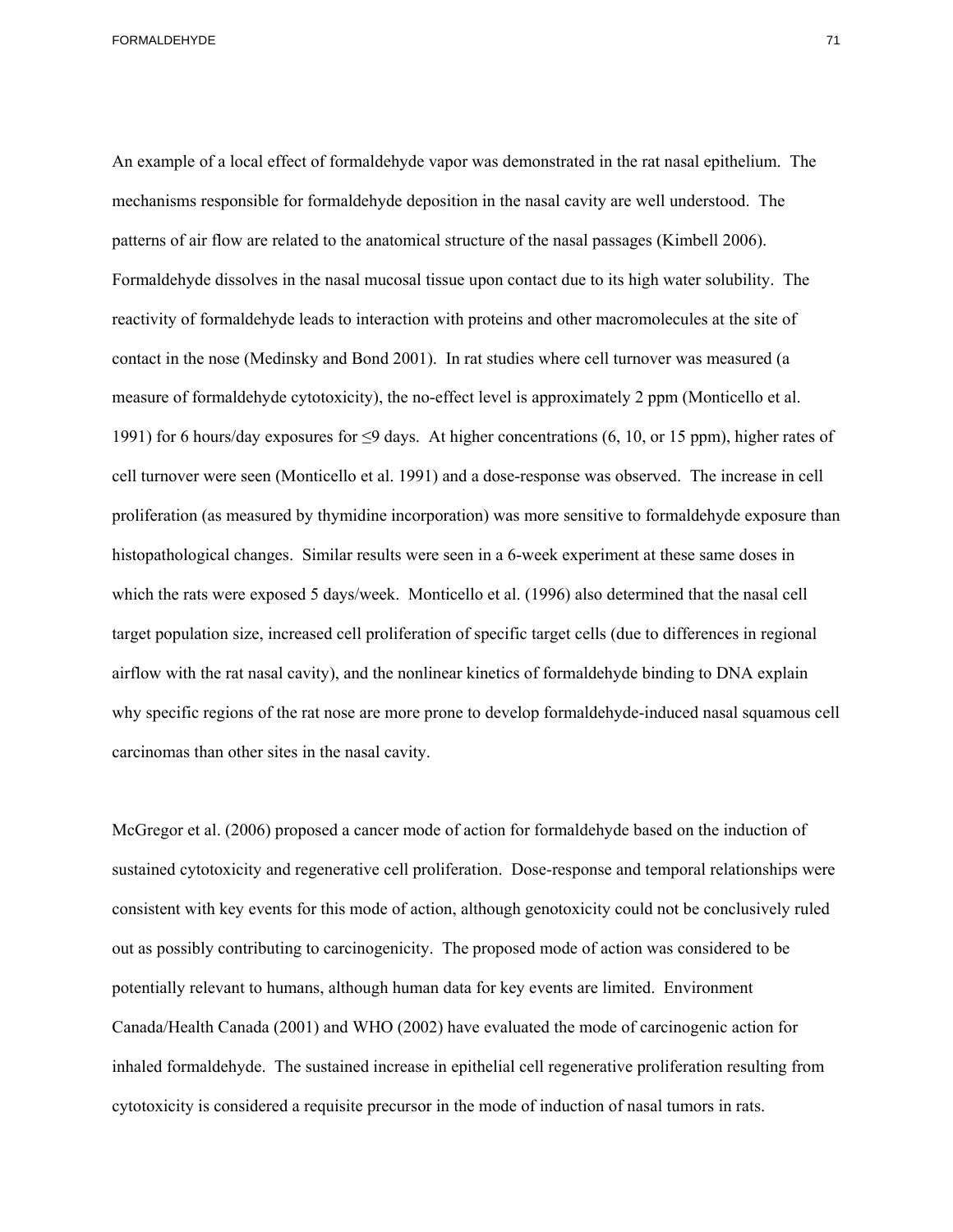An example of a local effect of formaldehyde vapor was demonstrated in the rat nasal epithelium. The mechanisms responsible for formaldehyde deposition in the nasal cavity are well understood. The patterns of air flow are related to the anatomical structure of the nasal passages (Kimbell 2006). Formaldehyde dissolves in the nasal mucosal tissue upon contact due to its high water solubility. The reactivity of formaldehyde leads to interaction with proteins and other macromolecules at the site of contact in the nose (Medinsky and Bond 2001). In rat studies where cell turnover was measured (a measure of formaldehyde cytotoxicity), the no-effect level is approximately 2 ppm (Monticello et al. 1991) for 6 hours/day exposures for ≤9 days. At higher concentrations (6, 10, or 15 ppm), higher rates of cell turnover were seen (Monticello et al. 1991) and a dose-response was observed. The increase in cell proliferation (as measured by thymidine incorporation) was more sensitive to formaldehyde exposure than histopathological changes. Similar results were seen in a 6-week experiment at these same doses in which the rats were exposed 5 days/week. Monticello et al. (1996) also determined that the nasal cell target population size, increased cell proliferation of specific target cells (due to differences in regional airflow with the rat nasal cavity), and the nonlinear kinetics of formaldehyde binding to DNA explain why specific regions of the rat nose are more prone to develop formaldehyde-induced nasal squamous cell carcinomas than other sites in the nasal cavity.

McGregor et al. (2006) proposed a cancer mode of action for formaldehyde based on the induction of sustained cytotoxicity and regenerative cell proliferation. Dose-response and temporal relationships were consistent with key events for this mode of action, although genotoxicity could not be conclusively ruled out as possibly contributing to carcinogenicity. The proposed mode of action was considered to be potentially relevant to humans, although human data for key events are limited. Environment Canada/Health Canada (2001) and WHO (2002) have evaluated the mode of carcinogenic action for inhaled formaldehyde. The sustained increase in epithelial cell regenerative proliferation resulting from cytotoxicity is considered a requisite precursor in the mode of induction of nasal tumors in rats.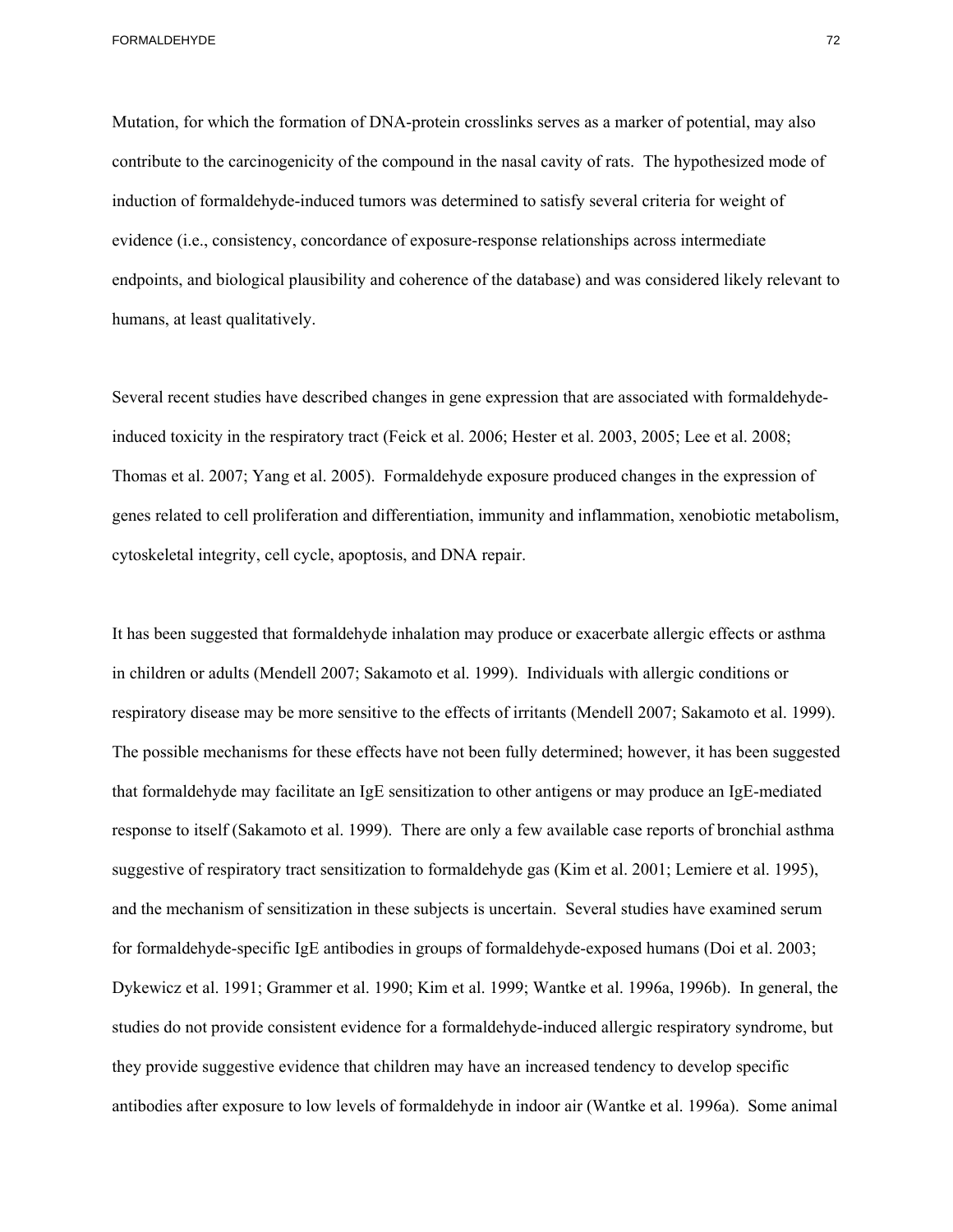Mutation, for which the formation of DNA-protein crosslinks serves as a marker of potential, may also contribute to the carcinogenicity of the compound in the nasal cavity of rats. The hypothesized mode of induction of formaldehyde-induced tumors was determined to satisfy several criteria for weight of evidence (i.e., consistency, concordance of exposure-response relationships across intermediate endpoints, and biological plausibility and coherence of the database) and was considered likely relevant to humans, at least qualitatively.

Several recent studies have described changes in gene expression that are associated with formaldehydeinduced toxicity in the respiratory tract (Feick et al. 2006; Hester et al. 2003, 2005; Lee et al. 2008; Thomas et al. 2007; Yang et al. 2005). Formaldehyde exposure produced changes in the expression of genes related to cell proliferation and differentiation, immunity and inflammation, xenobiotic metabolism, cytoskeletal integrity, cell cycle, apoptosis, and DNA repair.

It has been suggested that formaldehyde inhalation may produce or exacerbate allergic effects or asthma in children or adults (Mendell 2007; Sakamoto et al. 1999). Individuals with allergic conditions or respiratory disease may be more sensitive to the effects of irritants (Mendell 2007; Sakamoto et al. 1999). The possible mechanisms for these effects have not been fully determined; however, it has been suggested that formaldehyde may facilitate an IgE sensitization to other antigens or may produce an IgE-mediated response to itself (Sakamoto et al. 1999). There are only a few available case reports of bronchial asthma suggestive of respiratory tract sensitization to formaldehyde gas (Kim et al. 2001; Lemiere et al. 1995), and the mechanism of sensitization in these subjects is uncertain. Several studies have examined serum for formaldehyde-specific IgE antibodies in groups of formaldehyde-exposed humans (Doi et al. 2003; Dykewicz et al. 1991; Grammer et al. 1990; Kim et al. 1999; Wantke et al. 1996a, 1996b). In general, the studies do not provide consistent evidence for a formaldehyde-induced allergic respiratory syndrome, but they provide suggestive evidence that children may have an increased tendency to develop specific antibodies after exposure to low levels of formaldehyde in indoor air (Wantke et al. 1996a). Some animal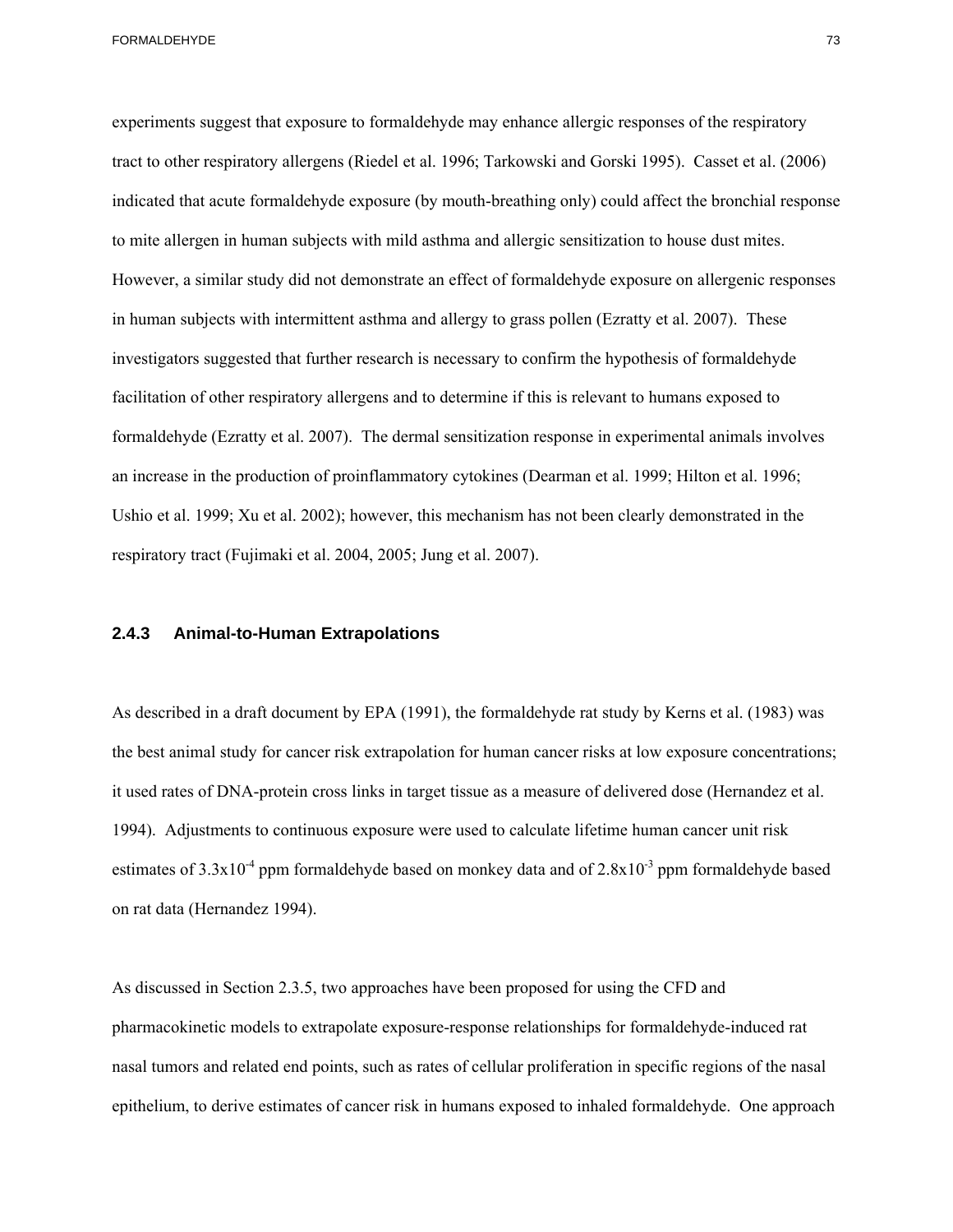experiments suggest that exposure to formaldehyde may enhance allergic responses of the respiratory tract to other respiratory allergens (Riedel et al. 1996; Tarkowski and Gorski 1995). Casset et al. (2006) indicated that acute formaldehyde exposure (by mouth-breathing only) could affect the bronchial response to mite allergen in human subjects with mild asthma and allergic sensitization to house dust mites. However, a similar study did not demonstrate an effect of formaldehyde exposure on allergenic responses in human subjects with intermittent asthma and allergy to grass pollen (Ezratty et al. 2007). These investigators suggested that further research is necessary to confirm the hypothesis of formaldehyde facilitation of other respiratory allergens and to determine if this is relevant to humans exposed to formaldehyde (Ezratty et al. 2007). The dermal sensitization response in experimental animals involves an increase in the production of proinflammatory cytokines (Dearman et al. 1999; Hilton et al. 1996; Ushio et al. 1999; Xu et al. 2002); however, this mechanism has not been clearly demonstrated in the respiratory tract (Fujimaki et al. 2004, 2005; Jung et al. 2007).

## **2.4.3 Animal-to-Human Extrapolations**

As described in a draft document by EPA (1991), the formaldehyde rat study by Kerns et al. (1983) was the best animal study for cancer risk extrapolation for human cancer risks at low exposure concentrations; it used rates of DNA-protein cross links in target tissue as a measure of delivered dose (Hernandez et al. 1994). Adjustments to continuous exposure were used to calculate lifetime human cancer unit risk estimates of  $3.3x10^{-4}$  ppm formaldehyde based on monkey data and of  $2.8x10^{-3}$  ppm formaldehyde based on rat data (Hernandez 1994).

As discussed in Section 2.3.5, two approaches have been proposed for using the CFD and pharmacokinetic models to extrapolate exposure-response relationships for formaldehyde-induced rat nasal tumors and related end points, such as rates of cellular proliferation in specific regions of the nasal epithelium, to derive estimates of cancer risk in humans exposed to inhaled formaldehyde. One approach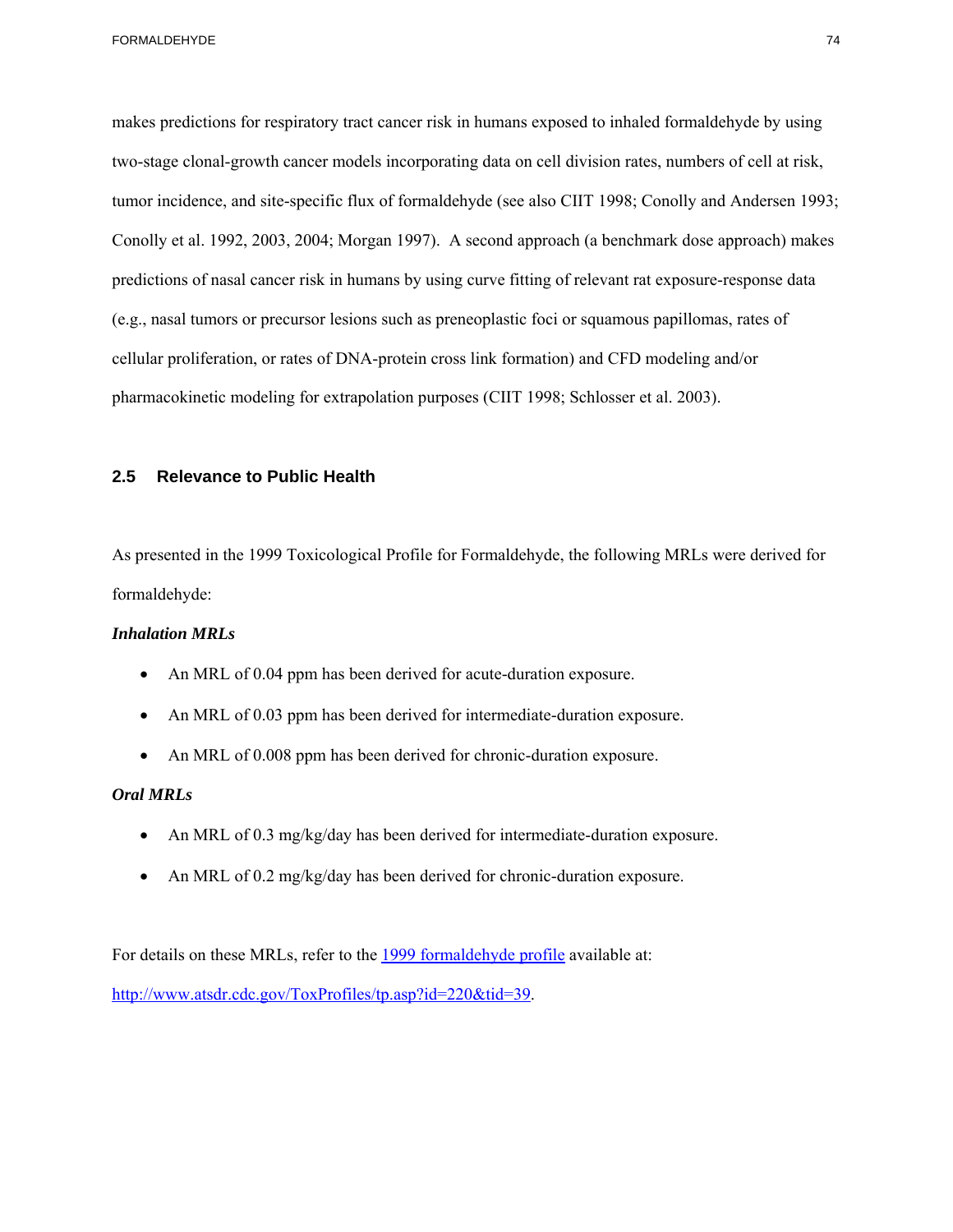makes predictions for respiratory tract cancer risk in humans exposed to inhaled formaldehyde by using two-stage clonal-growth cancer models incorporating data on cell division rates, numbers of cell at risk, tumor incidence, and site-specific flux of formaldehyde (see also CIIT 1998; Conolly and Andersen 1993; Conolly et al. 1992, 2003, 2004; Morgan 1997). A second approach (a benchmark dose approach) makes predictions of nasal cancer risk in humans by using curve fitting of relevant rat exposure-response data (e.g., nasal tumors or precursor lesions such as preneoplastic foci or squamous papillomas, rates of cellular proliferation, or rates of DNA-protein cross link formation) and CFD modeling and/or pharmacokinetic modeling for extrapolation purposes (CIIT 1998; Schlosser et al. 2003).

## **2.5 Relevance to Public Health**

As presented in the 1999 Toxicological Profile for Formaldehyde, the following MRLs were derived for formaldehyde:

## *Inhalation MRLs*

- An MRL of 0.04 ppm has been derived for acute-duration exposure.
- An MRL of 0.03 ppm has been derived for intermediate-duration exposure.
- An MRL of 0.008 ppm has been derived for chronic-duration exposure.

## *Oral MRLs*

- An MRL of 0.3 mg/kg/day has been derived for intermediate-duration exposure.
- An MRL of 0.2 mg/kg/day has been derived for chronic-duration exposure.

For details on these MRLs, refer to the 1999 formaldehyde profile available at: http://www.atsdr.cdc.gov/ToxProfiles/tp.asp?id=220&tid=39.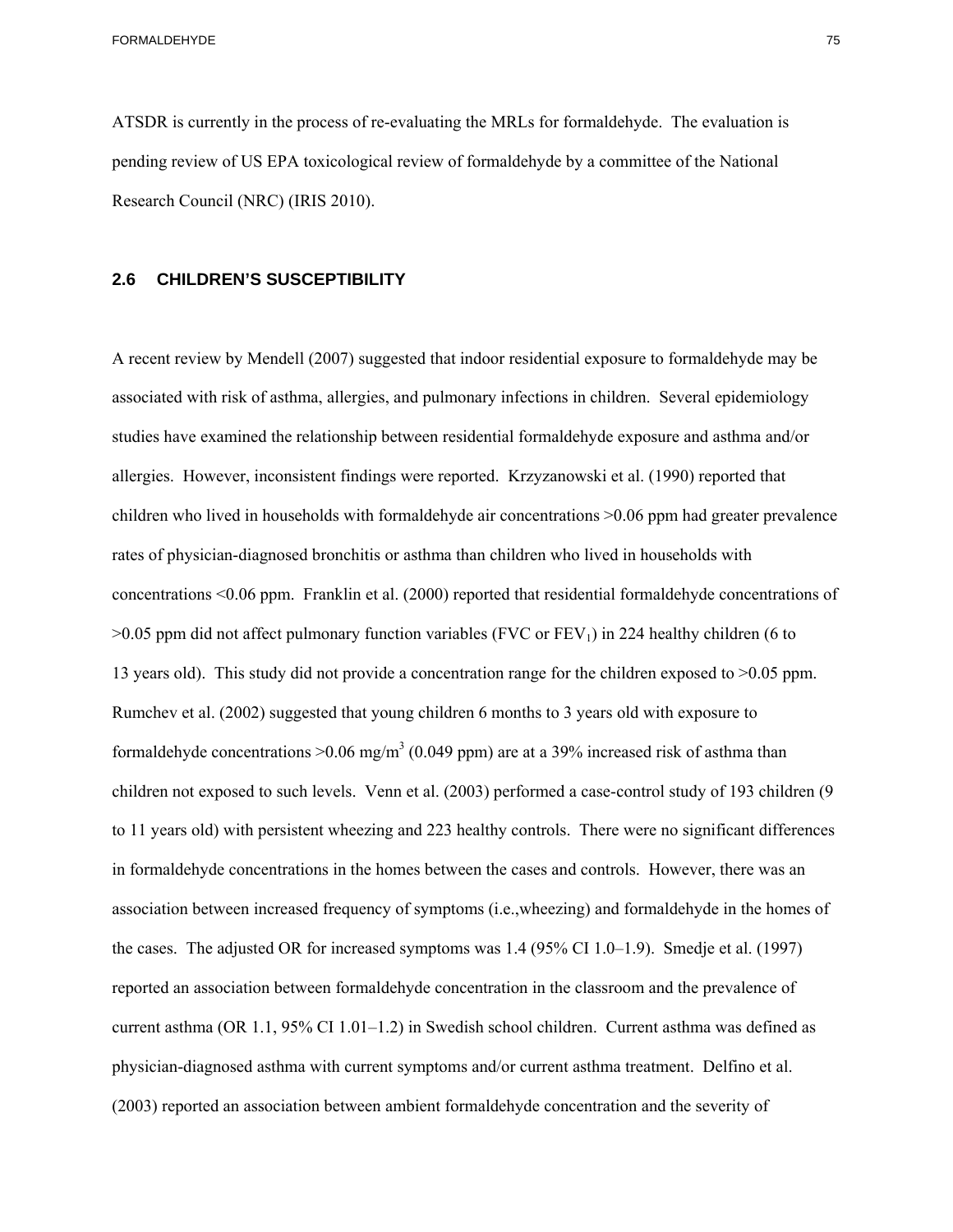ATSDR is currently in the process of re-evaluating the MRLs for formaldehyde. The evaluation is pending review of US EPA toxicological review of formaldehyde by a committee of the National Research Council (NRC) (IRIS 2010).

#### **2.6 CHILDREN'S SUSCEPTIBILITY**

13 years old). This study did not provide a concentration range for the children exposed to >0.05 ppm.<br>Rumchev et al. (2002) suggested that young children 6 months to 3 years old with exposure to A recent review by Mendell (2007) suggested that indoor residential exposure to formaldehyde may be associated with risk of asthma, allergies, and pulmonary infections in children. Several epidemiology studies have examined the relationship between residential formaldehyde exposure and asthma and/or allergies. However, inconsistent findings were reported. Krzyzanowski et al. (1990) reported that children who lived in households with formaldehyde air concentrations >0.06 ppm had greater prevalence rates of physician-diagnosed bronchitis or asthma than children who lived in households with concentrations <0.06 ppm. Franklin et al. (2000) reported that residential formaldehyde concentrations of  $>0.05$  ppm did not affect pulmonary function variables (FVC or FEV<sub>1</sub>) in 224 healthy children (6 to formaldehyde concentrations  $>0.06$  mg/m<sup>3</sup> (0.049 ppm) are at a 39% increased risk of asthma than children not exposed to such levels. Venn et al. (2003) performed a case-control study of 193 children (9 to 11 years old) with persistent wheezing and 223 healthy controls. There were no significant differences in formaldehyde concentrations in the homes between the cases and controls. However, there was an association between increased frequency of symptoms (i.e.,wheezing) and formaldehyde in the homes of the cases. The adjusted OR for increased symptoms was 1.4 (95% CI 1.0–1.9). Smedje et al. (1997) reported an association between formaldehyde concentration in the classroom and the prevalence of current asthma (OR 1.1, 95% CI 1.01–1.2) in Swedish school children. Current asthma was defined as physician-diagnosed asthma with current symptoms and/or current asthma treatment. Delfino et al. (2003) reported an association between ambient formaldehyde concentration and the severity of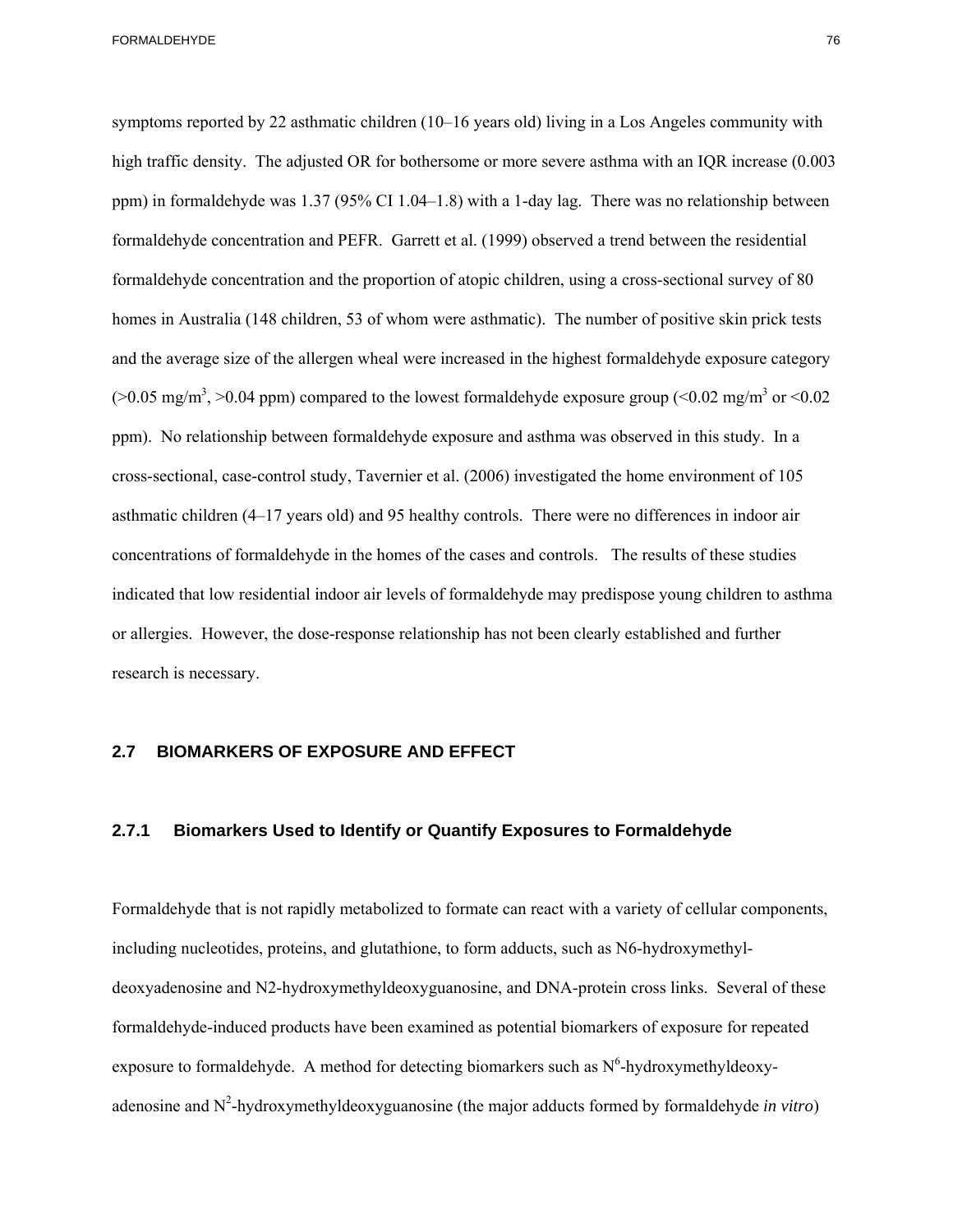research is necessary. symptoms reported by 22 asthmatic children (10–16 years old) living in a Los Angeles community with high traffic density. The adjusted OR for bothersome or more severe asthma with an IQR increase (0.003) ppm) in formaldehyde was 1.37 (95% CI 1.04–1.8) with a 1-day lag. There was no relationship between formaldehyde concentration and PEFR. Garrett et al. (1999) observed a trend between the residential formaldehyde concentration and the proportion of atopic children, using a cross-sectional survey of 80 homes in Australia (148 children, 53 of whom were asthmatic). The number of positive skin prick tests and the average size of the allergen wheal were increased in the highest formaldehyde exposure category ( $>0.05$  mg/m<sup>3</sup>,  $>0.04$  ppm) compared to the lowest formaldehyde exposure group ( $< 0.02$  mg/m<sup>3</sup> or  $< 0.02$ ) ppm). No relationship between formaldehyde exposure and asthma was observed in this study. In a cross-sectional, case-control study, Tavernier et al. (2006) investigated the home environment of 105 asthmatic children (4–17 years old) and 95 healthy controls. There were no differences in indoor air concentrations of formaldehyde in the homes of the cases and controls. The results of these studies indicated that low residential indoor air levels of formaldehyde may predispose young children to asthma or allergies. However, the dose-response relationship has not been clearly established and further

### **2.7 BIOMARKERS OF EXPOSURE AND EFFECT**

## **2.7.1 Biomarkers Used to Identify or Quantify Exposures to Formaldehyde**

Formaldehyde that is not rapidly metabolized to formate can react with a variety of cellular components, including nucleotides, proteins, and glutathione, to form adducts, such as N6-hydroxymethyldeoxyadenosine and N2-hydroxymethyldeoxyguanosine, and DNA-protein cross links. Several of these formaldehyde-induced products have been examined as potential biomarkers of exposure for repeated exposure to formaldehyde. A method for detecting biomarkers such as  $N^6$ -hydroxymethyldeoxy adenosine and  $N^2$ -hydroxymethyldeoxyguanosine (the major adducts formed by formaldehyde *in vitro*)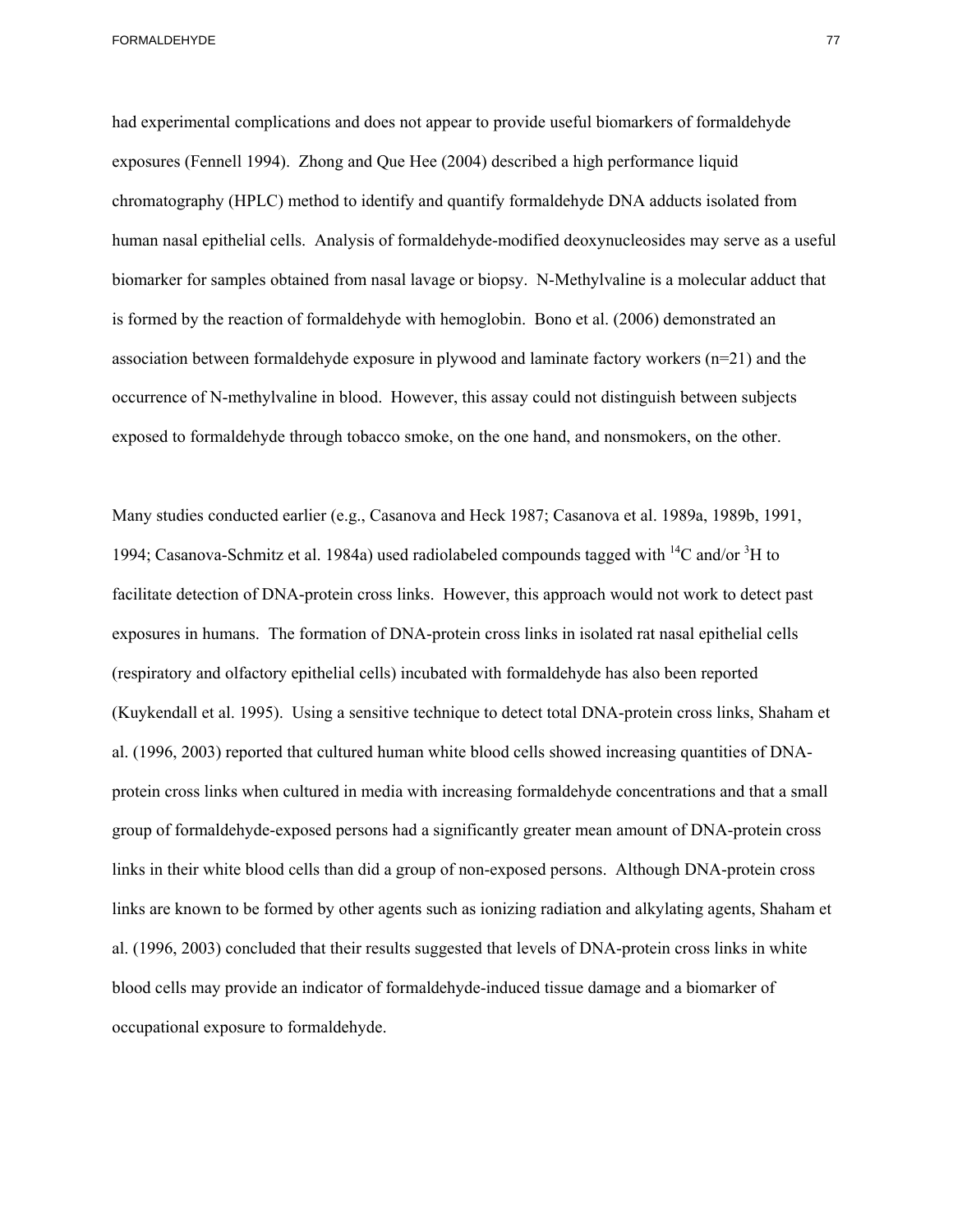had experimental complications and does not appear to provide useful biomarkers of formaldehyde exposures (Fennell 1994). Zhong and Que Hee (2004) described a high performance liquid chromatography (HPLC) method to identify and quantify formaldehyde DNA adducts isolated from human nasal epithelial cells. Analysis of formaldehyde-modified deoxynucleosides may serve as a useful biomarker for samples obtained from nasal lavage or biopsy. N-Methylvaline is a molecular adduct that is formed by the reaction of formaldehyde with hemoglobin. Bono et al. (2006) demonstrated an association between formaldehyde exposure in plywood and laminate factory workers (n=21) and the occurrence of N-methylvaline in blood. However, this assay could not distinguish between subjects exposed to formaldehyde through tobacco smoke, on the one hand, and nonsmokers, on the other.

Many studies conducted earlier (e.g., Casanova and Heck 1987; Casanova et al. 1989a, 1989b, 1991, 1994; Casanova-Schmitz et al. 1984a) used radiolabeled compounds tagged with  ${}^{14}C$  and/or  ${}^{3}H$  to facilitate detection of DNA-protein cross links. However, this approach would not work to detect past exposures in humans. The formation of DNA-protein cross links in isolated rat nasal epithelial cells (respiratory and olfactory epithelial cells) incubated with formaldehyde has also been reported (Kuykendall et al. 1995). Using a sensitive technique to detect total DNA-protein cross links, Shaham et al. (1996, 2003) reported that cultured human white blood cells showed increasing quantities of DNAprotein cross links when cultured in media with increasing formaldehyde concentrations and that a small group of formaldehyde-exposed persons had a significantly greater mean amount of DNA-protein cross links in their white blood cells than did a group of non-exposed persons. Although DNA-protein cross links are known to be formed by other agents such as ionizing radiation and alkylating agents, Shaham et al. (1996, 2003) concluded that their results suggested that levels of DNA-protein cross links in white blood cells may provide an indicator of formaldehyde-induced tissue damage and a biomarker of occupational exposure to formaldehyde.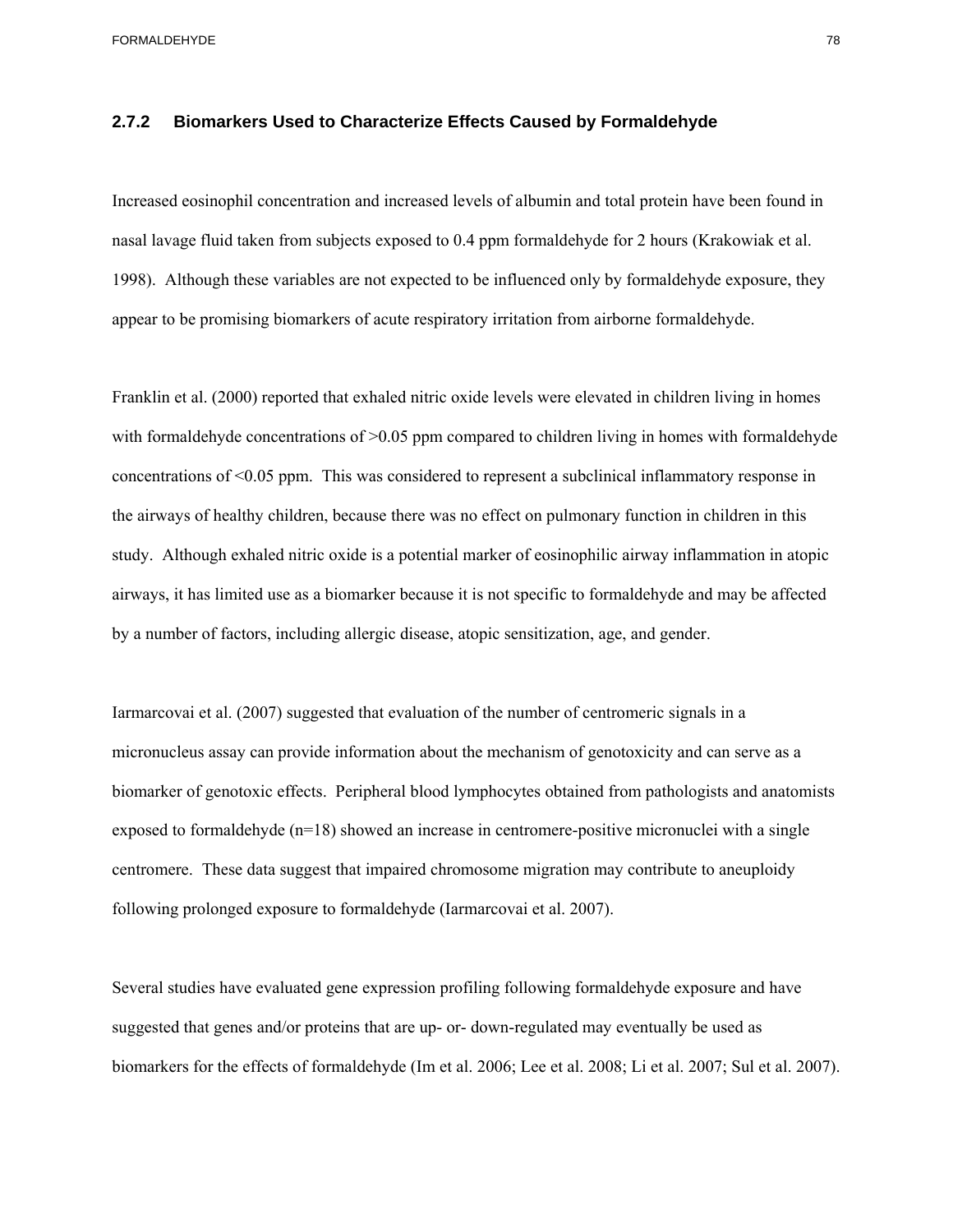## **2.7.2 Biomarkers Used to Characterize Effects Caused by Formaldehyde**

Increased eosinophil concentration and increased levels of albumin and total protein have been found in nasal lavage fluid taken from subjects exposed to 0.4 ppm formaldehyde for 2 hours (Krakowiak et al. 1998). Although these variables are not expected to be influenced only by formaldehyde exposure, they appear to be promising biomarkers of acute respiratory irritation from airborne formaldehyde.

Franklin et al. (2000) reported that exhaled nitric oxide levels were elevated in children living in homes with formaldehyde concentrations of  $>0.05$  ppm compared to children living in homes with formaldehyde concentrations of <0.05 ppm. This was considered to represent a subclinical inflammatory response in the airways of healthy children, because there was no effect on pulmonary function in children in this study. Although exhaled nitric oxide is a potential marker of eosinophilic airway inflammation in atopic airways, it has limited use as a biomarker because it is not specific to formaldehyde and may be affected by a number of factors, including allergic disease, atopic sensitization, age, and gender.

Iarmarcovai et al. (2007) suggested that evaluation of the number of centromeric signals in a micronucleus assay can provide information about the mechanism of genotoxicity and can serve as a biomarker of genotoxic effects. Peripheral blood lymphocytes obtained from pathologists and anatomists exposed to formaldehyde (n=18) showed an increase in centromere-positive micronuclei with a single centromere. These data suggest that impaired chromosome migration may contribute to aneuploidy following prolonged exposure to formaldehyde (Iarmarcovai et al. 2007).

Several studies have evaluated gene expression profiling following formaldehyde exposure and have suggested that genes and/or proteins that are up- or- down-regulated may eventually be used as biomarkers for the effects of formaldehyde (Im et al. 2006; Lee et al. 2008; Li et al. 2007; Sul et al. 2007).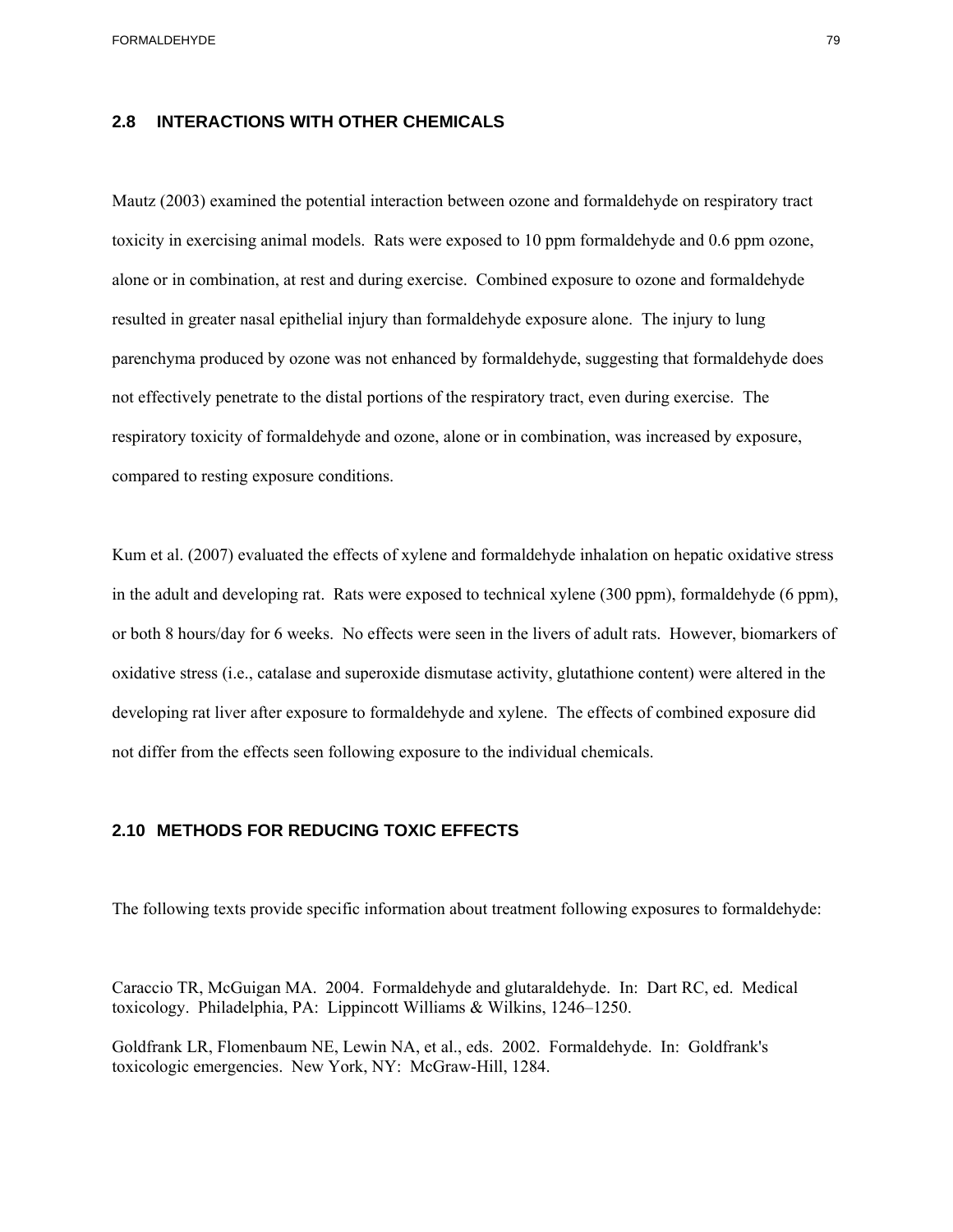## **2.8 INTERACTIONS WITH OTHER CHEMICALS**

 parenchyma produced by ozone was not enhanced by formaldehyde, suggesting that formaldehyde does Mautz (2003) examined the potential interaction between ozone and formaldehyde on respiratory tract toxicity in exercising animal models. Rats were exposed to 10 ppm formaldehyde and 0.6 ppm ozone, alone or in combination, at rest and during exercise. Combined exposure to ozone and formaldehyde resulted in greater nasal epithelial injury than formaldehyde exposure alone. The injury to lung not effectively penetrate to the distal portions of the respiratory tract, even during exercise. The respiratory toxicity of formaldehyde and ozone, alone or in combination, was increased by exposure, compared to resting exposure conditions.

Kum et al. (2007) evaluated the effects of xylene and formaldehyde inhalation on hepatic oxidative stress in the adult and developing rat. Rats were exposed to technical xylene (300 ppm), formaldehyde (6 ppm), or both 8 hours/day for 6 weeks. No effects were seen in the livers of adult rats. However, biomarkers of oxidative stress (i.e., catalase and superoxide dismutase activity, glutathione content) were altered in the developing rat liver after exposure to formaldehyde and xylene. The effects of combined exposure did not differ from the effects seen following exposure to the individual chemicals.

## **2.10 METHODS FOR REDUCING TOXIC EFFECTS**

The following texts provide specific information about treatment following exposures to formaldehyde:

Caraccio TR, McGuigan MA. 2004. Formaldehyde and glutaraldehyde. In: Dart RC, ed. Medical toxicology. Philadelphia, PA: Lippincott Williams & Wilkins, 1246–1250.

Goldfrank LR, Flomenbaum NE, Lewin NA, et al., eds. 2002. Formaldehyde. In: Goldfrank's toxicologic emergencies. New York, NY: McGraw-Hill, 1284.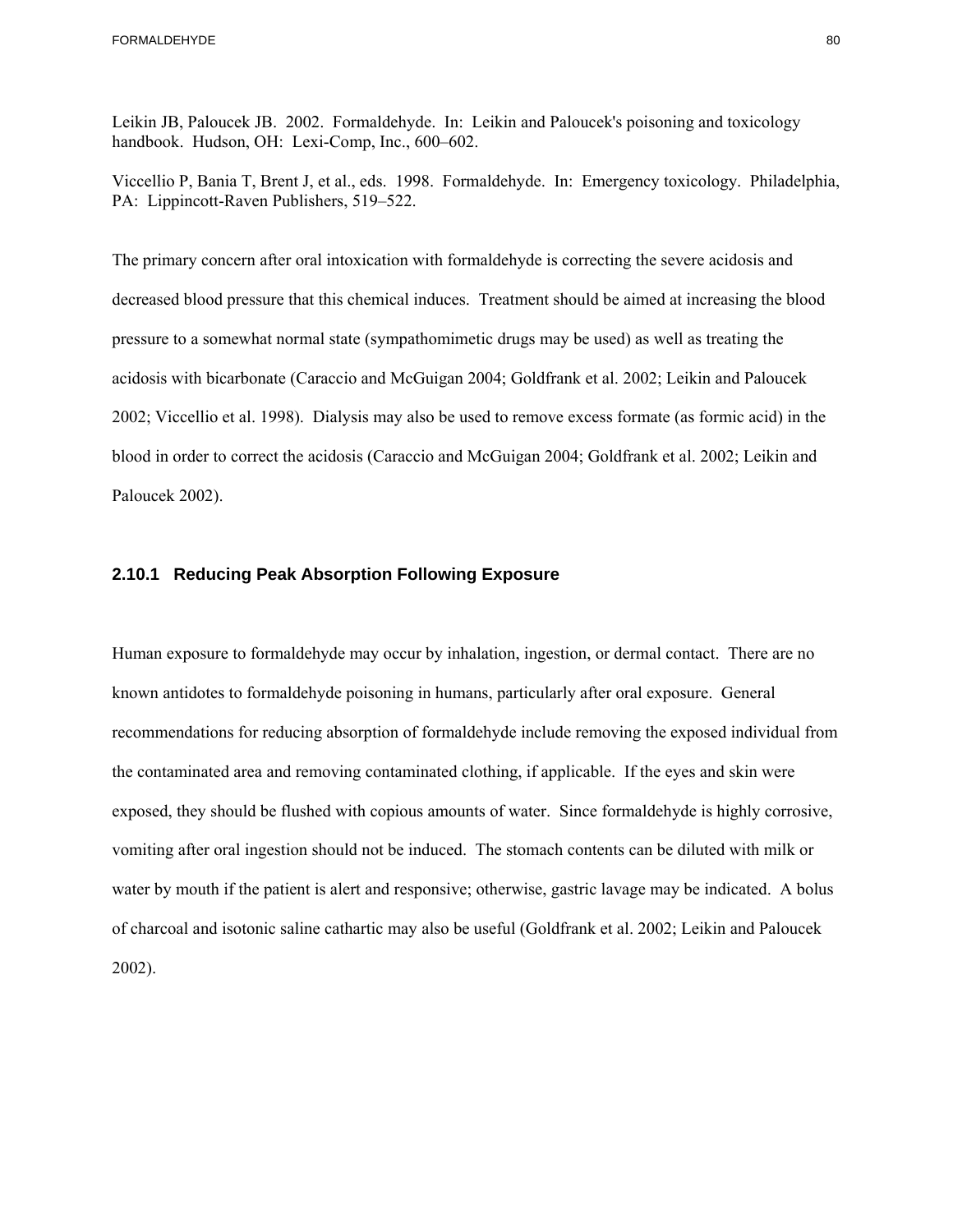Leikin JB, Paloucek JB. 2002. Formaldehyde. In: Leikin and Paloucek's poisoning and toxicology handbook. Hudson, OH: Lexi-Comp, Inc., 600–602.

Viccellio P, Bania T, Brent J, et al., eds. 1998. Formaldehyde. In: Emergency toxicology. Philadelphia, PA: Lippincott-Raven Publishers, 519–522.

The primary concern after oral intoxication with formaldehyde is correcting the severe acidosis and decreased blood pressure that this chemical induces. Treatment should be aimed at increasing the blood pressure to a somewhat normal state (sympathomimetic drugs may be used) as well as treating the acidosis with bicarbonate (Caraccio and McGuigan 2004; Goldfrank et al. 2002; Leikin and Paloucek 2002; Viccellio et al. 1998). Dialysis may also be used to remove excess formate (as formic acid) in the blood in order to correct the acidosis (Caraccio and McGuigan 2004; Goldfrank et al. 2002; Leikin and Paloucek 2002).

## **2.10.1 Reducing Peak Absorption Following Exposure**

Human exposure to formaldehyde may occur by inhalation, ingestion, or dermal contact. There are no known antidotes to formaldehyde poisoning in humans, particularly after oral exposure. General recommendations for reducing absorption of formaldehyde include removing the exposed individual from the contaminated area and removing contaminated clothing, if applicable. If the eyes and skin were exposed, they should be flushed with copious amounts of water. Since formaldehyde is highly corrosive, vomiting after oral ingestion should not be induced. The stomach contents can be diluted with milk or water by mouth if the patient is alert and responsive; otherwise, gastric lavage may be indicated. A bolus of charcoal and isotonic saline cathartic may also be useful (Goldfrank et al. 2002; Leikin and Paloucek 2002).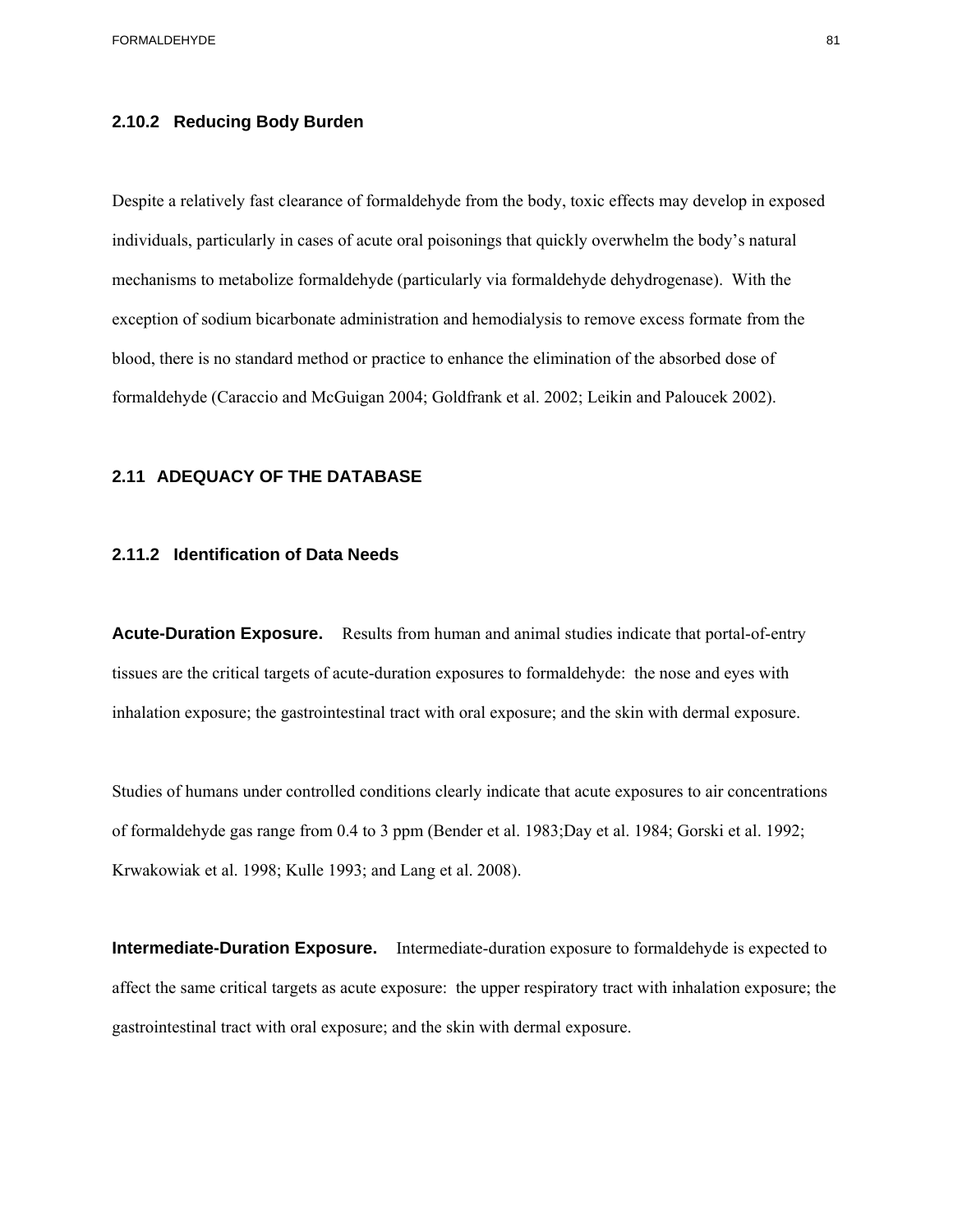## **2.10.2 Reducing Body Burden**

Despite a relatively fast clearance of formaldehyde from the body, toxic effects may develop in exposed individuals, particularly in cases of acute oral poisonings that quickly overwhelm the body's natural mechanisms to metabolize formaldehyde (particularly via formaldehyde dehydrogenase). With the exception of sodium bicarbonate administration and hemodialysis to remove excess formate from the blood, there is no standard method or practice to enhance the elimination of the absorbed dose of formaldehyde (Caraccio and McGuigan 2004; Goldfrank et al. 2002; Leikin and Paloucek 2002).

# **2.11 ADEQUACY OF THE DATABASE 2.11.2 Identification of Data Needs**

**Acute-Duration Exposure.** Results from human and animal studies indicate that portal-of-entry tissues are the critical targets of acute-duration exposures to formaldehyde: the nose and eyes with inhalation exposure; the gastrointestinal tract with oral exposure; and the skin with dermal exposure.

Studies of humans under controlled conditions clearly indicate that acute exposures to air concentrations of formaldehyde gas range from 0.4 to 3 ppm (Bender et al. 1983;Day et al. 1984; Gorski et al. 1992; Krwakowiak et al. 1998; Kulle 1993; and Lang et al. 2008).

**Intermediate-Duration Exposure.** Intermediate-duration exposure to formaldehyde is expected to affect the same critical targets as acute exposure: the upper respiratory tract with inhalation exposure; the gastrointestinal tract with oral exposure; and the skin with dermal exposure.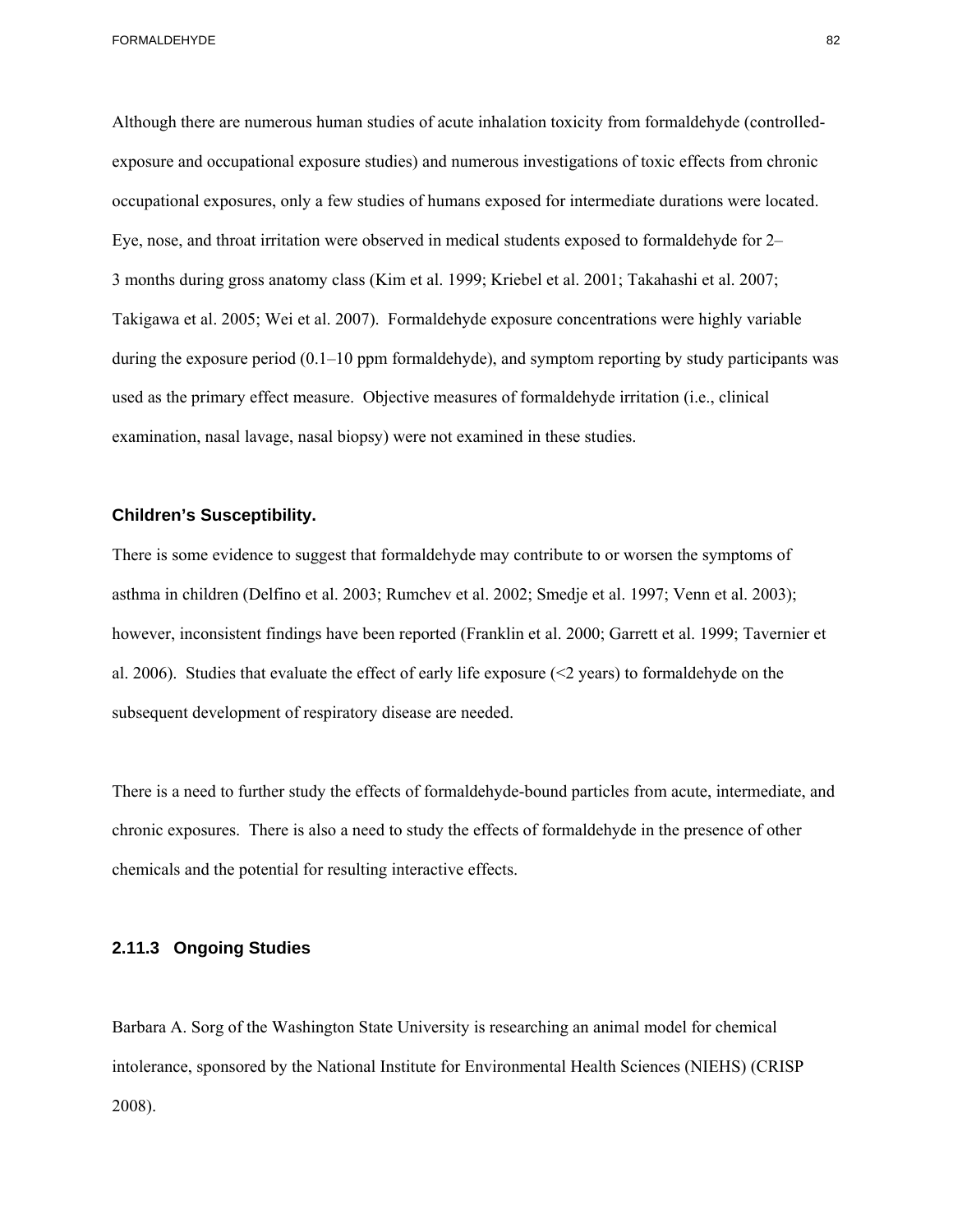Although there are numerous human studies of acute inhalation toxicity from formaldehyde (controlledexposure and occupational exposure studies) and numerous investigations of toxic effects from chronic occupational exposures, only a few studies of humans exposed for intermediate durations were located. Eye, nose, and throat irritation were observed in medical students exposed to formaldehyde for 2– 3 months during gross anatomy class (Kim et al. 1999; Kriebel et al. 2001; Takahashi et al. 2007; Takigawa et al. 2005; Wei et al. 2007). Formaldehyde exposure concentrations were highly variable during the exposure period (0.1–10 ppm formaldehyde), and symptom reporting by study participants was used as the primary effect measure. Objective measures of formaldehyde irritation (i.e., clinical examination, nasal lavage, nasal biopsy) were not examined in these studies.

#### **Children's Susceptibility.**

There is some evidence to suggest that formaldehyde may contribute to or worsen the symptoms of asthma in children (Delfino et al. 2003; Rumchev et al. 2002; Smedje et al. 1997; Venn et al. 2003); however, inconsistent findings have been reported (Franklin et al. 2000; Garrett et al. 1999; Tavernier et al. 2006). Studies that evaluate the effect of early life exposure ( $\leq$  years) to formaldehyde on the subsequent development of respiratory disease are needed.

There is a need to further study the effects of formaldehyde-bound particles from acute, intermediate, and chronic exposures. There is also a need to study the effects of formaldehyde in the presence of other chemicals and the potential for resulting interactive effects.

## **2.11.3 Ongoing Studies**

Barbara A. Sorg of the Washington State University is researching an animal model for chemical intolerance, sponsored by the National Institute for Environmental Health Sciences (NIEHS) (CRISP 2008).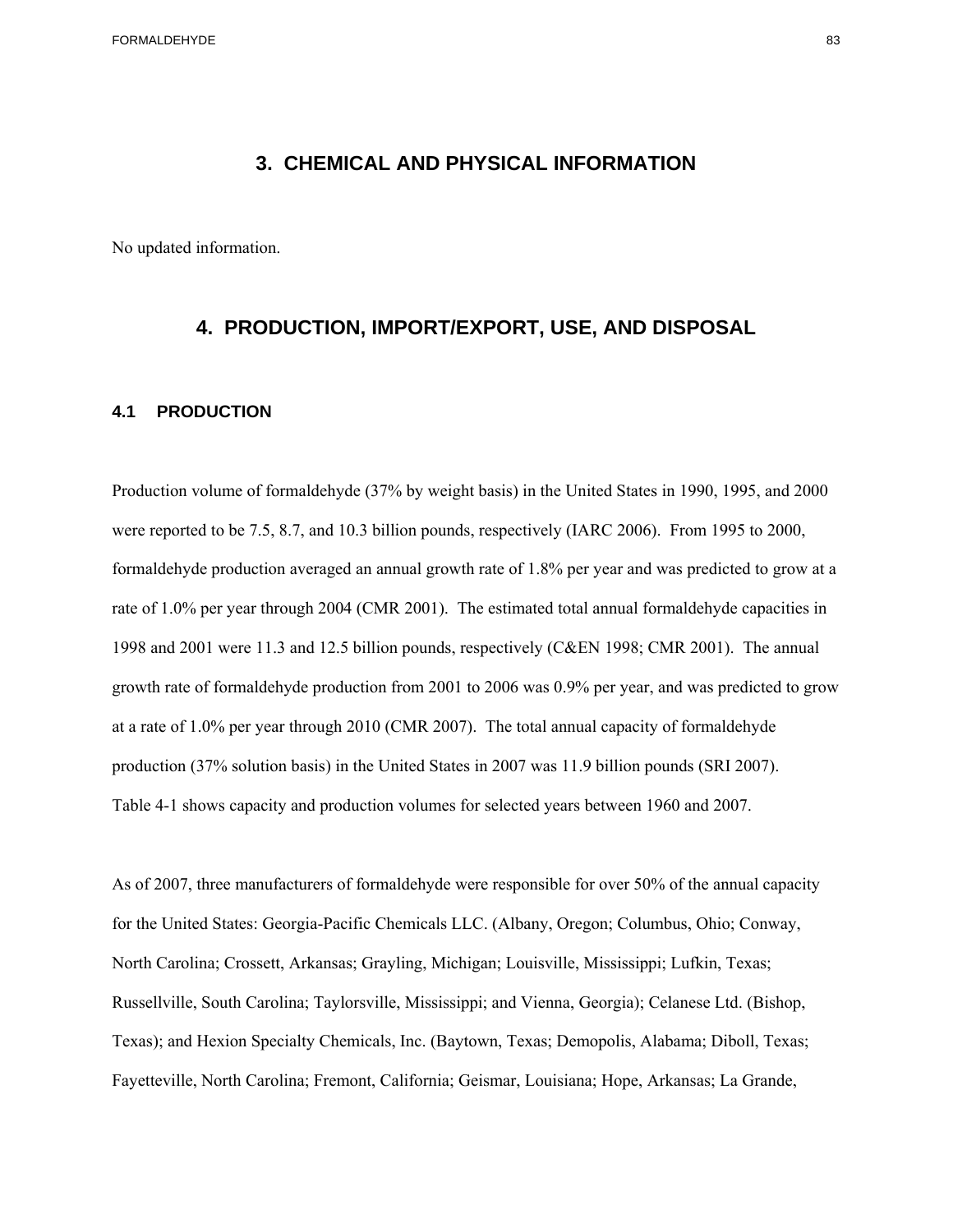## **3. CHEMICAL AND PHYSICAL INFORMATION**

No updated information.

## **4. PRODUCTION, IMPORT/EXPORT, USE, AND DISPOSAL**

## **4.1 PRODUCTION**

Production volume of formaldehyde (37% by weight basis) in the United States in 1990, 1995, and 2000 were reported to be 7.5, 8.7, and 10.3 billion pounds, respectively (IARC 2006). From 1995 to 2000, formaldehyde production averaged an annual growth rate of 1.8% per year and was predicted to grow at a rate of 1.0% per year through 2004 (CMR 2001). The estimated total annual formaldehyde capacities in 1998 and 2001 were 11.3 and 12.5 billion pounds, respectively (C&EN 1998; CMR 2001). The annual growth rate of formaldehyde production from 2001 to 2006 was 0.9% per year, and was predicted to grow at a rate of 1.0% per year through 2010 (CMR 2007). The total annual capacity of formaldehyde production (37% solution basis) in the United States in 2007 was 11.9 billion pounds (SRI 2007). Table 4-1 shows capacity and production volumes for selected years between 1960 and 2007.

As of 2007, three manufacturers of formaldehyde were responsible for over 50% of the annual capacity for the United States: Georgia-Pacific Chemicals LLC. (Albany, Oregon; Columbus, Ohio; Conway, North Carolina; Crossett, Arkansas; Grayling, Michigan; Louisville, Mississippi; Lufkin, Texas; Russellville, South Carolina; Taylorsville, Mississippi; and Vienna, Georgia); Celanese Ltd. (Bishop, Texas); and Hexion Specialty Chemicals, Inc. (Baytown, Texas; Demopolis, Alabama; Diboll, Texas; Fayetteville, North Carolina; Fremont, California; Geismar, Louisiana; Hope, Arkansas; La Grande,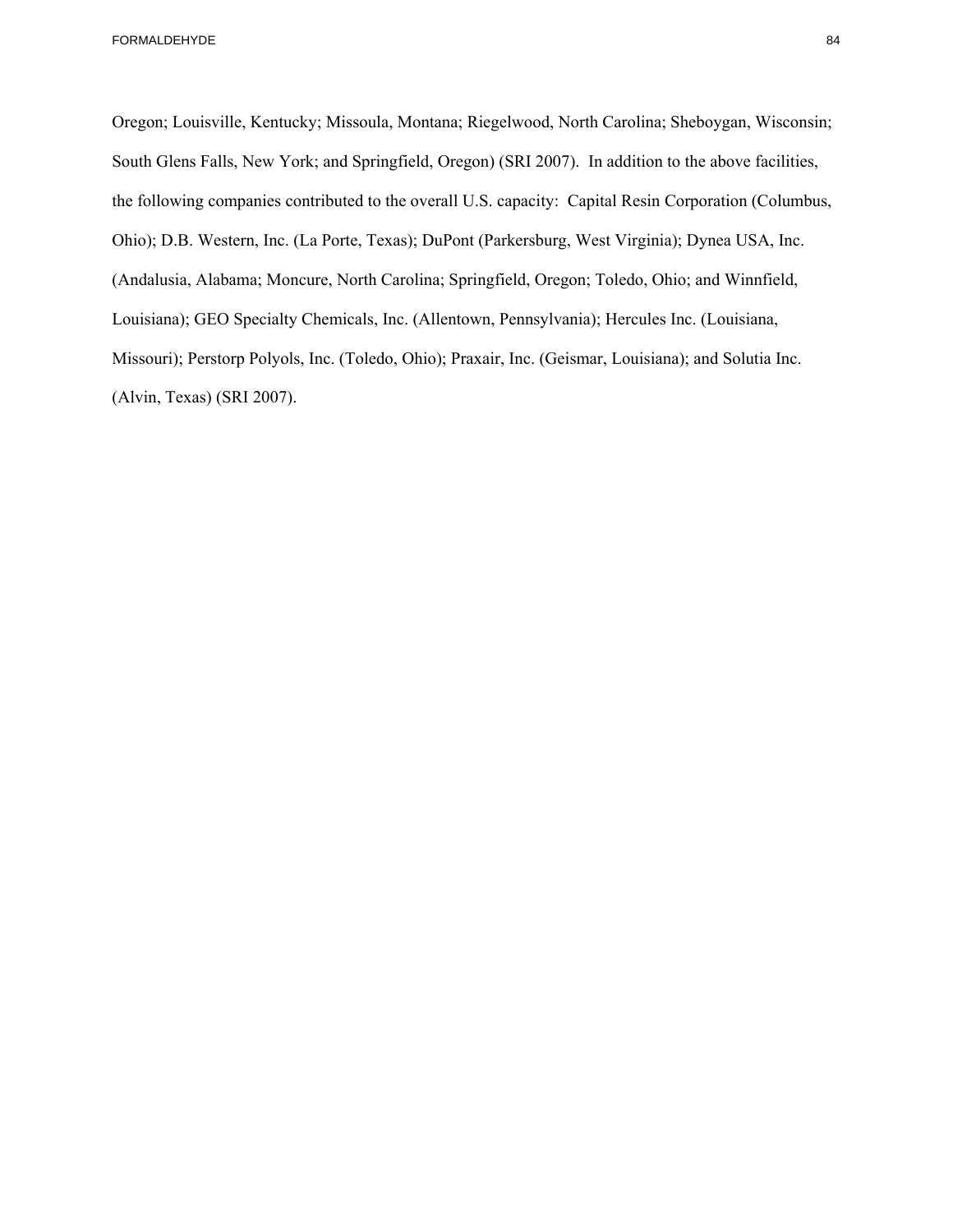Oregon; Louisville, Kentucky; Missoula, Montana; Riegelwood, North Carolina; Sheboygan, Wisconsin; South Glens Falls, New York; and Springfield, Oregon) (SRI 2007). In addition to the above facilities, the following companies contributed to the overall U.S. capacity: Capital Resin Corporation (Columbus, Ohio); D.B. Western, Inc. (La Porte, Texas); DuPont (Parkersburg, West Virginia); Dynea USA, Inc. (Andalusia, Alabama; Moncure, North Carolina; Springfield, Oregon; Toledo, Ohio; and Winnfield, Louisiana); GEO Specialty Chemicals, Inc. (Allentown, Pennsylvania); Hercules Inc. (Louisiana, Missouri); Perstorp Polyols, Inc. (Toledo, Ohio); Praxair, Inc. (Geismar, Louisiana); and Solutia Inc. (Alvin, Texas) (SRI 2007).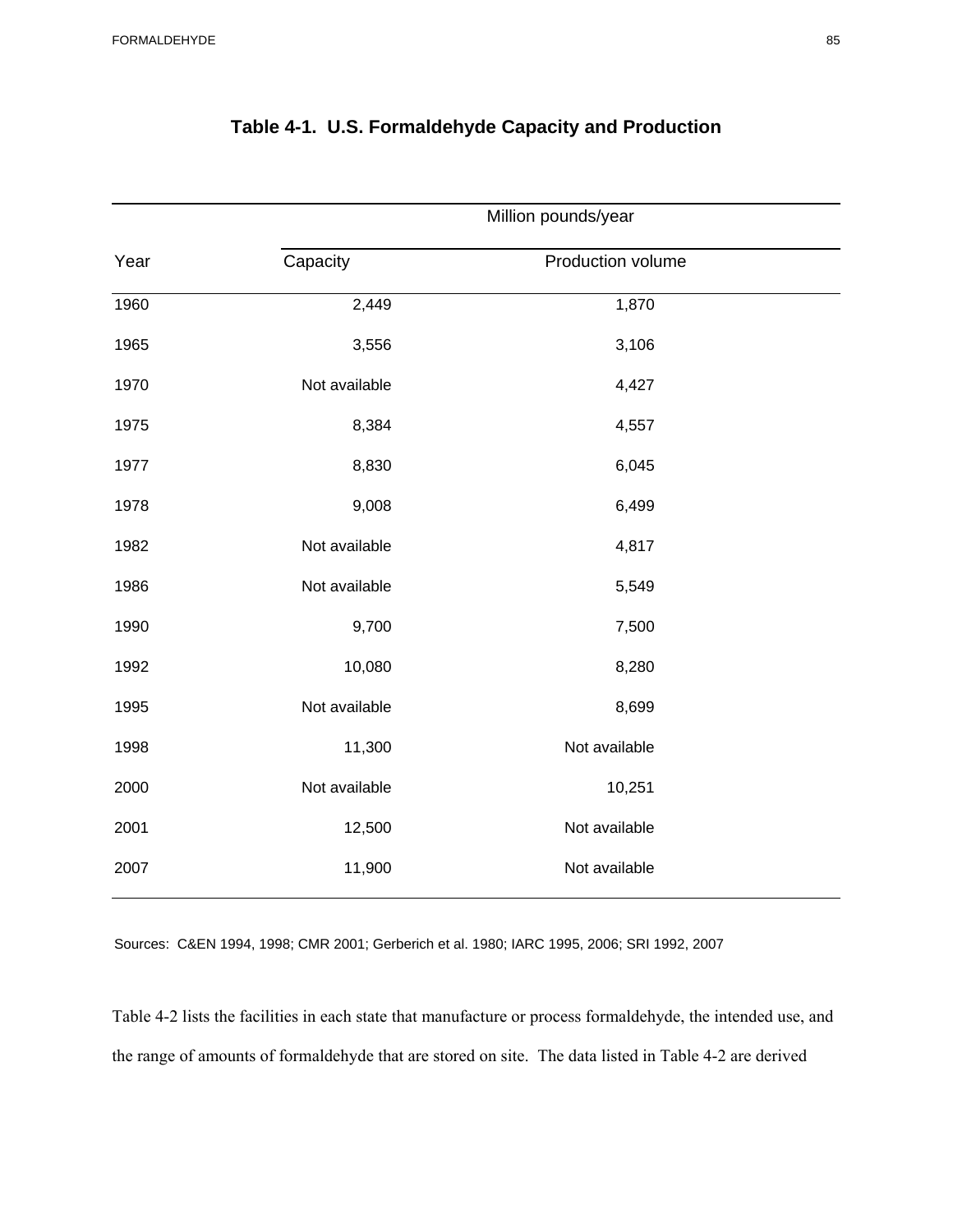|      | Million pounds/year |                   |  |  |  |  |  |  |
|------|---------------------|-------------------|--|--|--|--|--|--|
| Year | Capacity            | Production volume |  |  |  |  |  |  |
| 1960 | 2,449               | 1,870             |  |  |  |  |  |  |
| 1965 | 3,556               | 3,106             |  |  |  |  |  |  |
| 1970 | Not available       | 4,427             |  |  |  |  |  |  |
| 1975 | 8,384               | 4,557             |  |  |  |  |  |  |
| 1977 | 8,830               | 6,045             |  |  |  |  |  |  |
| 1978 | 9,008               | 6,499             |  |  |  |  |  |  |
| 1982 | Not available       | 4,817             |  |  |  |  |  |  |
| 1986 | Not available       | 5,549             |  |  |  |  |  |  |
| 1990 | 9,700               | 7,500             |  |  |  |  |  |  |
| 1992 | 10,080              | 8,280             |  |  |  |  |  |  |
| 1995 | Not available       | 8,699             |  |  |  |  |  |  |
| 1998 | 11,300              | Not available     |  |  |  |  |  |  |
| 2000 | Not available       | 10,251            |  |  |  |  |  |  |
| 2001 | 12,500              | Not available     |  |  |  |  |  |  |
| 2007 | 11,900              | Not available     |  |  |  |  |  |  |

## **Table 4-1. U.S. Formaldehyde Capacity and Production**

Sources: C&EN 1994, 1998; CMR 2001; Gerberich et al. 1980; IARC 1995, 2006; SRI 1992, 2007

Table 4-2 lists the facilities in each state that manufacture or process formaldehyde, the intended use, and the range of amounts of formaldehyde that are stored on site. The data listed in Table 4-2 are derived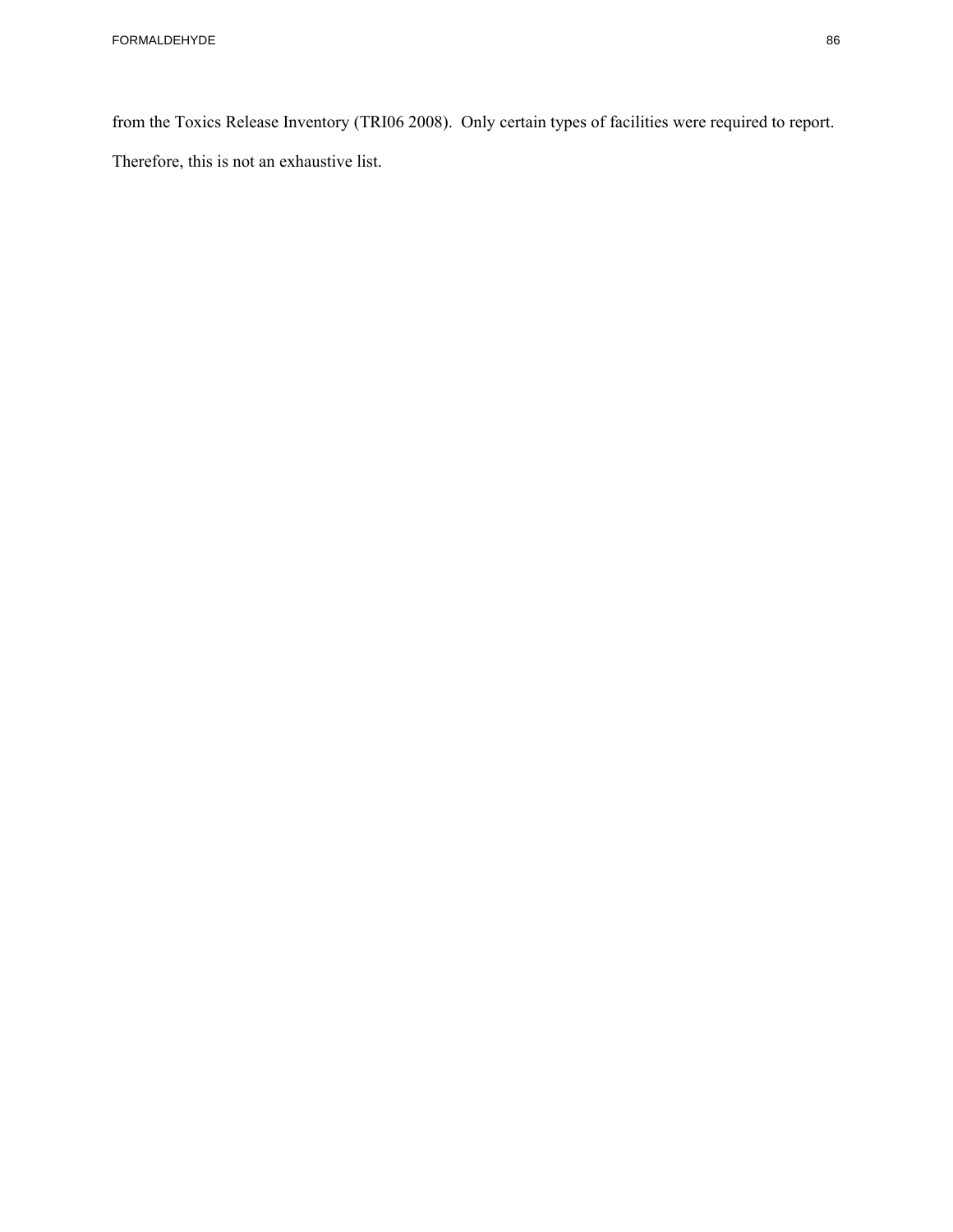from the Toxics Release Inventory (TRI06 2008). Only certain types of facilities were required to report. Therefore, this is not an exhaustive list.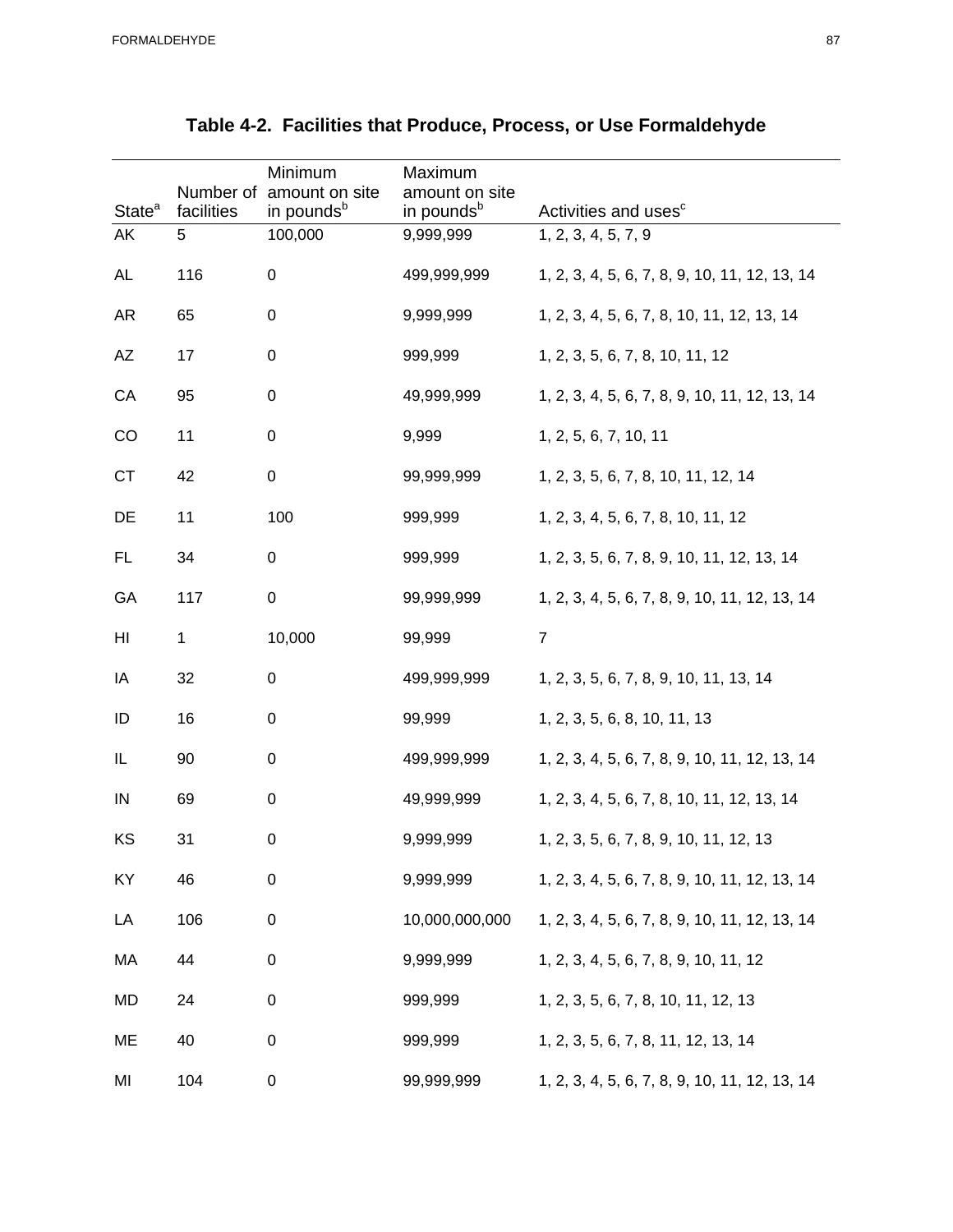|                    |                         | Minimum                                  | Maximum                                  |                                               |
|--------------------|-------------------------|------------------------------------------|------------------------------------------|-----------------------------------------------|
| State <sup>a</sup> | Number of<br>facilities | amount on site<br>in pounds <sup>b</sup> | amount on site<br>in pounds <sup>b</sup> | Activities and uses <sup>c</sup>              |
| AK                 | 5                       | 100,000                                  | 9,999,999                                | 1, 2, 3, 4, 5, 7, 9                           |
| <b>AL</b>          | 116                     | $\pmb{0}$                                | 499,999,999                              | 1, 2, 3, 4, 5, 6, 7, 8, 9, 10, 11, 12, 13, 14 |
| <b>AR</b>          | 65                      | $\boldsymbol{0}$                         | 9,999,999                                | 1, 2, 3, 4, 5, 6, 7, 8, 10, 11, 12, 13, 14    |
| AZ                 | 17                      | $\boldsymbol{0}$                         | 999,999                                  | 1, 2, 3, 5, 6, 7, 8, 10, 11, 12               |
| CA                 | 95                      | $\pmb{0}$                                | 49,999,999                               | 1, 2, 3, 4, 5, 6, 7, 8, 9, 10, 11, 12, 13, 14 |
| CO                 | 11                      | $\pmb{0}$                                | 9,999                                    | 1, 2, 5, 6, 7, 10, 11                         |
| <b>CT</b>          | 42                      | $\pmb{0}$                                | 99,999,999                               | 1, 2, 3, 5, 6, 7, 8, 10, 11, 12, 14           |
| DE                 | 11                      | 100                                      | 999,999                                  | 1, 2, 3, 4, 5, 6, 7, 8, 10, 11, 12            |
| FL.                | 34                      | $\pmb{0}$                                | 999,999                                  | 1, 2, 3, 5, 6, 7, 8, 9, 10, 11, 12, 13, 14    |
| GA                 | 117                     | $\pmb{0}$                                | 99,999,999                               | 1, 2, 3, 4, 5, 6, 7, 8, 9, 10, 11, 12, 13, 14 |
| HI                 | 1                       | 10,000                                   | 99,999                                   | $\overline{7}$                                |
| IA                 | 32                      | $\boldsymbol{0}$                         | 499,999,999                              | 1, 2, 3, 5, 6, 7, 8, 9, 10, 11, 13, 14        |
| ID                 | 16                      | $\pmb{0}$                                | 99,999                                   | 1, 2, 3, 5, 6, 8, 10, 11, 13                  |
| IL                 | 90                      | $\boldsymbol{0}$                         | 499,999,999                              | 1, 2, 3, 4, 5, 6, 7, 8, 9, 10, 11, 12, 13, 14 |
| IN                 | 69                      | $\boldsymbol{0}$                         | 49,999,999                               | 1, 2, 3, 4, 5, 6, 7, 8, 10, 11, 12, 13, 14    |
| KS                 | 31                      | $\boldsymbol{0}$                         | 9,999,999                                | 1, 2, 3, 5, 6, 7, 8, 9, 10, 11, 12, 13        |
| KY                 | 46                      | $\pmb{0}$                                | 9,999,999                                | 1, 2, 3, 4, 5, 6, 7, 8, 9, 10, 11, 12, 13, 14 |
| LA                 | 106                     | $\pmb{0}$                                | 10,000,000,000                           | 1, 2, 3, 4, 5, 6, 7, 8, 9, 10, 11, 12, 13, 14 |
| МA                 | 44                      | $\pmb{0}$                                | 9,999,999                                | 1, 2, 3, 4, 5, 6, 7, 8, 9, 10, 11, 12         |
| MD                 | 24                      | $\pmb{0}$                                | 999,999                                  | 1, 2, 3, 5, 6, 7, 8, 10, 11, 12, 13           |
| ME                 | 40                      | $\boldsymbol{0}$                         | 999,999                                  | 1, 2, 3, 5, 6, 7, 8, 11, 12, 13, 14           |
| MI                 | 104                     | $\pmb{0}$                                | 99,999,999                               | 1, 2, 3, 4, 5, 6, 7, 8, 9, 10, 11, 12, 13, 14 |

## **Table 4-2. Facilities that Produce, Process, or Use Formaldehyde**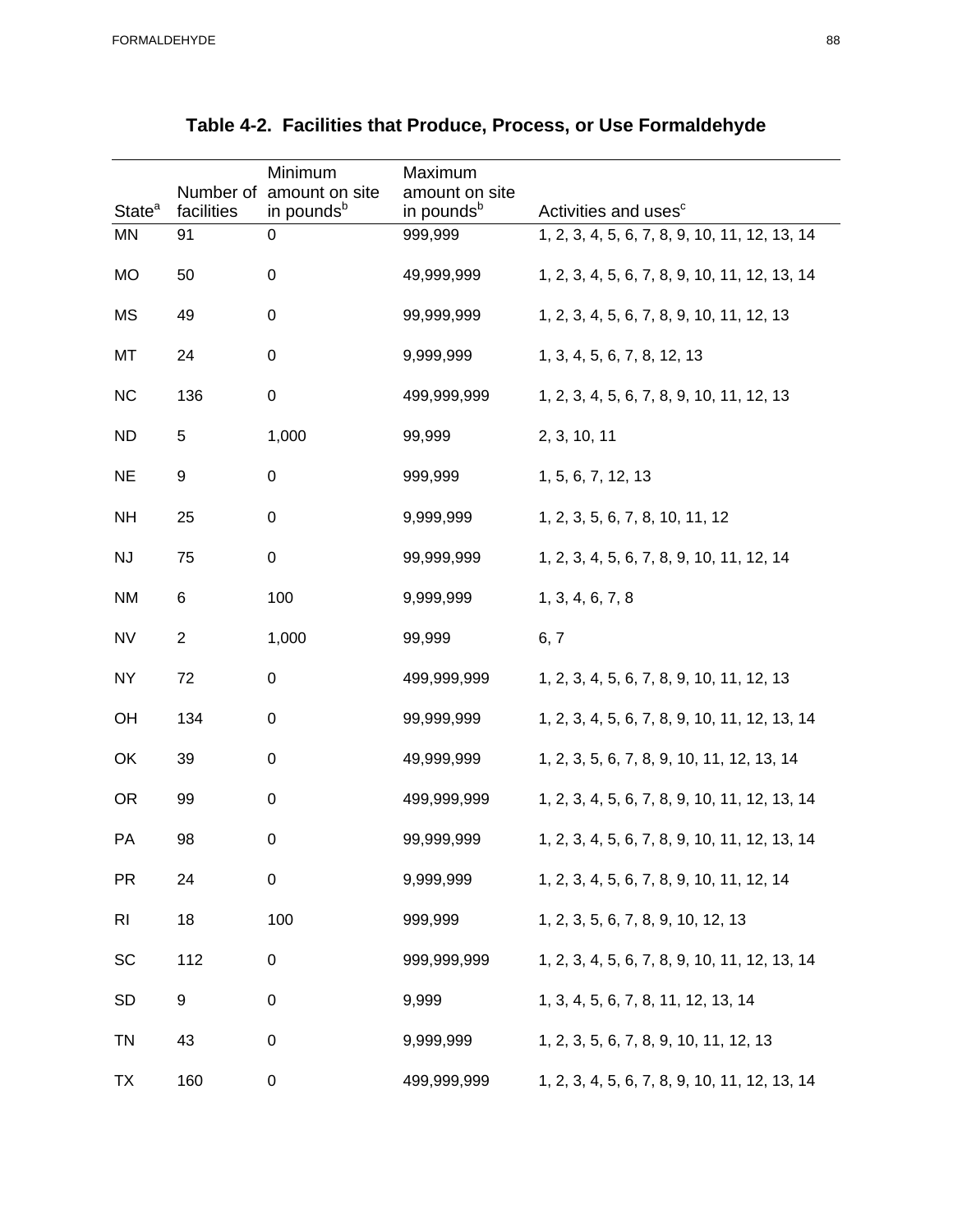| State <sup>a</sup> | Number of<br>facilities | Minimum<br>amount on site<br>in pounds <sup>b</sup> | Maximum<br>amount on site<br>in pounds <sup>b</sup> | Activities and uses <sup>c</sup>              |
|--------------------|-------------------------|-----------------------------------------------------|-----------------------------------------------------|-----------------------------------------------|
| <b>MN</b>          | 91                      | $\boldsymbol{0}$                                    | 999,999                                             | 1, 2, 3, 4, 5, 6, 7, 8, 9, 10, 11, 12, 13, 14 |
| <b>MO</b>          | 50                      | $\boldsymbol{0}$                                    | 49,999,999                                          | 1, 2, 3, 4, 5, 6, 7, 8, 9, 10, 11, 12, 13, 14 |
| <b>MS</b>          | 49                      | $\boldsymbol{0}$                                    | 99,999,999                                          | 1, 2, 3, 4, 5, 6, 7, 8, 9, 10, 11, 12, 13     |
| MT                 | 24                      | $\boldsymbol{0}$                                    | 9,999,999                                           | 1, 3, 4, 5, 6, 7, 8, 12, 13                   |
| NC                 | 136                     | $\pmb{0}$                                           | 499,999,999                                         | 1, 2, 3, 4, 5, 6, 7, 8, 9, 10, 11, 12, 13     |
| <b>ND</b>          | 5                       | 1,000                                               | 99,999                                              | 2, 3, 10, 11                                  |
| <b>NE</b>          | 9                       | $\boldsymbol{0}$                                    | 999,999                                             | 1, 5, 6, 7, 12, 13                            |
| <b>NH</b>          | 25                      | $\boldsymbol{0}$                                    | 9,999,999                                           | 1, 2, 3, 5, 6, 7, 8, 10, 11, 12               |
| <b>NJ</b>          | 75                      | $\pmb{0}$                                           | 99,999,999                                          | 1, 2, 3, 4, 5, 6, 7, 8, 9, 10, 11, 12, 14     |
| <b>NM</b>          | 6                       | 100                                                 | 9,999,999                                           | 1, 3, 4, 6, 7, 8                              |
| <b>NV</b>          | $\boldsymbol{2}$        | 1,000                                               | 99,999                                              | 6, 7                                          |
| <b>NY</b>          | 72                      | $\pmb{0}$                                           | 499,999,999                                         | 1, 2, 3, 4, 5, 6, 7, 8, 9, 10, 11, 12, 13     |
| OH                 | 134                     | $\boldsymbol{0}$                                    | 99,999,999                                          | 1, 2, 3, 4, 5, 6, 7, 8, 9, 10, 11, 12, 13, 14 |
| OK                 | 39                      | $\boldsymbol{0}$                                    | 49,999,999                                          | 1, 2, 3, 5, 6, 7, 8, 9, 10, 11, 12, 13, 14    |
| <b>OR</b>          | 99                      | $\boldsymbol{0}$                                    | 499,999,999                                         | 1, 2, 3, 4, 5, 6, 7, 8, 9, 10, 11, 12, 13, 14 |
| PA                 | 98                      | $\boldsymbol{0}$                                    | 99,999,999                                          | 1, 2, 3, 4, 5, 6, 7, 8, 9, 10, 11, 12, 13, 14 |
| <b>PR</b>          | 24                      | $\pmb{0}$                                           | 9,999,999                                           | 1, 2, 3, 4, 5, 6, 7, 8, 9, 10, 11, 12, 14     |
| <b>RI</b>          | 18                      | 100                                                 | 999,999                                             | 1, 2, 3, 5, 6, 7, 8, 9, 10, 12, 13            |
| SC                 | 112                     | $\pmb{0}$                                           | 999,999,999                                         | 1, 2, 3, 4, 5, 6, 7, 8, 9, 10, 11, 12, 13, 14 |
| <b>SD</b>          | 9                       | $\pmb{0}$                                           | 9,999                                               | 1, 3, 4, 5, 6, 7, 8, 11, 12, 13, 14           |
| <b>TN</b>          | 43                      | $\pmb{0}$                                           | 9,999,999                                           | 1, 2, 3, 5, 6, 7, 8, 9, 10, 11, 12, 13        |
| <b>TX</b>          | 160                     | $\pmb{0}$                                           | 499,999,999                                         | 1, 2, 3, 4, 5, 6, 7, 8, 9, 10, 11, 12, 13, 14 |

## **Table 4-2. Facilities that Produce, Process, or Use Formaldehyde**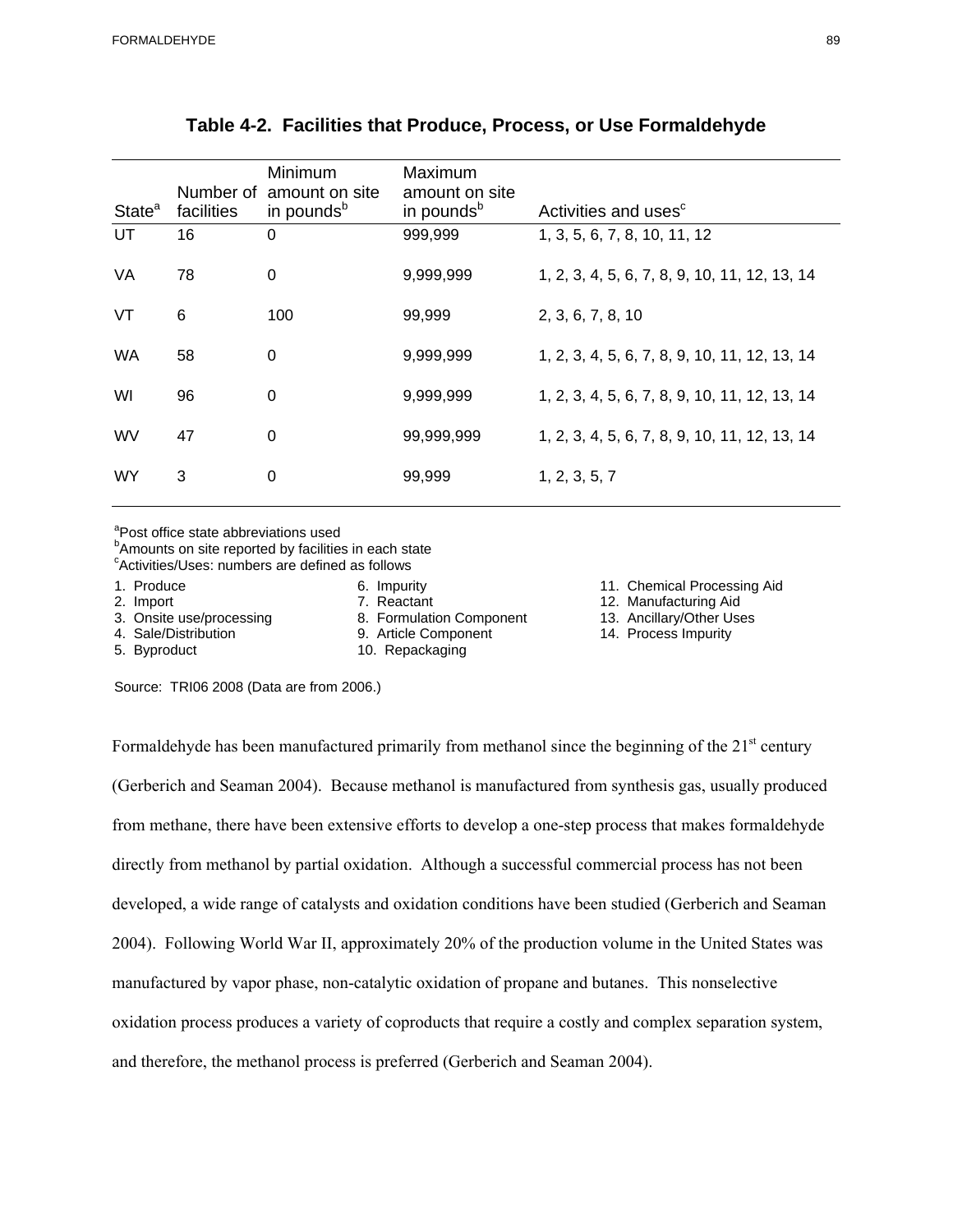| State <sup>a</sup> | facilities | Minimum<br>Number of amount on site<br>in pounds <sup>b</sup> | Maximum<br>amount on site<br>in pounds <sup>b</sup> | Activities and uses <sup>c</sup>              |
|--------------------|------------|---------------------------------------------------------------|-----------------------------------------------------|-----------------------------------------------|
| UT                 | 16         | $\Omega$                                                      | 999,999                                             | 1, 3, 5, 6, 7, 8, 10, 11, 12                  |
| VA                 | 78         | $\boldsymbol{0}$                                              | 9,999,999                                           | 1, 2, 3, 4, 5, 6, 7, 8, 9, 10, 11, 12, 13, 14 |
| VT                 | 6          | 100                                                           | 99,999                                              | 2, 3, 6, 7, 8, 10                             |
| <b>WA</b>          | 58         | 0                                                             | 9,999,999                                           | 1, 2, 3, 4, 5, 6, 7, 8, 9, 10, 11, 12, 13, 14 |
| WI                 | 96         | 0                                                             | 9,999,999                                           | 1, 2, 3, 4, 5, 6, 7, 8, 9, 10, 11, 12, 13, 14 |
| <b>WV</b>          | 47         | $\mathbf 0$                                                   | 99,999,999                                          | 1, 2, 3, 4, 5, 6, 7, 8, 9, 10, 11, 12, 13, 14 |
| <b>WY</b>          | 3          | $\Omega$                                                      | 99,999                                              | 1, 2, 3, 5, 7                                 |

## **Table 4-2. Facilities that Produce, Process, or Use Formaldehyde**

<sup>a</sup>Post office state abbreviations used

<sup>b</sup>Amounts on site reported by facilities in each state

<sup>c</sup>Activities/Uses: numbers are defined as follows

4. Sale/Distribution 9. Article Component

3. Onsite use/processing a metalliery of the Tomas and S. Formulation Component and 13. Ancillary/Other Uses 4. Sale/Distribution and the Music September 14. Process Impurity

5. Byproduct 10. Repackaging

1. Produce 6. Impurity 11. Chemical Processing Aid

- 2. Import 2. Theactant 7. Reactant 2. Manufacturing Aid<br>
2. Onsite use/processing 2. Formulation Component 2. Ancillary/Other Uses
	-

Source: TRI06 2008 (Data are from 2006.)

Formaldehyde has been manufactured primarily from methanol since the beginning of the  $21<sup>st</sup>$  century (Gerberich and Seaman 2004). Because methanol is manufactured from synthesis gas, usually produced from methane, there have been extensive efforts to develop a one-step process that makes formaldehyde directly from methanol by partial oxidation. Although a successful commercial process has not been developed, a wide range of catalysts and oxidation conditions have been studied (Gerberich and Seaman 2004). Following World War II, approximately 20% of the production volume in the United States was manufactured by vapor phase, non-catalytic oxidation of propane and butanes. This nonselective oxidation process produces a variety of coproducts that require a costly and complex separation system, and therefore, the methanol process is preferred (Gerberich and Seaman 2004).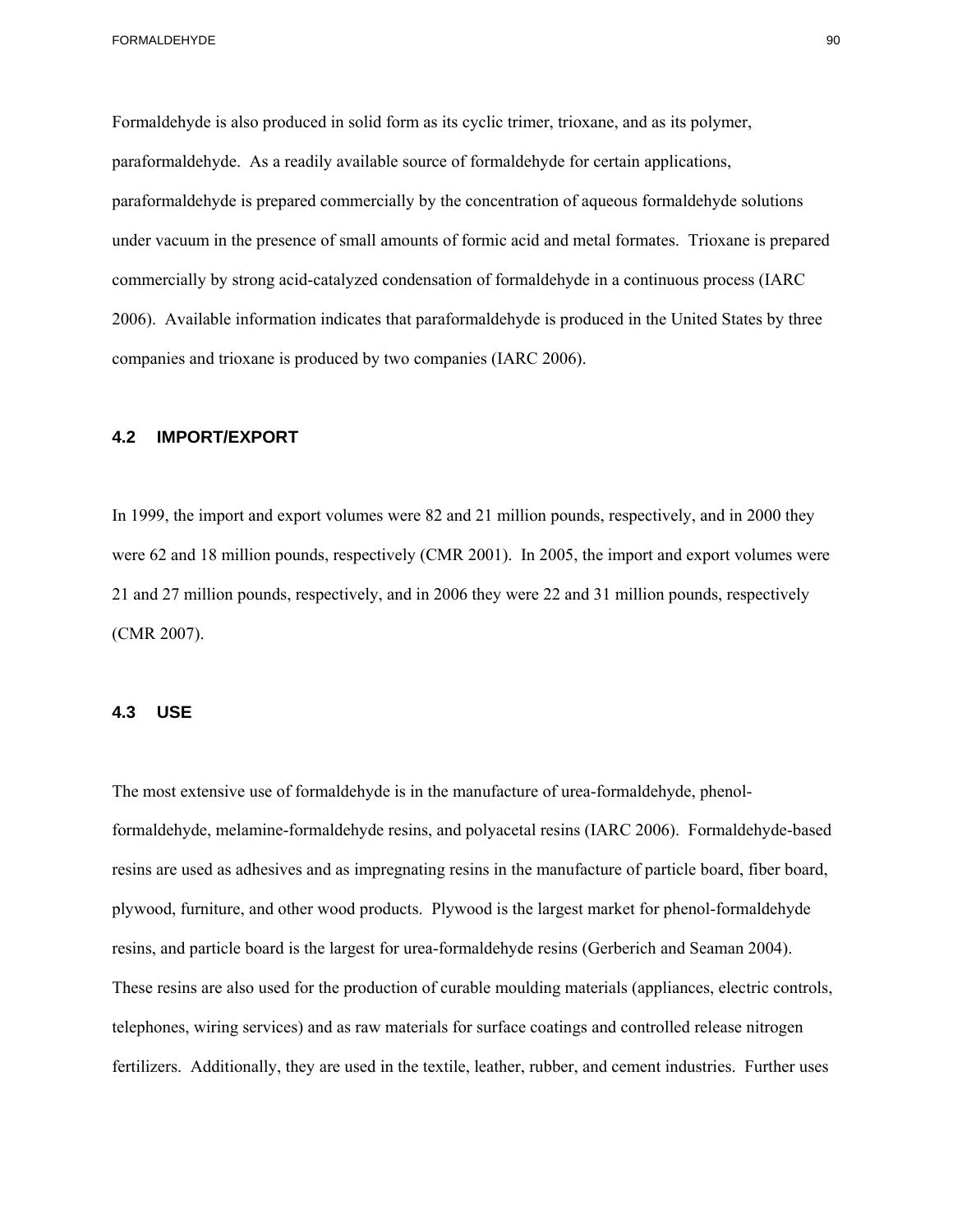Formaldehyde is also produced in solid form as its cyclic trimer, trioxane, and as its polymer, paraformaldehyde. As a readily available source of formaldehyde for certain applications, paraformaldehyde is prepared commercially by the concentration of aqueous formaldehyde solutions under vacuum in the presence of small amounts of formic acid and metal formates. Trioxane is prepared commercially by strong acid-catalyzed condensation of formaldehyde in a continuous process (IARC 2006). Available information indicates that paraformaldehyde is produced in the United States by three companies and trioxane is produced by two companies (IARC 2006).

### **4.2 IMPORT/EXPORT**

In 1999, the import and export volumes were 82 and 21 million pounds, respectively, and in 2000 they were 62 and 18 million pounds, respectively (CMR 2001). In 2005, the import and export volumes were 21 and 27 million pounds, respectively, and in 2006 they were 22 and 31 million pounds, respectively (CMR 2007).

### **4.3 USE**

The most extensive use of formaldehyde is in the manufacture of urea-formaldehyde, phenolformaldehyde, melamine-formaldehyde resins, and polyacetal resins (IARC 2006). Formaldehyde-based resins are used as adhesives and as impregnating resins in the manufacture of particle board, fiber board, plywood, furniture, and other wood products. Plywood is the largest market for phenol-formaldehyde resins, and particle board is the largest for urea-formaldehyde resins (Gerberich and Seaman 2004). These resins are also used for the production of curable moulding materials (appliances, electric controls, telephones, wiring services) and as raw materials for surface coatings and controlled release nitrogen fertilizers. Additionally, they are used in the textile, leather, rubber, and cement industries. Further uses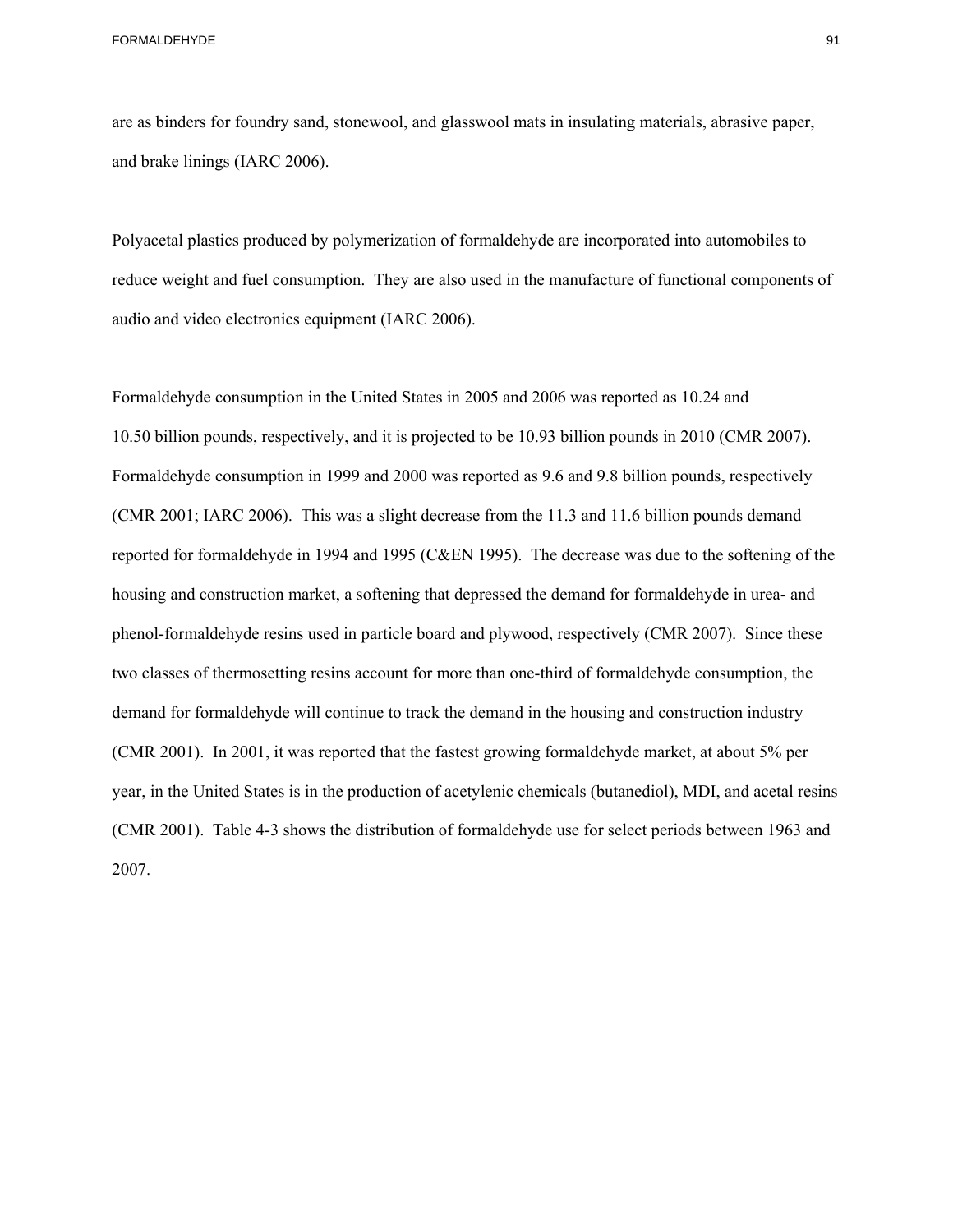FORMALDEHYDE 81 CONTROL CONTROL CONTROL CONTROL CONTROL CONTROL CONTROL CONTROL CONTROL CONTROL CONTROL CONTROL CONTROL CONTROL CONTROL CONTROL CONTROL CONTROL CONTROL CONTROL CONTROL CONTROL CONTROL CONTROL CONTROL CONTRO

are as binders for foundry sand, stonewool, and glasswool mats in insulating materials, abrasive paper, and brake linings (IARC 2006).

Polyacetal plastics produced by polymerization of formaldehyde are incorporated into automobiles to reduce weight and fuel consumption. They are also used in the manufacture of functional components of audio and video electronics equipment (IARC 2006).

Formaldehyde consumption in the United States in 2005 and 2006 was reported as 10.24 and 10.50 billion pounds, respectively, and it is projected to be 10.93 billion pounds in 2010 (CMR 2007). Formaldehyde consumption in 1999 and 2000 was reported as 9.6 and 9.8 billion pounds, respectively (CMR 2001; IARC 2006). This was a slight decrease from the 11.3 and 11.6 billion pounds demand reported for formaldehyde in 1994 and 1995 (C&EN 1995). The decrease was due to the softening of the housing and construction market, a softening that depressed the demand for formaldehyde in urea- and phenol-formaldehyde resins used in particle board and plywood, respectively (CMR 2007). Since these two classes of thermosetting resins account for more than one-third of formaldehyde consumption, the demand for formaldehyde will continue to track the demand in the housing and construction industry (CMR 2001). In 2001, it was reported that the fastest growing formaldehyde market, at about 5% per year, in the United States is in the production of acetylenic chemicals (butanediol), MDI, and acetal resins (CMR 2001). Table 4-3 shows the distribution of formaldehyde use for select periods between 1963 and 2007.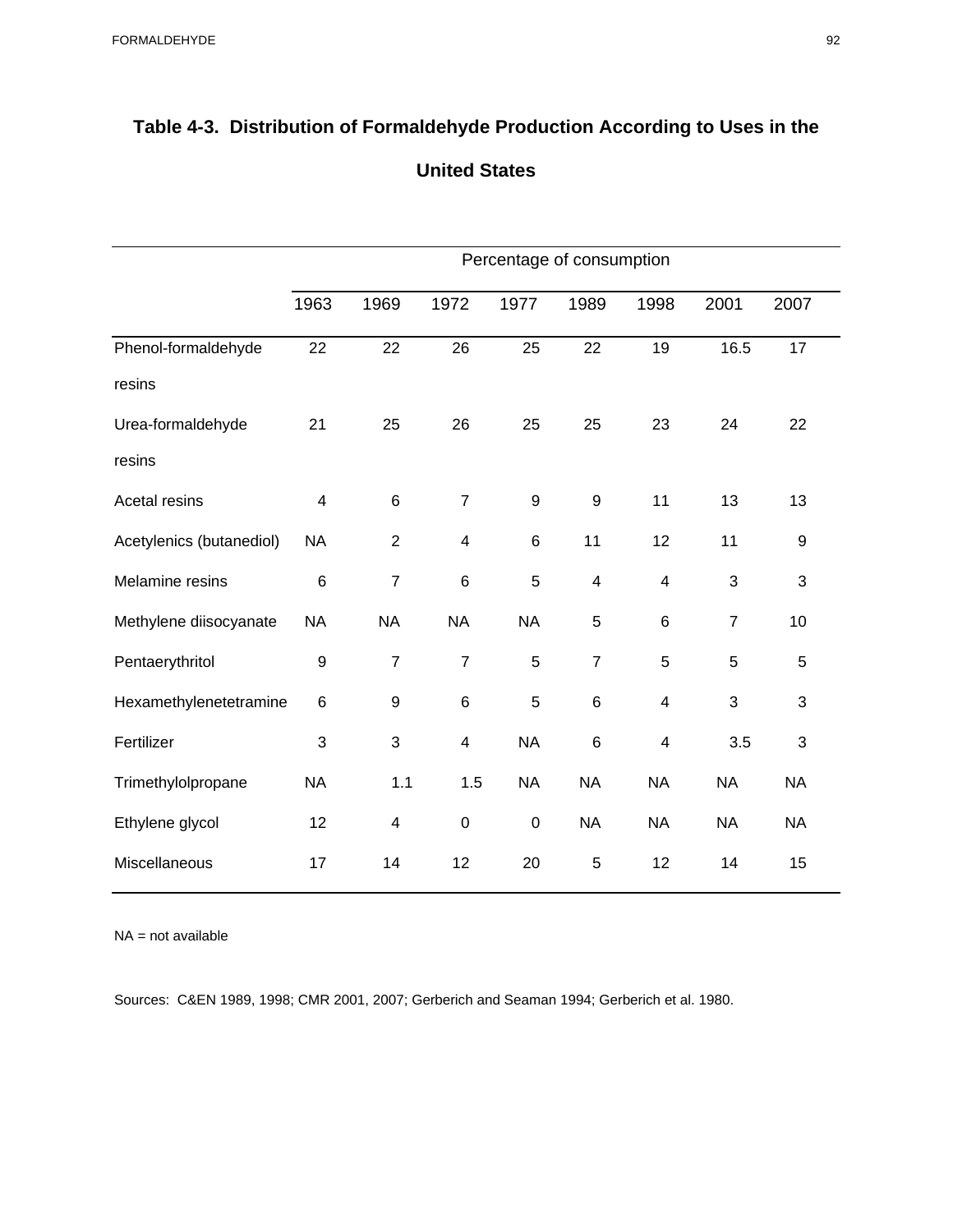|                          | Percentage of consumption |                         |                |                  |                          |                         |                |                  |  |  |
|--------------------------|---------------------------|-------------------------|----------------|------------------|--------------------------|-------------------------|----------------|------------------|--|--|
|                          | 1963                      | 1969                    | 1972           | 1977             | 1989                     | 1998                    | 2001           | 2007             |  |  |
| Phenol-formaldehyde      | 22                        | 22                      | 26             | 25               | 22                       | 19                      | 16.5           | 17               |  |  |
| resins                   |                           |                         |                |                  |                          |                         |                |                  |  |  |
| Urea-formaldehyde        | 21                        | 25                      | 26             | 25               | 25                       | 23                      | 24             | 22               |  |  |
| resins                   |                           |                         |                |                  |                          |                         |                |                  |  |  |
| Acetal resins            | $\overline{\mathbf{4}}$   | $\,6$                   | $\overline{7}$ | $\boldsymbol{9}$ | $\boldsymbol{9}$         | 11                      | 13             | 13               |  |  |
| Acetylenics (butanediol) | <b>NA</b>                 | $\overline{2}$          | 4              | 6                | 11                       | 12                      | 11             | $\boldsymbol{9}$ |  |  |
| Melamine resins          | $6\phantom{1}6$           | $\overline{7}$          | 6              | 5                | $\overline{\mathcal{A}}$ | 4                       | 3              | 3                |  |  |
| Methylene diisocyanate   | <b>NA</b>                 | <b>NA</b>               | <b>NA</b>      | <b>NA</b>        | 5                        | $\,6$                   | $\overline{7}$ | 10               |  |  |
| Pentaerythritol          | 9                         | $\overline{7}$          | $\overline{7}$ | 5                | $\overline{7}$           | 5                       | 5              | 5                |  |  |
| Hexamethylenetetramine   | $\,6$                     | $\boldsymbol{9}$        | 6              | 5                | $\,6$                    | $\overline{\mathbf{4}}$ | 3              | 3                |  |  |
| Fertilizer               | 3                         | 3                       | 4              | <b>NA</b>        | $6\phantom{1}$           | $\overline{\mathbf{4}}$ | 3.5            | 3                |  |  |
| Trimethylolpropane       | <b>NA</b>                 | 1.1                     | 1.5            | <b>NA</b>        | <b>NA</b>                | <b>NA</b>               | <b>NA</b>      | <b>NA</b>        |  |  |
| Ethylene glycol          | 12                        | $\overline{\mathbf{4}}$ | $\mathbf 0$    | $\mathbf 0$      | <b>NA</b>                | <b>NA</b>               | <b>NA</b>      | <b>NA</b>        |  |  |
| Miscellaneous            | 17                        | 14                      | 12             | 20               | 5                        | 12                      | 14             | 15               |  |  |

## **Table 4-3. Distribution of Formaldehyde Production According to Uses in the United States**

NA = not available

Sources: C&EN 1989, 1998; CMR 2001, 2007; Gerberich and Seaman 1994; Gerberich et al. 1980.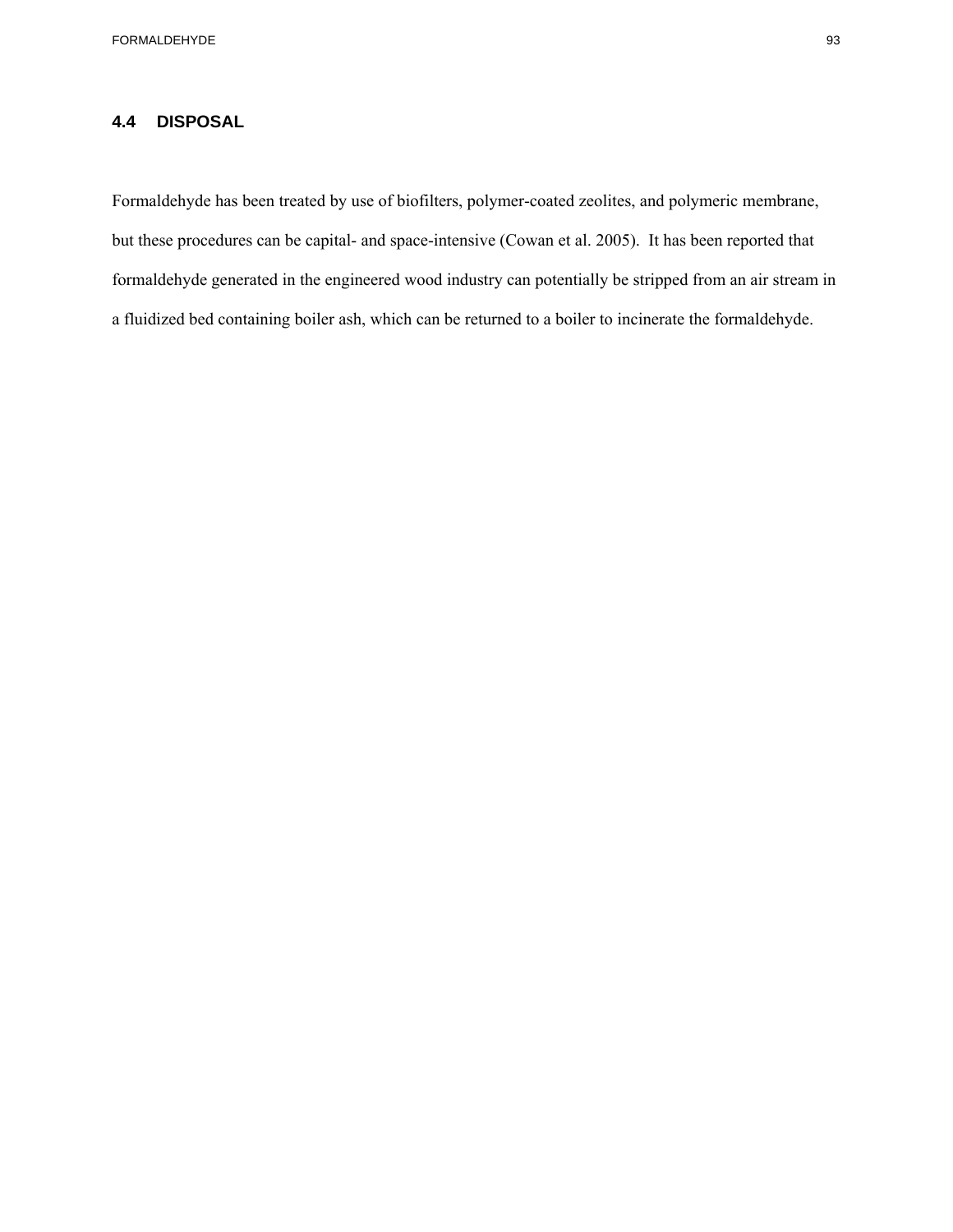## **4.4 DISPOSAL**

Formaldehyde has been treated by use of biofilters, polymer-coated zeolites, and polymeric membrane, but these procedures can be capital- and space-intensive (Cowan et al. 2005). It has been reported that formaldehyde generated in the engineered wood industry can potentially be stripped from an air stream in a fluidized bed containing boiler ash, which can be returned to a boiler to incinerate the formaldehyde.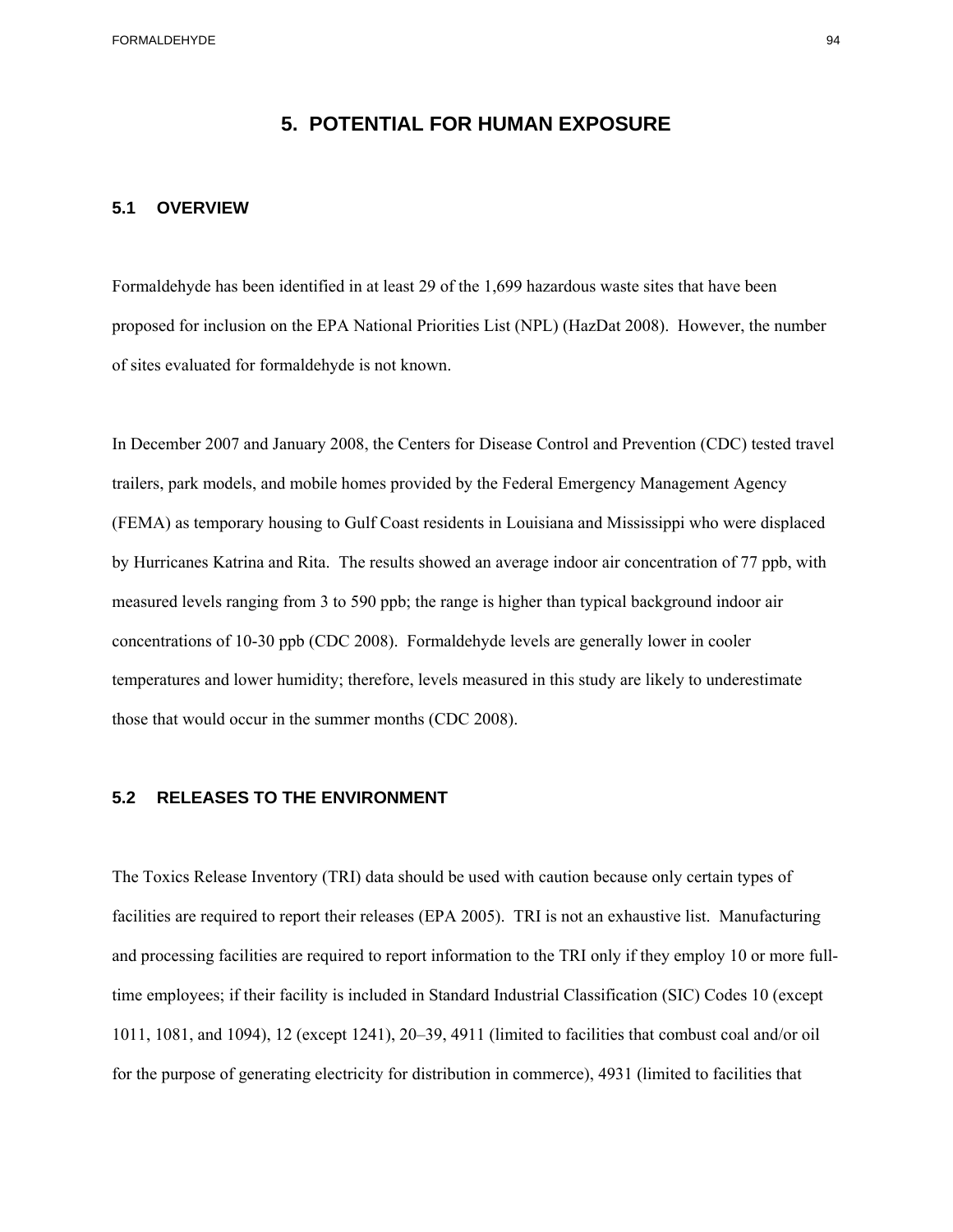## **5. POTENTIAL FOR HUMAN EXPOSURE**

#### **5.1 OVERVIEW**

Formaldehyde has been identified in at least 29 of the 1,699 hazardous waste sites that have been proposed for inclusion on the EPA National Priorities List (NPL) (HazDat 2008). However, the number of sites evaluated for formaldehyde is not known.

In December 2007 and January 2008, the Centers for Disease Control and Prevention (CDC) tested travel trailers, park models, and mobile homes provided by the Federal Emergency Management Agency (FEMA) as temporary housing to Gulf Coast residents in Louisiana and Mississippi who were displaced by Hurricanes Katrina and Rita. The results showed an average indoor air concentration of 77 ppb, with measured levels ranging from 3 to 590 ppb; the range is higher than typical background indoor air concentrations of 10-30 ppb (CDC 2008). Formaldehyde levels are generally lower in cooler temperatures and lower humidity; therefore, levels measured in this study are likely to underestimate those that would occur in the summer months (CDC 2008).

## **5.2 RELEASES TO THE ENVIRONMENT**

The Toxics Release Inventory (TRI) data should be used with caution because only certain types of facilities are required to report their releases (EPA 2005). TRI is not an exhaustive list. Manufacturing and processing facilities are required to report information to the TRI only if they employ 10 or more fulltime employees; if their facility is included in Standard Industrial Classification (SIC) Codes 10 (except 1011, 1081, and 1094), 12 (except 1241), 20–39, 4911 (limited to facilities that combust coal and/or oil for the purpose of generating electricity for distribution in commerce), 4931 (limited to facilities that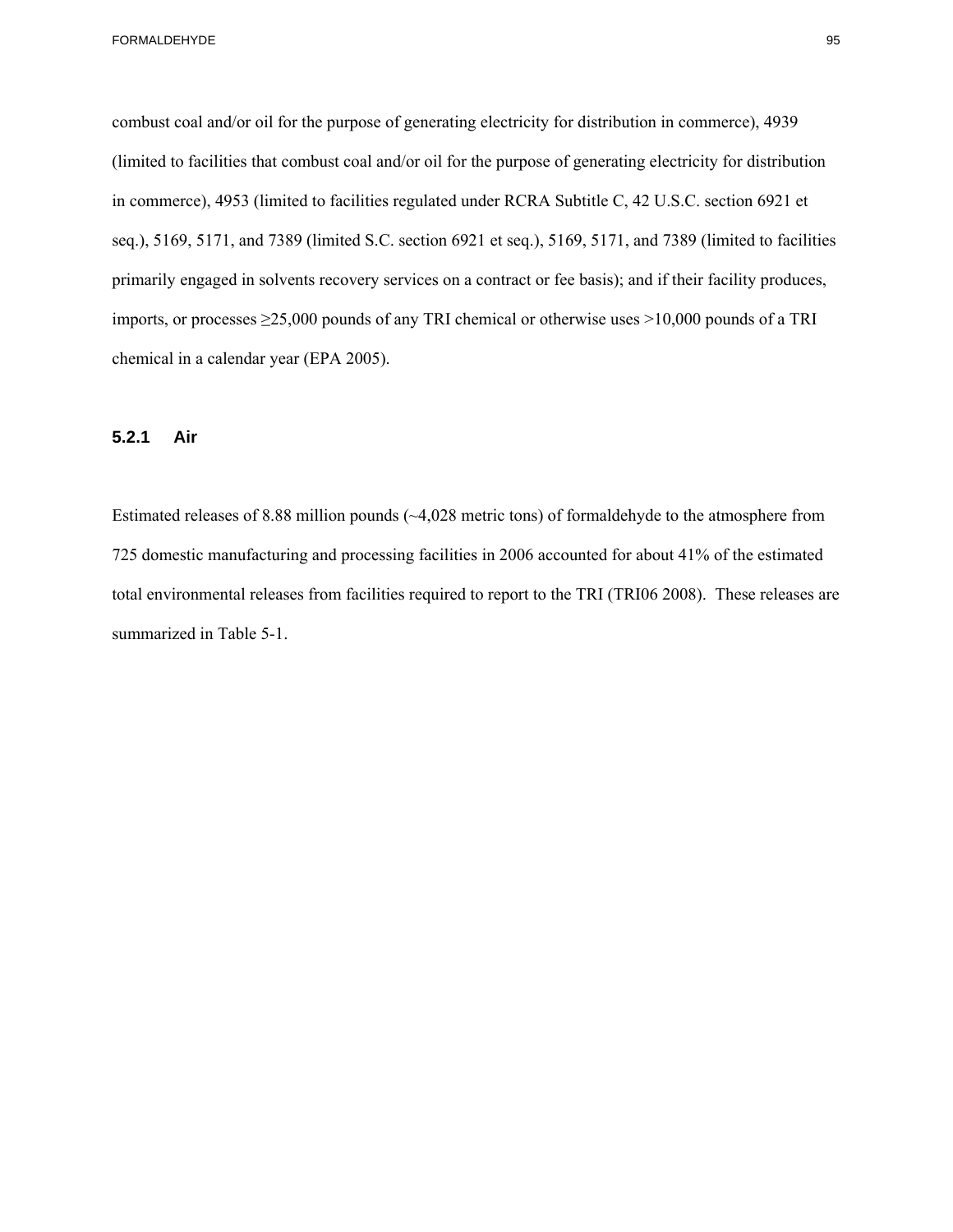combust coal and/or oil for the purpose of generating electricity for distribution in commerce), 4939 (limited to facilities that combust coal and/or oil for the purpose of generating electricity for distribution in commerce), 4953 (limited to facilities regulated under RCRA Subtitle C, 42 U.S.C. section 6921 et seq.), 5169, 5171, and 7389 (limited S.C. section 6921 et seq.), 5169, 5171, and 7389 (limited to facilities primarily engaged in solvents recovery services on a contract or fee basis); and if their facility produces, imports, or processes ≥25,000 pounds of any TRI chemical or otherwise uses >10,000 pounds of a TRI chemical in a calendar year (EPA 2005).

## **5.2.1 Air**

Estimated releases of 8.88 million pounds (~4,028 metric tons) of formaldehyde to the atmosphere from 725 domestic manufacturing and processing facilities in 2006 accounted for about 41% of the estimated total environmental releases from facilities required to report to the TRI (TRI06 2008). These releases are summarized in Table 5-1.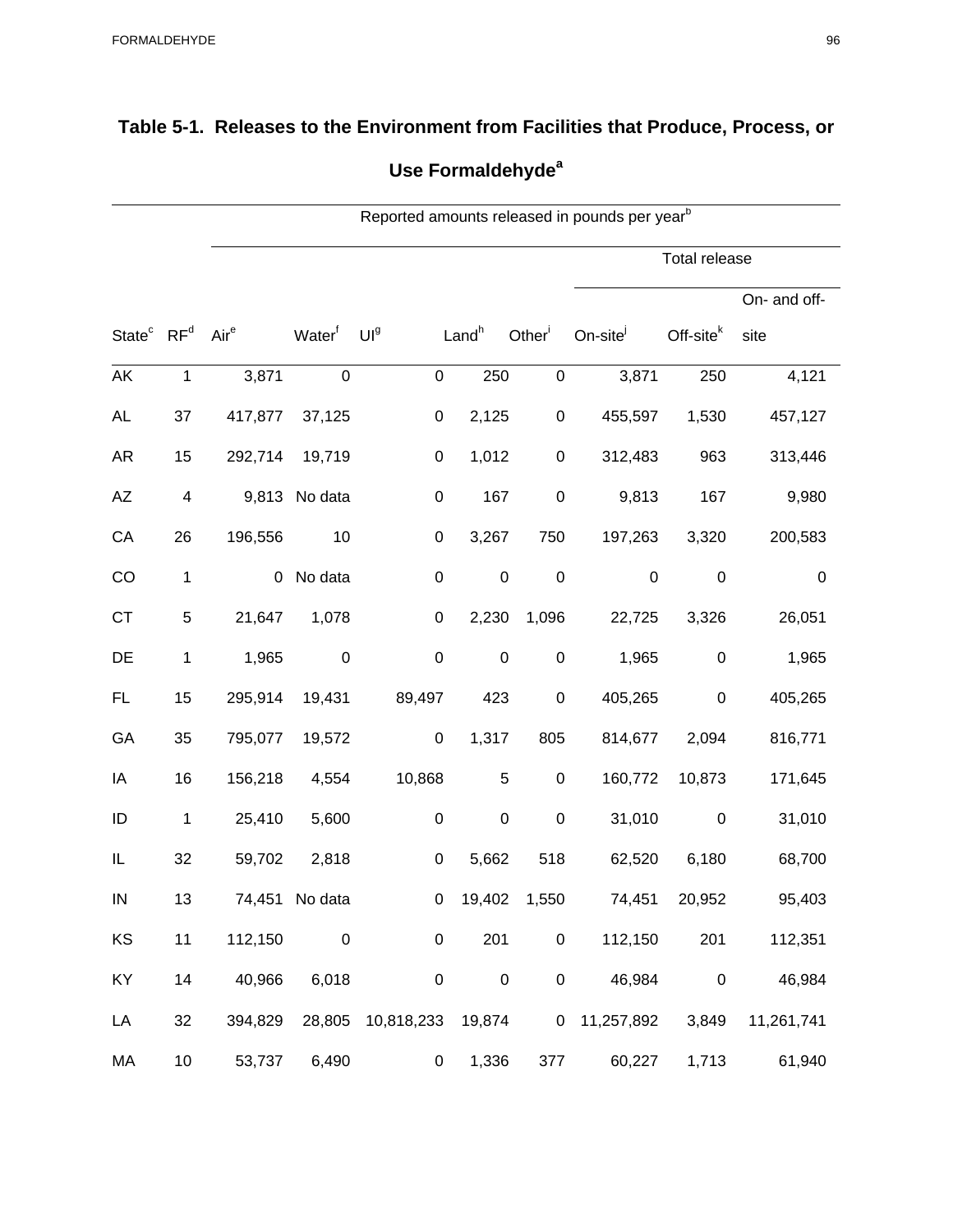## **Table 5-1. Releases to the Environment from Facilities that Produce, Process, or Use Formaldehydea**

|                                    |                         | Reported amounts released in pounds per year <sup>b</sup> |                    |                          |                   |                      |                    |                      |              |  |  |  |
|------------------------------------|-------------------------|-----------------------------------------------------------|--------------------|--------------------------|-------------------|----------------------|--------------------|----------------------|--------------|--|--|--|
|                                    |                         |                                                           |                    |                          |                   |                      |                    | <b>Total release</b> |              |  |  |  |
|                                    |                         |                                                           |                    |                          |                   |                      |                    |                      | On- and off- |  |  |  |
| State <sup>c</sup> RF <sup>d</sup> |                         | Air <sup>e</sup>                                          | Water <sup>f</sup> | UI <sup>g</sup>          | Land <sup>h</sup> | Other $\overline{ }$ | On-site $^j$       | $Off-sitek$          | site         |  |  |  |
| AK                                 | $\mathbf 1$             | 3,871                                                     | $\pmb{0}$          | $\pmb{0}$                | 250               | $\mathbf 0$          | 3,871              | 250                  | 4,121        |  |  |  |
| <b>AL</b>                          | 37                      | 417,877                                                   | 37,125             | $\pmb{0}$                | 2,125             | $\mathbf 0$          | 455,597            | 1,530                | 457,127      |  |  |  |
| <b>AR</b>                          | 15                      | 292,714                                                   | 19,719             | $\pmb{0}$                | 1,012             | $\boldsymbol{0}$     | 312,483            | 963                  | 313,446      |  |  |  |
| AZ                                 | $\overline{\mathbf{4}}$ |                                                           | 9,813 No data      | 0                        | 167               | $\pmb{0}$            | 9,813              | 167                  | 9,980        |  |  |  |
| CA                                 | 26                      | 196,556                                                   | 10                 | 0                        | 3,267             | 750                  | 197,263            | 3,320                | 200,583      |  |  |  |
| CO                                 | $\mathbf{1}$            |                                                           | 0 No data          | $\pmb{0}$                | $\pmb{0}$         | $\pmb{0}$            | $\pmb{0}$          | $\pmb{0}$            | $\mathbf 0$  |  |  |  |
| <b>CT</b>                          | 5                       | 21,647                                                    | 1,078              | $\pmb{0}$                | 2,230             | 1,096                | 22,725             | 3,326                | 26,051       |  |  |  |
| DE                                 | $\mathbf{1}$            | 1,965                                                     | $\pmb{0}$          | $\pmb{0}$                | $\pmb{0}$         | $\boldsymbol{0}$     | 1,965              | $\pmb{0}$            | 1,965        |  |  |  |
| FL.                                | 15                      | 295,914                                                   | 19,431             | 89,497                   | 423               | $\boldsymbol{0}$     | 405,265            | 0                    | 405,265      |  |  |  |
| GA                                 | 35                      | 795,077                                                   | 19,572             | $\mathbf 0$              | 1,317             | 805                  | 814,677            | 2,094                | 816,771      |  |  |  |
| IA                                 | 16                      | 156,218                                                   | 4,554              | 10,868                   | 5                 | $\pmb{0}$            | 160,772            | 10,873               | 171,645      |  |  |  |
| ID                                 | $\mathbf{1}$            | 25,410                                                    | 5,600              | $\pmb{0}$                | $\pmb{0}$         | $\pmb{0}$            | 31,010             | $\mathbf 0$          | 31,010       |  |  |  |
| IL                                 | 32                      | 59,702                                                    | 2,818              | $\mathbf 0$              | 5,662             | 518                  | 62,520             | 6,180                | 68,700       |  |  |  |
| IN                                 | 13                      |                                                           | 74,451 No data     |                          | $0$ 19,402        | 1,550                | 74,451             | 20,952               | 95,403       |  |  |  |
| KS                                 | 11                      | 112,150                                                   | $\pmb{0}$          | $\boldsymbol{0}$         | 201               | $\mathbf 0$          | 112,150            | 201                  | 112,351      |  |  |  |
| KY                                 | 14                      |                                                           | 40,966 6,018       | $\pmb{0}$                | $\boldsymbol{0}$  | 0                    | 46,984             | $\mathbf 0$          | 46,984       |  |  |  |
| LA                                 | 32                      | 394,829                                                   |                    | 28,805 10,818,233 19,874 |                   |                      | 0 11,257,892 3,849 |                      | 11,261,741   |  |  |  |
| MA                                 | 10                      | 53,737                                                    | 6,490              | 0                        | 1,336             |                      | 377<br>60,227      | 1,713                | 61,940       |  |  |  |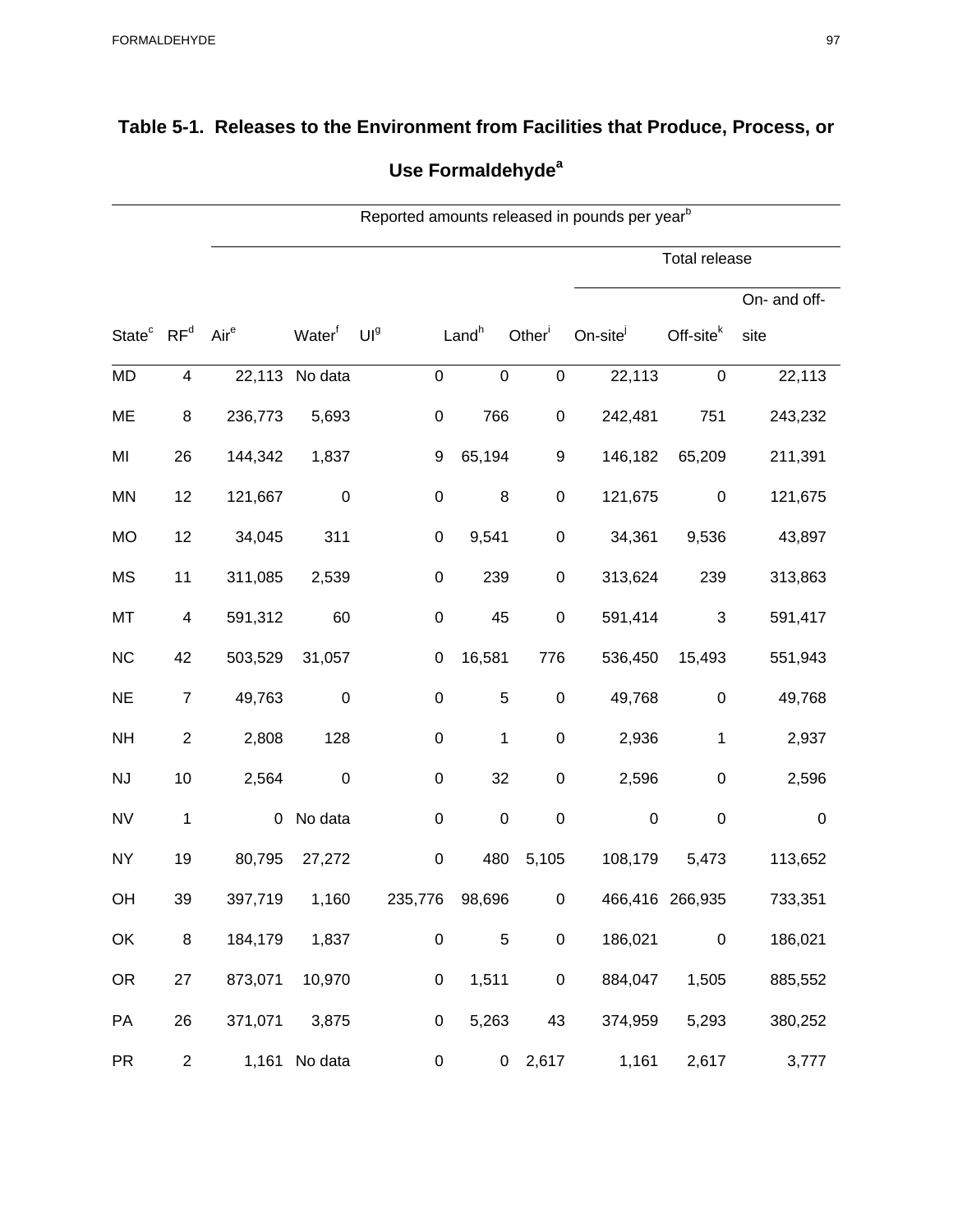## **Table 5-1. Releases to the Environment from Facilities that Produce, Process, or Use Formaldehydea**

|                                    |                | Reported amounts released in pounds per year <sup>b</sup> |                    |                  |                   |                  |                      |                      |              |  |  |  |
|------------------------------------|----------------|-----------------------------------------------------------|--------------------|------------------|-------------------|------------------|----------------------|----------------------|--------------|--|--|--|
|                                    |                |                                                           |                    |                  |                   |                  |                      | <b>Total release</b> |              |  |  |  |
|                                    |                |                                                           |                    |                  |                   |                  |                      |                      | On- and off- |  |  |  |
| State <sup>c</sup> RF <sup>d</sup> |                | Aire                                                      | Water <sup>f</sup> | UI <sup>g</sup>  | Land <sup>h</sup> | Other            | On-site <sup>j</sup> | Off-site $k$         | site         |  |  |  |
| <b>MD</b>                          | 4              |                                                           | 22,113 No data     | $\pmb{0}$        | $\pmb{0}$         | $\boldsymbol{0}$ | 22,113               | $\mathbf 0$          | 22,113       |  |  |  |
| ME                                 | 8              | 236,773                                                   | 5,693              | $\pmb{0}$        | 766               | $\boldsymbol{0}$ | 242,481              | 751                  | 243,232      |  |  |  |
| MI                                 | 26             | 144,342                                                   | 1,837              | 9                | 65,194            | 9                | 146,182              | 65,209               | 211,391      |  |  |  |
| MN                                 | 12             | 121,667                                                   | $\pmb{0}$          | $\boldsymbol{0}$ | 8                 | $\boldsymbol{0}$ | 121,675              | $\pmb{0}$            | 121,675      |  |  |  |
| MO                                 | 12             | 34,045                                                    | 311                | 0                | 9,541             | $\pmb{0}$        | 34,361               | 9,536                | 43,897       |  |  |  |
| <b>MS</b>                          | 11             | 311,085                                                   | 2,539              | 0                | 239               | $\mathbf 0$      | 313,624              | 239                  | 313,863      |  |  |  |
| MT                                 | 4              | 591,312                                                   | 60                 | $\pmb{0}$        | 45                | $\pmb{0}$        | 591,414              | $\mathbf{3}$         | 591,417      |  |  |  |
| NC                                 | 42             | 503,529                                                   | 31,057             | 0                | 16,581            | 776              | 536,450              | 15,493               | 551,943      |  |  |  |
| <b>NE</b>                          | $\overline{7}$ | 49,763                                                    | $\boldsymbol{0}$   | 0                | $\mathbf 5$       | $\boldsymbol{0}$ | 49,768               | $\boldsymbol{0}$     | 49,768       |  |  |  |
| <b>NH</b>                          | $\overline{c}$ | 2,808                                                     | 128                | $\pmb{0}$        | 1                 | $\boldsymbol{0}$ | 2,936                | $\mathbf 1$          | 2,937        |  |  |  |
| NJ                                 | 10             | 2,564                                                     | $\pmb{0}$          | 0                | 32                | $\pmb{0}$        | 2,596                | $\boldsymbol{0}$     | 2,596        |  |  |  |
| <b>NV</b>                          | $\mathbf{1}$   | $\overline{0}$                                            | No data            | 0                | $\mathbf 0$       | $\pmb{0}$        | $\pmb{0}$            | $\mathbf 0$          | 0            |  |  |  |
| <b>NY</b>                          | 19             | 80,795                                                    | 27,272             | $\pmb{0}$        | 480               | 5,105            | 108,179              | 5,473                | 113,652      |  |  |  |
| OH                                 | 39             | 397,719                                                   | 1,160              | 235,776          | 98,696            | $\Omega$         |                      | 466,416 266,935      | 733,351      |  |  |  |
| OK                                 | 8              | 184,179                                                   | 1,837              | $\pmb{0}$        | 5                 | $\pmb{0}$        | 186,021              | $\pmb{0}$            | 186,021      |  |  |  |
| <b>OR</b>                          | 27             | 873,071                                                   | 10,970             | 0                | 1,511             | $\pmb{0}$        | 884,047              | 1,505                | 885,552      |  |  |  |
| PA                                 | 26             |                                                           | 371,071 3,875      | $\mathbf 0$      | 5,263             | 43               | 374,959              | 5,293                | 380,252      |  |  |  |
| <b>PR</b>                          | $\overline{2}$ |                                                           | 1,161 No data      | 0                |                   | $0\quad 2,617$   | 1,161                | 2,617                | 3,777        |  |  |  |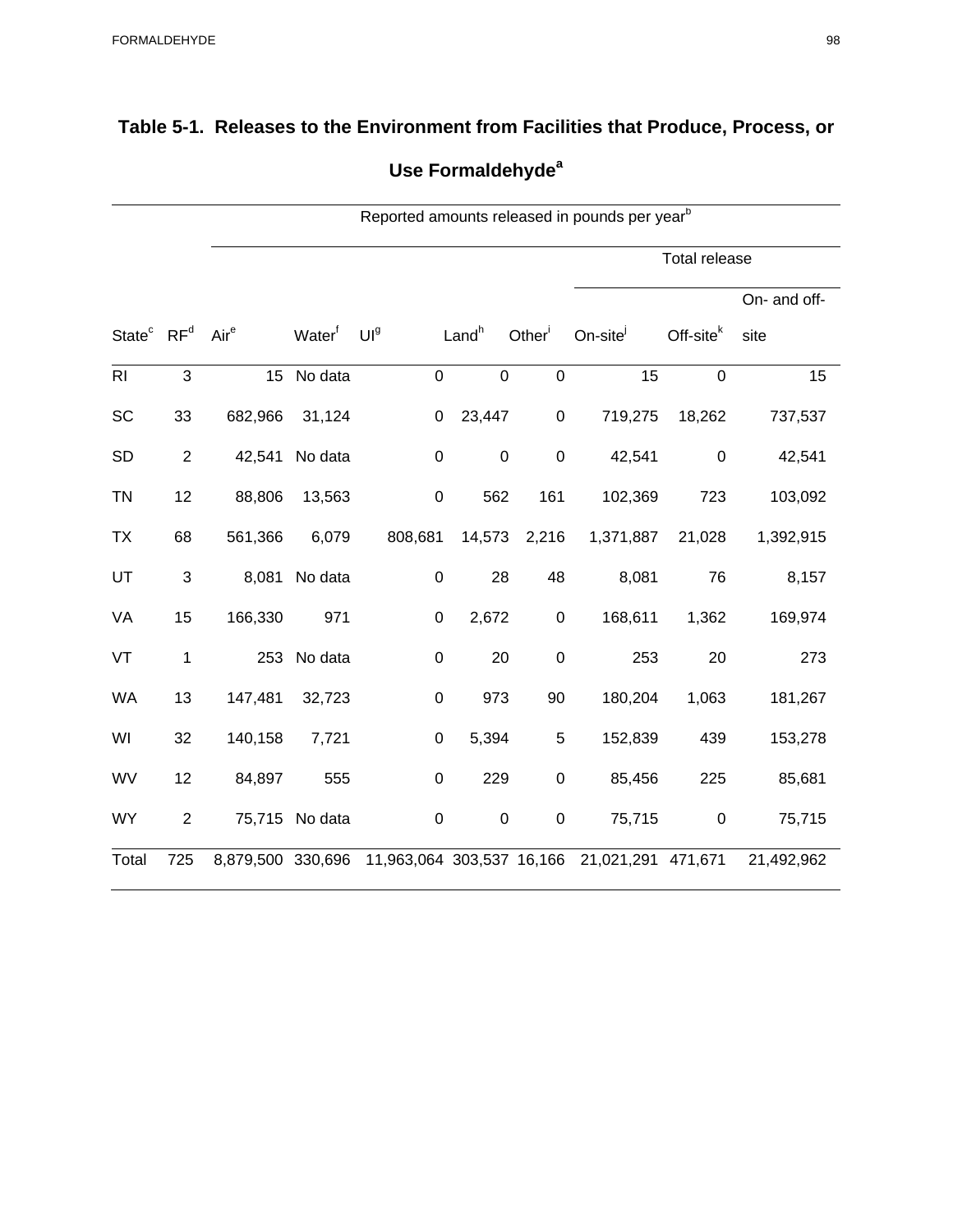| Table 5-1. Releases to the Environment from Facilities that Produce, Process, or |
|----------------------------------------------------------------------------------|
| Use Formaldehyde <sup>a</sup>                                                    |

|                                    |                           |                   |                    |                           |                   |                    | Reported amounts released in pounds per year <sup>b</sup> |                       |              |  |
|------------------------------------|---------------------------|-------------------|--------------------|---------------------------|-------------------|--------------------|-----------------------------------------------------------|-----------------------|--------------|--|
|                                    |                           |                   |                    |                           |                   |                    | <b>Total release</b>                                      |                       |              |  |
|                                    |                           |                   |                    |                           |                   |                    |                                                           |                       | On- and off- |  |
| State <sup>c</sup> RF <sup>d</sup> |                           | Air <sup>e</sup>  | Water <sup>f</sup> | UI <sup>g</sup>           | Land <sup>h</sup> | Other <sup>i</sup> | On-site                                                   | Off-site <sup>k</sup> | site         |  |
| R <sub>l</sub>                     | 3                         | 15                | No data            | $\mathbf 0$               | $\boldsymbol{0}$  | $\pmb{0}$          | 15                                                        | $\mathbf 0$           | 15           |  |
| SC                                 | 33                        | 682,966           | 31,124             | $\pmb{0}$                 | 23,447            | $\pmb{0}$          | 719,275                                                   | 18,262                | 737,537      |  |
| <b>SD</b>                          | $\overline{2}$            | 42,541            | No data            | $\pmb{0}$                 | $\boldsymbol{0}$  | $\pmb{0}$          | 42,541                                                    | $\pmb{0}$             | 42,541       |  |
| <b>TN</b>                          | 12                        | 88,806            | 13,563             | $\pmb{0}$                 | 562               | 161                | 102,369                                                   | 723                   | 103,092      |  |
| <b>TX</b>                          | 68                        | 561,366           | 6,079              | 808,681                   | 14,573            | 2,216              | 1,371,887                                                 | 21,028                | 1,392,915    |  |
| UT                                 | $\ensuremath{\mathsf{3}}$ | 8,081             | No data            | $\pmb{0}$                 | 28                | 48                 | 8,081                                                     | 76                    | 8,157        |  |
| VA                                 | 15                        | 166,330           | 971                | $\pmb{0}$                 | 2,672             | $\pmb{0}$          | 168,611                                                   | 1,362                 | 169,974      |  |
| VT                                 | $\mathbf 1$               | 253               | No data            | $\pmb{0}$                 | 20                | $\boldsymbol{0}$   | 253                                                       | 20                    | 273          |  |
| WA                                 | 13                        | 147,481           | 32,723             | $\pmb{0}$                 | 973               | 90                 | 180,204                                                   | 1,063                 | 181,267      |  |
| WI                                 | 32                        | 140,158           | 7,721              | $\pmb{0}$                 | 5,394             | 5                  | 152,839                                                   | 439                   | 153,278      |  |
| WV                                 | 12                        | 84,897            | 555                | $\mathsf 0$               | 229               | $\pmb{0}$          | 85,456                                                    | 225                   | 85,681       |  |
| <b>WY</b>                          | $\overline{2}$            |                   | 75,715 No data     | $\pmb{0}$                 | $\pmb{0}$         | $\pmb{0}$          | 75,715                                                    | $\pmb{0}$             | 75,715       |  |
| Total                              | 725                       | 8,879,500 330,696 |                    | 11,963,064 303,537 16,166 |                   |                    | 21,021,291 471,671                                        |                       | 21,492,962   |  |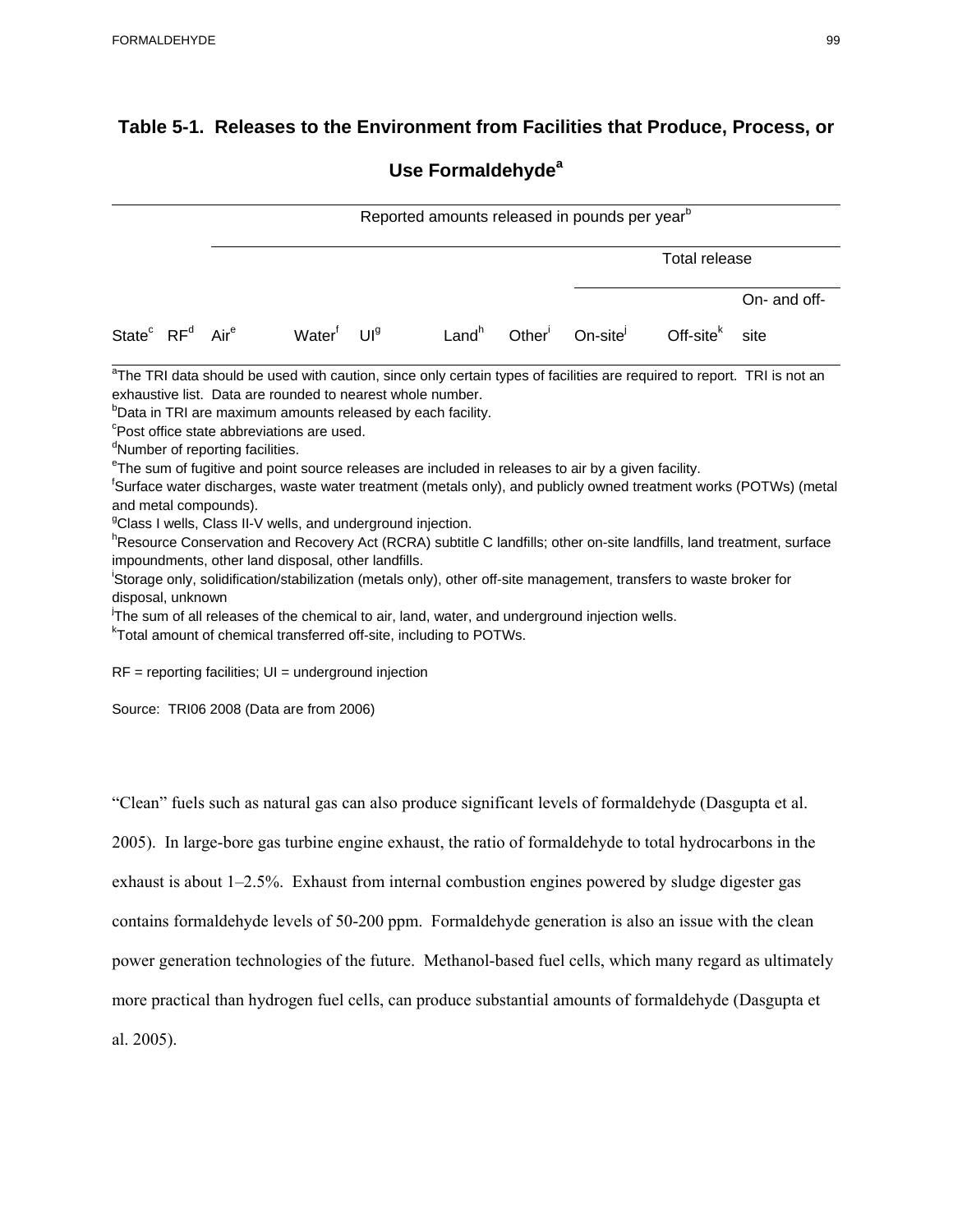## **Table 5-1. Releases to the Environment from Facilities that Produce, Process, or**

## **Use Formaldehyde<sup>a</sup>**

|                                                     | Reported amounts released in pounds per year <sup>b</sup>                                                                                                                                                                         |                    |                                                                                                                                                                                                                                                                                                                                                                   |                   |                    |                                                                                                                                                                                                                  |                                                                                                                     |                                                                                                                                                                                                                                                                                                                                                                                                           |  |  |  |
|-----------------------------------------------------|-----------------------------------------------------------------------------------------------------------------------------------------------------------------------------------------------------------------------------------|--------------------|-------------------------------------------------------------------------------------------------------------------------------------------------------------------------------------------------------------------------------------------------------------------------------------------------------------------------------------------------------------------|-------------------|--------------------|------------------------------------------------------------------------------------------------------------------------------------------------------------------------------------------------------------------|---------------------------------------------------------------------------------------------------------------------|-----------------------------------------------------------------------------------------------------------------------------------------------------------------------------------------------------------------------------------------------------------------------------------------------------------------------------------------------------------------------------------------------------------|--|--|--|
|                                                     |                                                                                                                                                                                                                                   |                    |                                                                                                                                                                                                                                                                                                                                                                   |                   |                    |                                                                                                                                                                                                                  | <b>Total release</b>                                                                                                |                                                                                                                                                                                                                                                                                                                                                                                                           |  |  |  |
|                                                     |                                                                                                                                                                                                                                   |                    |                                                                                                                                                                                                                                                                                                                                                                   |                   |                    |                                                                                                                                                                                                                  |                                                                                                                     | On- and off-                                                                                                                                                                                                                                                                                                                                                                                              |  |  |  |
| State <sup>c</sup> RF <sup>d</sup> Air <sup>e</sup> |                                                                                                                                                                                                                                   | Water <sup>f</sup> | U <sup>9</sup>                                                                                                                                                                                                                                                                                                                                                    | Land <sup>h</sup> | Other <sup>1</sup> | On-site                                                                                                                                                                                                          | Off-site $k$                                                                                                        | site                                                                                                                                                                                                                                                                                                                                                                                                      |  |  |  |
| disposal, unknown                                   | <sup>c</sup> Post office state abbreviations are used.<br><sup>d</sup> Number of reporting facilities.<br>and metal compounds).<br>impoundments, other land disposal, other landfills.<br>Source: TRI06 2008 (Data are from 2006) |                    | exhaustive list. Data are rounded to nearest whole number.<br><sup>b</sup> Data in TRI are maximum amounts released by each facility.<br><sup>g</sup> Class I wells, Class II-V wells, and underground injection.<br><sup>k</sup> Total amount of chemical transferred off-site, including to POTWs.<br>$RF =$ reporting facilities; $UI =$ underground injection |                   |                    | <sup>e</sup> The sum of fugitive and point source releases are included in releases to air by a given facility.<br>The sum of all releases of the chemical to air, land, water, and underground injection wells. | 'Storage only, solidification/stabilization (metals only), other off-site management, transfers to waste broker for | <sup>a</sup> The TRI data should be used with caution, since only certain types of facilities are required to report. TRI is not an<br><sup>t</sup> Surface water discharges, waste water treatment (metals only), and publicly owned treatment works (POTWs) (metal<br><sup>h</sup> Resource Conservation and Recovery Act (RCRA) subtitle C landfills; other on-site landfills, land treatment, surface |  |  |  |
|                                                     |                                                                                                                                                                                                                                   |                    |                                                                                                                                                                                                                                                                                                                                                                   |                   |                    |                                                                                                                                                                                                                  | "Clean" fuels such as natural gas can also produce significant levels of formaldehyde (Dasgupta et al.              |                                                                                                                                                                                                                                                                                                                                                                                                           |  |  |  |
|                                                     |                                                                                                                                                                                                                                   |                    |                                                                                                                                                                                                                                                                                                                                                                   |                   |                    |                                                                                                                                                                                                                  | 2005). In large-bore gas turbine engine exhaust, the ratio of formaldehyde to total hydrocarbons in the             |                                                                                                                                                                                                                                                                                                                                                                                                           |  |  |  |
|                                                     |                                                                                                                                                                                                                                   |                    |                                                                                                                                                                                                                                                                                                                                                                   |                   |                    |                                                                                                                                                                                                                  | exhaust is about 1–2.5%. Exhaust from internal combustion engines powered by sludge digester gas                    |                                                                                                                                                                                                                                                                                                                                                                                                           |  |  |  |
|                                                     |                                                                                                                                                                                                                                   |                    |                                                                                                                                                                                                                                                                                                                                                                   |                   |                    |                                                                                                                                                                                                                  | contains formaldehyde levels of 50-200 ppm. Formaldehyde generation is also an issue with the clean                 |                                                                                                                                                                                                                                                                                                                                                                                                           |  |  |  |
|                                                     |                                                                                                                                                                                                                                   |                    |                                                                                                                                                                                                                                                                                                                                                                   |                   |                    |                                                                                                                                                                                                                  |                                                                                                                     | power generation technologies of the future. Methanol-based fuel cells, which many regard as ultimately                                                                                                                                                                                                                                                                                                   |  |  |  |
|                                                     |                                                                                                                                                                                                                                   |                    |                                                                                                                                                                                                                                                                                                                                                                   |                   |                    |                                                                                                                                                                                                                  |                                                                                                                     | more practical than hydrogen fuel cells, can produce substantial amounts of formaldehyde (Dasgupta et                                                                                                                                                                                                                                                                                                     |  |  |  |
| al. 2005).                                          |                                                                                                                                                                                                                                   |                    |                                                                                                                                                                                                                                                                                                                                                                   |                   |                    |                                                                                                                                                                                                                  |                                                                                                                     |                                                                                                                                                                                                                                                                                                                                                                                                           |  |  |  |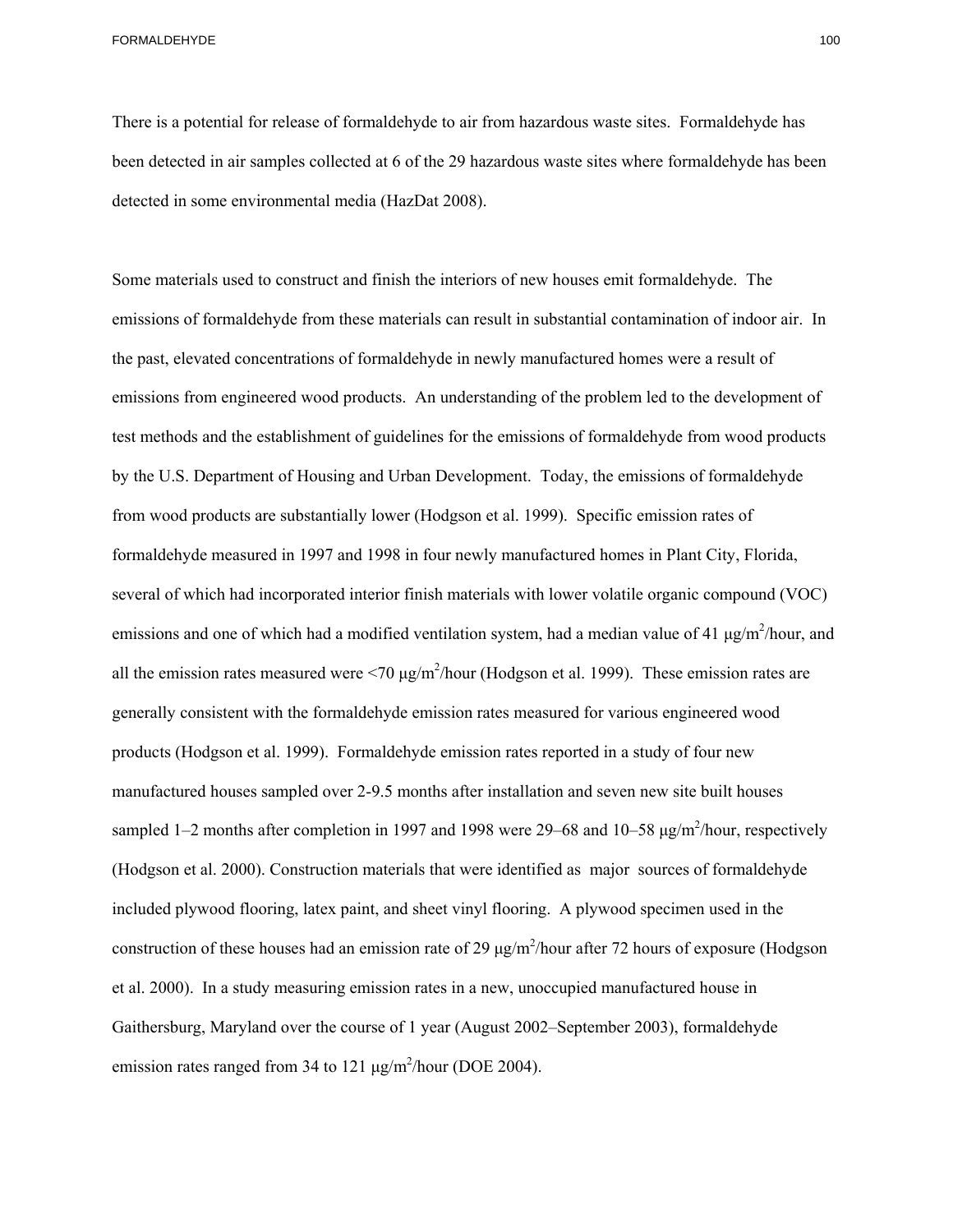There is a potential for release of formaldehyde to air from hazardous waste sites. Formaldehyde has been detected in air samples collected at 6 of the 29 hazardous waste sites where formaldehyde has been detected in some environmental media (HazDat 2008).

 et al. 2000). In a study measuring emission rates in a new, unoccupied manufactured house in Some materials used to construct and finish the interiors of new houses emit formaldehyde. The emissions of formaldehyde from these materials can result in substantial contamination of indoor air. In the past, elevated concentrations of formaldehyde in newly manufactured homes were a result of emissions from engineered wood products. An understanding of the problem led to the development of test methods and the establishment of guidelines for the emissions of formaldehyde from wood products by the U.S. Department of Housing and Urban Development. Today, the emissions of formaldehyde from wood products are substantially lower (Hodgson et al. 1999). Specific emission rates of formaldehyde measured in 1997 and 1998 in four newly manufactured homes in Plant City, Florida, several of which had incorporated interior finish materials with lower volatile organic compound (VOC) emissions and one of which had a modified ventilation system, had a median value of 41  $\mu$ g/m<sup>2</sup>/hour, and all the emission rates measured were  $\langle 70 \mu g/m^2/\text{hour}$  (Hodgson et al. 1999). These emission rates are generally consistent with the formaldehyde emission rates measured for various engineered wood products (Hodgson et al. 1999). Formaldehyde emission rates reported in a study of four new manufactured houses sampled over 2-9.5 months after installation and seven new site built houses sampled 1–2 months after completion in 1997 and 1998 were  $29-68$  and 10–58  $\mu$ g/m<sup>2</sup>/hour, respectively (Hodgson et al. 2000). Construction materials that were identified as major sources of formaldehyde included plywood flooring, latex paint, and sheet vinyl flooring. A plywood specimen used in the construction of these houses had an emission rate of 29  $\mu$ g/m<sup>2</sup>/hour after 72 hours of exposure (Hodgson Gaithersburg, Maryland over the course of 1 year (August 2002–September 2003), formaldehyde emission rates ranged from 34 to 121  $\mu$ g/m<sup>2</sup>/hour (DOE 2004).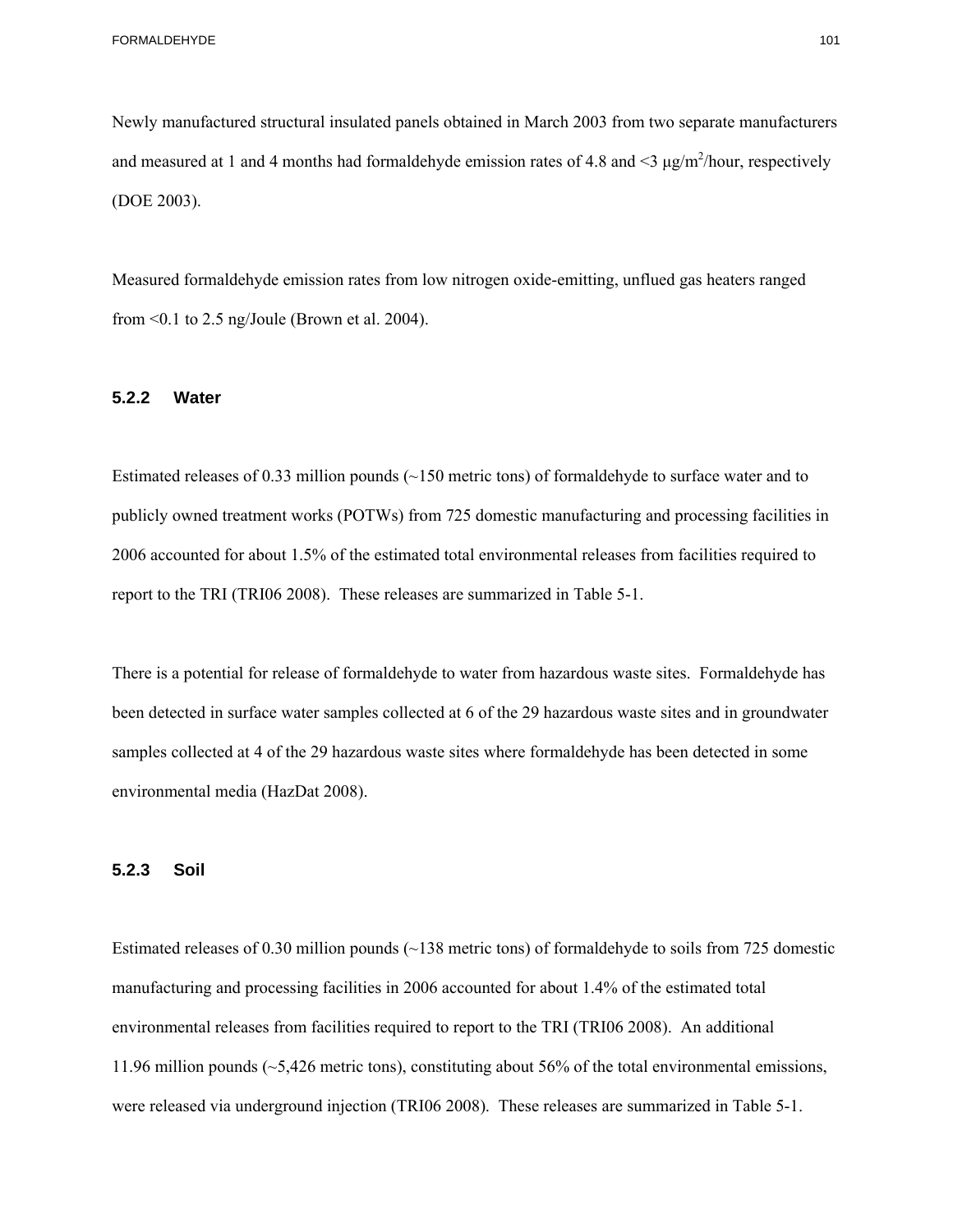Newly manufactured structural insulated panels obtained in March 2003 from two separate manufacturers and measured at 1 and 4 months had formaldehyde emission rates of 4.8 and  $\leq$   $\mu$ g/m<sup>2</sup>/hour, respectively (DOE 2003).

Measured formaldehyde emission rates from low nitrogen oxide-emitting, unflued gas heaters ranged from <0.1 to 2.5 ng/Joule (Brown et al. 2004).

#### **5.2.2 Water**

Estimated releases of 0.33 million pounds (~150 metric tons) of formaldehyde to surface water and to publicly owned treatment works (POTWs) from 725 domestic manufacturing and processing facilities in 2006 accounted for about 1.5% of the estimated total environmental releases from facilities required to report to the TRI (TRI06 2008). These releases are summarized in Table 5-1.

There is a potential for release of formaldehyde to water from hazardous waste sites. Formaldehyde has been detected in surface water samples collected at 6 of the 29 hazardous waste sites and in groundwater samples collected at 4 of the 29 hazardous waste sites where formaldehyde has been detected in some environmental media (HazDat 2008).

#### **5.2.3 Soil**

Estimated releases of 0.30 million pounds (~138 metric tons) of formaldehyde to soils from 725 domestic manufacturing and processing facilities in 2006 accounted for about 1.4% of the estimated total environmental releases from facilities required to report to the TRI (TRI06 2008). An additional 11.96 million pounds (~5,426 metric tons), constituting about 56% of the total environmental emissions, were released via underground injection (TRI06 2008). These releases are summarized in Table 5-1.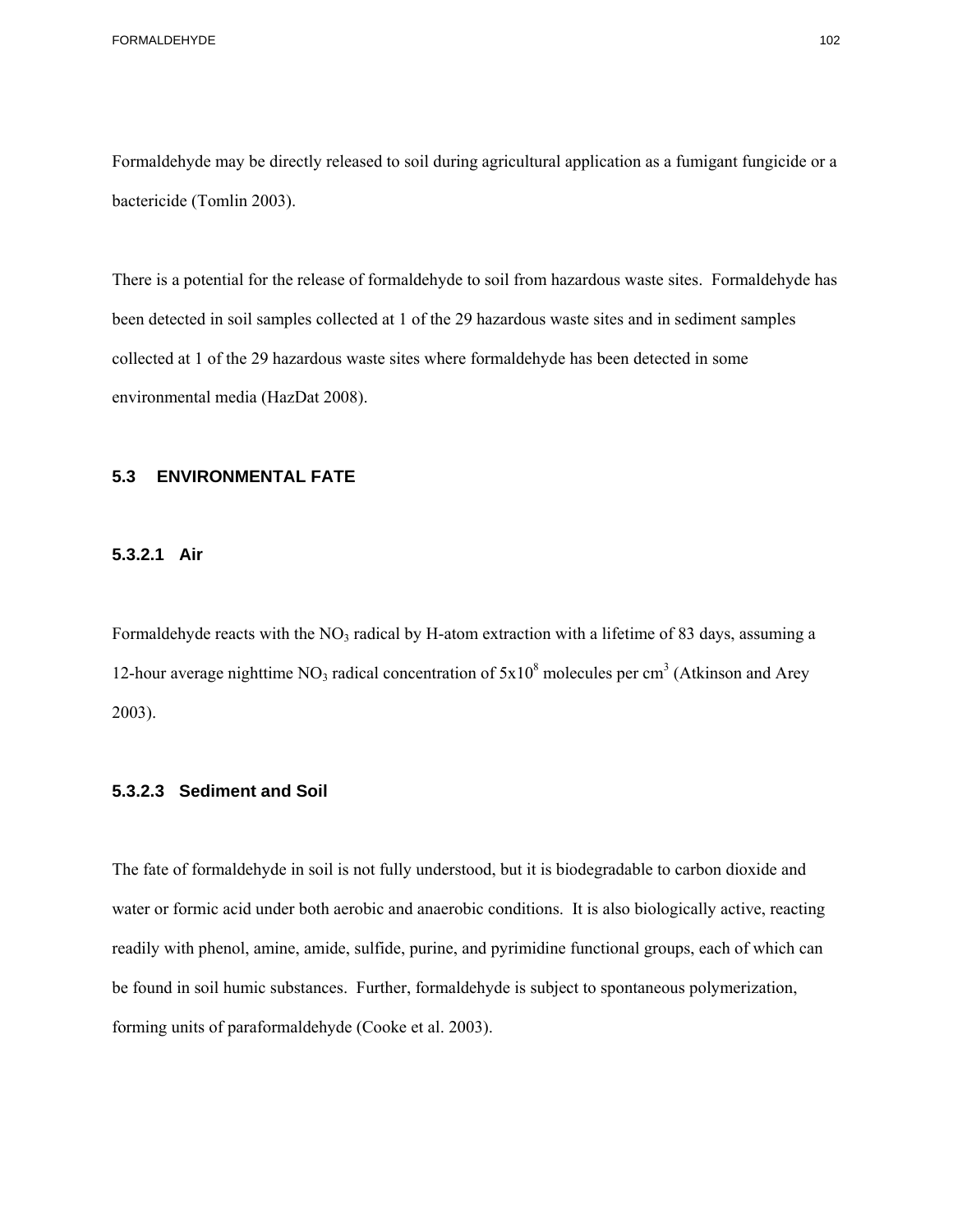Formaldehyde may be directly released to soil during agricultural application as a fumigant fungicide or a bactericide (Tomlin 2003).

There is a potential for the release of formaldehyde to soil from hazardous waste sites. Formaldehyde has been detected in soil samples collected at 1 of the 29 hazardous waste sites and in sediment samples collected at 1 of the 29 hazardous waste sites where formaldehyde has been detected in some environmental media (HazDat 2008).

# **5.3 ENVIRONMENTAL FATE 5.3.2.1 Air**

## 5.3.2.1 Air

Formaldehyde reacts with the NO<sub>3</sub> radical by H-atom extraction with a lifetime of 83 days, assuming a 12-hour average nighttime NO<sub>3</sub> radical concentration of  $5x10^8$  molecules per cm<sup>3</sup> (Atkinson and Arey 2003).

## **5.3.2.3 Sediment and Soil**

The fate of formaldehyde in soil is not fully understood, but it is biodegradable to carbon dioxide and water or formic acid under both aerobic and anaerobic conditions. It is also biologically active, reacting readily with phenol, amine, amide, sulfide, purine, and pyrimidine functional groups, each of which can be found in soil humic substances. Further, formaldehyde is subject to spontaneous polymerization, forming units of paraformaldehyde (Cooke et al. 2003).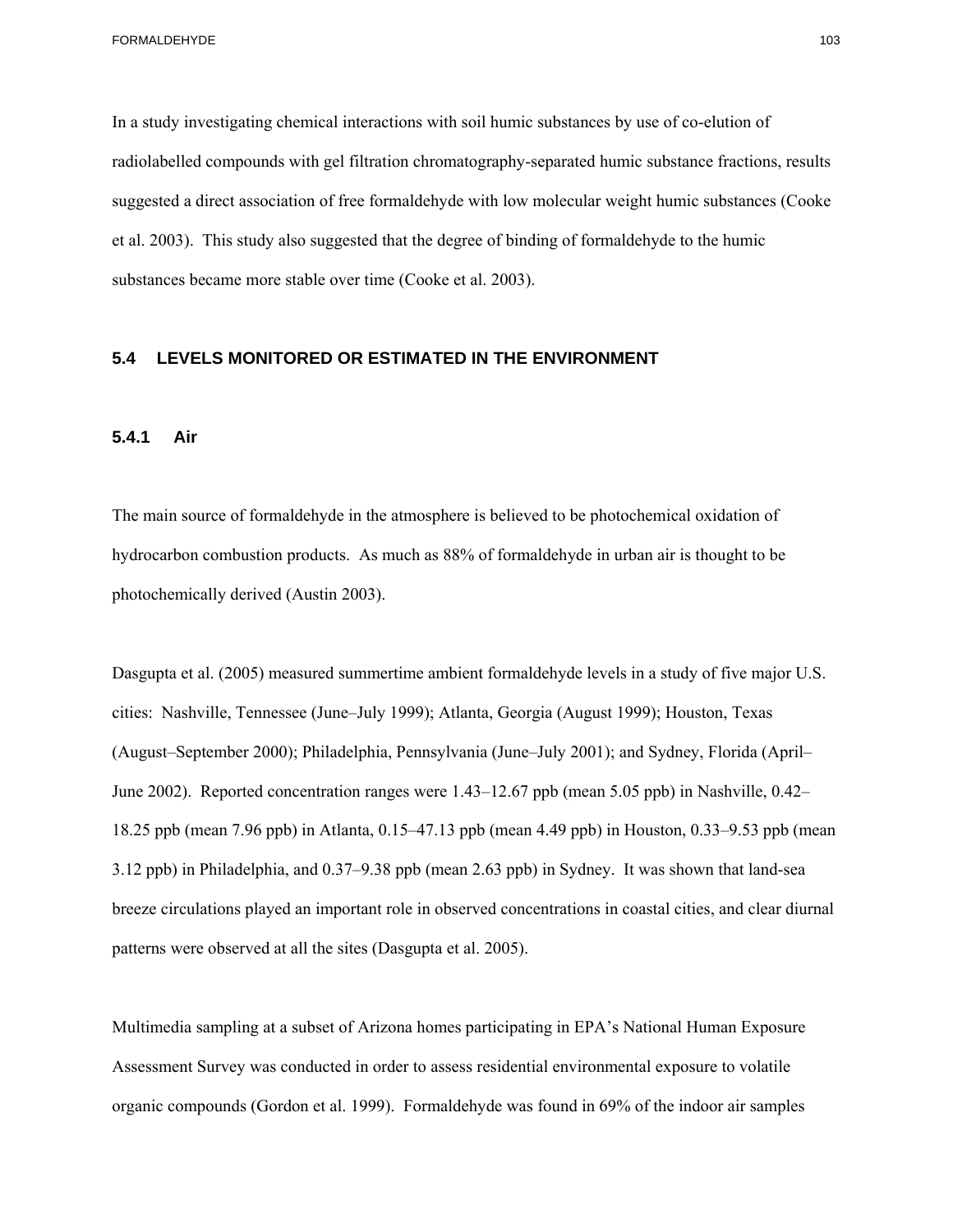et al. 2003). This study also suggested that the degree of binding of formaldehyde to the humic In a study investigating chemical interactions with soil humic substances by use of co-elution of radiolabelled compounds with gel filtration chromatography-separated humic substance fractions, results suggested a direct association of free formaldehyde with low molecular weight humic substances (Cooke substances became more stable over time (Cooke et al. 2003).

#### **5.4 LEVELS MONITORED OR ESTIMATED IN THE ENVIRONMENT**

#### **5.4.1 Air**

The main source of formaldehyde in the atmosphere is believed to be photochemical oxidation of hydrocarbon combustion products. As much as 88% of formaldehyde in urban air is thought to be photochemically derived (Austin 2003).

Dasgupta et al. (2005) measured summertime ambient formaldehyde levels in a study of five major U.S. cities: Nashville, Tennessee (June–July 1999); Atlanta, Georgia (August 1999); Houston, Texas (August–September 2000); Philadelphia, Pennsylvania (June–July 2001); and Sydney, Florida (April– June 2002). Reported concentration ranges were 1.43–12.67 ppb (mean 5.05 ppb) in Nashville, 0.42– 18.25 ppb (mean 7.96 ppb) in Atlanta, 0.15–47.13 ppb (mean 4.49 ppb) in Houston, 0.33–9.53 ppb (mean 3.12 ppb) in Philadelphia, and 0.37–9.38 ppb (mean 2.63 ppb) in Sydney. It was shown that land-sea breeze circulations played an important role in observed concentrations in coastal cities, and clear diurnal patterns were observed at all the sites (Dasgupta et al. 2005).

Multimedia sampling at a subset of Arizona homes participating in EPA's National Human Exposure Assessment Survey was conducted in order to assess residential environmental exposure to volatile organic compounds (Gordon et al. 1999). Formaldehyde was found in 69% of the indoor air samples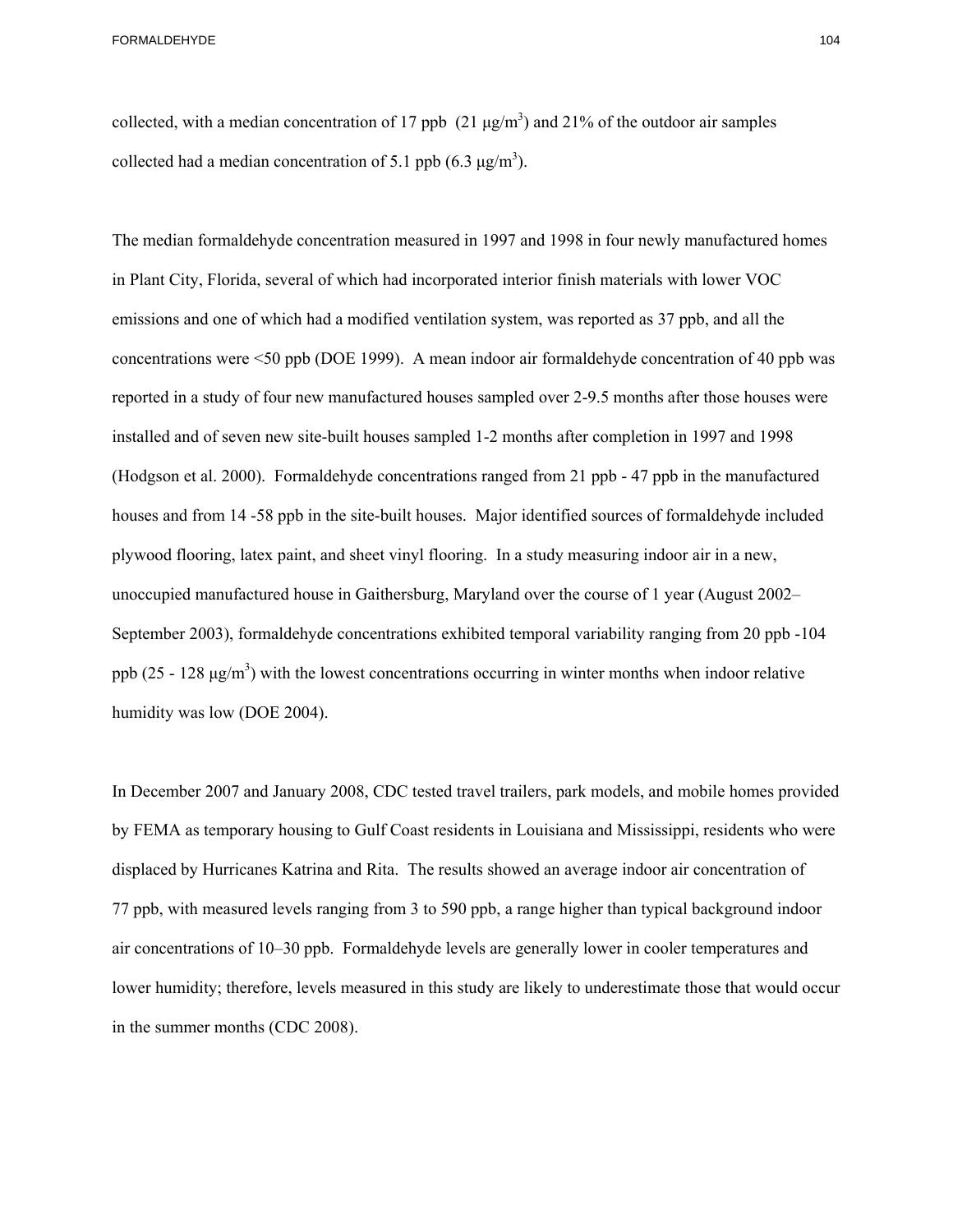FORMALDEHYDE 104

collected, with a median concentration of 17 ppb  $(21 \mu g/m^3)$  and 21% of the outdoor air samples collected had a median concentration of 5.1 ppb  $(6.3 \text{ µg/m}^3)$ .

The median formaldehyde concentration measured in 1997 and 1998 in four newly manufactured homes in Plant City, Florida, several of which had incorporated interior finish materials with lower VOC emissions and one of which had a modified ventilation system, was reported as 37 ppb, and all the concentrations were <50 ppb (DOE 1999). A mean indoor air formaldehyde concentration of 40 ppb was reported in a study of four new manufactured houses sampled over 2-9.5 months after those houses were installed and of seven new site-built houses sampled 1-2 months after completion in 1997 and 1998 (Hodgson et al. 2000). Formaldehyde concentrations ranged from 21 ppb - 47 ppb in the manufactured houses and from 14 -58 ppb in the site-built houses. Major identified sources of formaldehyde included plywood flooring, latex paint, and sheet vinyl flooring. In a study measuring indoor air in a new, unoccupied manufactured house in Gaithersburg, Maryland over the course of 1 year (August 2002– September 2003), formaldehyde concentrations exhibited temporal variability ranging from 20 ppb -104 ppb (25 - 128  $\mu$ g/m<sup>3</sup>) with the lowest concentrations occurring in winter months when indoor relative humidity was low (DOE 2004).

In December 2007 and January 2008, CDC tested travel trailers, park models, and mobile homes provided by FEMA as temporary housing to Gulf Coast residents in Louisiana and Mississippi, residents who were displaced by Hurricanes Katrina and Rita. The results showed an average indoor air concentration of 77 ppb, with measured levels ranging from 3 to 590 ppb, a range higher than typical background indoor air concentrations of 10–30 ppb. Formaldehyde levels are generally lower in cooler temperatures and lower humidity; therefore, levels measured in this study are likely to underestimate those that would occur in the summer months (CDC 2008).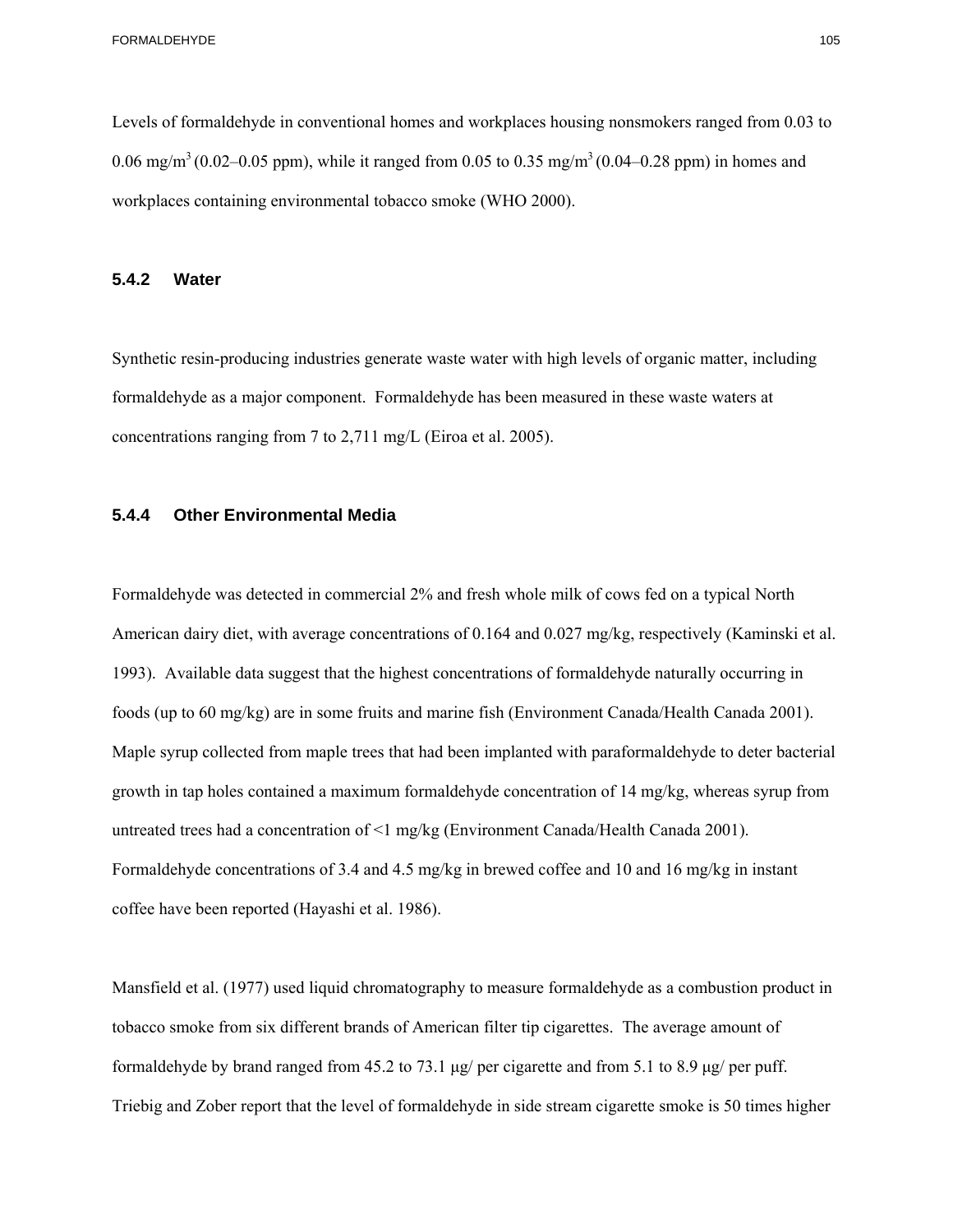Levels of formaldehyde in conventional homes and workplaces housing nonsmokers ranged from 0.03 to 0.06 mg/m<sup>3</sup> (0.02–0.05 ppm), while it ranged from 0.05 to 0.35 mg/m<sup>3</sup> (0.04–0.28 ppm) in homes and workplaces containing environmental tobacco smoke (WHO 2000).

#### **5.4.2 Water**

Synthetic resin-producing industries generate waste water with high levels of organic matter, including formaldehyde as a major component. Formaldehyde has been measured in these waste waters at concentrations ranging from 7 to 2,711 mg/L (Eiroa et al. 2005).

#### **5.4.4 Other Environmental Media**

Formaldehyde was detected in commercial 2% and fresh whole milk of cows fed on a typical North American dairy diet, with average concentrations of 0.164 and 0.027 mg/kg, respectively (Kaminski et al. 1993). Available data suggest that the highest concentrations of formaldehyde naturally occurring in foods (up to 60 mg/kg) are in some fruits and marine fish (Environment Canada/Health Canada 2001). Maple syrup collected from maple trees that had been implanted with paraformaldehyde to deter bacterial growth in tap holes contained a maximum formaldehyde concentration of 14 mg/kg, whereas syrup from untreated trees had a concentration of <1 mg/kg (Environment Canada/Health Canada 2001). Formaldehyde concentrations of 3.4 and 4.5 mg/kg in brewed coffee and 10 and 16 mg/kg in instant coffee have been reported (Hayashi et al. 1986).

Mansfield et al. (1977) used liquid chromatography to measure formaldehyde as a combustion product in tobacco smoke from six different brands of American filter tip cigarettes. The average amount of formaldehyde by brand ranged from 45.2 to 73.1 μg/ per cigarette and from 5.1 to 8.9 μg/ per puff. Triebig and Zober report that the level of formaldehyde in side stream cigarette smoke is 50 times higher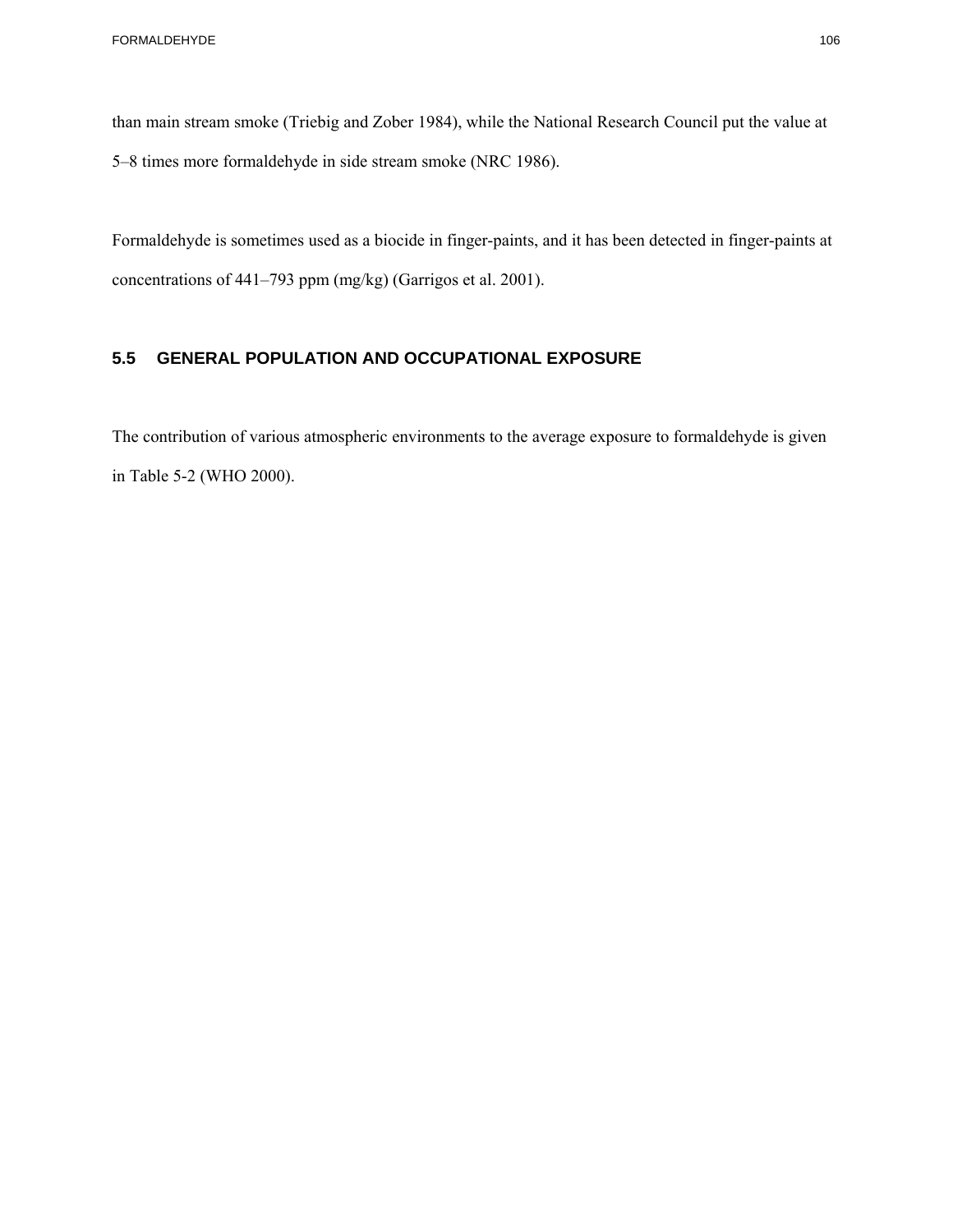than main stream smoke (Triebig and Zober 1984), while the National Research Council put the value at 5–8 times more formaldehyde in side stream smoke (NRC 1986).

Formaldehyde is sometimes used as a biocide in finger-paints, and it has been detected in finger-paints at concentrations of 441–793 ppm (mg/kg) (Garrigos et al. 2001).

#### **5.5 GENERAL POPULATION AND OCCUPATIONAL EXPOSURE**

The contribution of various atmospheric environments to the average exposure to formaldehyde is given in Table 5-2 (WHO 2000).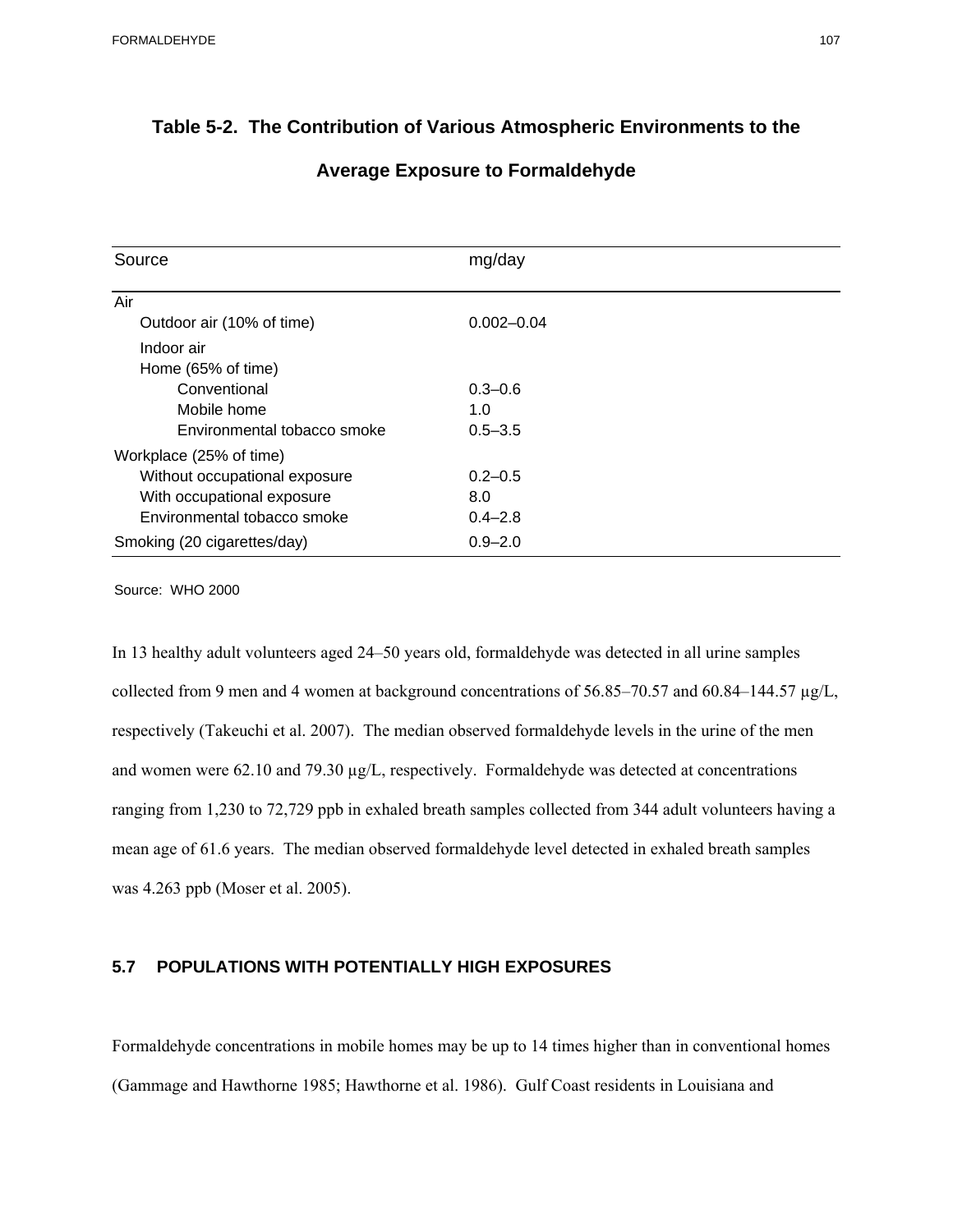#### **Table 5-2. The Contribution of Various Atmospheric Environments to the**

| Source                        | mg/day         |
|-------------------------------|----------------|
| Air                           |                |
| Outdoor air (10% of time)     | $0.002 - 0.04$ |
| Indoor air                    |                |
| Home (65% of time)            |                |
| Conventional                  | $0.3 - 0.6$    |
| Mobile home                   | 1.0            |
| Environmental tobacco smoke   | $0.5 - 3.5$    |
| Workplace (25% of time)       |                |
| Without occupational exposure | $0.2 - 0.5$    |
| With occupational exposure    | 8.0            |
| Environmental tobacco smoke   | $0.4 - 2.8$    |
| Smoking (20 cigarettes/day)   | $0.9 - 2.0$    |
| Source: WHO 2000              |                |

#### **Average Exposure to Formaldehyde**

In 13 healthy adult volunteers aged 24–50 years old, formaldehyde was detected in all urine samples collected from 9 men and 4 women at background concentrations of 56.85–70.57 and 60.84–144.57 µg/L, respectively (Takeuchi et al. 2007). The median observed formaldehyde levels in the urine of the men and women were 62.10 and 79.30 µg/L, respectively. Formaldehyde was detected at concentrations ranging from 1,230 to 72,729 ppb in exhaled breath samples collected from 344 adult volunteers having a mean age of 61.6 years. The median observed formaldehyde level detected in exhaled breath samples was 4.263 ppb (Moser et al. 2005).

#### **5.7 POPULATIONS WITH POTENTIALLY HIGH EXPOSURES**

Formaldehyde concentrations in mobile homes may be up to 14 times higher than in conventional homes (Gammage and Hawthorne 1985; Hawthorne et al. 1986). Gulf Coast residents in Louisiana and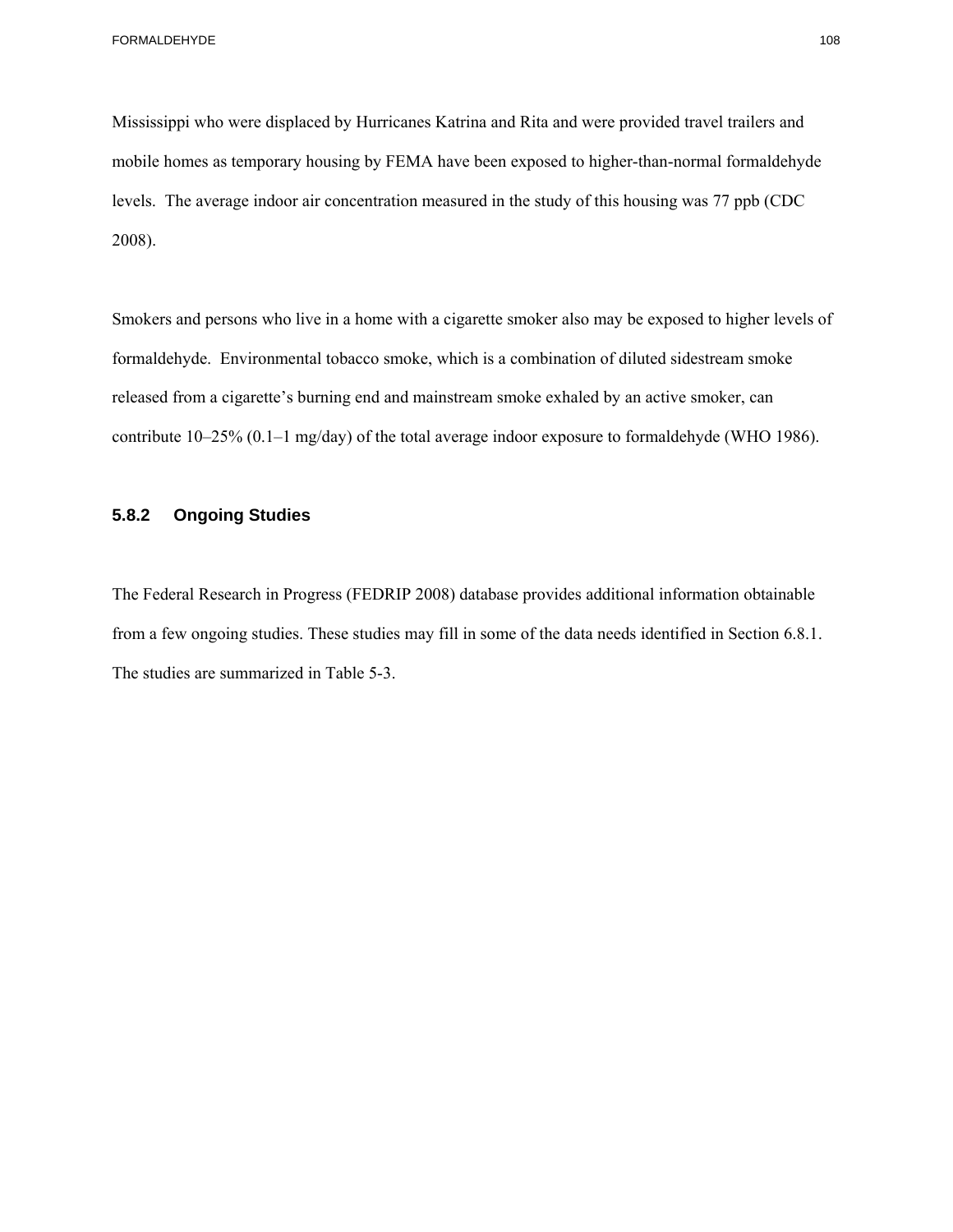$2008$ ). Mississippi who were displaced by Hurricanes Katrina and Rita and were provided travel trailers and mobile homes as temporary housing by FEMA have been exposed to higher-than-normal formaldehyde levels. The average indoor air concentration measured in the study of this housing was 77 ppb (CDC

Smokers and persons who live in a home with a cigarette smoker also may be exposed to higher levels of formaldehyde. Environmental tobacco smoke, which is a combination of diluted sidestream smoke released from a cigarette's burning end and mainstream smoke exhaled by an active smoker, can contribute 10–25% (0.1–1 mg/day) of the total average indoor exposure to formaldehyde (WHO 1986).

#### **5.8.2 Ongoing Studies**

 from a few ongoing studies. These studies may fill in some of the data needs identified in Section 6.8.1. The Federal Research in Progress (FEDRIP 2008) database provides additional information obtainable The studies are summarized in Table 5-3.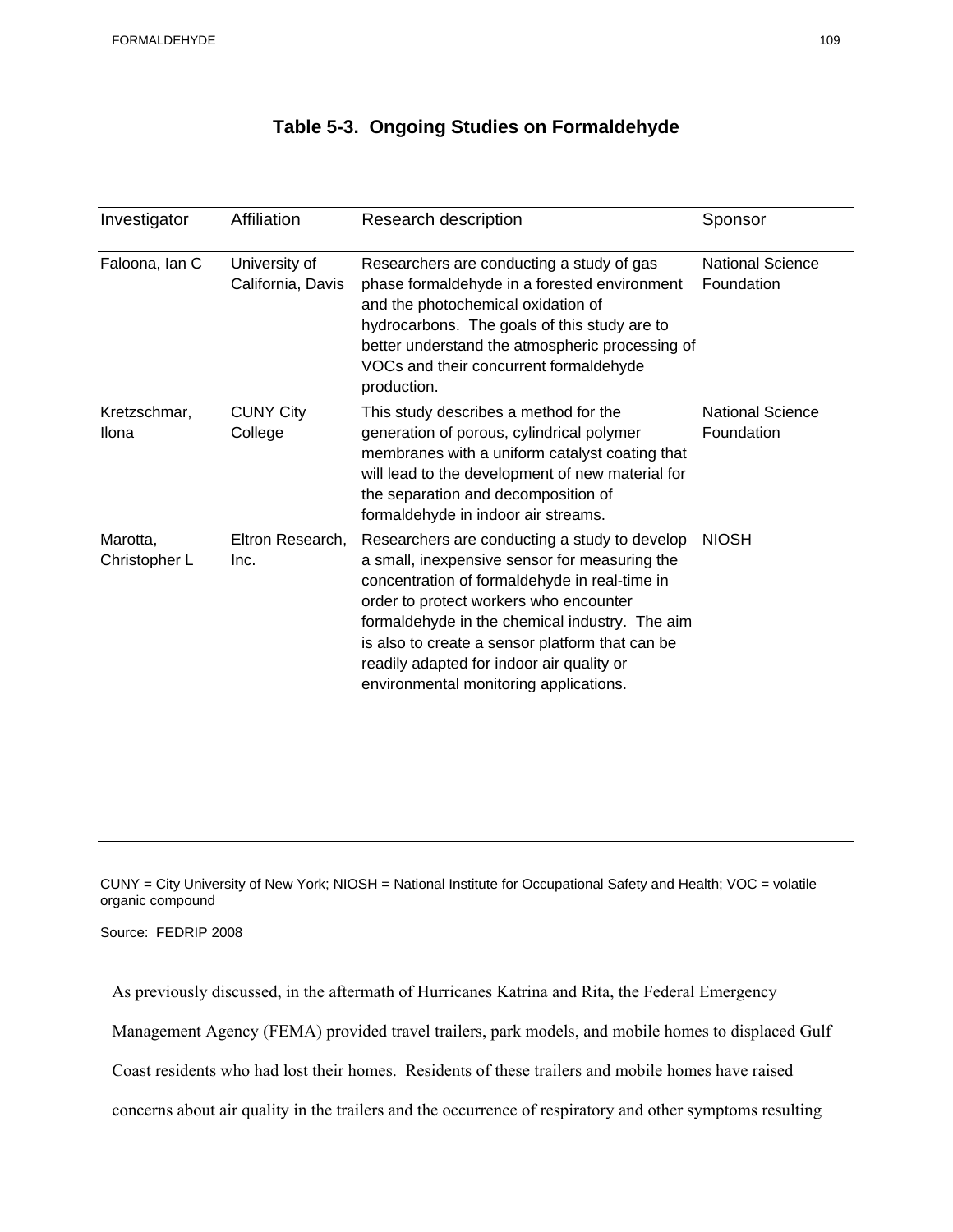#### **Table 5-3. Ongoing Studies on Formaldehyde**

| Investigator              | Affiliation                        | Research description                                                                                                                                                                                                                                                                                                                                                                  | Sponsor                               |
|---------------------------|------------------------------------|---------------------------------------------------------------------------------------------------------------------------------------------------------------------------------------------------------------------------------------------------------------------------------------------------------------------------------------------------------------------------------------|---------------------------------------|
| Faloona, Ian C            | University of<br>California, Davis | Researchers are conducting a study of gas<br>phase formaldehyde in a forested environment<br>and the photochemical oxidation of<br>hydrocarbons. The goals of this study are to<br>better understand the atmospheric processing of<br>VOCs and their concurrent formaldehyde<br>production.                                                                                           | <b>National Science</b><br>Foundation |
| Kretzschmar,<br>Ilona     | <b>CUNY City</b><br>College        | This study describes a method for the<br>generation of porous, cylindrical polymer<br>membranes with a uniform catalyst coating that<br>will lead to the development of new material for<br>the separation and decomposition of<br>formaldehyde in indoor air streams.                                                                                                                | <b>National Science</b><br>Foundation |
| Marotta,<br>Christopher L | Eltron Research,<br>Inc.           | Researchers are conducting a study to develop<br>a small, inexpensive sensor for measuring the<br>concentration of formaldehyde in real-time in<br>order to protect workers who encounter<br>formaldehyde in the chemical industry. The aim<br>is also to create a sensor platform that can be<br>readily adapted for indoor air quality or<br>environmental monitoring applications. | <b>NIOSH</b>                          |

CUNY = City University of New York; NIOSH = National Institute for Occupational Safety and Health; VOC = volatile organic compound

Source: FEDRIP 2008

As previously discussed, in the aftermath of Hurricanes Katrina and Rita, the Federal Emergency

Management Agency (FEMA) provided travel trailers, park models, and mobile homes to displaced Gulf

Coast residents who had lost their homes. Residents of these trailers and mobile homes have raised

concerns about air quality in the trailers and the occurrence of respiratory and other symptoms resulting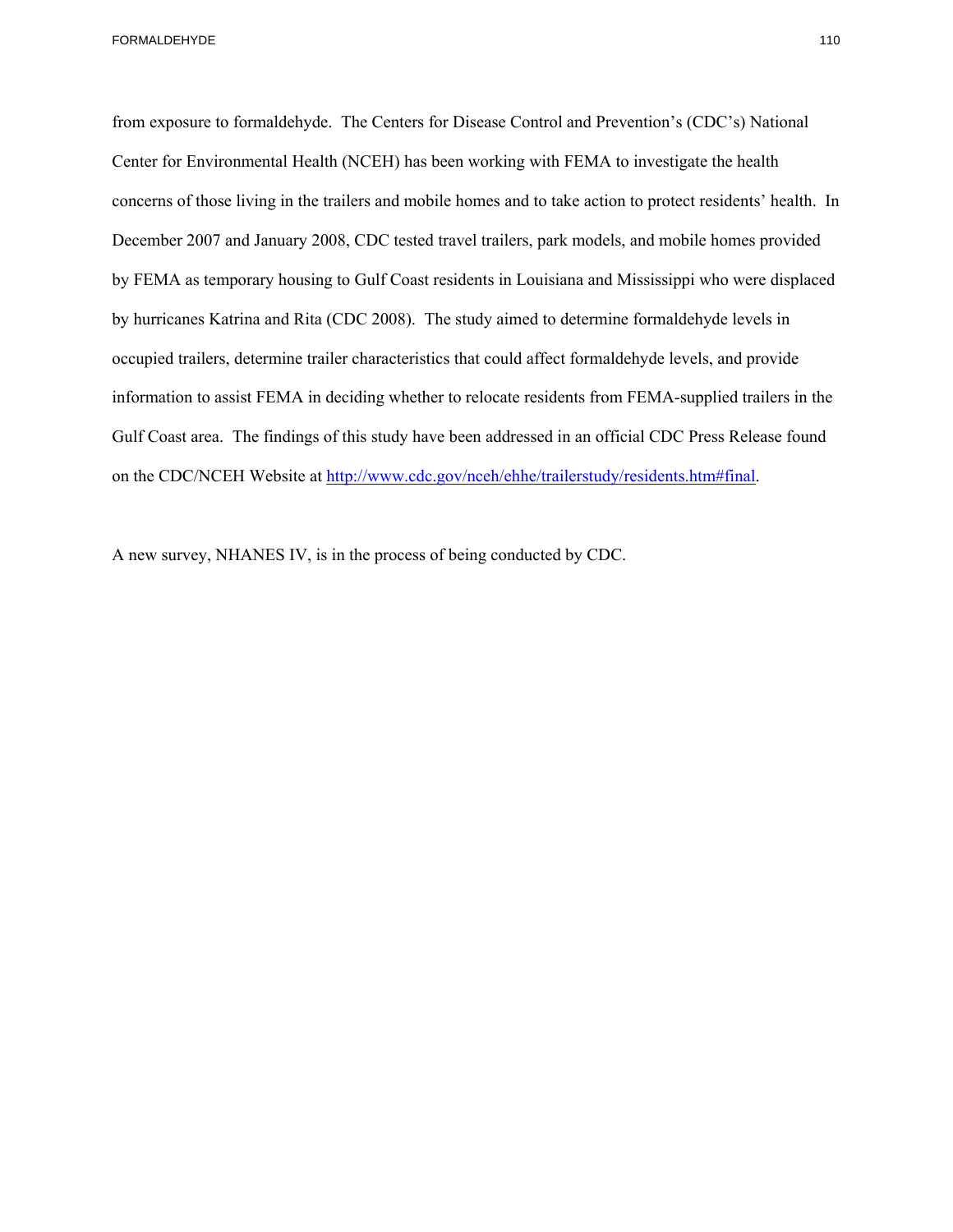FORMALDEHYDE 110

from exposure to formaldehyde. The Centers for Disease Control and Prevention's (CDC's) National Center for Environmental Health (NCEH) has been working with FEMA to investigate the health concerns of those living in the trailers and mobile homes and to take action to protect residents' health. In December 2007 and January 2008, CDC tested travel trailers, park models, and mobile homes provided by FEMA as temporary housing to Gulf Coast residents in Louisiana and Mississippi who were displaced by hurricanes Katrina and Rita (CDC 2008). The study aimed to determine formaldehyde levels in occupied trailers, determine trailer characteristics that could affect formaldehyde levels, and provide information to assist FEMA in deciding whether to relocate residents from FEMA-supplied trailers in the Gulf Coast area. The findings of this study have been addressed in an official CDC Press Release found on the CDC/NCEH Website at http://www.cdc.gov/nceh/ehhe/trailerstudy/residents.htm#final.

A new survey, NHANES IV, is in the process of being conducted by CDC.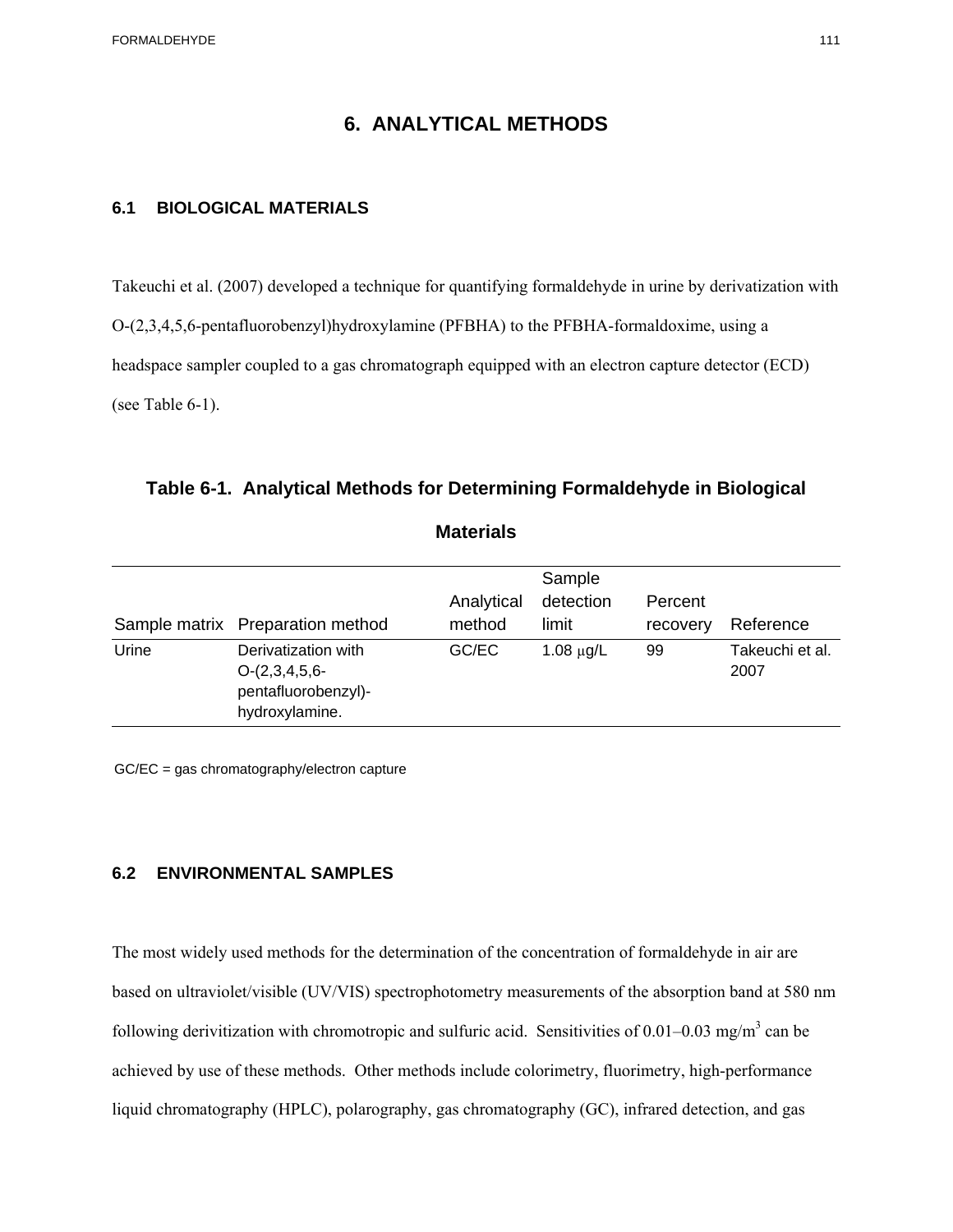FORMALDEHYDE 111

#### **6. ANALYTICAL METHODS**

#### **6.1 BIOLOGICAL MATERIALS**

Takeuchi et al. (2007) developed a technique for quantifying formaldehyde in urine by derivatization with O-(2,3,4,5,6-pentafluorobenzyl)hydroxylamine (PFBHA) to the PFBHA-formaldoxime, using a headspace sampler coupled to a gas chromatograph equipped with an electron capture detector (ECD) (see Table 6-1).

#### **Table 6-1. Analytical Methods for Determining Formaldehyde in Biological**

#### **Materials**

|       | Sample matrix Preparation method                                                | Analytical<br>method | Sample<br>detection<br>limit | Percent<br>recovery | Reference               |
|-------|---------------------------------------------------------------------------------|----------------------|------------------------------|---------------------|-------------------------|
| Urine | Derivatization with<br>$O-(2,3,4,5,6-$<br>pentafluorobenzyl)-<br>hydroxylamine. | GC/EC                | $1.08 \mu g/L$               | 99                  | Takeuchi et al.<br>2007 |

GC/EC = gas chromatography/electron capture

#### **6.2 ENVIRONMENTAL SAMPLES**

The most widely used methods for the determination of the concentration of formaldehyde in air are based on ultraviolet/visible (UV/VIS) spectrophotometry measurements of the absorption band at 580 nm following derivitization with chromotropic and sulfuric acid. Sensitivities of  $0.01-0.03$  mg/m<sup>3</sup> can be achieved by use of these methods. Other methods include colorimetry, fluorimetry, high-performance liquid chromatography (HPLC), polarography, gas chromatography (GC), infrared detection, and gas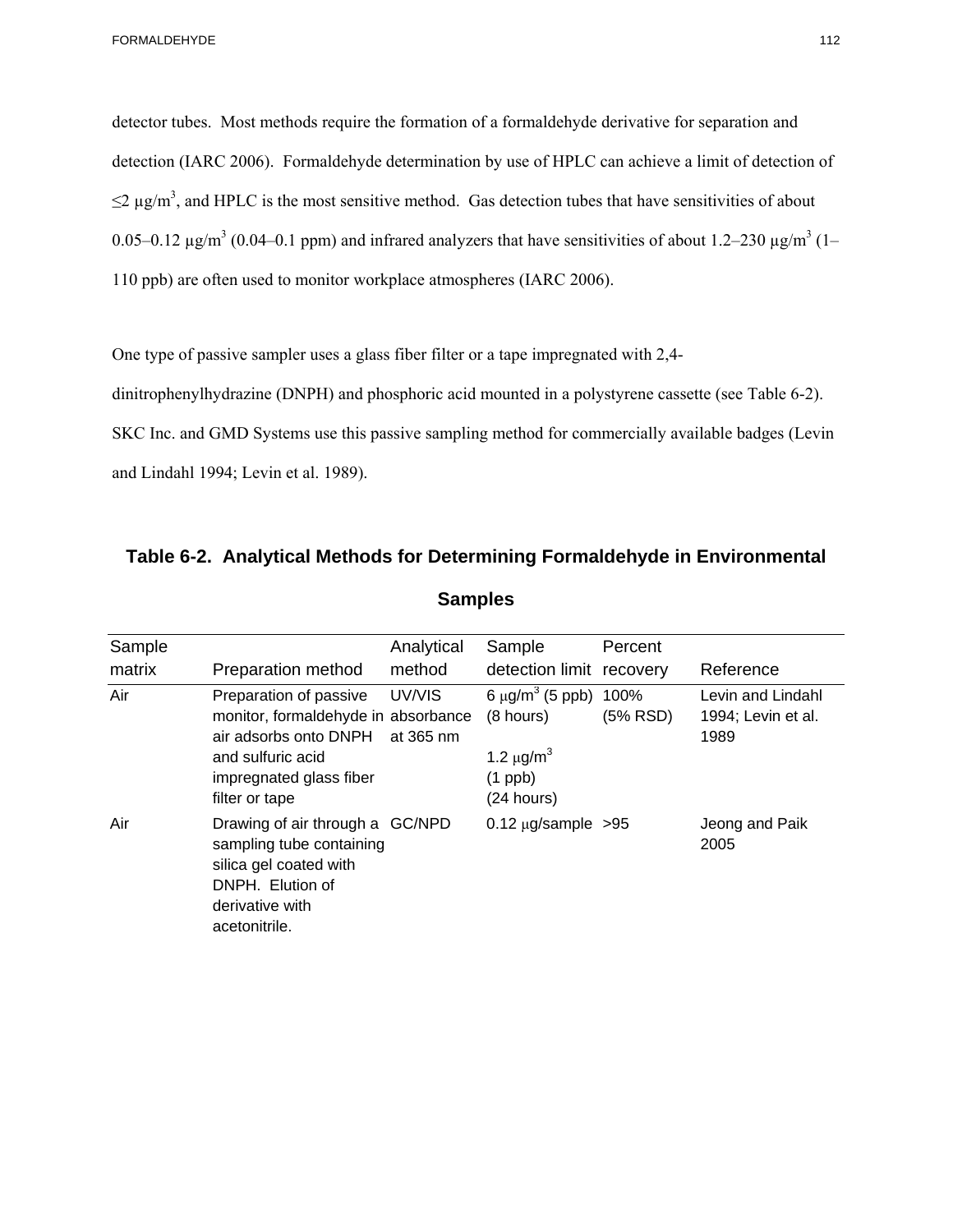detector tubes. Most methods require the formation of a formaldehyde derivative for separation and detection (IARC 2006). Formaldehyde determination by use of HPLC can achieve a limit of detection of  $\leq$  2 µg/m<sup>3</sup>, and HPLC is the most sensitive method. Gas detection tubes that have sensitivities of about 0.05–0.12  $\mu$ g/m<sup>3</sup> (0.04–0.1 ppm) and infrared analyzers that have sensitivities of about 1.2–230  $\mu$ g/m<sup>3</sup> (1– 110 ppb) are often used to monitor workplace atmospheres (IARC 2006).

One type of passive sampler uses a glass fiber filter or a tape impregnated with 2,4

dinitrophenylhydrazine (DNPH) and phosphoric acid mounted in a polystyrene cassette (see Table 6-2).

SKC Inc. and GMD Systems use this passive sampling method for commercially available badges (Levin and Lindahl 1994; Levin et al. 1989).

| Sample |                                                                                                                                                          | Analytical          | Sample                                                                                                      | Percent  |                                                 |
|--------|----------------------------------------------------------------------------------------------------------------------------------------------------------|---------------------|-------------------------------------------------------------------------------------------------------------|----------|-------------------------------------------------|
| matrix | Preparation method                                                                                                                                       | method              | detection limit recovery                                                                                    |          | Reference                                       |
| Air    | Preparation of passive<br>monitor, formaldehyde in absorbance<br>air adsorbs onto DNPH<br>and sulfuric acid<br>impregnated glass fiber<br>filter or tape | UV/VIS<br>at 365 nm | 6 $\mu$ g/m <sup>3</sup> (5 ppb) 100%<br>(8 hours)<br>1.2 $\mu$ g/m <sup>3</sup><br>$(1$ ppb)<br>(24 hours) | (5% RSD) | Levin and Lindahl<br>1994; Levin et al.<br>1989 |
| Air    | Drawing of air through a GC/NPD<br>sampling tube containing<br>silica gel coated with<br>DNPH. Elution of<br>derivative with<br>acetonitrile.            |                     | $0.12 \mu g/s$ ample >95                                                                                    |          | Jeong and Paik<br>2005                          |

**Table 6-2. Analytical Methods for Determining Formaldehyde in Environmental Samples**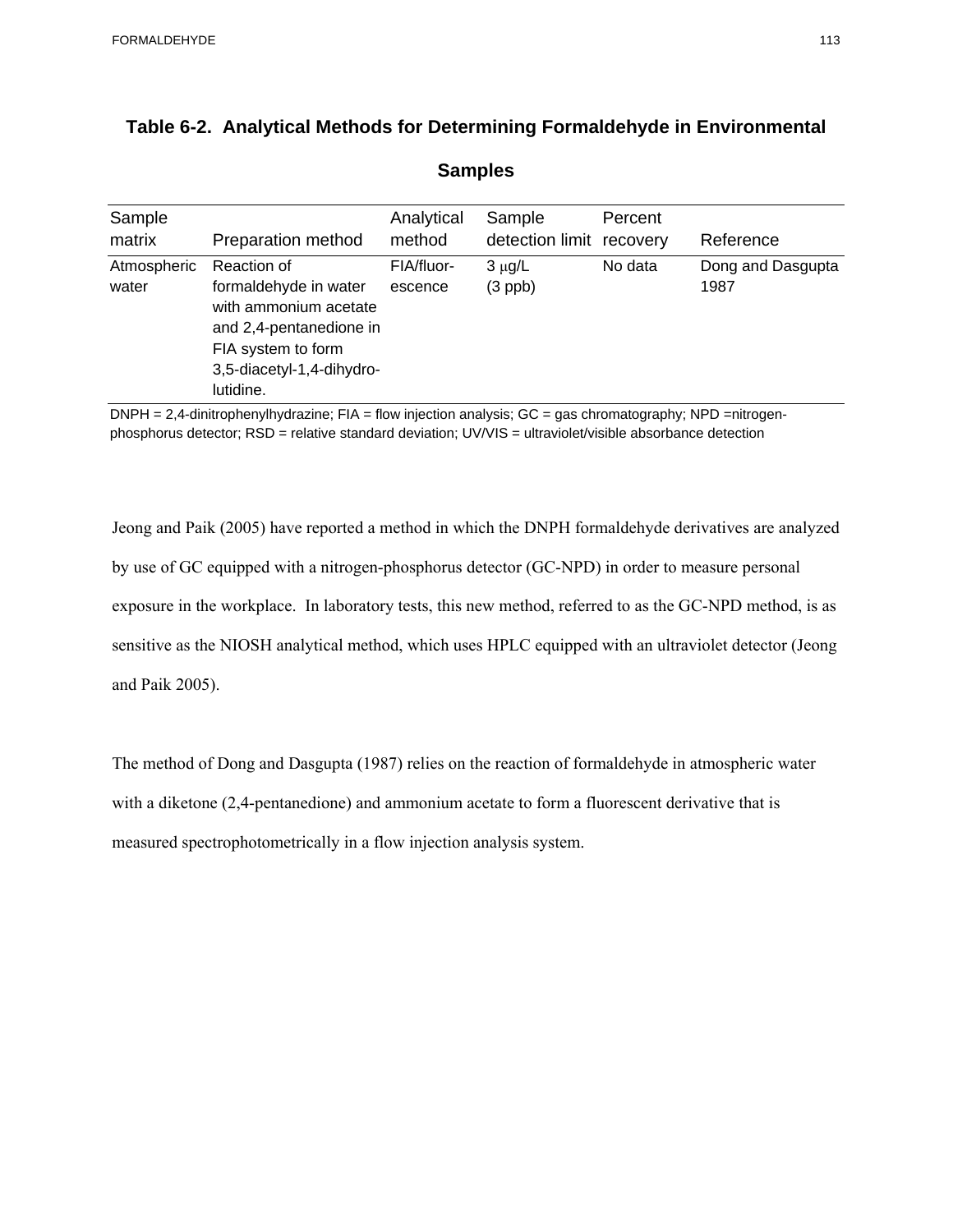| Sample<br>matrix     | Preparation method                                                                                                                                       | Analytical<br>method  | Sample<br>detection limit | Percent<br>recovery | Reference                 |
|----------------------|----------------------------------------------------------------------------------------------------------------------------------------------------------|-----------------------|---------------------------|---------------------|---------------------------|
| Atmospheric<br>water | Reaction of<br>formaldehyde in water<br>with ammonium acetate<br>and 2,4-pentanedione in<br>FIA system to form<br>3,5-diacetyl-1,4-dihydro-<br>lutidine. | FIA/fluor-<br>escence | $3 \mu g/L$<br>$(3$ ppb)  | No data             | Dong and Dasgupta<br>1987 |

# **Table 6-2. Analytical Methods for Determining Formaldehyde in Environmental**

**Samples** 

 $DNPH = 2,4$ -dinitrophenylhydrazine; FIA = flow injection analysis;  $GC = gas$  chromatography; NPD =nitrogenphosphorus detector; RSD = relative standard deviation; UV/VIS = ultraviolet/visible absorbance detection

Jeong and Paik (2005) have reported a method in which the DNPH formaldehyde derivatives are analyzed by use of GC equipped with a nitrogen-phosphorus detector (GC-NPD) in order to measure personal exposure in the workplace. In laboratory tests, this new method, referred to as the GC-NPD method, is as sensitive as the NIOSH analytical method, which uses HPLC equipped with an ultraviolet detector (Jeong and Paik 2005).

The method of Dong and Dasgupta (1987) relies on the reaction of formaldehyde in atmospheric water with a diketone (2,4-pentanedione) and ammonium acetate to form a fluorescent derivative that is measured spectrophotometrically in a flow injection analysis system.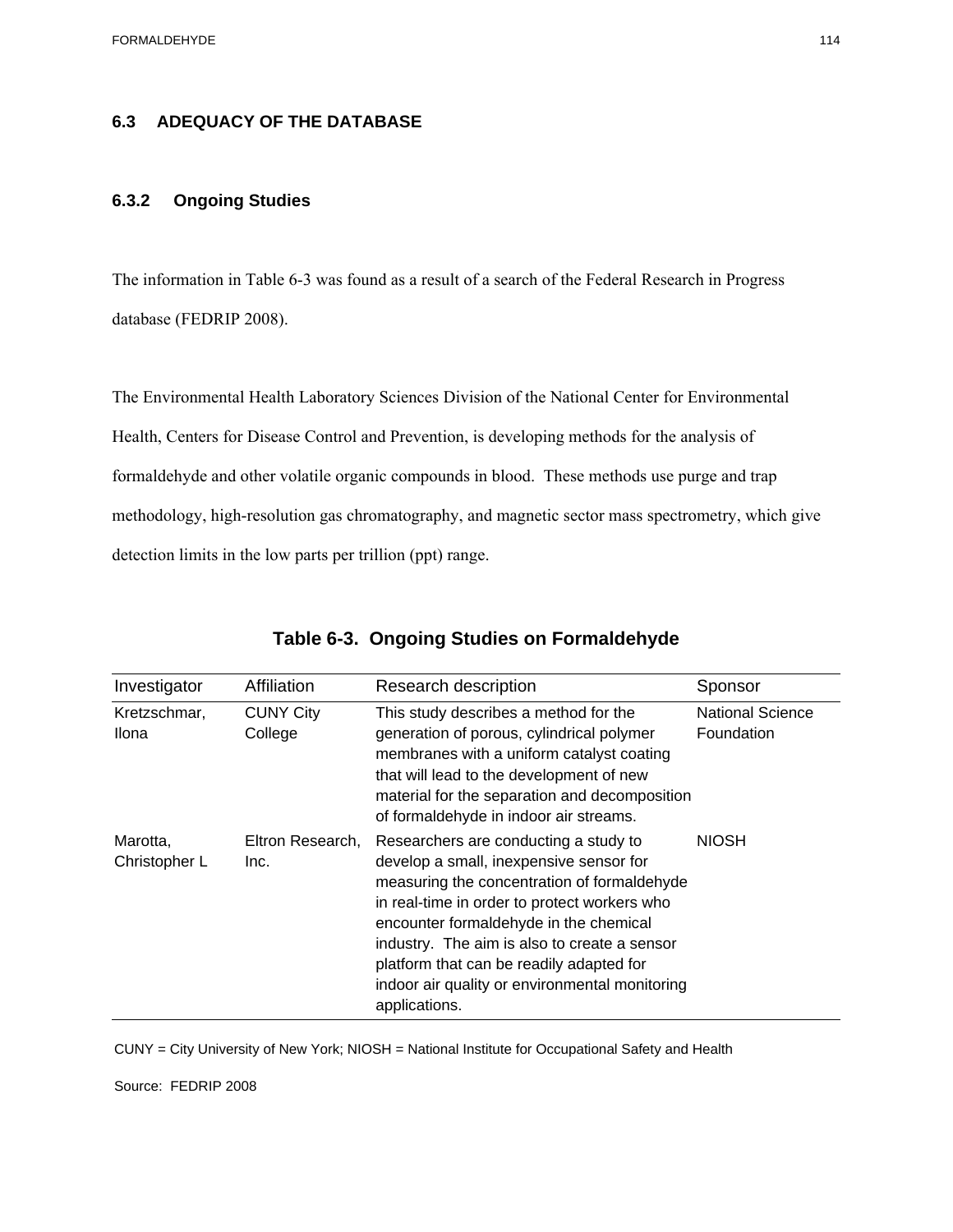# **6.3 ADEQUACY OF THE DATABASE 6.3.2 Ongoing Studies**

The information in Table 6-3 was found as a result of a search of the Federal Research in Progress database (FEDRIP 2008).

The Environmental Health Laboratory Sciences Division of the National Center for Environmental Health, Centers for Disease Control and Prevention, is developing methods for the analysis of formaldehyde and other volatile organic compounds in blood. These methods use purge and trap methodology, high-resolution gas chromatography, and magnetic sector mass spectrometry, which give detection limits in the low parts per trillion (ppt) range.

| Investigator                 | Affiliation                 | Research description                                                                                                                                                                                                                                                                                                                                                                     | Sponsor                               |
|------------------------------|-----------------------------|------------------------------------------------------------------------------------------------------------------------------------------------------------------------------------------------------------------------------------------------------------------------------------------------------------------------------------------------------------------------------------------|---------------------------------------|
| Kretzschmar,<br><b>Ilona</b> | <b>CUNY City</b><br>College | This study describes a method for the<br>generation of porous, cylindrical polymer<br>membranes with a uniform catalyst coating<br>that will lead to the development of new<br>material for the separation and decomposition<br>of formaldehyde in indoor air streams.                                                                                                                   | <b>National Science</b><br>Foundation |
| Marotta,<br>Christopher L    | Eltron Research,<br>Inc.    | Researchers are conducting a study to<br>develop a small, inexpensive sensor for<br>measuring the concentration of formaldehyde<br>in real-time in order to protect workers who<br>encounter formaldehyde in the chemical<br>industry. The aim is also to create a sensor<br>platform that can be readily adapted for<br>indoor air quality or environmental monitoring<br>applications. | <b>NIOSH</b>                          |

#### **Table 6-3. Ongoing Studies on Formaldehyde**

CUNY = City University of New York; NIOSH = National Institute for Occupational Safety and Health

Source: FEDRIP 2008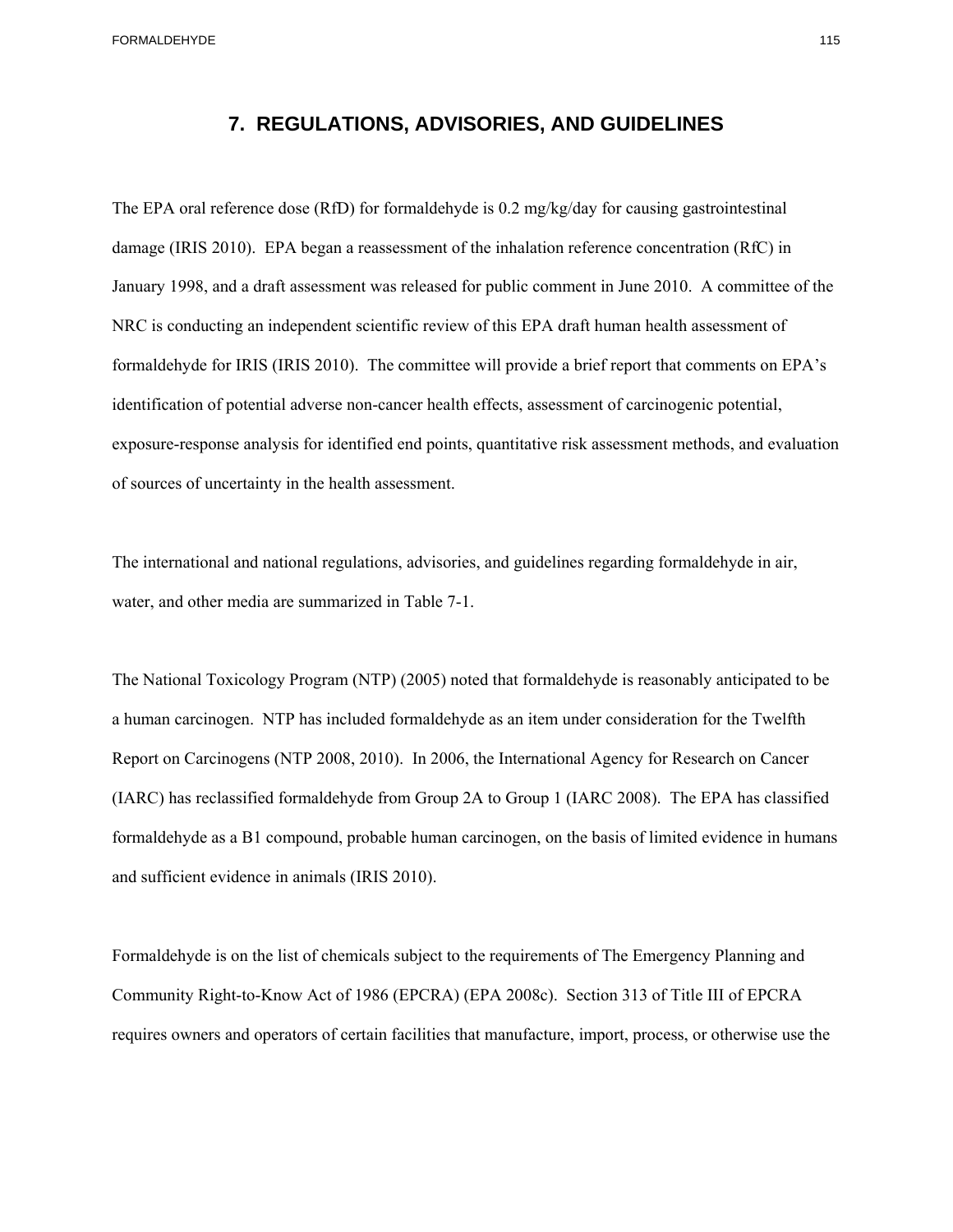FORMALDEHYDE 115

#### **7. REGULATIONS, ADVISORIES, AND GUIDELINES**

The EPA oral reference dose (RfD) for formaldehyde is 0.2 mg/kg/day for causing gastrointestinal damage (IRIS 2010). EPA began a reassessment of the inhalation reference concentration (RfC) in January 1998, and a draft assessment was released for public comment in June 2010. A committee of the NRC is conducting an independent scientific review of this EPA draft human health assessment of formaldehyde for IRIS (IRIS 2010). The committee will provide a brief report that comments on EPA's identification of potential adverse non-cancer health effects, assessment of carcinogenic potential, exposure-response analysis for identified end points, quantitative risk assessment methods, and evaluation of sources of uncertainty in the health assessment.

The international and national regulations, advisories, and guidelines regarding formaldehyde in air, water, and other media are summarized in Table 7-1.

The National Toxicology Program (NTP) (2005) noted that formaldehyde is reasonably anticipated to be a human carcinogen. NTP has included formaldehyde as an item under consideration for the Twelfth Report on Carcinogens (NTP 2008, 2010). In 2006, the International Agency for Research on Cancer (IARC) has reclassified formaldehyde from Group 2A to Group 1 (IARC 2008). The EPA has classified formaldehyde as a B1 compound, probable human carcinogen, on the basis of limited evidence in humans and sufficient evidence in animals (IRIS 2010).

Formaldehyde is on the list of chemicals subject to the requirements of The Emergency Planning and Community Right-to-Know Act of 1986 (EPCRA) (EPA 2008c). Section 313 of Title III of EPCRA requires owners and operators of certain facilities that manufacture, import, process, or otherwise use the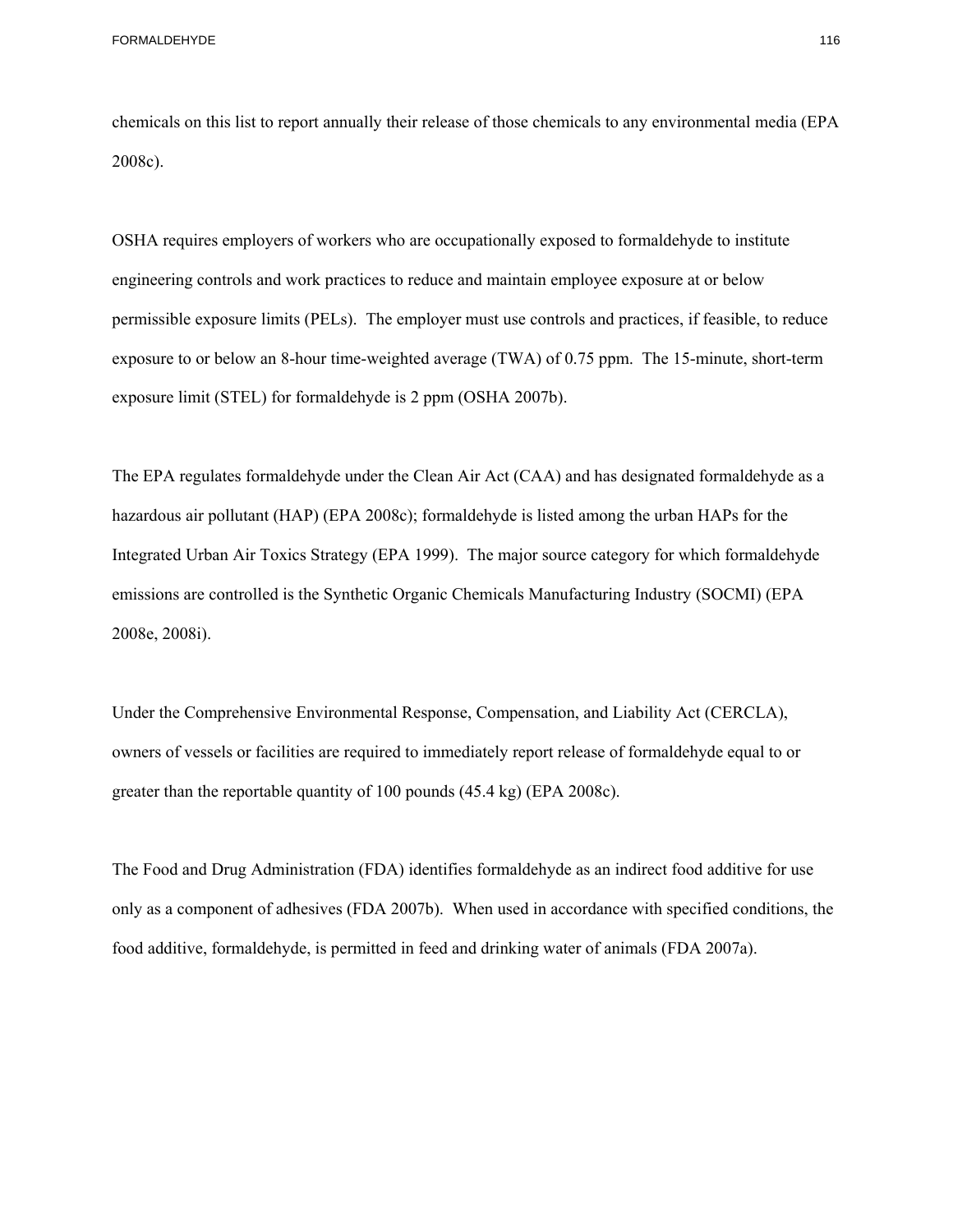FORMALDEHYDE 116

chemicals on this list to report annually their release of those chemicals to any environmental media (EPA 2008c).

OSHA requires employers of workers who are occupationally exposed to formaldehyde to institute engineering controls and work practices to reduce and maintain employee exposure at or below permissible exposure limits (PELs). The employer must use controls and practices, if feasible, to reduce exposure to or below an 8-hour time-weighted average (TWA) of 0.75 ppm. The 15-minute, short-term exposure limit (STEL) for formaldehyde is 2 ppm (OSHA 2007b).

The EPA regulates formaldehyde under the Clean Air Act (CAA) and has designated formaldehyde as a hazardous air pollutant (HAP) (EPA 2008c); formaldehyde is listed among the urban HAPs for the Integrated Urban Air Toxics Strategy (EPA 1999). The major source category for which formaldehyde emissions are controlled is the Synthetic Organic Chemicals Manufacturing Industry (SOCMI) (EPA 2008e, 2008i).

Under the Comprehensive Environmental Response, Compensation, and Liability Act (CERCLA), owners of vessels or facilities are required to immediately report release of formaldehyde equal to or greater than the reportable quantity of 100 pounds (45.4 kg) (EPA 2008c).

The Food and Drug Administration (FDA) identifies formaldehyde as an indirect food additive for use only as a component of adhesives (FDA 2007b). When used in accordance with specified conditions, the food additive, formaldehyde, is permitted in feed and drinking water of animals (FDA 2007a).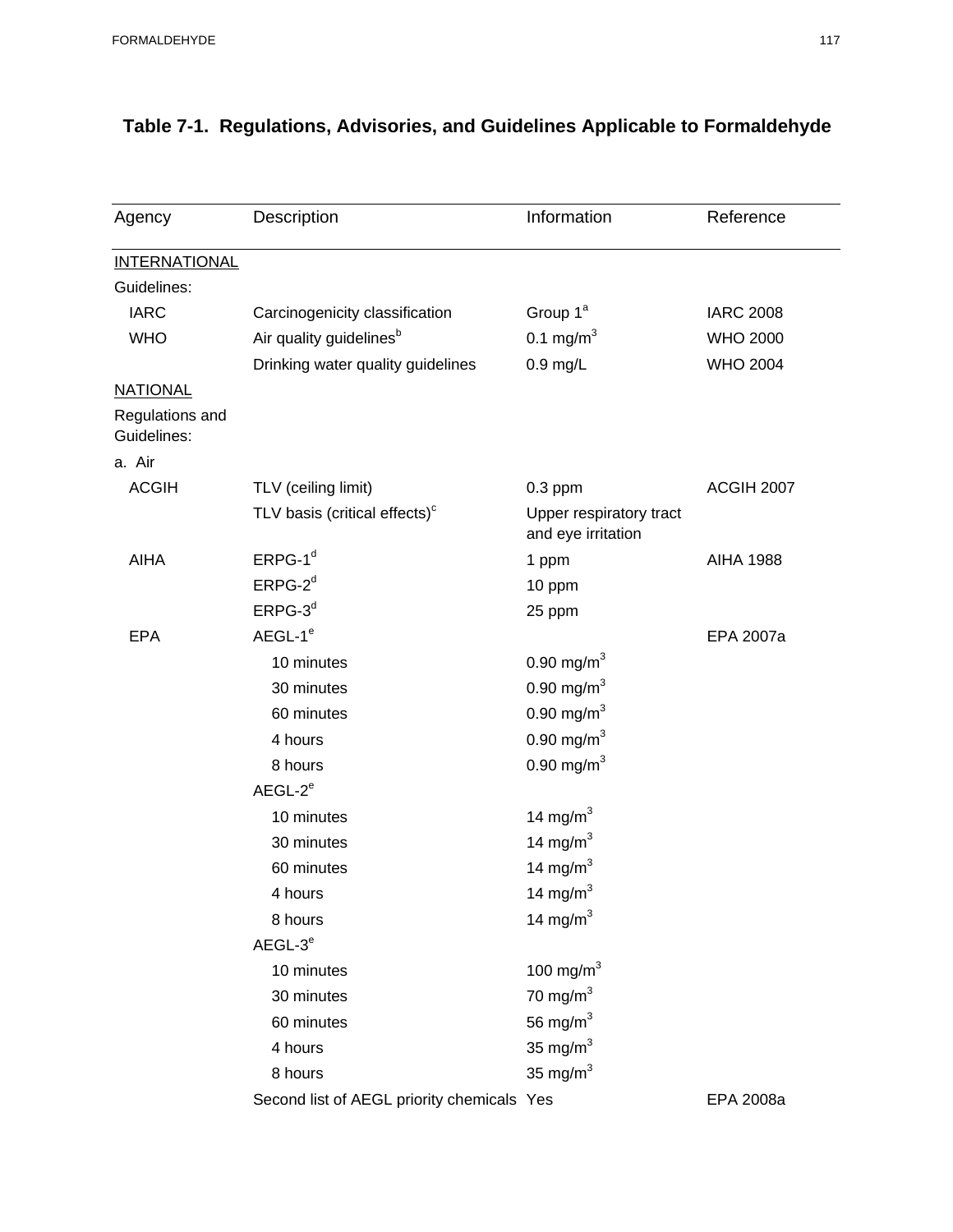| Agency                         | Description                                | Information                                   | Reference        |
|--------------------------------|--------------------------------------------|-----------------------------------------------|------------------|
| <b>INTERNATIONAL</b>           |                                            |                                               |                  |
| Guidelines:                    |                                            |                                               |                  |
| <b>IARC</b>                    | Carcinogenicity classification             | Group 1 <sup>ª</sup>                          | <b>IARC 2008</b> |
| <b>WHO</b>                     | Air quality guidelines <sup>b</sup>        | 0.1 mg/m <sup>3</sup>                         | <b>WHO 2000</b>  |
|                                | Drinking water quality guidelines          | $0.9$ mg/L                                    | <b>WHO 2004</b>  |
| <b>NATIONAL</b>                |                                            |                                               |                  |
| Regulations and<br>Guidelines: |                                            |                                               |                  |
| a. Air                         |                                            |                                               |                  |
| <b>ACGIH</b>                   | TLV (ceiling limit)                        | $0.3$ ppm                                     | ACGIH 2007       |
|                                | TLV basis (critical effects) <sup>c</sup>  | Upper respiratory tract<br>and eye irritation |                  |
| <b>AIHA</b>                    | $ERPG-1d$                                  | 1 ppm                                         | <b>AIHA 1988</b> |
|                                | $ERPG-2d$                                  | 10 ppm                                        |                  |
|                                | $ERPG-3d$                                  | 25 ppm                                        |                  |
| <b>EPA</b>                     | AEGL-1 <sup>e</sup>                        |                                               | EPA 2007a        |
|                                | 10 minutes                                 | 0.90 mg/m <sup>3</sup>                        |                  |
|                                | 30 minutes                                 | 0.90 mg/m $3$                                 |                  |
|                                | 60 minutes                                 | $0.90$ mg/m <sup>3</sup>                      |                  |
|                                | 4 hours                                    | 0.90 mg/m $^{3}$                              |                  |
|                                | 8 hours                                    | 0.90 mg/m $^{3}$                              |                  |
|                                | $AEGL-2e$                                  |                                               |                  |
|                                | 10 minutes                                 | 14 mg/m $3$                                   |                  |
|                                | 30 minutes                                 | 14 mg/ $m3$                                   |                  |
|                                | 60 minutes                                 | 14 mg/m $3$                                   |                  |
|                                | 4 hours                                    | 14 mg/ $m^3$                                  |                  |
|                                | 8 hours                                    | 14 mg/m $3$                                   |                  |
|                                | $AEGL-3e$                                  |                                               |                  |
|                                | 10 minutes                                 | 100 mg/ $m3$                                  |                  |
|                                | 30 minutes                                 | 70 mg/m $3$                                   |                  |
|                                | 60 minutes                                 | 56 mg/ $m3$                                   |                  |
|                                | 4 hours                                    | 35 mg/ $m3$                                   |                  |
|                                | 8 hours                                    | 35 mg/ $m3$                                   |                  |
|                                | Second list of AEGL priority chemicals Yes |                                               | EPA 2008a        |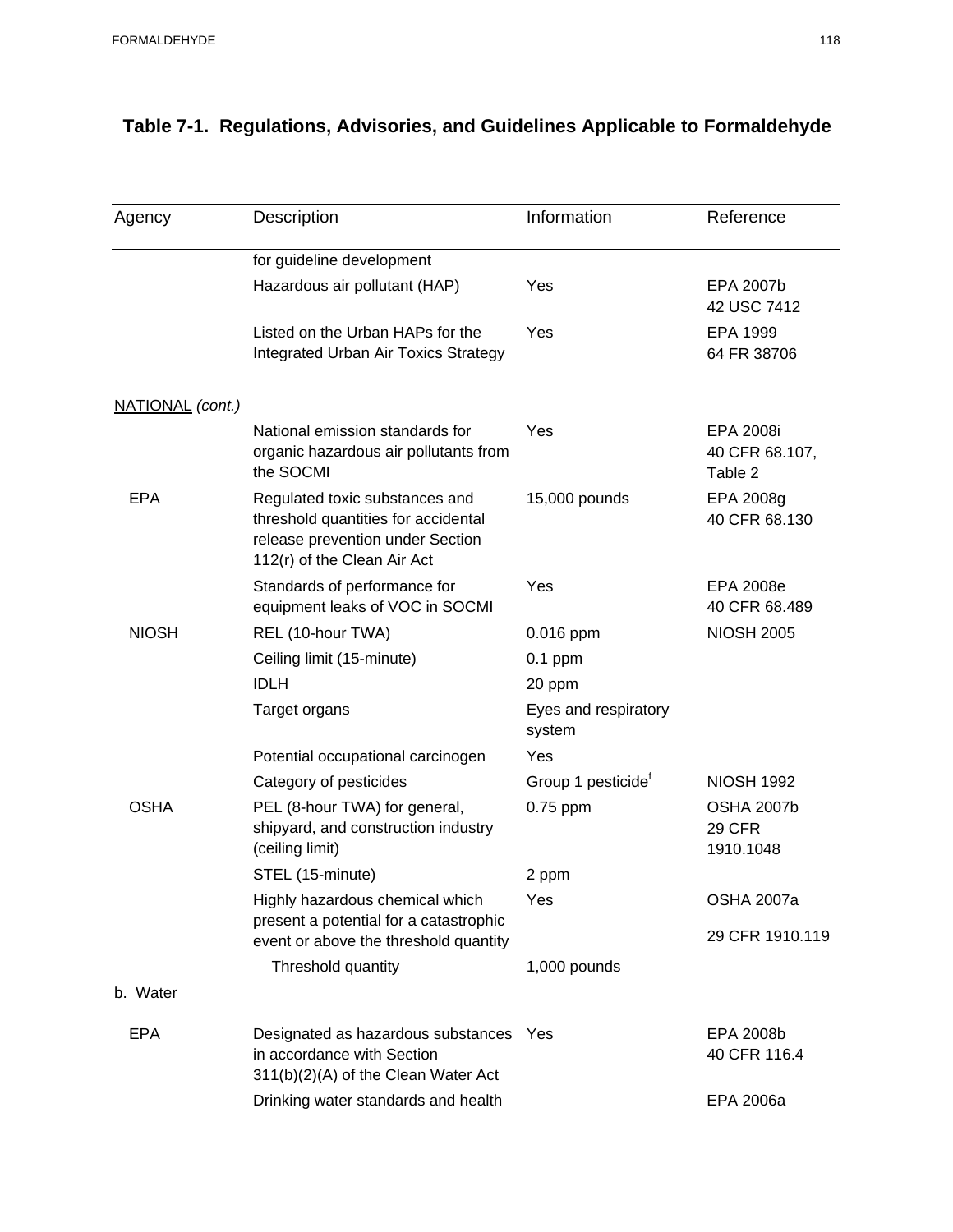| Agency           | Description                                                                                                                              | Information                    | Reference                                       |
|------------------|------------------------------------------------------------------------------------------------------------------------------------------|--------------------------------|-------------------------------------------------|
|                  | for guideline development                                                                                                                |                                |                                                 |
|                  | Hazardous air pollutant (HAP)                                                                                                            | Yes                            | EPA 2007b<br>42 USC 7412                        |
|                  | Listed on the Urban HAPs for the<br><b>Integrated Urban Air Toxics Strategy</b>                                                          | Yes                            | EPA 1999<br>64 FR 38706                         |
| NATIONAL (cont.) |                                                                                                                                          |                                |                                                 |
|                  | National emission standards for<br>organic hazardous air pollutants from<br>the SOCMI                                                    | Yes                            | EPA 2008i<br>40 CFR 68.107,<br>Table 2          |
| <b>EPA</b>       | Regulated toxic substances and<br>threshold quantities for accidental<br>release prevention under Section<br>112(r) of the Clean Air Act | 15,000 pounds                  | EPA 2008g<br>40 CFR 68.130                      |
|                  | Standards of performance for<br>equipment leaks of VOC in SOCMI                                                                          | Yes                            | <b>EPA 2008e</b><br>40 CFR 68.489               |
| <b>NIOSH</b>     | REL (10-hour TWA)                                                                                                                        | 0.016 ppm                      | <b>NIOSH 2005</b>                               |
|                  | Ceiling limit (15-minute)                                                                                                                | $0.1$ ppm                      |                                                 |
|                  | <b>IDLH</b>                                                                                                                              | 20 ppm                         |                                                 |
|                  | Target organs                                                                                                                            | Eyes and respiratory<br>system |                                                 |
|                  | Potential occupational carcinogen                                                                                                        | Yes                            |                                                 |
|                  | Category of pesticides                                                                                                                   | Group 1 pesticide <sup>t</sup> | <b>NIOSH 1992</b>                               |
| <b>OSHA</b>      | PEL (8-hour TWA) for general,<br>shipyard, and construction industry<br>(ceiling limit)                                                  | 0.75 ppm                       | <b>OSHA 2007b</b><br><b>29 CFR</b><br>1910.1048 |
|                  | STEL (15-minute)                                                                                                                         | 2 ppm                          |                                                 |
|                  | Highly hazardous chemical which<br>present a potential for a catastrophic                                                                | Yes                            | <b>OSHA 2007a</b>                               |
|                  | event or above the threshold quantity                                                                                                    |                                | 29 CFR 1910.119                                 |
|                  | Threshold quantity                                                                                                                       | 1,000 pounds                   |                                                 |
| b. Water         |                                                                                                                                          |                                |                                                 |
| <b>EPA</b>       | Designated as hazardous substances<br>in accordance with Section<br>311(b)(2)(A) of the Clean Water Act                                  | Yes                            | EPA 2008b<br>40 CFR 116.4                       |
|                  | Drinking water standards and health                                                                                                      |                                | EPA 2006a                                       |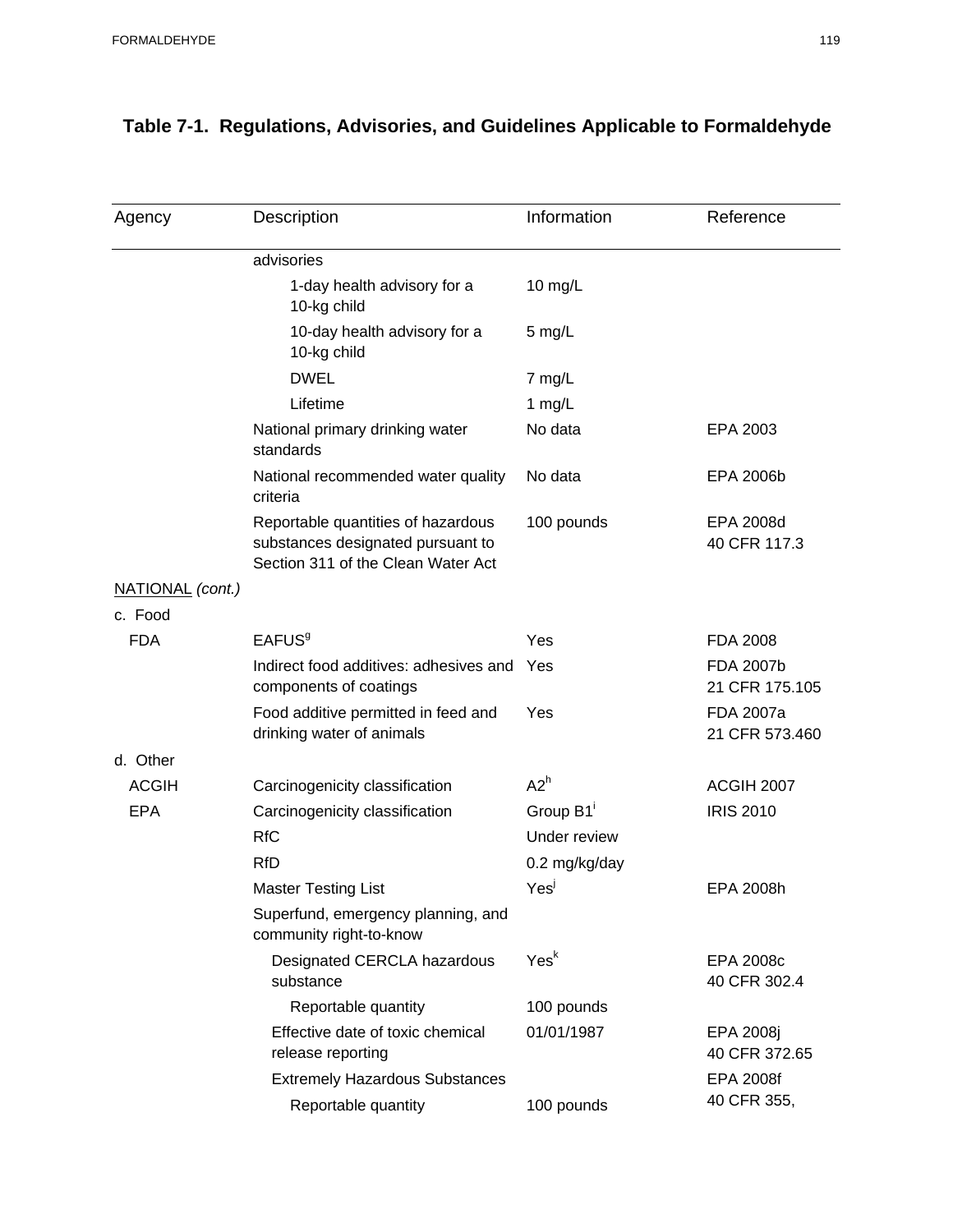| Agency           | Description                                                                                                   | Information      | Reference                          |
|------------------|---------------------------------------------------------------------------------------------------------------|------------------|------------------------------------|
|                  | advisories                                                                                                    |                  |                                    |
|                  | 1-day health advisory for a<br>10-kg child                                                                    | $10$ mg/L        |                                    |
|                  | 10-day health advisory for a<br>10-kg child                                                                   | $5$ mg/L         |                                    |
|                  | <b>DWEL</b>                                                                                                   | 7 mg/L           |                                    |
|                  | Lifetime                                                                                                      | 1 $mg/L$         |                                    |
|                  | National primary drinking water<br>standards                                                                  | No data          | EPA 2003                           |
|                  | National recommended water quality<br>criteria                                                                | No data          | EPA 2006b                          |
|                  | Reportable quantities of hazardous<br>substances designated pursuant to<br>Section 311 of the Clean Water Act | 100 pounds       | EPA 2008d<br>40 CFR 117.3          |
| NATIONAL (cont.) |                                                                                                               |                  |                                    |
| c. Food          |                                                                                                               |                  |                                    |
| <b>FDA</b>       | <b>EAFUS<sup>9</sup></b>                                                                                      | Yes              | <b>FDA 2008</b>                    |
|                  | Indirect food additives: adhesives and<br>components of coatings                                              | Yes              | <b>FDA 2007b</b><br>21 CFR 175.105 |
|                  | Food additive permitted in feed and<br>drinking water of animals                                              | Yes              | FDA 2007a<br>21 CFR 573.460        |
| d. Other         |                                                                                                               |                  |                                    |
| <b>ACGIH</b>     | Carcinogenicity classification                                                                                | A2 <sup>h</sup>  | ACGIH 2007                         |
| <b>EPA</b>       | Carcinogenicity classification                                                                                | Group B1         | <b>IRIS 2010</b>                   |
|                  | <b>RfC</b>                                                                                                    | Under review     |                                    |
|                  | RfD                                                                                                           | 0.2 mg/kg/day    |                                    |
|                  | <b>Master Testing List</b>                                                                                    | Yes <sup>j</sup> | EPA 2008h                          |
|                  | Superfund, emergency planning, and<br>community right-to-know                                                 |                  |                                    |
|                  | Designated CERCLA hazardous<br>substance                                                                      | Yes <sup>k</sup> | <b>EPA 2008c</b><br>40 CFR 302.4   |
|                  | Reportable quantity                                                                                           | 100 pounds       |                                    |
|                  | Effective date of toxic chemical<br>release reporting                                                         | 01/01/1987       | EPA 2008j<br>40 CFR 372.65         |
|                  | <b>Extremely Hazardous Substances</b>                                                                         |                  | <b>EPA 2008f</b>                   |
|                  | Reportable quantity                                                                                           | 100 pounds       | 40 CFR 355,                        |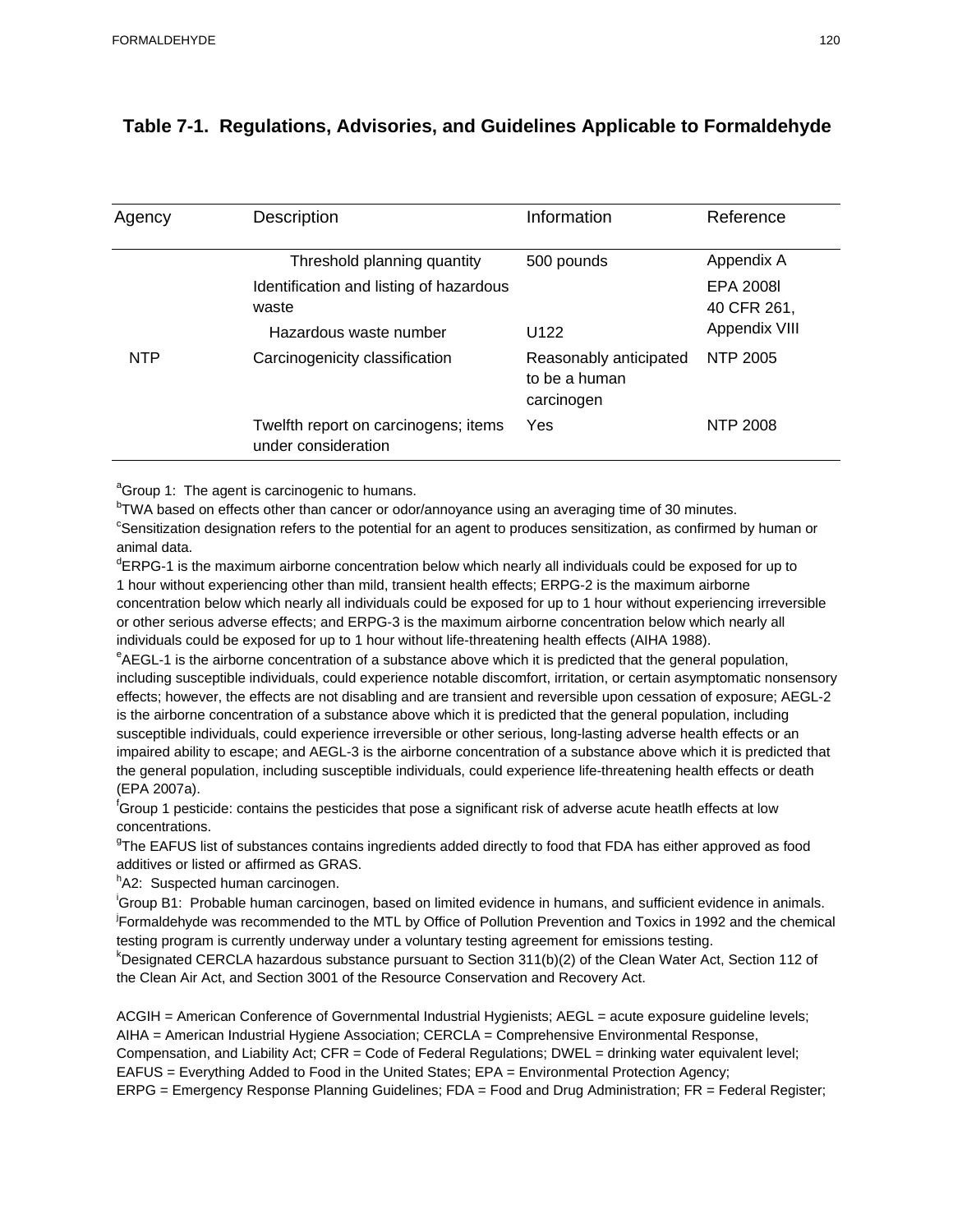| Agency     | Description                                                 | Information                 | Reference                                 |
|------------|-------------------------------------------------------------|-----------------------------|-------------------------------------------|
|            | Threshold planning quantity                                 | 500 pounds                  | Appendix A                                |
|            | Identification and listing of hazardous<br>waste            | U <sub>122</sub>            | EPA 2008I<br>40 CFR 261,<br>Appendix VIII |
| <b>NTP</b> | Hazardous waste number<br>Carcinogenicity classification    | Reasonably anticipated      | NTP 2005                                  |
|            |                                                             | to be a human<br>carcinogen |                                           |
|            | Twelfth report on carcinogens; items<br>under consideration | Yes                         | NTP 2008                                  |

<sup>a</sup>Group 1: The agent is carcinogenic to humans.

<sup>b</sup>TWA based on effects other than cancer or odor/annoyance using an averaging time of 30 minutes.<br><sup>c</sup>Sepolitization decignation refers to the potential for an agent to produces consitization, as confirmed.

<sup>c</sup>Sensitization designation refers to the potential for an agent to produces sensitization, as confirmed by human or animal data.

<sup>d</sup>ERPG-1 is the maximum airborne concentration below which nearly all individuals could be exposed for up to 1 hour without experiencing other than mild, transient health effects; ERPG-2 is the maximum airborne concentration below which nearly all individuals could be exposed for up to 1 hour without experiencing irreversible or other serious adverse effects; and ERPG-3 is the maximum airborne concentration below which nearly all individuals could be exposed for up to 1 hour without life-threatening health effects (AIHA 1988).

<sup>e</sup>AEGL-1 is the airborne concentration of a substance above which it is predicted that the general population, including susceptible individuals, could experience notable discomfort, irritation, or certain asymptomatic nonsensory effects; however, the effects are not disabling and are transient and reversible upon cessation of exposure; AEGL-2 is the airborne concentration of a substance above which it is predicted that the general population, including susceptible individuals, could experience irreversible or other serious, long-lasting adverse health effects or an impaired ability to escape; and AEGL-3 is the airborne concentration of a substance above which it is predicted that the general population, including susceptible individuals, could experience life-threatening health effects or death (EPA 2007a).

<sup>f</sup>Group 1 pesticide: contains the pesticides that pose a significant risk of adverse acute heatlh effects at low concentrations.

<sup>g</sup>The EAFUS list of substances contains ingredients added directly to food that FDA has either approved as food additives or listed or affirmed as GRAS.

<sup>h</sup>A2: Suspected human carcinogen.

i Group B1: Probable human carcinogen, based on limited evidence in humans, and sufficient evidence in animals. j Formaldehyde was recommended to the MTL by Office of Pollution Prevention and Toxics in 1992 and the chemical testing program is currently underway under a voluntary testing agreement for emissions testing.

<sup>k</sup>Designated CERCLA hazardous substance pursuant to Section 311(b)(2) of the Clean Water Act, Section 112 of the Clean Air Act, and Section 3001 of the Resource Conservation and Recovery Act.

ACGIH = American Conference of Governmental Industrial Hygienists; AEGL = acute exposure guideline levels; AIHA = American Industrial Hygiene Association; CERCLA = Comprehensive Environmental Response, Compensation, and Liability Act; CFR = Code of Federal Regulations; DWEL = drinking water equivalent level; EAFUS = Everything Added to Food in the United States; EPA = Environmental Protection Agency; ERPG = Emergency Response Planning Guidelines; FDA = Food and Drug Administration; FR = Federal Register;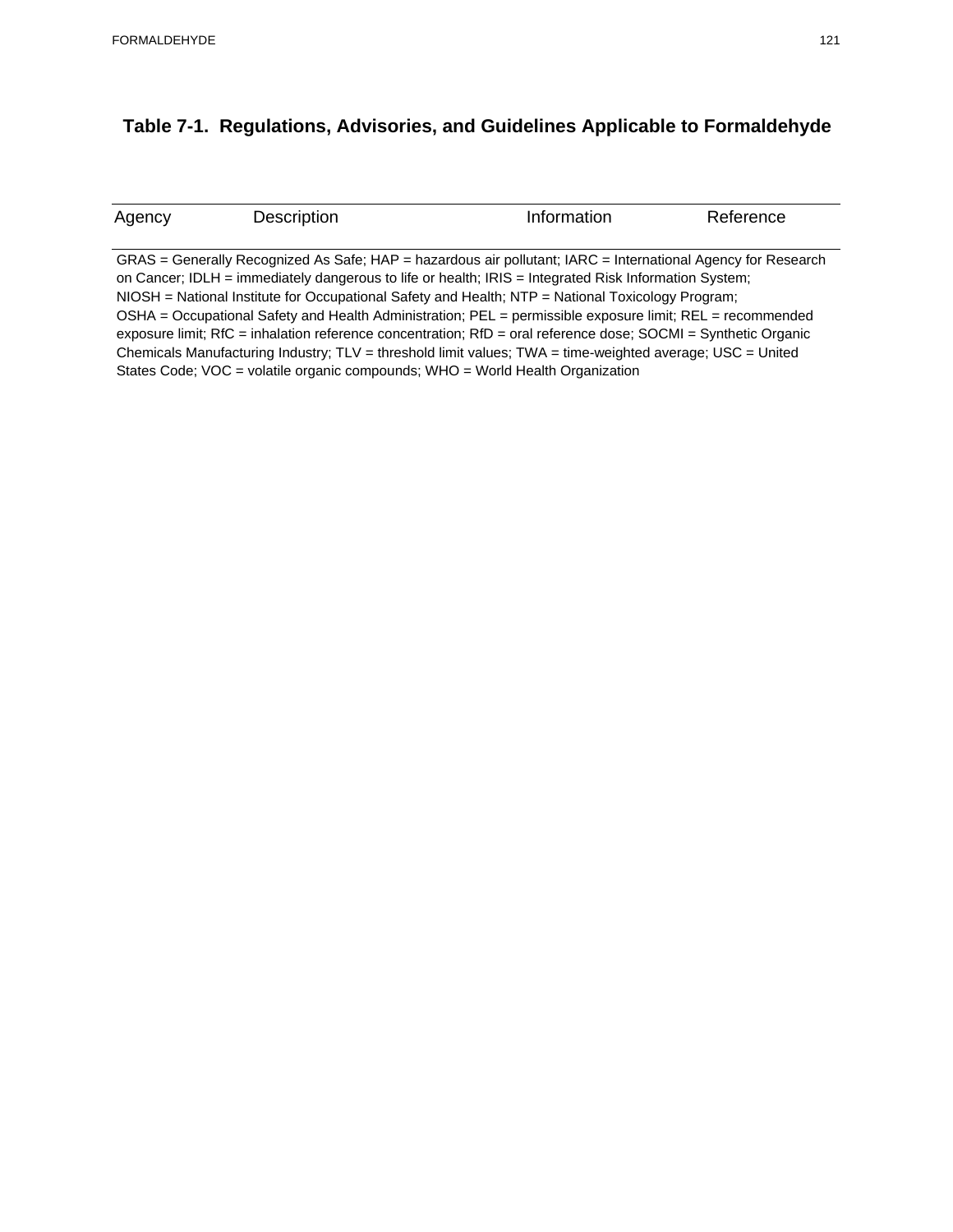| Agency | Description | Information                                                                                                              | Reference |
|--------|-------------|--------------------------------------------------------------------------------------------------------------------------|-----------|
|        |             |                                                                                                                          |           |
|        |             | GRAS = Generally Recognized As Safe; HAP = hazardous air pollutant; IARC = International Agency for Research             |           |
|        |             | on Cancer; IDLH = immediately dangerous to life or health; IRIS = Integrated Risk Information System;                    |           |
|        |             | $NIOSH = National Institute for Occupational Safety and Health; NTP = National Toxicology Program;$                      |           |
|        |             | OSHA = Occupational Safety and Health Administration; $PEL =$ permissible exposure limit; $REL =$ recommended            |           |
|        |             | exposure limit; RfC = inhalation reference concentration; $RfD = \text{oral reference dose}$ ; SOCMI = Synthetic Organic |           |
|        |             | Chemicals Manufacturing Industry; $TLV =$ threshold limit values; $TWA =$ time-weighted average; USC = United            |           |

States Code; VOC = volatile organic compounds; WHO = World Health Organization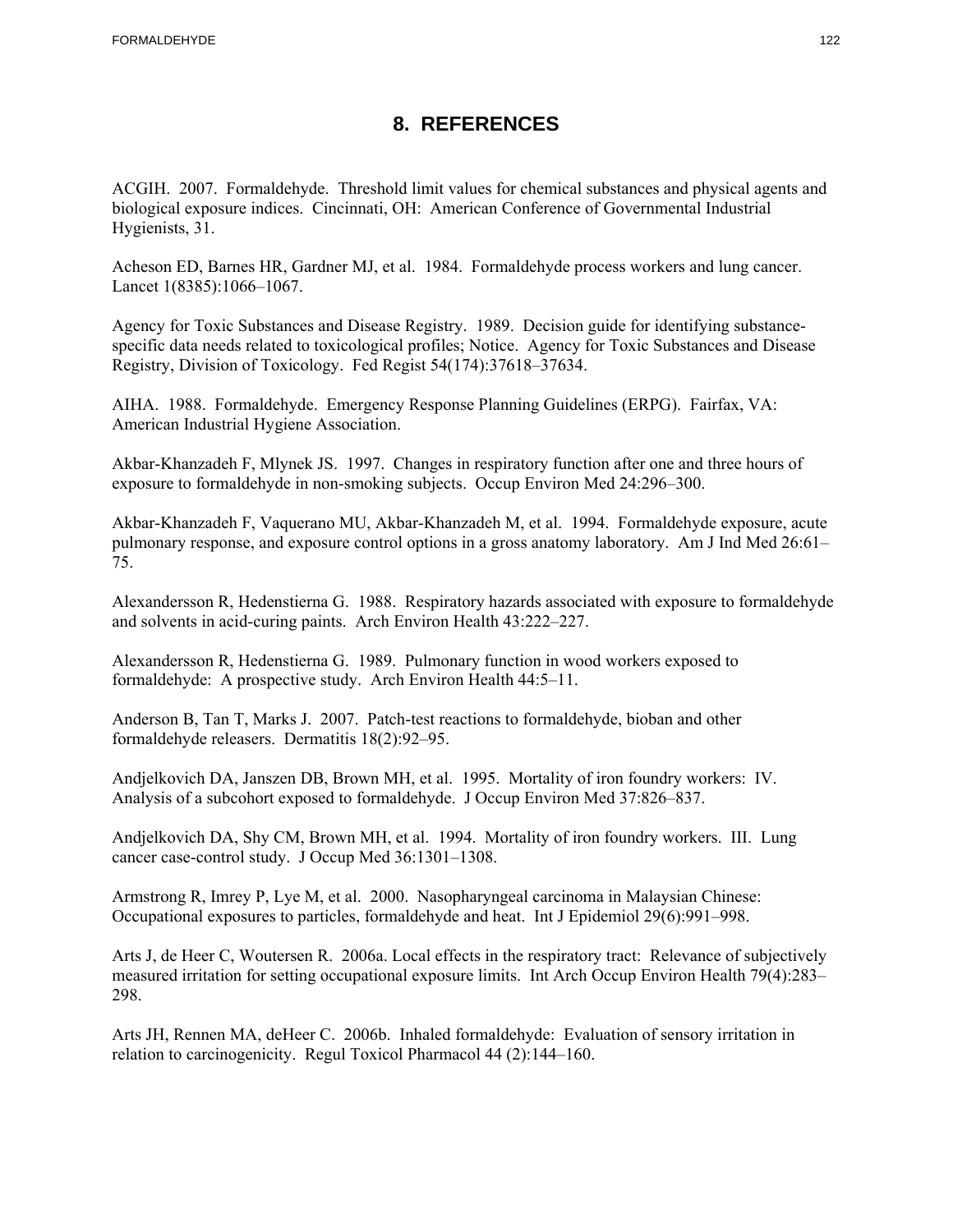### **8. REFERENCES**

ACGIH. 2007. Formaldehyde. Threshold limit values for chemical substances and physical agents and biological exposure indices. Cincinnati, OH: American Conference of Governmental Industrial Hygienists, 31.

Acheson ED, Barnes HR, Gardner MJ, et al. 1984. Formaldehyde process workers and lung cancer. Lancet 1(8385):1066–1067.

Agency for Toxic Substances and Disease Registry. 1989. Decision guide for identifying substancespecific data needs related to toxicological profiles; Notice. Agency for Toxic Substances and Disease Registry, Division of Toxicology. Fed Regist 54(174):37618–37634.

AIHA. 1988. Formaldehyde. Emergency Response Planning Guidelines (ERPG). Fairfax, VA: American Industrial Hygiene Association.

Akbar-Khanzadeh F, Mlynek JS. 1997. Changes in respiratory function after one and three hours of exposure to formaldehyde in non-smoking subjects. Occup Environ Med 24:296–300.

Akbar-Khanzadeh F, Vaquerano MU, Akbar-Khanzadeh M, et al. 1994. Formaldehyde exposure, acute pulmonary response, and exposure control options in a gross anatomy laboratory. Am J Ind Med 26:61– 75.

Alexandersson R, Hedenstierna G. 1988. Respiratory hazards associated with exposure to formaldehyde and solvents in acid-curing paints. Arch Environ Health 43:222–227.

Alexandersson R, Hedenstierna G. 1989. Pulmonary function in wood workers exposed to formaldehyde: A prospective study. Arch Environ Health 44:5–11.

Anderson B, Tan T, Marks J. 2007. Patch-test reactions to formaldehyde, bioban and other formaldehyde releasers. Dermatitis 18(2):92–95.

Andjelkovich DA, Janszen DB, Brown MH, et al. 1995. Mortality of iron foundry workers: IV. Analysis of a subcohort exposed to formaldehyde. J Occup Environ Med 37:826–837.

Andjelkovich DA, Shy CM, Brown MH, et al. 1994. Mortality of iron foundry workers. III. Lung cancer case-control study. J Occup Med 36:1301–1308.

Armstrong R, Imrey P, Lye M, et al. 2000. Nasopharyngeal carcinoma in Malaysian Chinese: Occupational exposures to particles, formaldehyde and heat. Int J Epidemiol 29(6):991–998.

Arts J, de Heer C, Woutersen R. 2006a. Local effects in the respiratory tract: Relevance of subjectively measured irritation for setting occupational exposure limits. Int Arch Occup Environ Health 79(4):283– 298.

Arts JH, Rennen MA, deHeer C. 2006b. Inhaled formaldehyde: Evaluation of sensory irritation in relation to carcinogenicity. Regul Toxicol Pharmacol 44 (2):144–160.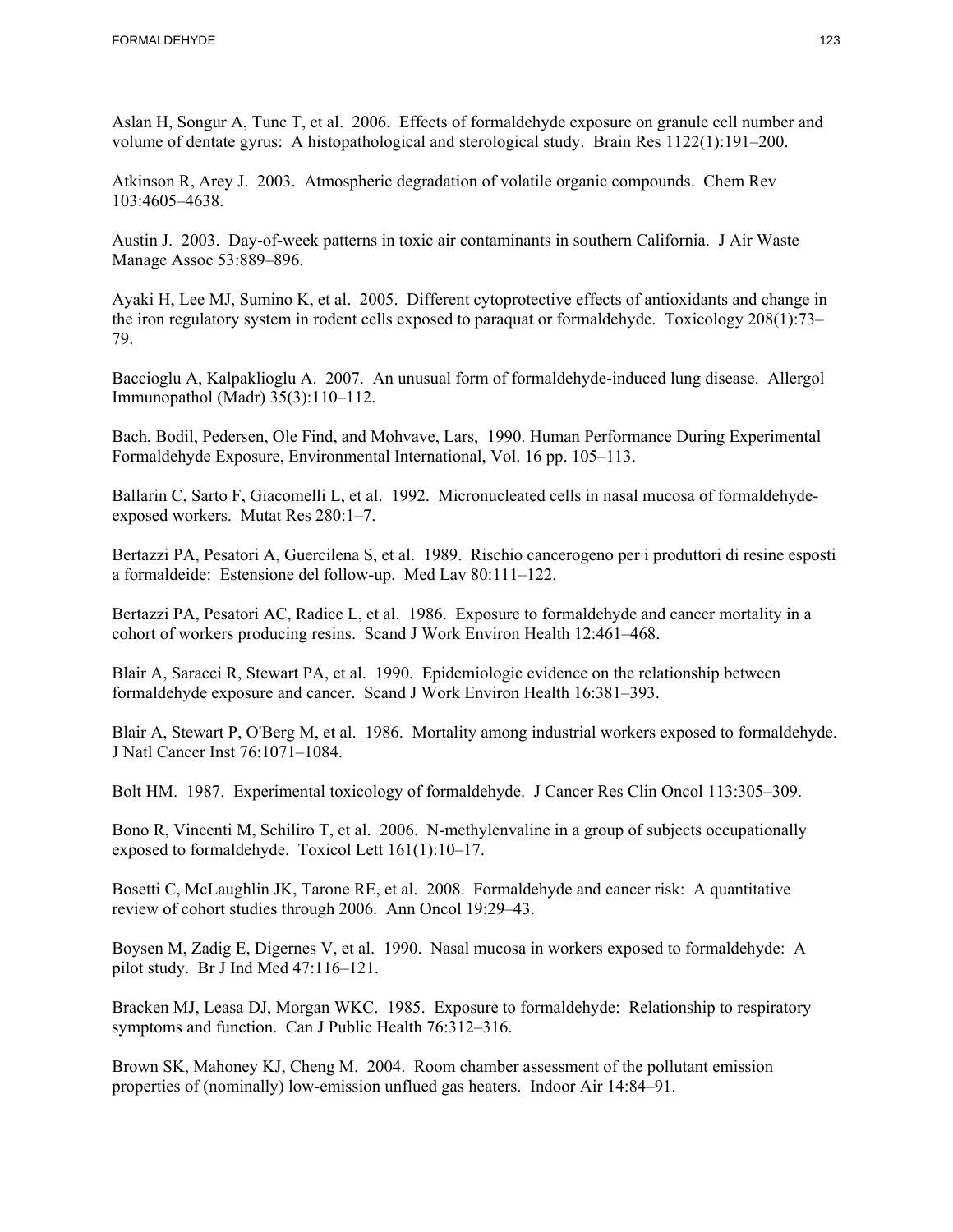Aslan H, Songur A, Tunc T, et al. 2006. Effects of formaldehyde exposure on granule cell number and volume of dentate gyrus: A histopathological and sterological study. Brain Res 1122(1):191–200.

Atkinson R, Arey J. 2003. Atmospheric degradation of volatile organic compounds. Chem Rev 103:4605–4638.

Austin J. 2003. Day-of-week patterns in toxic air contaminants in southern California. J Air Waste Manage Assoc 53:889–896.

Ayaki H, Lee MJ, Sumino K, et al. 2005. Different cytoprotective effects of antioxidants and change in the iron regulatory system in rodent cells exposed to paraquat or formaldehyde. Toxicology 208(1):73– 79.

Baccioglu A, Kalpaklioglu A. 2007. An unusual form of formaldehyde-induced lung disease. Allergol Immunopathol (Madr) 35(3):110–112.

Bach, Bodil, Pedersen, Ole Find, and Mohvave, Lars, 1990. Human Performance During Experimental Formaldehyde Exposure, Environmental International, Vol. 16 pp. 105–113.

Ballarin C, Sarto F, Giacomelli L, et al. 1992. Micronucleated cells in nasal mucosa of formaldehydeexposed workers. Mutat Res 280:1–7.

Bertazzi PA, Pesatori A, Guercilena S, et al. 1989. Rischio cancerogeno per i produttori di resine esposti a formaldeide: Estensione del follow-up. Med Lav 80:111–122.

Bertazzi PA, Pesatori AC, Radice L, et al. 1986. Exposure to formaldehyde and cancer mortality in a cohort of workers producing resins. Scand J Work Environ Health 12:461–468.

Blair A, Saracci R, Stewart PA, et al. 1990. Epidemiologic evidence on the relationship between formaldehyde exposure and cancer. Scand J Work Environ Health 16:381–393.

Blair A, Stewart P, O'Berg M, et al. 1986. Mortality among industrial workers exposed to formaldehyde. J Natl Cancer Inst 76:1071–1084.

Bolt HM. 1987. Experimental toxicology of formaldehyde. J Cancer Res Clin Oncol 113:305–309.

Bono R, Vincenti M, Schiliro T, et al. 2006. N-methylenvaline in a group of subjects occupationally exposed to formaldehyde. Toxicol Lett 161(1):10–17.

Bosetti C, McLaughlin JK, Tarone RE, et al. 2008. Formaldehyde and cancer risk: A quantitative review of cohort studies through 2006. Ann Oncol 19:29–43.

Boysen M, Zadig E, Digernes V, et al. 1990. Nasal mucosa in workers exposed to formaldehyde: A pilot study. Br J Ind Med 47:116–121.

Bracken MJ, Leasa DJ, Morgan WKC. 1985. Exposure to formaldehyde: Relationship to respiratory symptoms and function. Can J Public Health 76:312–316.

Brown SK, Mahoney KJ, Cheng M. 2004. Room chamber assessment of the pollutant emission properties of (nominally) low-emission unflued gas heaters. Indoor Air 14:84–91.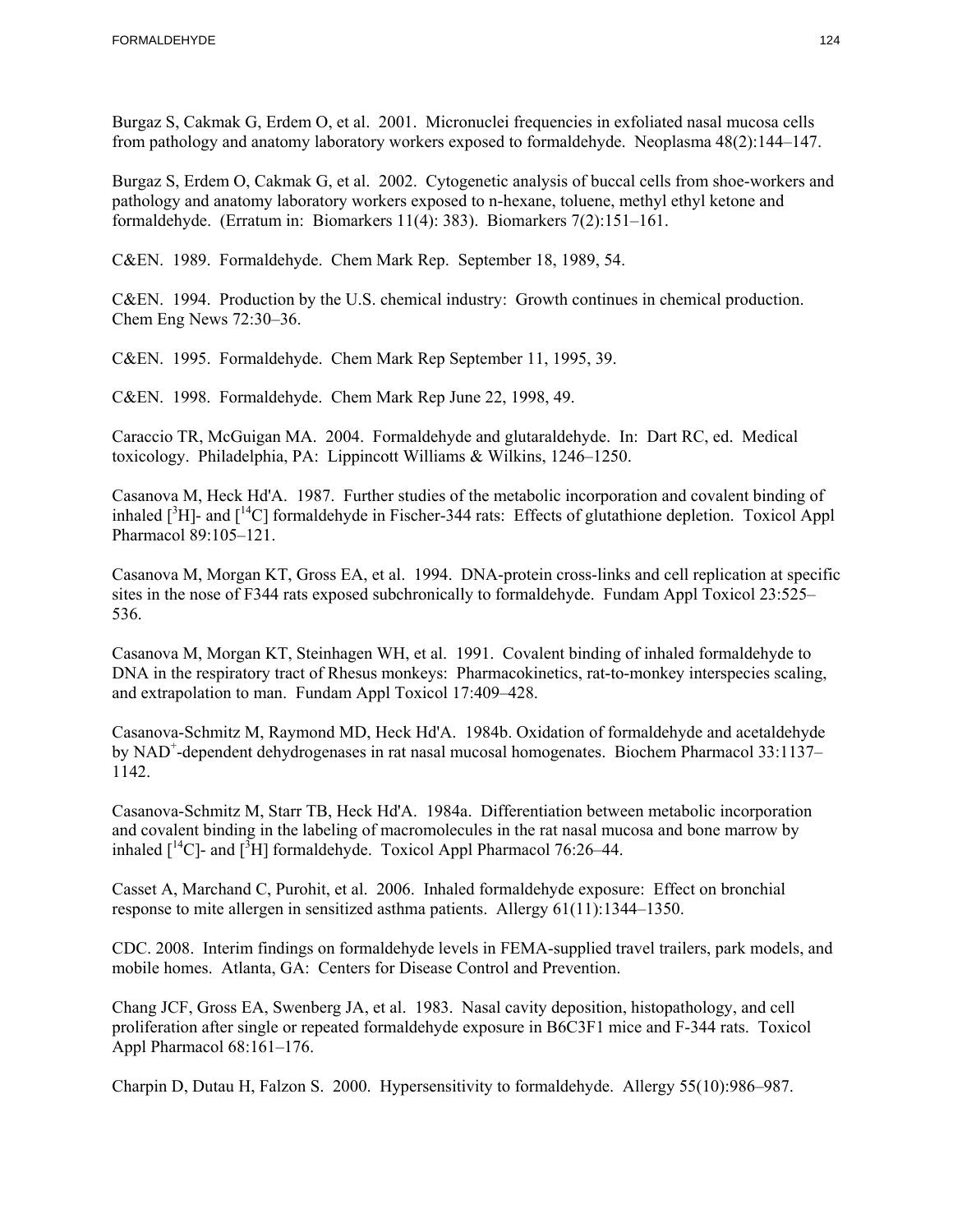Burgaz S, Cakmak G, Erdem O, et al. 2001. Micronuclei frequencies in exfoliated nasal mucosa cells from pathology and anatomy laboratory workers exposed to formaldehyde. Neoplasma 48(2):144–147.

 formaldehyde. (Erratum in: Biomarkers 11(4): 383). Biomarkers 7(2):151–161. Burgaz S, Erdem O, Cakmak G, et al. 2002. Cytogenetic analysis of buccal cells from shoe-workers and pathology and anatomy laboratory workers exposed to n-hexane, toluene, methyl ethyl ketone and

C&EN. 1989. Formaldehyde. Chem Mark Rep. September 18, 1989, 54.

C&EN. 1994. Production by the U.S. chemical industry: Growth continues in chemical production. Chem Eng News 72:30–36.

C&EN. 1995. Formaldehyde. Chem Mark Rep September 11, 1995, 39.

C&EN. 1998. Formaldehyde. Chem Mark Rep June 22, 1998, 49.

Caraccio TR, McGuigan MA. 2004. Formaldehyde and glutaraldehyde. In: Dart RC, ed. Medical toxicology. Philadelphia, PA: Lippincott Williams & Wilkins, 1246–1250.

Casanova M, Heck Hd'A. 1987. Further studies of the metabolic incorporation and covalent binding of inhaled  $\int^3 H$ ]- and  $\int^{14}C$ ] formaldehyde in Fischer-344 rats: Effects of glutathione depletion. Toxicol Appl Pharmacol 89:105–121.

Casanova M, Morgan KT, Gross EA, et al. 1994. DNA-protein cross-links and cell replication at specific sites in the nose of F344 rats exposed subchronically to formaldehyde. Fundam Appl Toxicol 23:525– 536.

Casanova M, Morgan KT, Steinhagen WH, et al. 1991. Covalent binding of inhaled formaldehyde to DNA in the respiratory tract of Rhesus monkeys: Pharmacokinetics, rat-to-monkey interspecies scaling, and extrapolation to man. Fundam Appl Toxicol 17:409–428.

Casanova-Schmitz M, Raymond MD, Heck Hd'A. 1984b. Oxidation of formaldehyde and acetaldehyde by NAD<sup>+</sup>-dependent dehydrogenases in rat nasal mucosal homogenates. Biochem Pharmacol 33:1137-1142.

Casanova-Schmitz M, Starr TB, Heck Hd'A. 1984a. Differentiation between metabolic incorporation and covalent binding in the labeling of macromolecules in the rat nasal mucosa and bone marrow by inhaled  $\lceil \sqrt[14]{C} \rceil$ - and  $\lceil \sqrt[3]{H} \rceil$  formaldehyde. Toxicol Appl Pharmacol 76:26–44.

Casset A, Marchand C, Purohit, et al. 2006. Inhaled formaldehyde exposure: Effect on bronchial response to mite allergen in sensitized asthma patients. Allergy 61(11):1344–1350.

CDC. 2008. Interim findings on formaldehyde levels in FEMA-supplied travel trailers, park models, and mobile homes. Atlanta, GA: Centers for Disease Control and Prevention.

Chang JCF, Gross EA, Swenberg JA, et al. 1983. Nasal cavity deposition, histopathology, and cell proliferation after single or repeated formaldehyde exposure in B6C3F1 mice and F-344 rats. Toxicol Appl Pharmacol 68:161–176.

Charpin D, Dutau H, Falzon S. 2000. Hypersensitivity to formaldehyde. Allergy 55(10):986–987.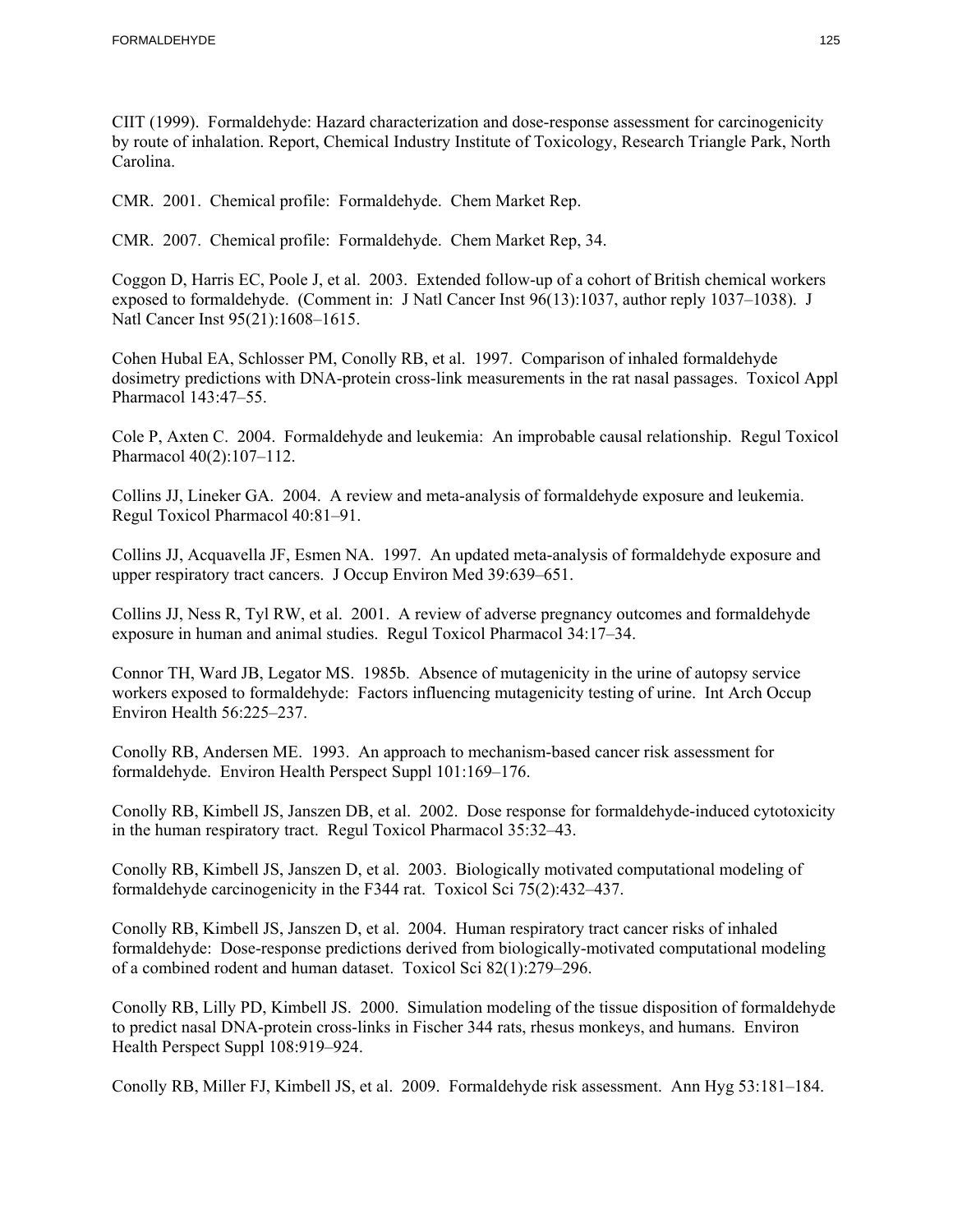CIIT (1999). Formaldehyde: Hazard characterization and dose-response assessment for carcinogenicity by route of inhalation. Report, Chemical Industry Institute of Toxicology, Research Triangle Park, North Carolina.

CMR. 2001. Chemical profile: Formaldehyde. Chem Market Rep.

CMR. 2007. Chemical profile: Formaldehyde. Chem Market Rep, 34.

 exposed to formaldehyde. (Comment in: J Natl Cancer Inst 96(13):1037, author reply 1037–1038). J Coggon D, Harris EC, Poole J, et al. 2003. Extended follow-up of a cohort of British chemical workers Natl Cancer Inst 95(21):1608–1615.

Cohen Hubal EA, Schlosser PM, Conolly RB, et al. 1997. Comparison of inhaled formaldehyde dosimetry predictions with DNA-protein cross-link measurements in the rat nasal passages. Toxicol Appl Pharmacol 143:47–55.

Cole P, Axten C. 2004. Formaldehyde and leukemia: An improbable causal relationship. Regul Toxicol Pharmacol 40(2):107–112.

Collins JJ, Lineker GA. 2004. A review and meta-analysis of formaldehyde exposure and leukemia. Regul Toxicol Pharmacol 40:81–91.

Collins JJ, Acquavella JF, Esmen NA. 1997. An updated meta-analysis of formaldehyde exposure and upper respiratory tract cancers. J Occup Environ Med 39:639–651.

Collins JJ, Ness R, Tyl RW, et al. 2001. A review of adverse pregnancy outcomes and formaldehyde exposure in human and animal studies. Regul Toxicol Pharmacol 34:17–34.

Connor TH, Ward JB, Legator MS. 1985b. Absence of mutagenicity in the urine of autopsy service workers exposed to formaldehyde: Factors influencing mutagenicity testing of urine. Int Arch Occup Environ Health 56:225–237.

Conolly RB, Andersen ME. 1993. An approach to mechanism-based cancer risk assessment for formaldehyde. Environ Health Perspect Suppl 101:169–176.

Conolly RB, Kimbell JS, Janszen DB, et al. 2002. Dose response for formaldehyde-induced cytotoxicity in the human respiratory tract. Regul Toxicol Pharmacol 35:32–43.

Conolly RB, Kimbell JS, Janszen D, et al. 2003. Biologically motivated computational modeling of formaldehyde carcinogenicity in the F344 rat. Toxicol Sci 75(2):432–437.

Conolly RB, Kimbell JS, Janszen D, et al. 2004. Human respiratory tract cancer risks of inhaled formaldehyde: Dose-response predictions derived from biologically-motivated computational modeling of a combined rodent and human dataset. Toxicol Sci 82(1):279–296.

Conolly RB, Lilly PD, Kimbell JS. 2000. Simulation modeling of the tissue disposition of formaldehyde to predict nasal DNA-protein cross-links in Fischer 344 rats, rhesus monkeys, and humans. Environ Health Perspect Suppl 108:919–924.

Conolly RB, Miller FJ, Kimbell JS, et al. 2009. Formaldehyde risk assessment. Ann Hyg 53:181–184.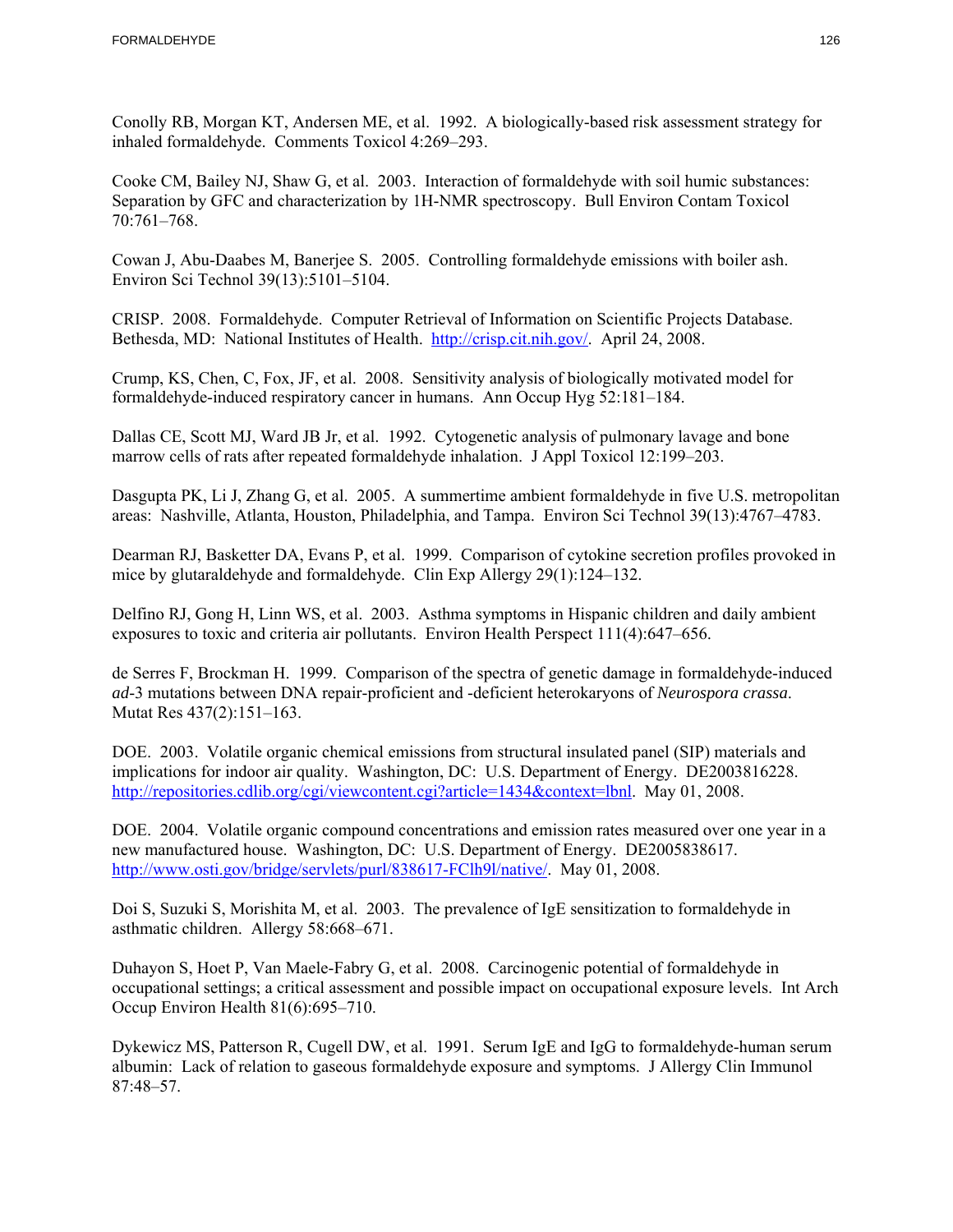Conolly RB, Morgan KT, Andersen ME, et al. 1992. A biologically-based risk assessment strategy for inhaled formaldehyde. Comments Toxicol 4:269–293.

Cooke CM, Bailey NJ, Shaw G, et al. 2003. Interaction of formaldehyde with soil humic substances: Separation by GFC and characterization by 1H-NMR spectroscopy. Bull Environ Contam Toxicol 70:761–768.

Cowan J, Abu-Daabes M, Banerjee S. 2005. Controlling formaldehyde emissions with boiler ash. Environ Sci Technol 39(13):5101–5104.

CRISP. 2008. Formaldehyde. Computer Retrieval of Information on Scientific Projects Database. Bethesda, MD: National Institutes of Health. http://crisp.cit.nih.gov/. April 24, 2008.

Crump, KS, Chen, C, Fox, JF, et al. 2008. Sensitivity analysis of biologically motivated model for formaldehyde-induced respiratory cancer in humans. Ann Occup Hyg 52:181–184.

Dallas CE, Scott MJ, Ward JB Jr, et al. 1992. Cytogenetic analysis of pulmonary lavage and bone marrow cells of rats after repeated formaldehyde inhalation. J Appl Toxicol 12:199–203.

Dasgupta PK, Li J, Zhang G, et al. 2005. A summertime ambient formaldehyde in five U.S. metropolitan areas: Nashville, Atlanta, Houston, Philadelphia, and Tampa. Environ Sci Technol 39(13):4767–4783.

Dearman RJ, Basketter DA, Evans P, et al. 1999. Comparison of cytokine secretion profiles provoked in mice by glutaraldehyde and formaldehyde. Clin Exp Allergy 29(1):124–132.

Delfino RJ, Gong H, Linn WS, et al. 2003. Asthma symptoms in Hispanic children and daily ambient exposures to toxic and criteria air pollutants. Environ Health Perspect 111(4):647–656.

de Serres F, Brockman H. 1999. Comparison of the spectra of genetic damage in formaldehyde-induced *ad*-3 mutations between DNA repair-proficient and -deficient heterokaryons of *Neurospora crassa*. Mutat Res 437(2):151–163.

DOE. 2003. Volatile organic chemical emissions from structural insulated panel (SIP) materials and implications for indoor air quality. Washington, DC: U.S. Department of Energy. DE2003816228. http://repositories.cdlib.org/cgi/viewcontent.cgi?article=1434&context=lbnl. May 01, 2008.

DOE. 2004. Volatile organic compound concentrations and emission rates measured over one year in a new manufactured house. Washington, DC: U.S. Department of Energy. DE2005838617. http://www.osti.gov/bridge/servlets/purl/838617-FClh9l/native/. May 01, 2008.

Doi S, Suzuki S, Morishita M, et al. 2003. The prevalence of IgE sensitization to formaldehyde in asthmatic children. Allergy 58:668–671.

Duhayon S, Hoet P, Van Maele-Fabry G, et al. 2008. Carcinogenic potential of formaldehyde in occupational settings; a critical assessment and possible impact on occupational exposure levels. Int Arch Occup Environ Health 81(6):695–710.

Dykewicz MS, Patterson R, Cugell DW, et al. 1991. Serum IgE and IgG to formaldehyde-human serum albumin: Lack of relation to gaseous formaldehyde exposure and symptoms. J Allergy Clin Immunol 87:48–57.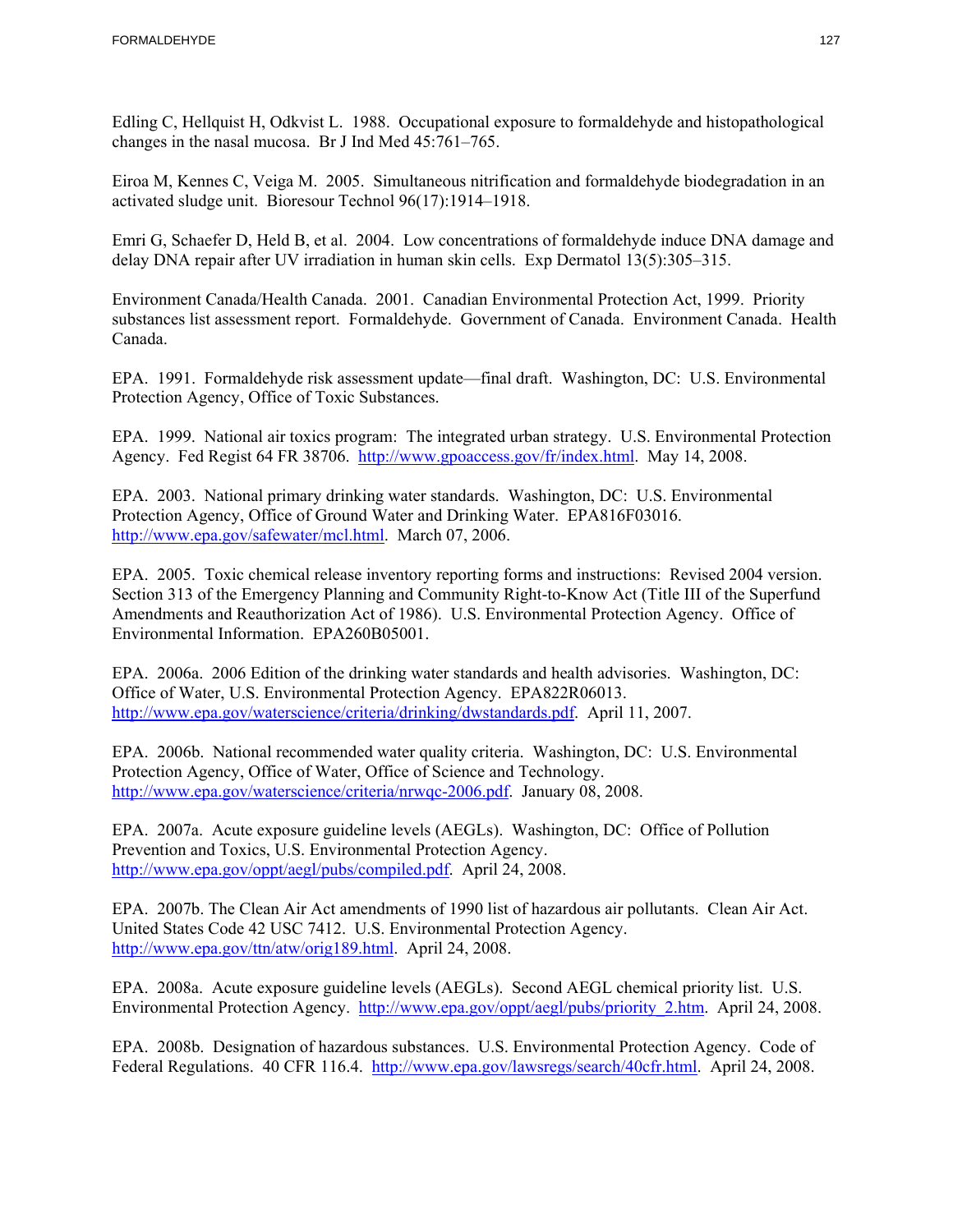Edling C, Hellquist H, Odkvist L. 1988. Occupational exposure to formaldehyde and histopathological changes in the nasal mucosa. Br J Ind Med 45:761–765.

Eiroa M, Kennes C, Veiga M. 2005. Simultaneous nitrification and formaldehyde biodegradation in an activated sludge unit. Bioresour Technol 96(17):1914–1918.

Emri G, Schaefer D, Held B, et al. 2004. Low concentrations of formaldehyde induce DNA damage and delay DNA repair after UV irradiation in human skin cells. Exp Dermatol 13(5):305–315.

Environment Canada/Health Canada. 2001. Canadian Environmental Protection Act, 1999. Priority substances list assessment report. Formaldehyde. Government of Canada. Environment Canada. Health Canada.

EPA. 1991. Formaldehyde risk assessment update—final draft. Washington, DC: U.S. Environmental Protection Agency, Office of Toxic Substances.

EPA. 1999. National air toxics program: The integrated urban strategy. U.S. Environmental Protection Agency. Fed Regist 64 FR 38706. http://www.gpoaccess.gov/fr/index.html. May 14, 2008.

EPA. 2003. National primary drinking water standards. Washington, DC: U.S. Environmental Protection Agency, Office of Ground Water and Drinking Water. EPA816F03016. http://www.epa.gov/safewater/mcl.html. March 07, 2006.

EPA. 2005. Toxic chemical release inventory reporting forms and instructions: Revised 2004 version. Section 313 of the Emergency Planning and Community Right-to-Know Act (Title III of the Superfund Amendments and Reauthorization Act of 1986). U.S. Environmental Protection Agency. Office of Environmental Information. EPA260B05001.

EPA. 2006a. 2006 Edition of the drinking water standards and health advisories. Washington, DC: Office of Water, U.S. Environmental Protection Agency. EPA822R06013. http://www.epa.gov/waterscience/criteria/drinking/dwstandards.pdf. April 11, 2007.

EPA. 2006b. National recommended water quality criteria. Washington, DC: U.S. Environmental Protection Agency, Office of Water, Office of Science and Technology. http://www.epa.gov/waterscience/criteria/nrwqc-2006.pdf. January 08, 2008.

EPA. 2007a. Acute exposure guideline levels (AEGLs). Washington, DC: Office of Pollution Prevention and Toxics, U.S. Environmental Protection Agency. http://www.epa.gov/oppt/aegl/pubs/compiled.pdf. April 24, 2008.

EPA. 2007b. The Clean Air Act amendments of 1990 list of hazardous air pollutants. Clean Air Act. United States Code 42 USC 7412. U.S. Environmental Protection Agency. http://www.epa.gov/ttn/atw/orig189.html. April 24, 2008.

EPA. 2008a. Acute exposure guideline levels (AEGLs). Second AEGL chemical priority list. U.S. Environmental Protection Agency. http://www.epa.gov/oppt/aegl/pubs/priority\_2.htm. April 24, 2008.

Federal Regulations. 40 CFR 116.4. http://www.epa.gov/lawsregs/search/40cfr.html. April 24, 2008. EPA. 2008b. Designation of hazardous substances. U.S. Environmental Protection Agency. Code of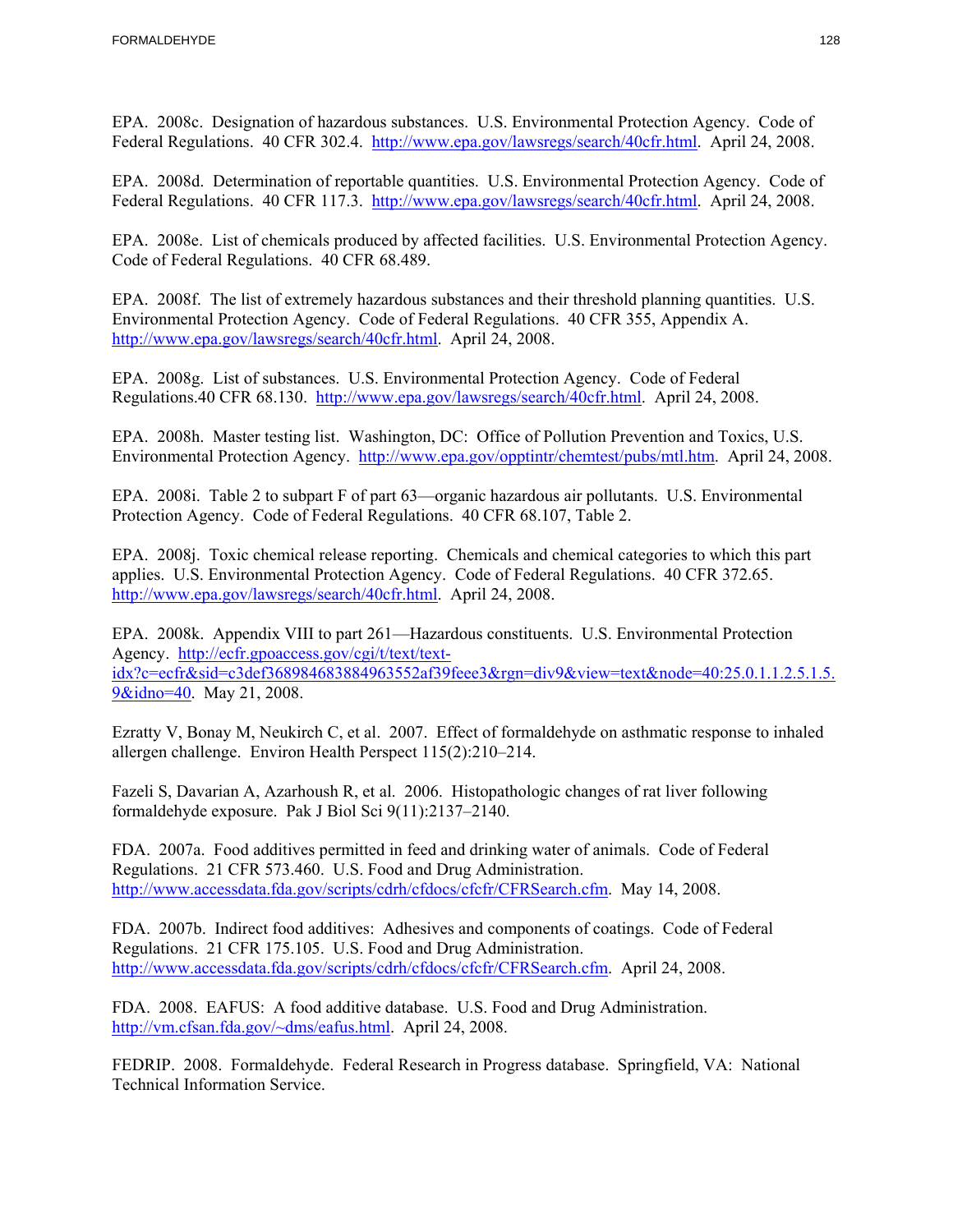Federal Regulations. 40 CFR 302.4. http://www.epa.gov/lawsregs/search/40cfr.html. April 24, 2008. EPA. 2008c. Designation of hazardous substances. U.S. Environmental Protection Agency. Code of

Federal Regulations. 40 CFR 117.3. http://www.epa.gov/lawsregs/search/40cfr.html. April 24, 2008. EPA. 2008d. Determination of reportable quantities. U.S. Environmental Protection Agency. Code of

EPA. 2008e. List of chemicals produced by affected facilities. U.S. Environmental Protection Agency. Code of Federal Regulations. 40 CFR 68.489.

EPA. 2008f. The list of extremely hazardous substances and their threshold planning quantities. U.S. Environmental Protection Agency. Code of Federal Regulations. 40 CFR 355, Appendix A. http://www.epa.gov/lawsregs/search/40cfr.html. April 24, 2008.

EPA. 2008g. List of substances. U.S. Environmental Protection Agency. Code of Federal Regulations.40 CFR 68.130. http://www.epa.gov/lawsregs/search/40cfr.html. April 24, 2008.

EPA. 2008h. Master testing list. Washington, DC: Office of Pollution Prevention and Toxics, U.S. Environmental Protection Agency. http://www.epa.gov/opptintr/chemtest/pubs/mtl.htm. April 24, 2008.

EPA. 2008i. Table 2 to subpart F of part 63—organic hazardous air pollutants. U.S. Environmental Protection Agency. Code of Federal Regulations. 40 CFR 68.107, Table 2.

EPA. 2008j. Toxic chemical release reporting. Chemicals and chemical categories to which this part applies. U.S. Environmental Protection Agency. Code of Federal Regulations. 40 CFR 372.65. http://www.epa.gov/lawsregs/search/40cfr.html. April 24, 2008.

EPA. 2008k. Appendix VIII to part 261—Hazardous constituents. U.S. Environmental Protection Agency. http://ecfr.gpoaccess.gov/cgi/t/text/textidx?c=ecfr&sid=c3def368984683884963552af39feee3&rgn=div9&view=text&node=40:25.0.1.1.2.5.1.5. 9&idno=40. May 21, 2008.

Ezratty V, Bonay M, Neukirch C, et al. 2007. Effect of formaldehyde on asthmatic response to inhaled allergen challenge. Environ Health Perspect 115(2):210–214.

Fazeli S, Davarian A, Azarhoush R, et al. 2006. Histopathologic changes of rat liver following formaldehyde exposure. Pak J Biol Sci 9(11):2137–2140.

http://www.accessdata.fda.gov/scripts/cdrh/cfdocs/cfcfr/CFRSearch.cfm. May 14, 2008. FDA. 2007a. Food additives permitted in feed and drinking water of animals. Code of Federal Regulations. 21 CFR 573.460. U.S. Food and Drug Administration.

FDA. 2007b. Indirect food additives: Adhesives and components of coatings. Code of Federal Regulations. 21 CFR 175.105. U.S. Food and Drug Administration. http://www.accessdata.fda.gov/scripts/cdrh/cfdocs/cfcfr/CFRSearch.cfm. April 24, 2008.

FDA. 2008. EAFUS: A food additive database. U.S. Food and Drug Administration. http://vm.cfsan.fda.gov/~dms/eafus.html. April 24, 2008.

FEDRIP. 2008. Formaldehyde. Federal Research in Progress database. Springfield, VA: National Technical Information Service.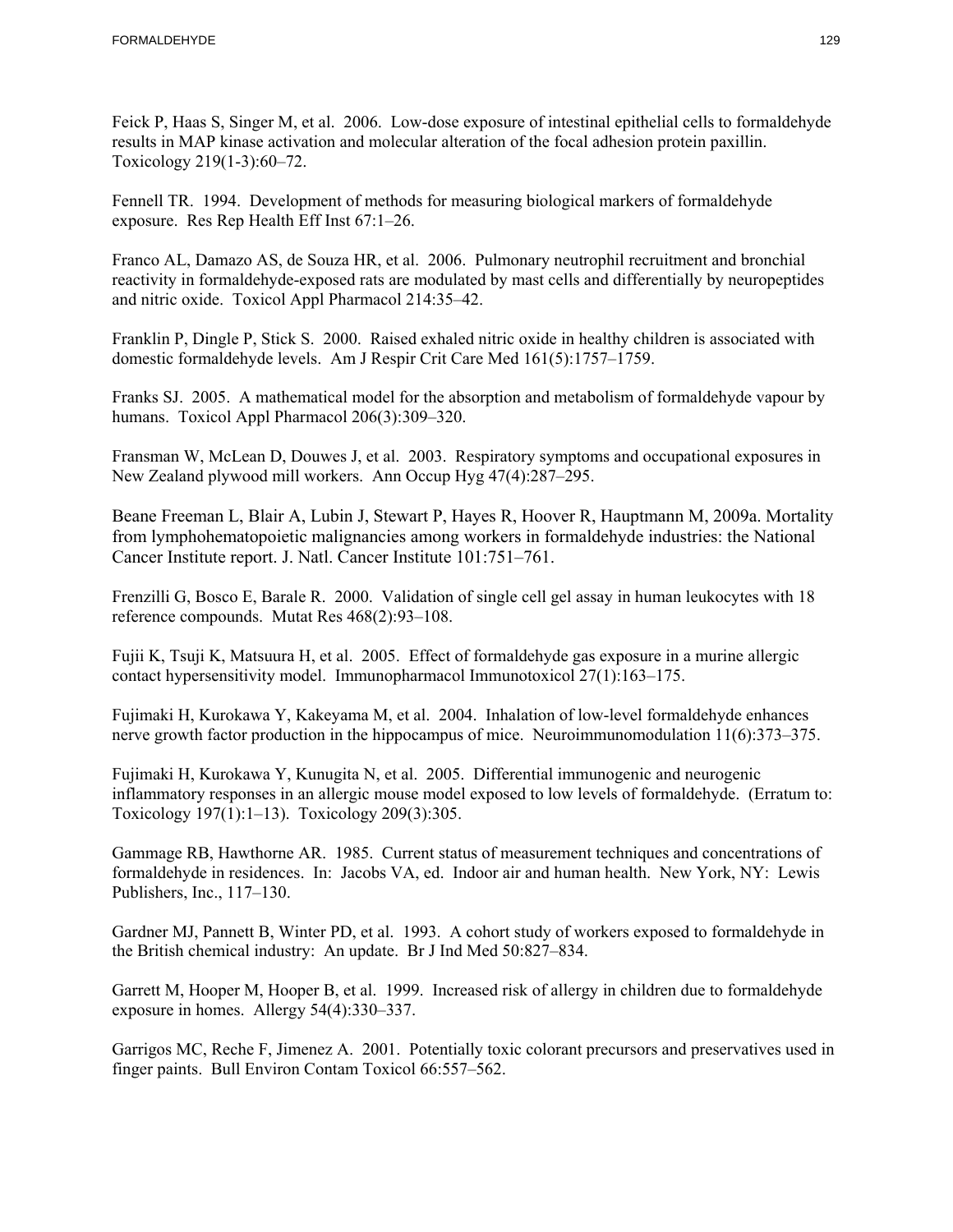Feick P, Haas S, Singer M, et al. 2006. Low-dose exposure of intestinal epithelial cells to formaldehyde results in MAP kinase activation and molecular alteration of the focal adhesion protein paxillin. Toxicology 219(1-3):60–72.

Fennell TR. 1994. Development of methods for measuring biological markers of formaldehyde exposure. Res Rep Health Eff Inst 67:1–26.

 reactivity in formaldehyde-exposed rats are modulated by mast cells and differentially by neuropeptides Franco AL, Damazo AS, de Souza HR, et al. 2006. Pulmonary neutrophil recruitment and bronchial and nitric oxide. Toxicol Appl Pharmacol 214:35–42.

Franklin P, Dingle P, Stick S. 2000. Raised exhaled nitric oxide in healthy children is associated with domestic formaldehyde levels. Am J Respir Crit Care Med 161(5):1757–1759.

Franks SJ. 2005. A mathematical model for the absorption and metabolism of formaldehyde vapour by humans. Toxicol Appl Pharmacol 206(3):309–320.

Fransman W, McLean D, Douwes J, et al. 2003. Respiratory symptoms and occupational exposures in New Zealand plywood mill workers. Ann Occup Hyg 47(4):287–295.

Beane Freeman L, Blair A, Lubin J, Stewart P, Hayes R, Hoover R, Hauptmann M, 2009a. Mortality from lymphohematopoietic malignancies among workers in formaldehyde industries: the National Cancer Institute report. J. Natl. Cancer Institute 101:751–761.

Frenzilli G, Bosco E, Barale R. 2000. Validation of single cell gel assay in human leukocytes with 18 reference compounds. Mutat Res 468(2):93–108.

Fujii K, Tsuji K, Matsuura H, et al. 2005. Effect of formaldehyde gas exposure in a murine allergic contact hypersensitivity model. Immunopharmacol Immunotoxicol 27(1):163–175.

Fujimaki H, Kurokawa Y, Kakeyama M, et al. 2004. Inhalation of low-level formaldehyde enhances nerve growth factor production in the hippocampus of mice. Neuroimmunomodulation 11(6):373–375.

 Toxicology 197(1):1–13). Toxicology 209(3):305. Fujimaki H, Kurokawa Y, Kunugita N, et al. 2005. Differential immunogenic and neurogenic inflammatory responses in an allergic mouse model exposed to low levels of formaldehyde. (Erratum to:

Gammage RB, Hawthorne AR. 1985. Current status of measurement techniques and concentrations of formaldehyde in residences. In: Jacobs VA, ed. Indoor air and human health. New York, NY: Lewis Publishers, Inc., 117–130.

Gardner MJ, Pannett B, Winter PD, et al. 1993. A cohort study of workers exposed to formaldehyde in the British chemical industry: An update. Br J Ind Med 50:827–834.

Garrett M, Hooper M, Hooper B, et al. 1999. Increased risk of allergy in children due to formaldehyde exposure in homes. Allergy 54(4):330–337.

Garrigos MC, Reche F, Jimenez A. 2001. Potentially toxic colorant precursors and preservatives used in finger paints. Bull Environ Contam Toxicol 66:557–562.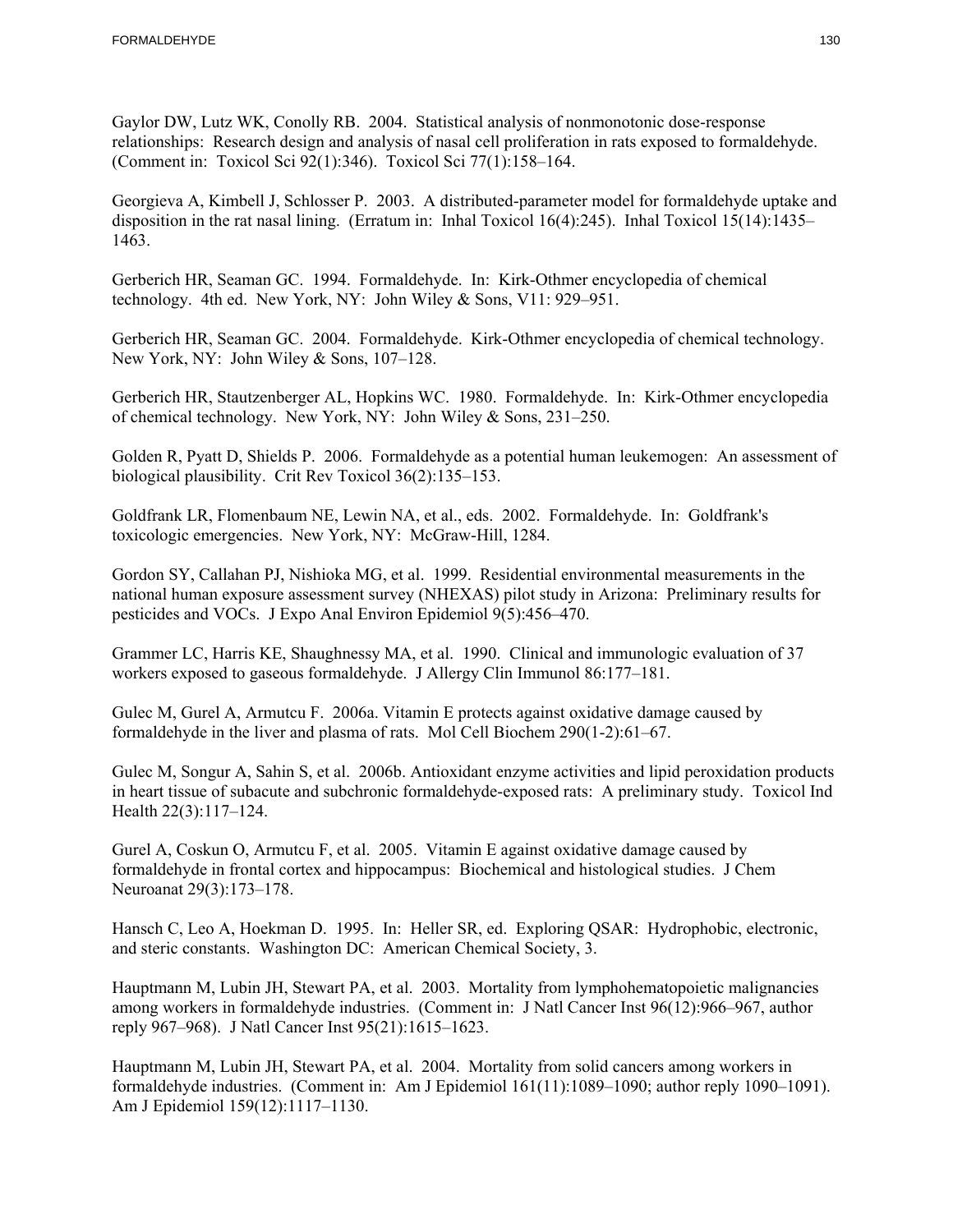Gaylor DW, Lutz WK, Conolly RB. 2004. Statistical analysis of nonmonotonic dose-response relationships: Research design and analysis of nasal cell proliferation in rats exposed to formaldehyde. (Comment in: Toxicol Sci 92(1):346). Toxicol Sci 77(1):158–164.

Georgieva A, Kimbell J, Schlosser P. 2003. A distributed-parameter model for formaldehyde uptake and disposition in the rat nasal lining. (Erratum in: Inhal Toxicol 16(4):245). Inhal Toxicol 15(14):1435– 1463.

Gerberich HR, Seaman GC. 1994. Formaldehyde. In: Kirk-Othmer encyclopedia of chemical technology. 4th ed. New York, NY: John Wiley & Sons, V11: 929–951.

Gerberich HR, Seaman GC. 2004. Formaldehyde. Kirk-Othmer encyclopedia of chemical technology. New York, NY: John Wiley & Sons, 107–128.

Gerberich HR, Stautzenberger AL, Hopkins WC. 1980. Formaldehyde. In: Kirk-Othmer encyclopedia of chemical technology. New York, NY: John Wiley & Sons, 231–250.

Golden R, Pyatt D, Shields P. 2006. Formaldehyde as a potential human leukemogen: An assessment of biological plausibility. Crit Rev Toxicol 36(2):135–153.

Goldfrank LR, Flomenbaum NE, Lewin NA, et al., eds. 2002. Formaldehyde. In: Goldfrank's toxicologic emergencies. New York, NY: McGraw-Hill, 1284.

Gordon SY, Callahan PJ, Nishioka MG, et al. 1999. Residential environmental measurements in the national human exposure assessment survey (NHEXAS) pilot study in Arizona: Preliminary results for pesticides and VOCs. J Expo Anal Environ Epidemiol 9(5):456–470.

Grammer LC, Harris KE, Shaughnessy MA, et al. 1990. Clinical and immunologic evaluation of 37 workers exposed to gaseous formaldehyde. J Allergy Clin Immunol 86:177–181.

Gulec M, Gurel A, Armutcu F. 2006a. Vitamin E protects against oxidative damage caused by formaldehyde in the liver and plasma of rats. Mol Cell Biochem 290(1-2):61–67.

Gulec M, Songur A, Sahin S, et al. 2006b. Antioxidant enzyme activities and lipid peroxidation products in heart tissue of subacute and subchronic formaldehyde-exposed rats: A preliminary study. Toxicol Ind Health 22(3):117–124.

Gurel A, Coskun O, Armutcu F, et al. 2005. Vitamin E against oxidative damage caused by formaldehyde in frontal cortex and hippocampus: Biochemical and histological studies. J Chem Neuroanat 29(3):173–178.

Hansch C, Leo A, Hoekman D. 1995. In: Heller SR, ed. Exploring QSAR: Hydrophobic, electronic, and steric constants. Washington DC: American Chemical Society, 3.

Hauptmann M, Lubin JH, Stewart PA, et al. 2003. Mortality from lymphohematopoietic malignancies among workers in formaldehyde industries. (Comment in: J Natl Cancer Inst 96(12):966–967, author reply 967–968). J Natl Cancer Inst 95(21):1615–1623.

Hauptmann M, Lubin JH, Stewart PA, et al. 2004. Mortality from solid cancers among workers in formaldehyde industries. (Comment in: Am J Epidemiol 161(11):1089–1090; author reply 1090–1091). Am J Epidemiol 159(12):1117–1130.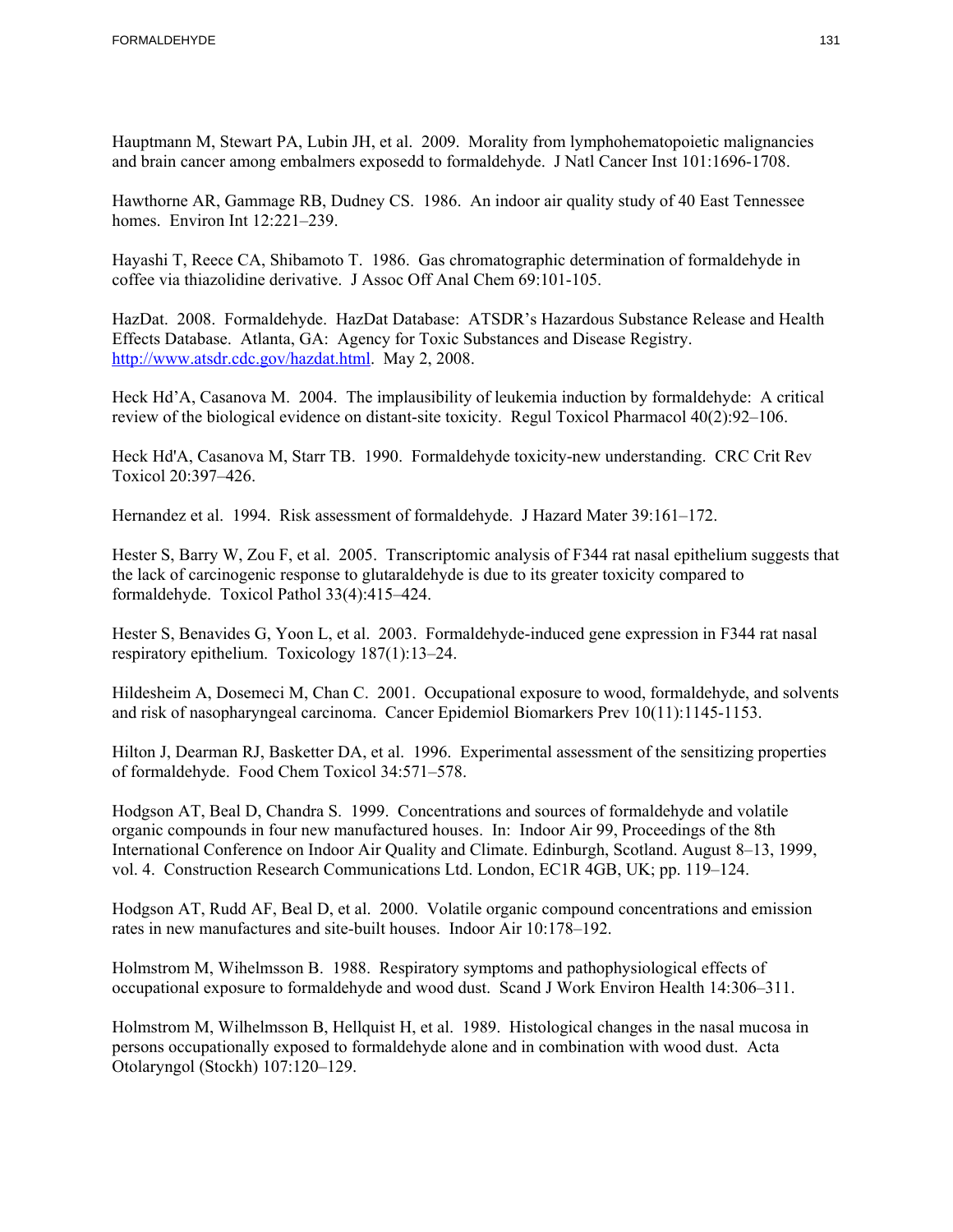Hauptmann M, Stewart PA, Lubin JH, et al. 2009. Morality from lymphohematopoietic malignancies and brain cancer among embalmers exposedd to formaldehyde. J Natl Cancer Inst 101:1696-1708.

Hawthorne AR, Gammage RB, Dudney CS. 1986. An indoor air quality study of 40 East Tennessee homes. Environ Int 12:221–239.

Hayashi T, Reece CA, Shibamoto T. 1986. Gas chromatographic determination of formaldehyde in coffee via thiazolidine derivative. J Assoc Off Anal Chem 69:101-105.

HazDat. 2008. Formaldehyde. HazDat Database: ATSDR's Hazardous Substance Release and Health Effects Database. Atlanta, GA: Agency for Toxic Substances and Disease Registry. http://www.atsdr.cdc.gov/hazdat.html. May 2, 2008.

Heck Hd'A, Casanova M. 2004. The implausibility of leukemia induction by formaldehyde: A critical review of the biological evidence on distant-site toxicity. Regul Toxicol Pharmacol 40(2):92–106.

Heck Hd'A, Casanova M, Starr TB. 1990. Formaldehyde toxicity-new understanding. CRC Crit Rev Toxicol 20:397–426.

Hernandez et al. 1994. Risk assessment of formaldehyde. J Hazard Mater 39:161–172.

Hester S, Barry W, Zou F, et al. 2005. Transcriptomic analysis of F344 rat nasal epithelium suggests that the lack of carcinogenic response to glutaraldehyde is due to its greater toxicity compared to formaldehyde. Toxicol Pathol 33(4):415–424.

Hester S, Benavides G, Yoon L, et al. 2003. Formaldehyde-induced gene expression in F344 rat nasal respiratory epithelium. Toxicology 187(1):13–24.

Hildesheim A, Dosemeci M, Chan C. 2001. Occupational exposure to wood, formaldehyde, and solvents and risk of nasopharyngeal carcinoma. Cancer Epidemiol Biomarkers Prev 10(11):1145-1153.

Hilton J, Dearman RJ, Basketter DA, et al. 1996. Experimental assessment of the sensitizing properties of formaldehyde. Food Chem Toxicol 34:571–578.

Hodgson AT, Beal D, Chandra S. 1999. Concentrations and sources of formaldehyde and volatile organic compounds in four new manufactured houses. In: Indoor Air 99, Proceedings of the 8th International Conference on Indoor Air Quality and Climate. Edinburgh, Scotland. August 8–13, 1999, vol. 4. Construction Research Communications Ltd. London, EC1R 4GB, UK; pp. 119–124.

Hodgson AT, Rudd AF, Beal D, et al. 2000. Volatile organic compound concentrations and emission rates in new manufactures and site-built houses. Indoor Air 10:178–192.

Holmstrom M, Wihelmsson B. 1988. Respiratory symptoms and pathophysiological effects of occupational exposure to formaldehyde and wood dust. Scand J Work Environ Health 14:306–311.

 persons occupationally exposed to formaldehyde alone and in combination with wood dust. Acta Holmstrom M, Wilhelmsson B, Hellquist H, et al. 1989. Histological changes in the nasal mucosa in Otolaryngol (Stockh) 107:120–129.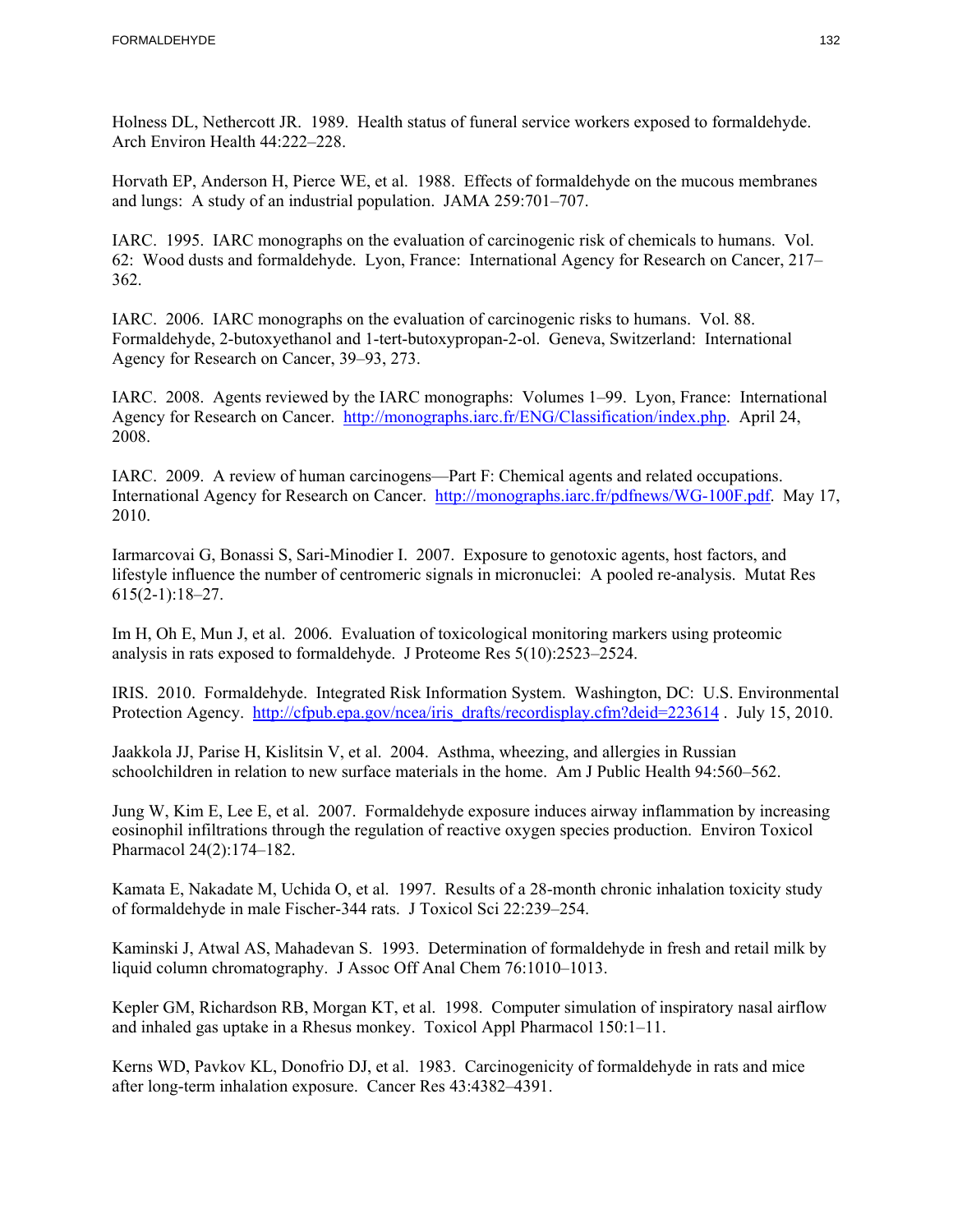Holness DL, Nethercott JR. 1989. Health status of funeral service workers exposed to formaldehyde. Arch Environ Health 44:222–228.

Horvath EP, Anderson H, Pierce WE, et al. 1988. Effects of formaldehyde on the mucous membranes and lungs: A study of an industrial population. JAMA 259:701–707.

IARC. 1995. IARC monographs on the evaluation of carcinogenic risk of chemicals to humans. Vol. 62: Wood dusts and formaldehyde. Lyon, France: International Agency for Research on Cancer, 217– 362.

IARC. 2006. IARC monographs on the evaluation of carcinogenic risks to humans. Vol. 88. Formaldehyde, 2-butoxyethanol and 1-tert-butoxypropan-2-ol. Geneva, Switzerland: International Agency for Research on Cancer, 39–93, 273.

IARC. 2008. Agents reviewed by the IARC monographs: Volumes 1–99. Lyon, France: International Agency for Research on Cancer. http://monographs.iarc.fr/ENG/Classification/index.php. April 24, 2008.

IARC. 2009. A review of human carcinogens—Part F: Chemical agents and related occupations. International Agency for Research on Cancer. http://monographs.iarc.fr/pdfnews/WG-100F.pdf. May 17, 2010.

Iarmarcovai G, Bonassi S, Sari-Minodier I. 2007. Exposure to genotoxic agents, host factors, and lifestyle influence the number of centromeric signals in micronuclei: A pooled re-analysis. Mutat Res 615(2-1):18–27.

Im H, Oh E, Mun J, et al. 2006. Evaluation of toxicological monitoring markers using proteomic analysis in rats exposed to formaldehyde. J Proteome Res 5(10):2523–2524.

Protection Agency. http://cfpub.epa.gov/ncea/iris\_drafts/recordisplay.cfm?deid=223614. July 15, 2010. IRIS. 2010. Formaldehyde. Integrated Risk Information System. Washington, DC: U.S. Environmental

Jaakkola JJ, Parise H, Kislitsin V, et al. 2004. Asthma, wheezing, and allergies in Russian schoolchildren in relation to new surface materials in the home. Am J Public Health 94:560–562.

Jung W, Kim E, Lee E, et al. 2007. Formaldehyde exposure induces airway inflammation by increasing eosinophil infiltrations through the regulation of reactive oxygen species production. Environ Toxicol Pharmacol 24(2):174–182.

Kamata E, Nakadate M, Uchida O, et al. 1997. Results of a 28-month chronic inhalation toxicity study of formaldehyde in male Fischer-344 rats. J Toxicol Sci 22:239–254.

 Kaminski J, Atwal AS, Mahadevan S. 1993. Determination of formaldehyde in fresh and retail milk by liquid column chromatography. J Assoc Off Anal Chem 76:1010–1013.

Kepler GM, Richardson RB, Morgan KT, et al. 1998. Computer simulation of inspiratory nasal airflow and inhaled gas uptake in a Rhesus monkey. Toxicol Appl Pharmacol 150:1–11.

Kerns WD, Pavkov KL, Donofrio DJ, et al. 1983. Carcinogenicity of formaldehyde in rats and mice after long-term inhalation exposure. Cancer Res 43:4382–4391.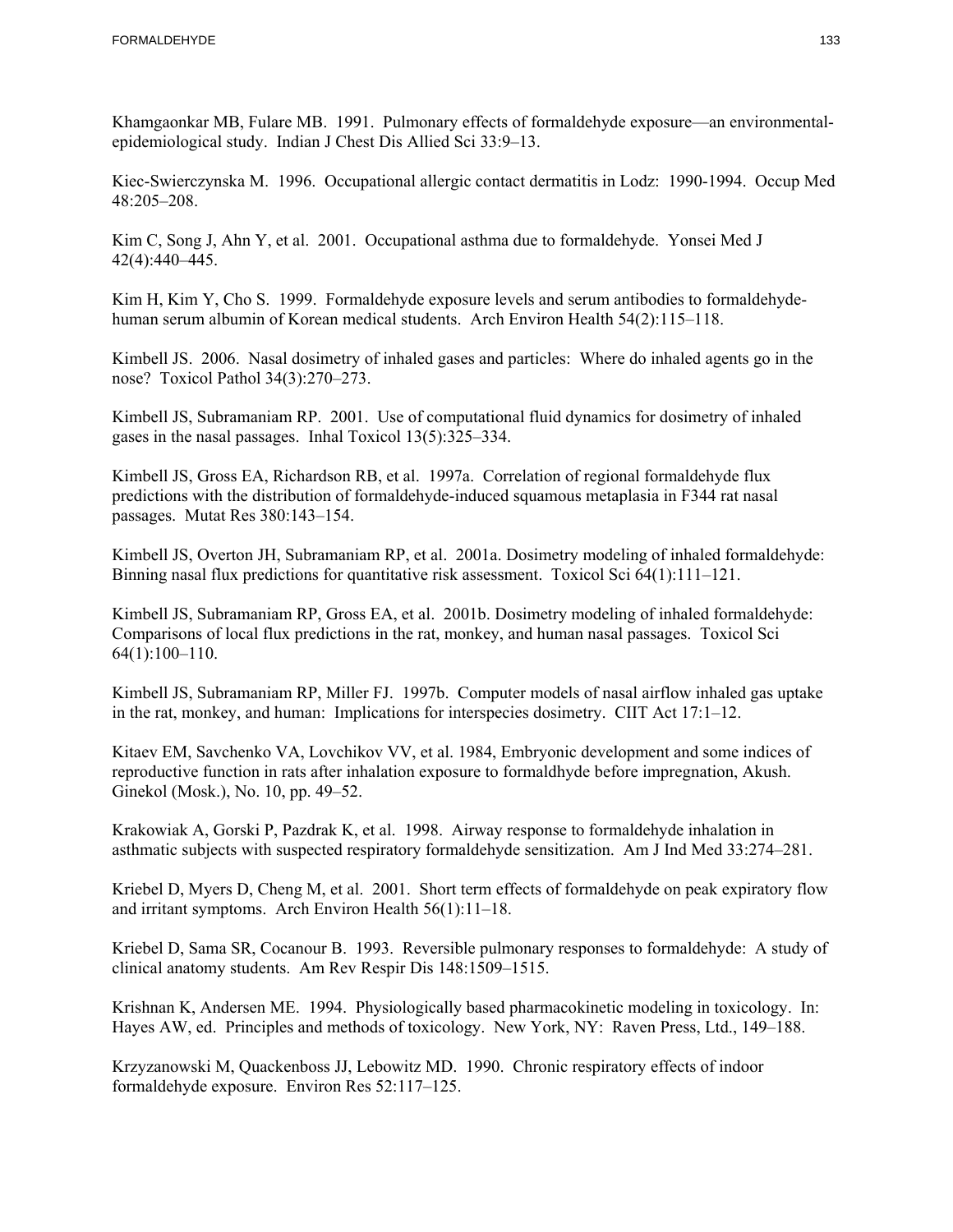Khamgaonkar MB, Fulare MB. 1991. Pulmonary effects of formaldehyde exposure—an environmentalepidemiological study. Indian J Chest Dis Allied Sci 33:9–13.

 Kiec-Swierczynska M. 1996. Occupational allergic contact dermatitis in Lodz: 1990-1994. Occup Med 48:205–208.

Kim C, Song J, Ahn Y, et al. 2001. Occupational asthma due to formaldehyde. Yonsei Med J 42(4):440–445.

Kim H, Kim Y, Cho S. 1999. Formaldehyde exposure levels and serum antibodies to formaldehydehuman serum albumin of Korean medical students. Arch Environ Health 54(2):115–118.

Kimbell JS. 2006. Nasal dosimetry of inhaled gases and particles: Where do inhaled agents go in the nose? Toxicol Pathol 34(3):270–273.

 gases in the nasal passages. Inhal Toxicol 13(5):325–334. Kimbell JS, Subramaniam RP. 2001. Use of computational fluid dynamics for dosimetry of inhaled

Kimbell JS, Gross EA, Richardson RB, et al. 1997a. Correlation of regional formaldehyde flux predictions with the distribution of formaldehyde-induced squamous metaplasia in F344 rat nasal passages. Mutat Res 380:143–154.

Kimbell JS, Overton JH, Subramaniam RP, et al. 2001a. Dosimetry modeling of inhaled formaldehyde: Binning nasal flux predictions for quantitative risk assessment. Toxicol Sci 64(1):111–121.

Kimbell JS, Subramaniam RP, Gross EA, et al. 2001b. Dosimetry modeling of inhaled formaldehyde: Comparisons of local flux predictions in the rat, monkey, and human nasal passages. Toxicol Sci 64(1):100–110.

Kimbell JS, Subramaniam RP, Miller FJ. 1997b. Computer models of nasal airflow inhaled gas uptake in the rat, monkey, and human: Implications for interspecies dosimetry. CIIT Act 17:1–12.

Kitaev EM, Savchenko VA, Lovchikov VV, et al. 1984, Embryonic development and some indices of reproductive function in rats after inhalation exposure to formaldhyde before impregnation, Akush. Ginekol (Mosk.), No. 10, pp. 49–52.

Krakowiak A, Gorski P, Pazdrak K, et al. 1998. Airway response to formaldehyde inhalation in asthmatic subjects with suspected respiratory formaldehyde sensitization. Am J Ind Med 33:274–281.

Kriebel D, Myers D, Cheng M, et al. 2001. Short term effects of formaldehyde on peak expiratory flow and irritant symptoms. Arch Environ Health 56(1):11–18.

Kriebel D, Sama SR, Cocanour B. 1993. Reversible pulmonary responses to formaldehyde: A study of clinical anatomy students. Am Rev Respir Dis 148:1509–1515.

Krishnan K, Andersen ME. 1994. Physiologically based pharmacokinetic modeling in toxicology. In: Hayes AW, ed. Principles and methods of toxicology. New York, NY: Raven Press, Ltd., 149–188.

Krzyzanowski M, Quackenboss JJ, Lebowitz MD. 1990. Chronic respiratory effects of indoor formaldehyde exposure. Environ Res 52:117–125.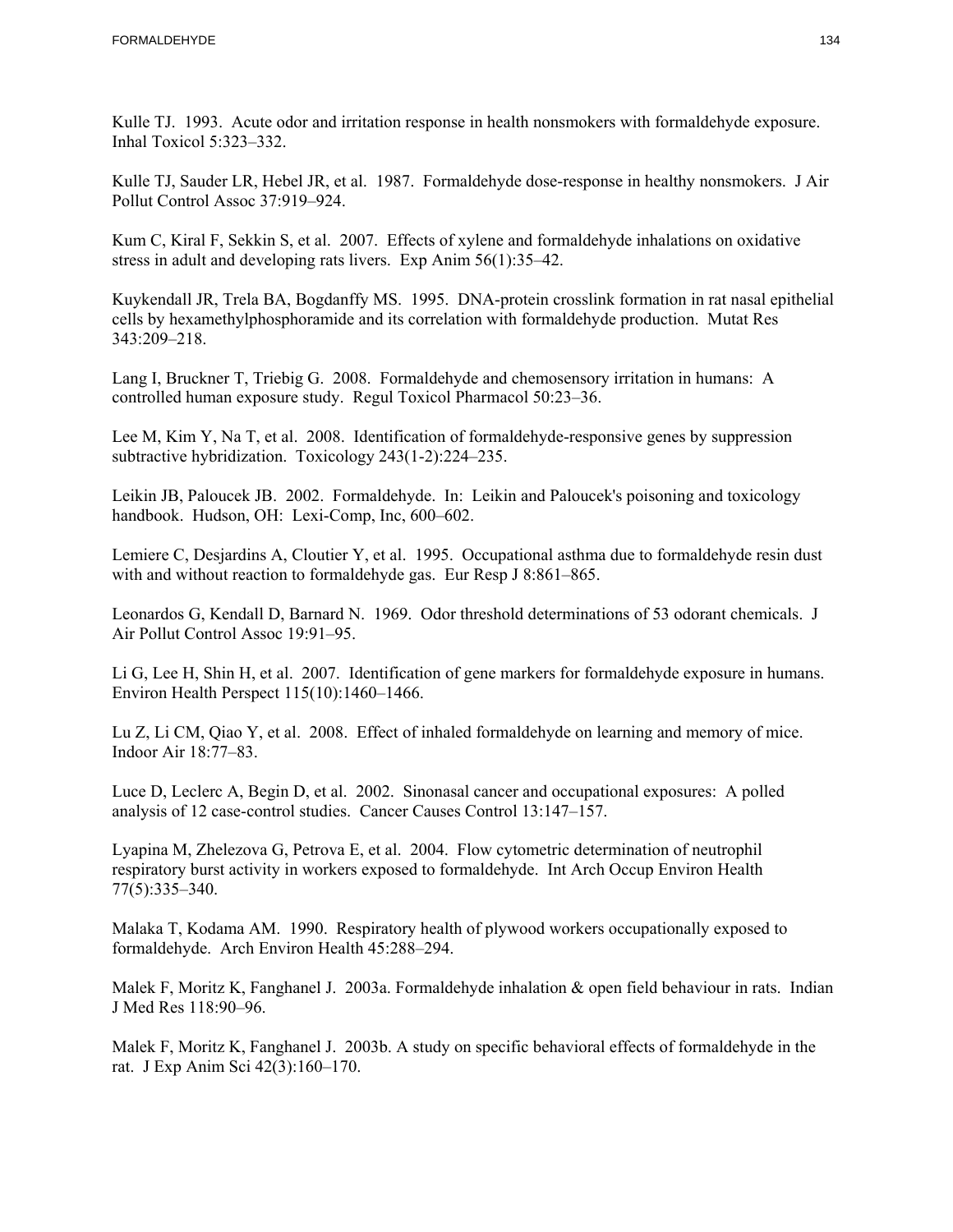Kulle TJ. 1993. Acute odor and irritation response in health nonsmokers with formaldehyde exposure. Inhal Toxicol 5:323–332.

Kulle TJ, Sauder LR, Hebel JR, et al. 1987. Formaldehyde dose-response in healthy nonsmokers. J Air Pollut Control Assoc 37:919–924.

Kum C, Kiral F, Sekkin S, et al. 2007. Effects of xylene and formaldehyde inhalations on oxidative stress in adult and developing rats livers. Exp Anim 56(1):35–42.

Kuykendall JR, Trela BA, Bogdanffy MS. 1995. DNA-protein crosslink formation in rat nasal epithelial cells by hexamethylphosphoramide and its correlation with formaldehyde production. Mutat Res 343:209–218.

Lang I, Bruckner T, Triebig G. 2008. Formaldehyde and chemosensory irritation in humans: A controlled human exposure study. Regul Toxicol Pharmacol 50:23–36.

Lee M, Kim Y, Na T, et al. 2008. Identification of formaldehyde-responsive genes by suppression subtractive hybridization. Toxicology 243(1-2):224–235.

 Leikin JB, Paloucek JB. 2002. Formaldehyde. In: Leikin and Paloucek's poisoning and toxicology handbook. Hudson, OH: Lexi-Comp, Inc, 600–602.

Lemiere C, Desjardins A, Cloutier Y, et al. 1995. Occupational asthma due to formaldehyde resin dust with and without reaction to formaldehyde gas. Eur Resp J 8:861–865.

Leonardos G, Kendall D, Barnard N. 1969. Odor threshold determinations of 53 odorant chemicals. J Air Pollut Control Assoc 19:91–95.

Li G, Lee H, Shin H, et al. 2007. Identification of gene markers for formaldehyde exposure in humans. Environ Health Perspect 115(10):1460–1466.

Lu Z, Li CM, Qiao Y, et al. 2008. Effect of inhaled formaldehyde on learning and memory of mice. Indoor Air 18:77–83.

Luce D, Leclerc A, Begin D, et al. 2002. Sinonasal cancer and occupational exposures: A polled analysis of 12 case-control studies. Cancer Causes Control 13:147–157.

Lyapina M, Zhelezova G, Petrova E, et al. 2004. Flow cytometric determination of neutrophil respiratory burst activity in workers exposed to formaldehyde. Int Arch Occup Environ Health 77(5):335–340.

Malaka T, Kodama AM. 1990. Respiratory health of plywood workers occupationally exposed to formaldehyde. Arch Environ Health 45:288–294.

Malek F, Moritz K, Fanghanel J. 2003a. Formaldehyde inhalation & open field behaviour in rats. Indian J Med Res 118:90–96.

Malek F, Moritz K, Fanghanel J. 2003b. A study on specific behavioral effects of formaldehyde in the rat. J Exp Anim Sci 42(3):160–170.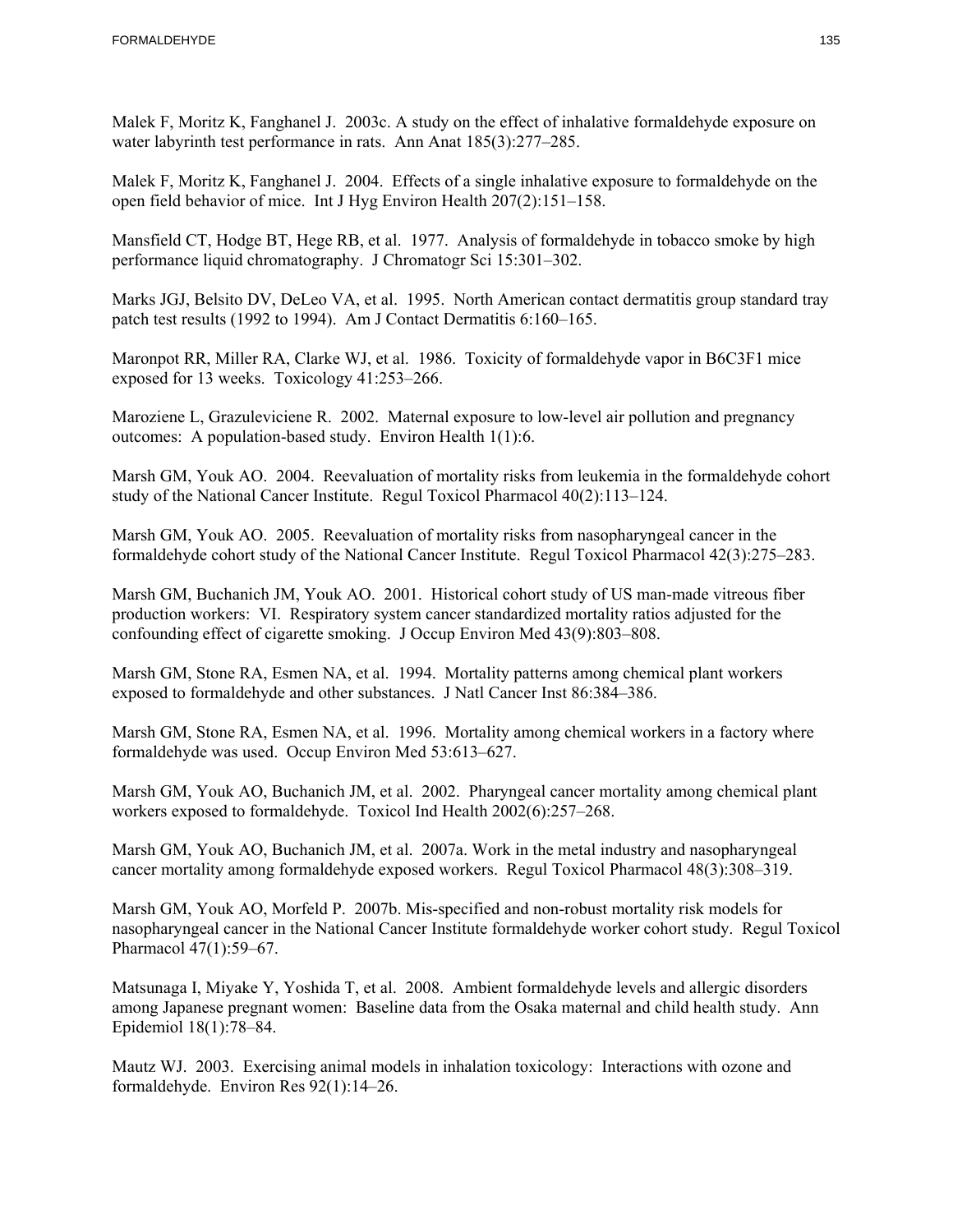Malek F, Moritz K, Fanghanel J. 2003c. A study on the effect of inhalative formaldehyde exposure on water labyrinth test performance in rats. Ann Anat 185(3):277–285.

Malek F, Moritz K, Fanghanel J. 2004. Effects of a single inhalative exposure to formaldehyde on the open field behavior of mice. Int J Hyg Environ Health 207(2):151–158.

Mansfield CT, Hodge BT, Hege RB, et al. 1977. Analysis of formaldehyde in tobacco smoke by high performance liquid chromatography. J Chromatogr Sci 15:301–302.

Marks JGJ, Belsito DV, DeLeo VA, et al. 1995. North American contact dermatitis group standard tray patch test results (1992 to 1994). Am J Contact Dermatitis 6:160–165.

Maronpot RR, Miller RA, Clarke WJ, et al. 1986. Toxicity of formaldehyde vapor in B6C3F1 mice exposed for 13 weeks. Toxicology 41:253–266.

Maroziene L, Grazuleviciene R. 2002. Maternal exposure to low-level air pollution and pregnancy outcomes: A population-based study. Environ Health 1(1):6.

Marsh GM, Youk AO. 2004. Reevaluation of mortality risks from leukemia in the formaldehyde cohort study of the National Cancer Institute. Regul Toxicol Pharmacol 40(2):113–124.

Marsh GM, Youk AO. 2005. Reevaluation of mortality risks from nasopharyngeal cancer in the formaldehyde cohort study of the National Cancer Institute. Regul Toxicol Pharmacol 42(3):275–283.

Marsh GM, Buchanich JM, Youk AO. 2001. Historical cohort study of US man-made vitreous fiber production workers: VI. Respiratory system cancer standardized mortality ratios adjusted for the confounding effect of cigarette smoking. J Occup Environ Med 43(9):803–808.

Marsh GM, Stone RA, Esmen NA, et al. 1994. Mortality patterns among chemical plant workers exposed to formaldehyde and other substances. J Natl Cancer Inst 86:384–386.

Marsh GM, Stone RA, Esmen NA, et al. 1996. Mortality among chemical workers in a factory where formaldehyde was used. Occup Environ Med 53:613–627.

Marsh GM, Youk AO, Buchanich JM, et al. 2002. Pharyngeal cancer mortality among chemical plant workers exposed to formaldehyde. Toxicol Ind Health 2002(6):257–268.

Marsh GM, Youk AO, Buchanich JM, et al. 2007a. Work in the metal industry and nasopharyngeal cancer mortality among formaldehyde exposed workers. Regul Toxicol Pharmacol 48(3):308–319.

Marsh GM, Youk AO, Morfeld P. 2007b. Mis-specified and non-robust mortality risk models for nasopharyngeal cancer in the National Cancer Institute formaldehyde worker cohort study. Regul Toxicol Pharmacol 47(1):59–67.

Matsunaga I, Miyake Y, Yoshida T, et al. 2008. Ambient formaldehyde levels and allergic disorders among Japanese pregnant women: Baseline data from the Osaka maternal and child health study. Ann Epidemiol 18(1):78–84.

Mautz WJ. 2003. Exercising animal models in inhalation toxicology: Interactions with ozone and formaldehyde. Environ Res 92(1):14–26.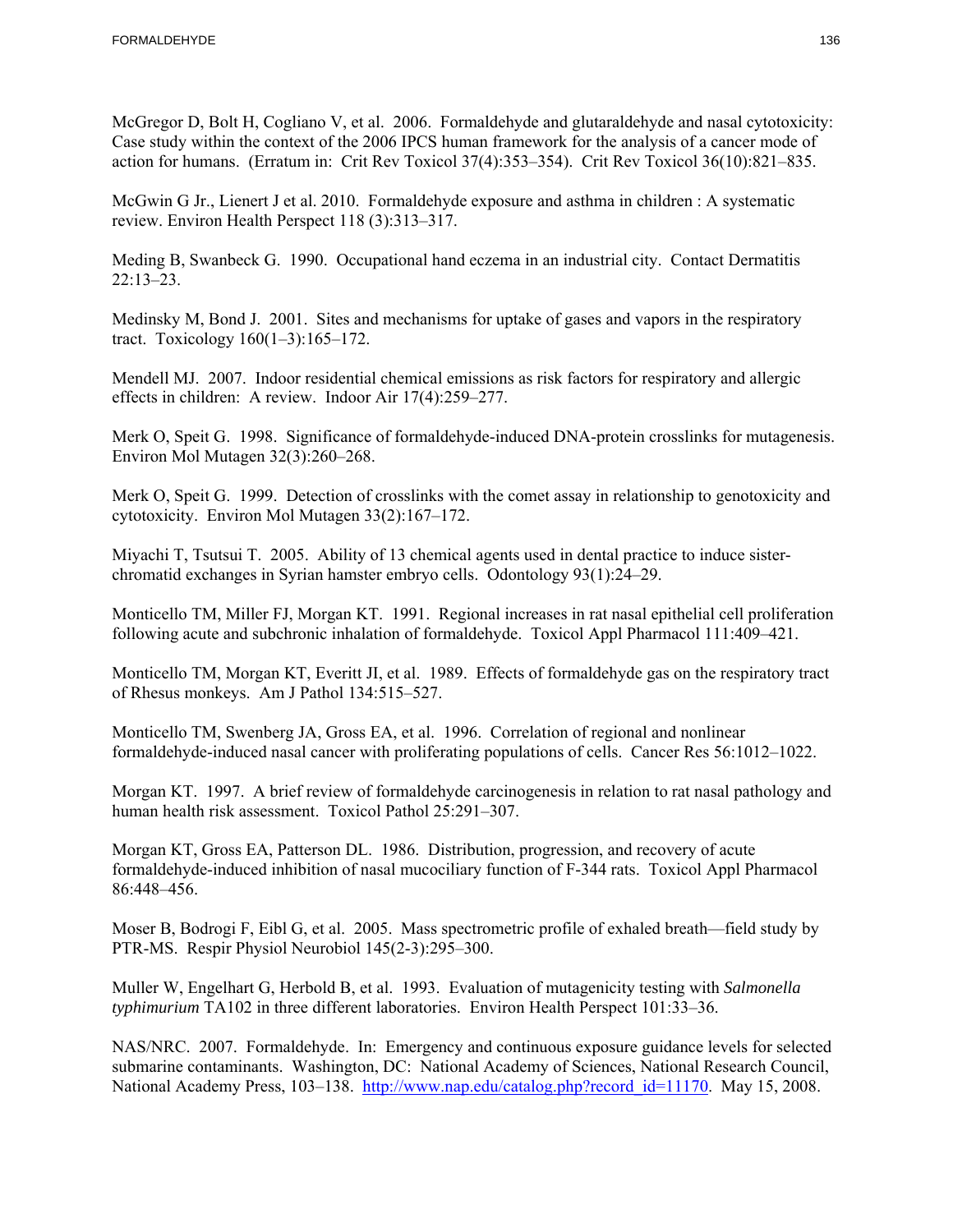McGregor D, Bolt H, Cogliano V, et al. 2006. Formaldehyde and glutaraldehyde and nasal cytotoxicity: Case study within the context of the 2006 IPCS human framework for the analysis of a cancer mode of action for humans. (Erratum in: Crit Rev Toxicol 37(4):353–354). Crit Rev Toxicol 36(10):821–835.

McGwin G Jr., Lienert J et al. 2010. Formaldehyde exposure and asthma in children : A systematic review. Environ Health Perspect 118 (3):313–317.

Meding B, Swanbeck G. 1990. Occupational hand eczema in an industrial city. Contact Dermatitis  $22:13-23$ .

Medinsky M, Bond J. 2001. Sites and mechanisms for uptake of gases and vapors in the respiratory tract. Toxicology 160(1–3):165–172.

Mendell MJ. 2007. Indoor residential chemical emissions as risk factors for respiratory and allergic effects in children: A review. Indoor Air 17(4):259–277.

Merk O, Speit G. 1998. Significance of formaldehyde-induced DNA-protein crosslinks for mutagenesis. Environ Mol Mutagen 32(3):260–268.

 cytotoxicity. Environ Mol Mutagen 33(2):167–172. Merk O, Speit G. 1999. Detection of crosslinks with the comet assay in relationship to genotoxicity and

Miyachi T, Tsutsui T. 2005. Ability of 13 chemical agents used in dental practice to induce sisterchromatid exchanges in Syrian hamster embryo cells. Odontology 93(1):24–29.

Monticello TM, Miller FJ, Morgan KT. 1991. Regional increases in rat nasal epithelial cell proliferation following acute and subchronic inhalation of formaldehyde. Toxicol Appl Pharmacol 111:409–421.

Monticello TM, Morgan KT, Everitt JI, et al. 1989. Effects of formaldehyde gas on the respiratory tract of Rhesus monkeys. Am J Pathol 134:515–527.

Monticello TM, Swenberg JA, Gross EA, et al. 1996. Correlation of regional and nonlinear formaldehyde-induced nasal cancer with proliferating populations of cells. Cancer Res 56:1012–1022.

Morgan KT. 1997. A brief review of formaldehyde carcinogenesis in relation to rat nasal pathology and human health risk assessment. Toxicol Pathol 25:291–307.

Morgan KT, Gross EA, Patterson DL. 1986. Distribution, progression, and recovery of acute formaldehyde-induced inhibition of nasal mucociliary function of F-344 rats. Toxicol Appl Pharmacol 86:448–456.

Moser B, Bodrogi F, Eibl G, et al. 2005. Mass spectrometric profile of exhaled breath—field study by PTR-MS. Respir Physiol Neurobiol 145(2-3):295–300.

Muller W, Engelhart G, Herbold B, et al. 1993. Evaluation of mutagenicity testing with *Salmonella typhimurium* TA102 in three different laboratories. Environ Health Perspect 101:33–36.

NAS/NRC. 2007. Formaldehyde. In: Emergency and continuous exposure guidance levels for selected submarine contaminants. Washington, DC: National Academy of Sciences, National Research Council, National Academy Press, 103-138. http://www.nap.edu/catalog.php?record\_id=11170. May 15, 2008.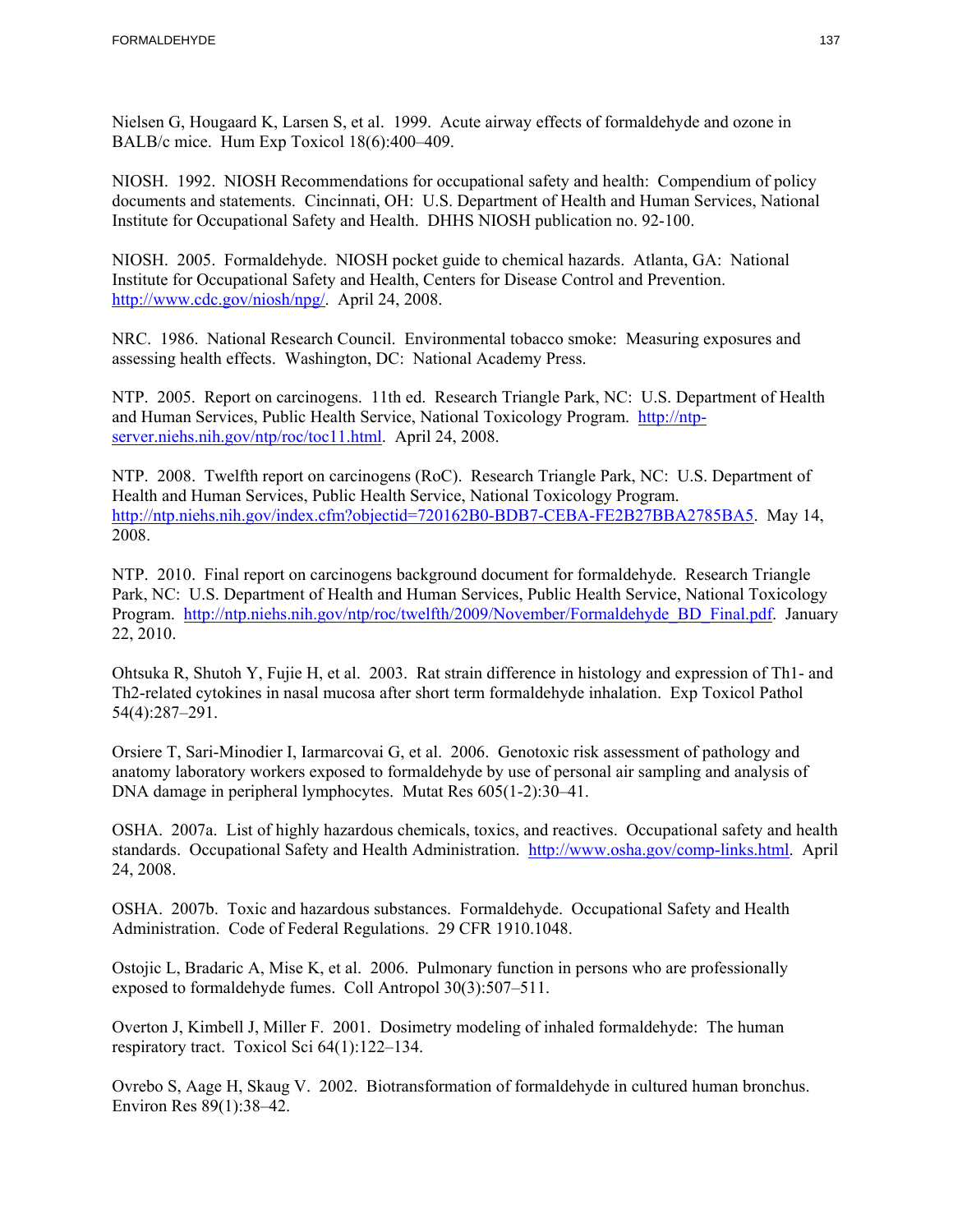Nielsen G, Hougaard K, Larsen S, et al. 1999. Acute airway effects of formaldehyde and ozone in BALB/c mice. Hum Exp Toxicol 18(6):400–409.

NIOSH. 1992. NIOSH Recommendations for occupational safety and health: Compendium of policy documents and statements. Cincinnati, OH: U.S. Department of Health and Human Services, National Institute for Occupational Safety and Health. DHHS NIOSH publication no. 92-100.

NIOSH. 2005. Formaldehyde. NIOSH pocket guide to chemical hazards. Atlanta, GA: National Institute for Occupational Safety and Health, Centers for Disease Control and Prevention. http://www.cdc.gov/niosh/npg/. April 24, 2008.

NRC. 1986. National Research Council. Environmental tobacco smoke: Measuring exposures and assessing health effects. Washington, DC: National Academy Press.

NTP. 2005. Report on carcinogens. 11th ed. Research Triangle Park, NC: U.S. Department of Health and Human Services, Public Health Service, National Toxicology Program. http://ntpserver.niehs.nih.gov/ntp/roc/toc11.html. April 24, 2008.

NTP. 2008. Twelfth report on carcinogens (RoC). Research Triangle Park, NC: U.S. Department of Health and Human Services, Public Health Service, National Toxicology Program. http://ntp.niehs.nih.gov/index.cfm?objectid=720162B0-BDB7-CEBA-FE2B27BBA2785BA5. May 14, 2008.

NTP. 2010. Final report on carcinogens background document for formaldehyde. Research Triangle Park, NC: U.S. Department of Health and Human Services, Public Health Service, National Toxicology Program. http://ntp.niehs.nih.gov/ntp/roc/twelfth/2009/November/Formaldehyde\_BD\_Final.pdf. January 22, 2010.

Ohtsuka R, Shutoh Y, Fujie H, et al. 2003. Rat strain difference in histology and expression of Th1- and Th2-related cytokines in nasal mucosa after short term formaldehyde inhalation. Exp Toxicol Pathol 54(4):287–291.

Orsiere T, Sari-Minodier I, Iarmarcovai G, et al. 2006. Genotoxic risk assessment of pathology and anatomy laboratory workers exposed to formaldehyde by use of personal air sampling and analysis of DNA damage in peripheral lymphocytes. Mutat Res 605(1-2):30–41.

OSHA. 2007a. List of highly hazardous chemicals, toxics, and reactives. Occupational safety and health standards. Occupational Safety and Health Administration. http://www.osha.gov/comp-links.html. April 24, 2008.

OSHA. 2007b. Toxic and hazardous substances. Formaldehyde. Occupational Safety and Health Administration. Code of Federal Regulations. 29 CFR 1910.1048.

Ostojic L, Bradaric A, Mise K, et al. 2006. Pulmonary function in persons who are professionally exposed to formaldehyde fumes. Coll Antropol 30(3):507–511.

Overton J, Kimbell J, Miller F. 2001. Dosimetry modeling of inhaled formaldehyde: The human respiratory tract. Toxicol Sci 64(1):122–134.

Ovrebo S, Aage H, Skaug V. 2002. Biotransformation of formaldehyde in cultured human bronchus. Environ Res 89(1):38–42.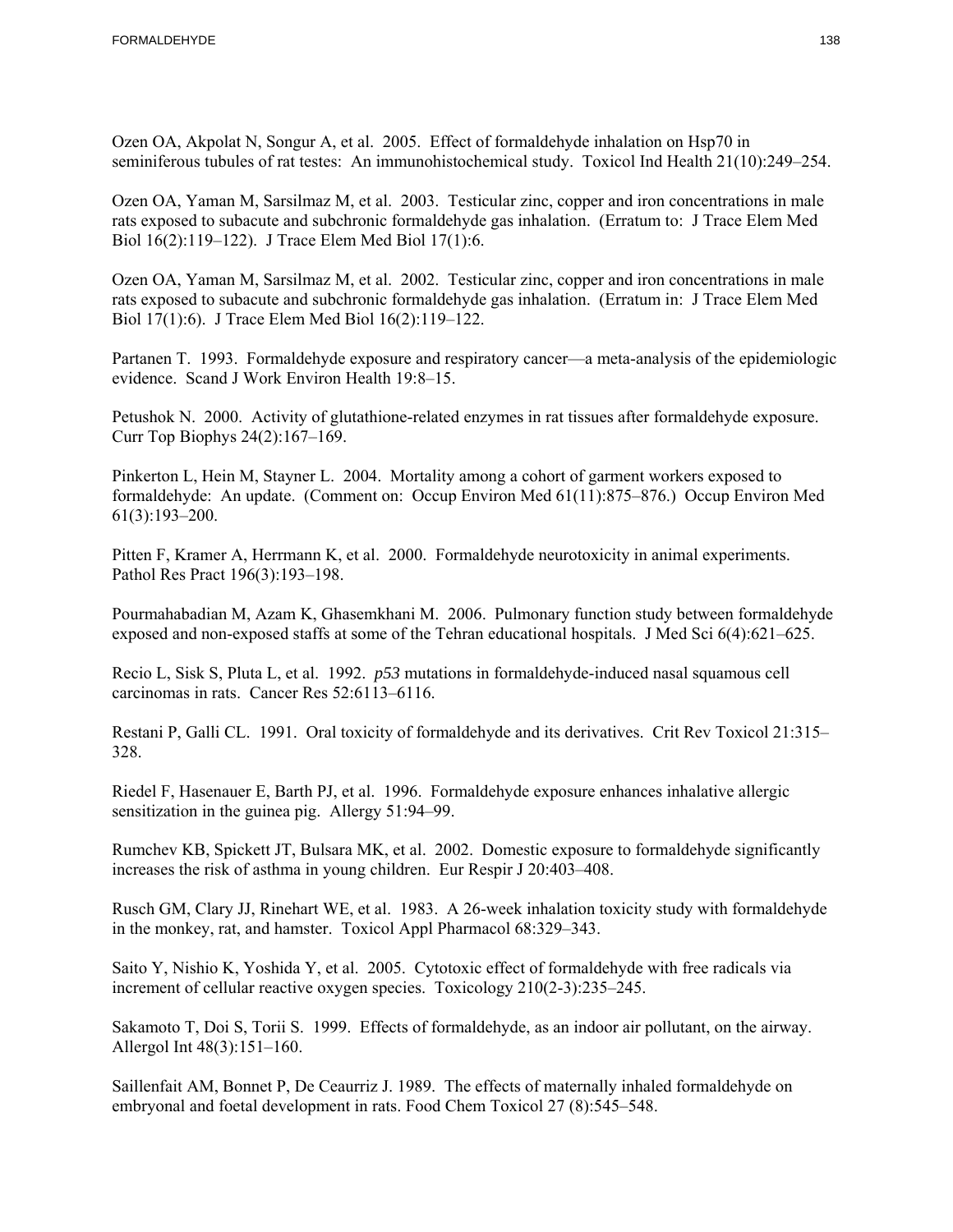Ozen OA, Akpolat N, Songur A, et al. 2005. Effect of formaldehyde inhalation on Hsp70 in seminiferous tubules of rat testes: An immunohistochemical study. Toxicol Ind Health 21(10):249–254.

Ozen OA, Yaman M, Sarsilmaz M, et al. 2003. Testicular zinc, copper and iron concentrations in male rats exposed to subacute and subchronic formaldehyde gas inhalation. (Erratum to: J Trace Elem Med Biol 16(2):119–122). J Trace Elem Med Biol 17(1):6.

Ozen OA, Yaman M, Sarsilmaz M, et al. 2002. Testicular zinc, copper and iron concentrations in male rats exposed to subacute and subchronic formaldehyde gas inhalation. (Erratum in: J Trace Elem Med Biol 17(1):6). J Trace Elem Med Biol 16(2):119–122.

Partanen T. 1993. Formaldehyde exposure and respiratory cancer—a meta-analysis of the epidemiologic evidence. Scand J Work Environ Health 19:8–15.

Petushok N. 2000. Activity of glutathione-related enzymes in rat tissues after formaldehyde exposure. Curr Top Biophys 24(2):167–169.

Pinkerton L, Hein M, Stayner L. 2004. Mortality among a cohort of garment workers exposed to formaldehyde: An update. (Comment on: Occup Environ Med 61(11):875–876.) Occup Environ Med 61(3):193–200.

Pitten F, Kramer A, Herrmann K, et al. 2000. Formaldehyde neurotoxicity in animal experiments. Pathol Res Pract 196(3):193–198.

Pourmahabadian M, Azam K, Ghasemkhani M. 2006. Pulmonary function study between formaldehyde exposed and non-exposed staffs at some of the Tehran educational hospitals. J Med Sci 6(4):621–625.

Recio L, Sisk S, Pluta L, et al. 1992. *p53* mutations in formaldehyde-induced nasal squamous cell carcinomas in rats. Cancer Res 52:6113–6116.

Restani P, Galli CL. 1991. Oral toxicity of formaldehyde and its derivatives. Crit Rev Toxicol 21:315– 328.

 sensitization in the guinea pig. Allergy 51:94–99. Riedel F, Hasenauer E, Barth PJ, et al. 1996. Formaldehyde exposure enhances inhalative allergic

Rumchev KB, Spickett JT, Bulsara MK, et al. 2002. Domestic exposure to formaldehyde significantly increases the risk of asthma in young children. Eur Respir J 20:403–408.

Rusch GM, Clary JJ, Rinehart WE, et al. 1983. A 26-week inhalation toxicity study with formaldehyde in the monkey, rat, and hamster. Toxicol Appl Pharmacol 68:329–343.

Saito Y, Nishio K, Yoshida Y, et al. 2005. Cytotoxic effect of formaldehyde with free radicals via increment of cellular reactive oxygen species. Toxicology 210(2-3):235–245.

Sakamoto T, Doi S, Torii S. 1999. Effects of formaldehyde, as an indoor air pollutant, on the airway. Allergol Int 48(3):151–160.

Saillenfait AM, Bonnet P, De Ceaurriz J. 1989. The effects of maternally inhaled formaldehyde on embryonal and foetal development in rats. Food Chem Toxicol 27 (8):545–548.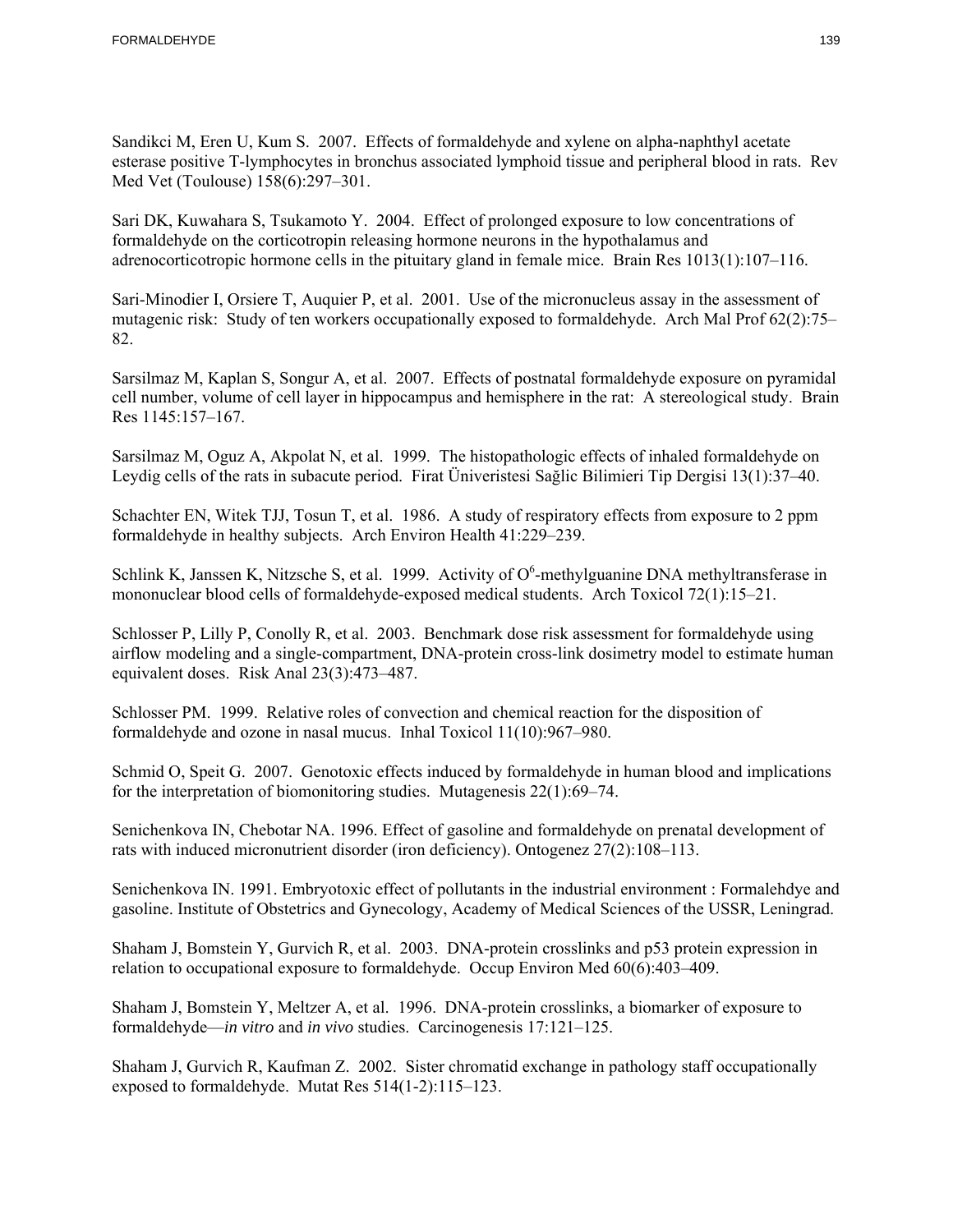Sandikci M, Eren U, Kum S. 2007. Effects of formaldehyde and xylene on alpha-naphthyl acetate esterase positive T-lymphocytes in bronchus associated lymphoid tissue and peripheral blood in rats. Rev Med Vet (Toulouse) 158(6):297–301.

Sari DK, Kuwahara S, Tsukamoto Y. 2004. Effect of prolonged exposure to low concentrations of formaldehyde on the corticotropin releasing hormone neurons in the hypothalamus and adrenocorticotropic hormone cells in the pituitary gland in female mice. Brain Res 1013(1):107–116.

Sari-Minodier I, Orsiere T, Auquier P, et al. 2001. Use of the micronucleus assay in the assessment of mutagenic risk: Study of ten workers occupationally exposed to formaldehyde. Arch Mal Prof 62(2):75– 82.

Sarsilmaz M, Kaplan S, Songur A, et al. 2007. Effects of postnatal formaldehyde exposure on pyramidal cell number, volume of cell layer in hippocampus and hemisphere in the rat: A stereological study. Brain Res 1145:157–167.

Sarsilmaz M, Oguz A, Akpolat N, et al. 1999. The histopathologic effects of inhaled formaldehyde on Leydig cells of the rats in subacute period. Firat Üniveristesi Sağlic Bilimieri Tip Dergisi 13(1):37–40.

Schachter EN, Witek TJJ, Tosun T, et al. 1986. A study of respiratory effects from exposure to 2 ppm formaldehyde in healthy subjects. Arch Environ Health 41:229–239.

Schlink K, Janssen K, Nitzsche S, et al. 1999. Activity of  $O^6$ -methylguanine DNA methyltransferase in mononuclear blood cells of formaldehyde-exposed medical students. Arch Toxicol 72(1):15–21.

Schlosser P, Lilly P, Conolly R, et al. 2003. Benchmark dose risk assessment for formaldehyde using airflow modeling and a single-compartment, DNA-protein cross-link dosimetry model to estimate human equivalent doses. Risk Anal 23(3):473–487.

Schlosser PM. 1999. Relative roles of convection and chemical reaction for the disposition of formaldehyde and ozone in nasal mucus. Inhal Toxicol 11(10):967–980.

Schmid O, Speit G. 2007. Genotoxic effects induced by formaldehyde in human blood and implications for the interpretation of biomonitoring studies. Mutagenesis 22(1):69–74.

Senichenkova IN, Chebotar NA. 1996. Effect of gasoline and formaldehyde on prenatal development of rats with induced micronutrient disorder (iron deficiency). Ontogenez 27(2):108–113.

Senichenkova IN. 1991. Embryotoxic effect of pollutants in the industrial environment : Formalehdye and gasoline. Institute of Obstetrics and Gynecology, Academy of Medical Sciences of the USSR, Leningrad.

Shaham J, Bomstein Y, Gurvich R, et al. 2003. DNA-protein crosslinks and p53 protein expression in relation to occupational exposure to formaldehyde. Occup Environ Med  $60(6)$ :403-409.

Shaham J, Bomstein Y, Meltzer A, et al. 1996. DNA-protein crosslinks, a biomarker of exposure to formaldehyde—*in vitro* and *in vivo* studies. Carcinogenesis 17:121–125.

Shaham J, Gurvich R, Kaufman Z. 2002. Sister chromatid exchange in pathology staff occupationally exposed to formaldehyde. Mutat Res 514(1-2):115–123.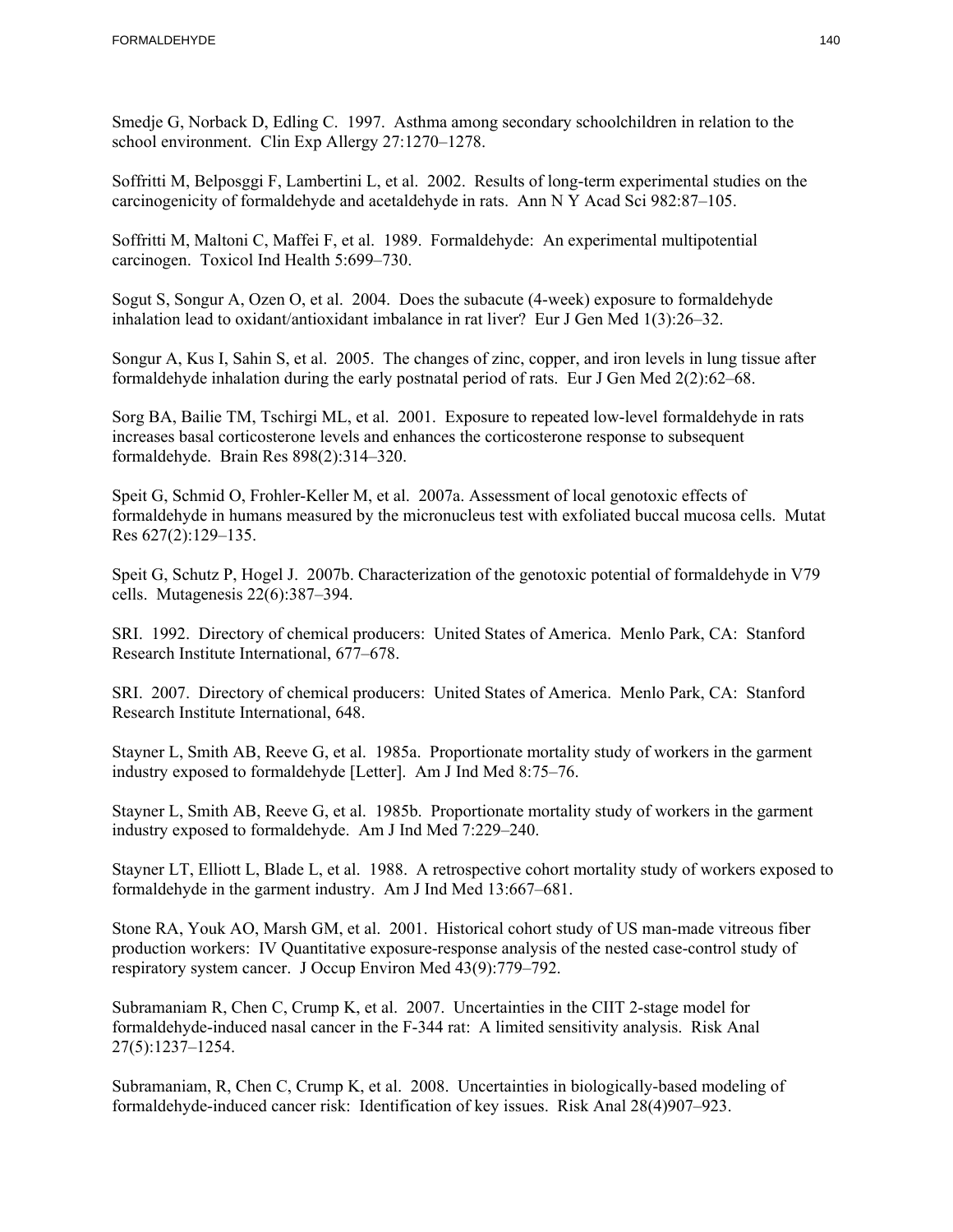Smedje G, Norback D, Edling C. 1997. Asthma among secondary schoolchildren in relation to the school environment. Clin Exp Allergy 27:1270–1278.

Soffritti M, Belposggi F, Lambertini L, et al. 2002. Results of long-term experimental studies on the carcinogenicity of formaldehyde and acetaldehyde in rats. Ann N Y Acad Sci 982:87–105.

Soffritti M, Maltoni C, Maffei F, et al. 1989. Formaldehyde: An experimental multipotential carcinogen. Toxicol Ind Health 5:699–730.

Sogut S, Songur A, Ozen O, et al. 2004. Does the subacute (4-week) exposure to formaldehyde inhalation lead to oxidant/antioxidant imbalance in rat liver? Eur J Gen Med 1(3):26–32.

Songur A, Kus I, Sahin S, et al. 2005. The changes of zinc, copper, and iron levels in lung tissue after formaldehyde inhalation during the early postnatal period of rats. Eur J Gen Med 2(2):62–68.

Sorg BA, Bailie TM, Tschirgi ML, et al. 2001. Exposure to repeated low-level formaldehyde in rats increases basal corticosterone levels and enhances the corticosterone response to subsequent formaldehyde. Brain Res 898(2):314–320.

Speit G, Schmid O, Frohler-Keller M, et al. 2007a. Assessment of local genotoxic effects of formaldehyde in humans measured by the micronucleus test with exfoliated buccal mucosa cells. Mutat Res 627(2):129–135.

Speit G, Schutz P, Hogel J. 2007b. Characterization of the genotoxic potential of formaldehyde in V79 cells. Mutagenesis 22(6):387–394.

SRI. 1992. Directory of chemical producers: United States of America. Menlo Park, CA: Stanford Research Institute International, 677–678.

SRI. 2007. Directory of chemical producers: United States of America. Menlo Park, CA: Stanford Research Institute International, 648.

Stayner L, Smith AB, Reeve G, et al. 1985a. Proportionate mortality study of workers in the garment industry exposed to formaldehyde [Letter]. Am J Ind Med 8:75–76.

Stayner L, Smith AB, Reeve G, et al. 1985b. Proportionate mortality study of workers in the garment industry exposed to formaldehyde. Am J Ind Med 7:229–240.

Stayner LT, Elliott L, Blade L, et al. 1988. A retrospective cohort mortality study of workers exposed to formaldehyde in the garment industry. Am J Ind Med 13:667–681.

Stone RA, Youk AO, Marsh GM, et al. 2001. Historical cohort study of US man-made vitreous fiber production workers: IV Quantitative exposure-response analysis of the nested case-control study of respiratory system cancer. J Occup Environ Med 43(9):779–792.

Subramaniam R, Chen C, Crump K, et al. 2007. Uncertainties in the CIIT 2-stage model for formaldehyde-induced nasal cancer in the F-344 rat: A limited sensitivity analysis. Risk Anal 27(5):1237–1254.

Subramaniam, R, Chen C, Crump K, et al. 2008. Uncertainties in biologically-based modeling of formaldehyde-induced cancer risk: Identification of key issues. Risk Anal 28(4)907–923.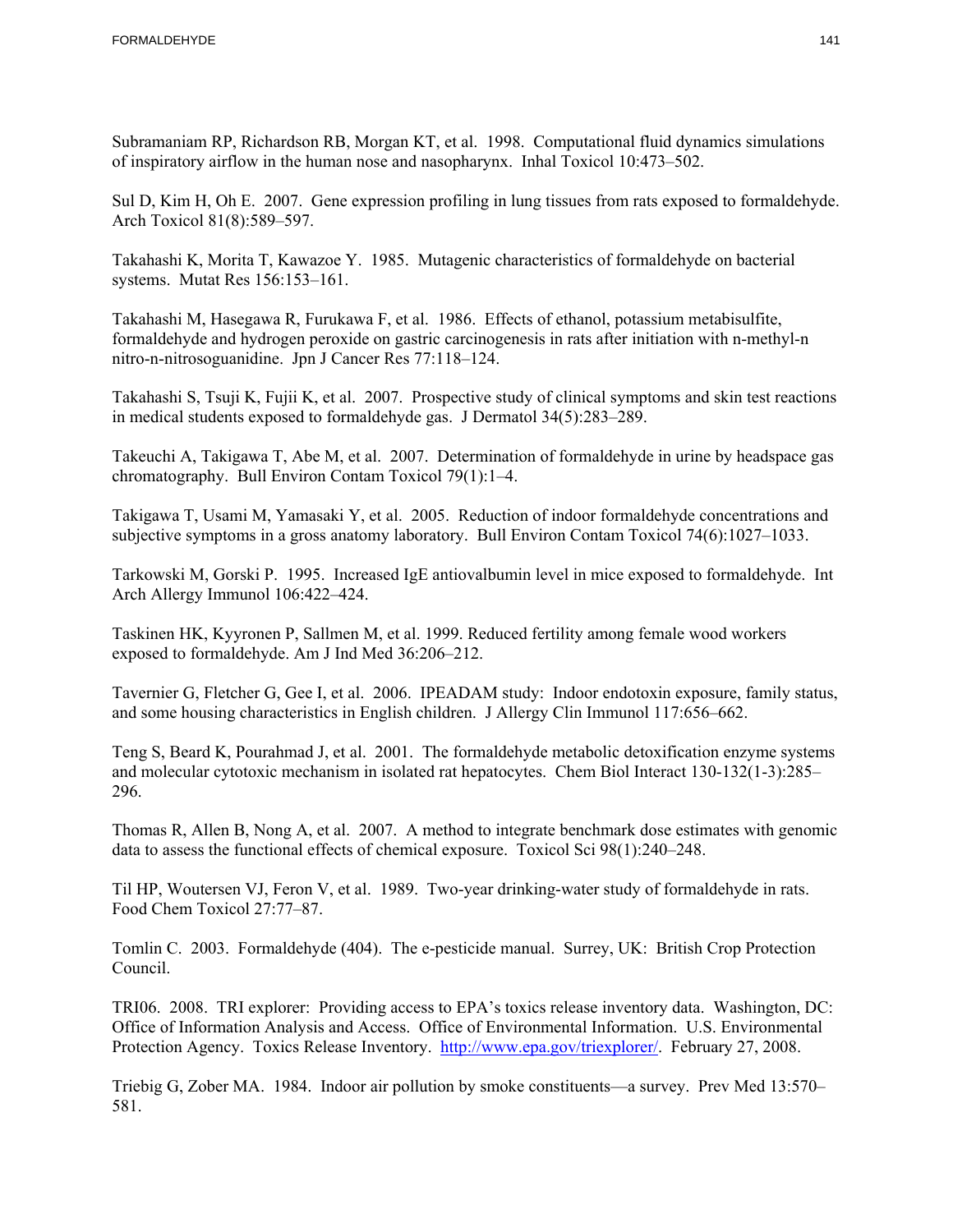Subramaniam RP, Richardson RB, Morgan KT, et al. 1998. Computational fluid dynamics simulations of inspiratory airflow in the human nose and nasopharynx. Inhal Toxicol 10:473–502.

Sul D, Kim H, Oh E. 2007. Gene expression profiling in lung tissues from rats exposed to formaldehyde. Arch Toxicol 81(8):589–597.

Takahashi K, Morita T, Kawazoe Y. 1985. Mutagenic characteristics of formaldehyde on bacterial systems. Mutat Res 156:153–161.

Takahashi M, Hasegawa R, Furukawa F, et al. 1986. Effects of ethanol, potassium metabisulfite, formaldehyde and hydrogen peroxide on gastric carcinogenesis in rats after initiation with n-methyl-n nitro-n-nitrosoguanidine. Jpn J Cancer Res 77:118–124.

Takahashi S, Tsuji K, Fujii K, et al. 2007. Prospective study of clinical symptoms and skin test reactions in medical students exposed to formaldehyde gas. J Dermatol 34(5):283–289.

Takeuchi A, Takigawa T, Abe M, et al. 2007. Determination of formaldehyde in urine by headspace gas chromatography. Bull Environ Contam Toxicol 79(1):1–4.

Takigawa T, Usami M, Yamasaki Y, et al. 2005. Reduction of indoor formaldehyde concentrations and subjective symptoms in a gross anatomy laboratory. Bull Environ Contam Toxicol 74(6):1027–1033.

Tarkowski M, Gorski P. 1995. Increased IgE antiovalbumin level in mice exposed to formaldehyde. Int Arch Allergy Immunol 106:422–424.

Taskinen HK, Kyyronen P, Sallmen M, et al. 1999. Reduced fertility among female wood workers exposed to formaldehyde. Am J Ind Med 36:206–212.

Tavernier G, Fletcher G, Gee I, et al. 2006. IPEADAM study: Indoor endotoxin exposure, family status, and some housing characteristics in English children. J Allergy Clin Immunol 117:656–662.

Teng S, Beard K, Pourahmad J, et al. 2001. The formaldehyde metabolic detoxification enzyme systems and molecular cytotoxic mechanism in isolated rat hepatocytes. Chem Biol Interact 130-132(1-3):285– 296.

Thomas R, Allen B, Nong A, et al. 2007. A method to integrate benchmark dose estimates with genomic data to assess the functional effects of chemical exposure. Toxicol Sci 98(1):240–248.

Til HP, Woutersen VJ, Feron V, et al. 1989. Two-year drinking-water study of formaldehyde in rats. Food Chem Toxicol 27:77–87.

Tomlin C. 2003. Formaldehyde (404). The e-pesticide manual. Surrey, UK: British Crop Protection Council.

Protection Agency. Toxics Release Inventory. http://www.epa.gov/triexplorer/. February 27, 2008. TRI06. 2008. TRI explorer: Providing access to EPA's toxics release inventory data. Washington, DC: Office of Information Analysis and Access. Office of Environmental Information. U.S. Environmental

Triebig G, Zober MA. 1984. Indoor air pollution by smoke constituents—a survey. Prev Med 13:570– 581.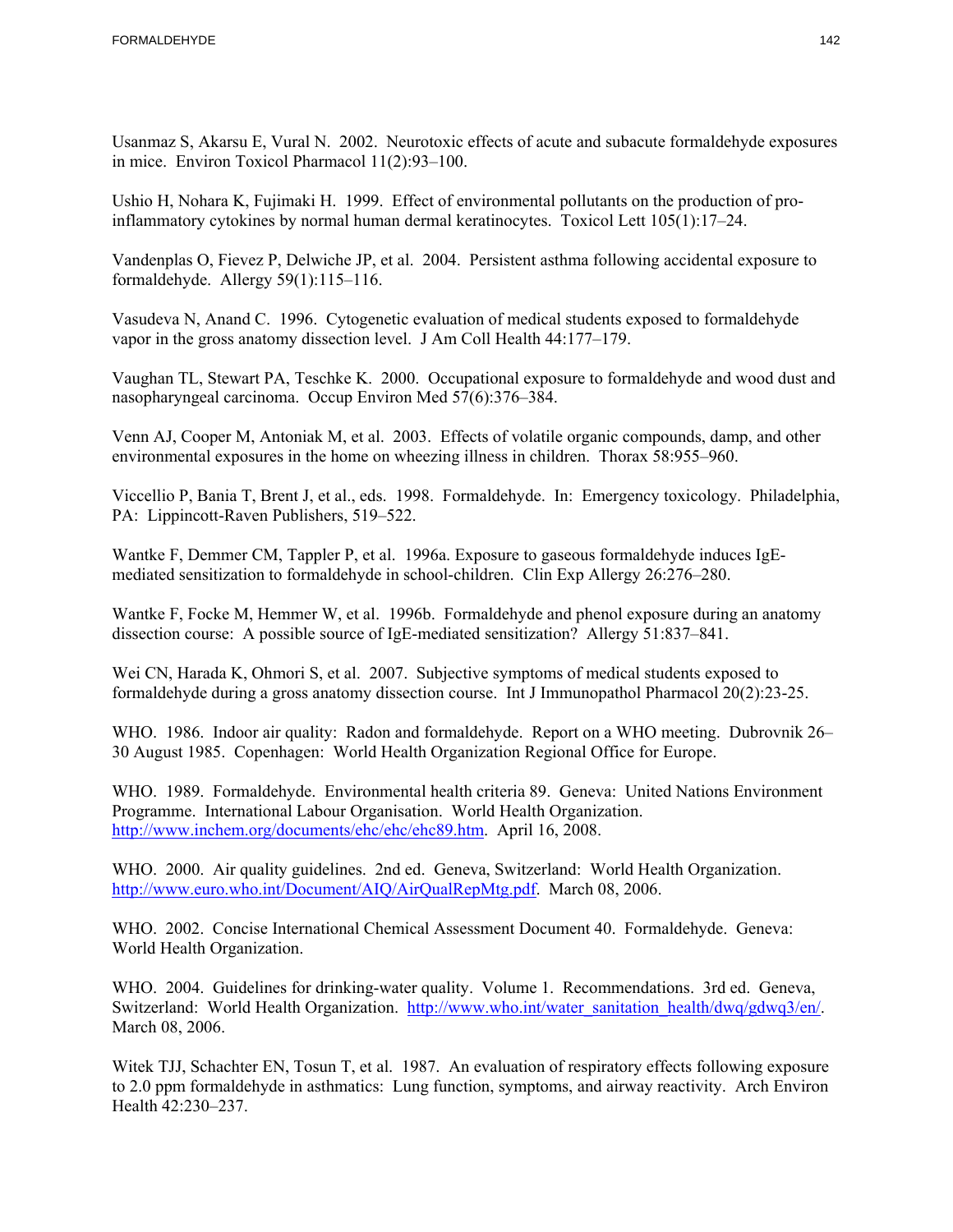Usanmaz S, Akarsu E, Vural N. 2002. Neurotoxic effects of acute and subacute formaldehyde exposures in mice. Environ Toxicol Pharmacol 11(2):93–100.

Ushio H, Nohara K, Fujimaki H. 1999. Effect of environmental pollutants on the production of proinflammatory cytokines by normal human dermal keratinocytes. Toxicol Lett 105(1):17–24.

Vandenplas O, Fievez P, Delwiche JP, et al. 2004. Persistent asthma following accidental exposure to formaldehyde. Allergy 59(1):115–116.

Vasudeva N, Anand C. 1996. Cytogenetic evaluation of medical students exposed to formaldehyde vapor in the gross anatomy dissection level. J Am Coll Health 44:177–179.

Vaughan TL, Stewart PA, Teschke K. 2000. Occupational exposure to formaldehyde and wood dust and nasopharyngeal carcinoma. Occup Environ Med 57(6):376–384.

Venn AJ, Cooper M, Antoniak M, et al. 2003. Effects of volatile organic compounds, damp, and other environmental exposures in the home on wheezing illness in children. Thorax 58:955–960.

Viccellio P, Bania T, Brent J, et al., eds. 1998. Formaldehyde. In: Emergency toxicology. Philadelphia, PA: Lippincott-Raven Publishers, 519–522.

Wantke F, Demmer CM, Tappler P, et al. 1996a. Exposure to gaseous formaldehyde induces IgEmediated sensitization to formaldehyde in school-children. Clin Exp Allergy 26:276–280.

 Wantke F, Focke M, Hemmer W, et al. 1996b. Formaldehyde and phenol exposure during an anatomy dissection course: A possible source of IgE-mediated sensitization? Allergy 51:837–841.

formaldehyde during a gross anatomy dissection course. Int J Immunopathol Pharmacol 20(2):23-25. Wei CN, Harada K, Ohmori S, et al. 2007. Subjective symptoms of medical students exposed to

WHO. 1986. Indoor air quality: Radon and formaldehyde. Report on a WHO meeting. Dubrovnik 26– 30 August 1985. Copenhagen: World Health Organization Regional Office for Europe.

WHO. 1989. Formaldehyde. Environmental health criteria 89. Geneva: United Nations Environment Programme. International Labour Organisation. World Health Organization. http://www.inchem.org/documents/ehc/ehc/ehc89.htm. April 16, 2008.

WHO. 2000. Air quality guidelines. 2nd ed. Geneva, Switzerland: World Health Organization. http://www.euro.who.int/Document/AIQ/AirQualRepMtg.pdf. March 08, 2006.

WHO. 2002. Concise International Chemical Assessment Document 40. Formaldehyde. Geneva: World Health Organization.

 WHO. 2004. Guidelines for drinking-water quality. Volume 1. Recommendations. 3rd ed. Geneva, Switzerland: World Health Organization. http://www.who.int/water\_sanitation\_health/dwq/gdwq3/en/. March 08, 2006.

Witek TJJ, Schachter EN, Tosun T, et al. 1987. An evaluation of respiratory effects following exposure to 2.0 ppm formaldehyde in asthmatics: Lung function, symptoms, and airway reactivity. Arch Environ Health 42:230–237.